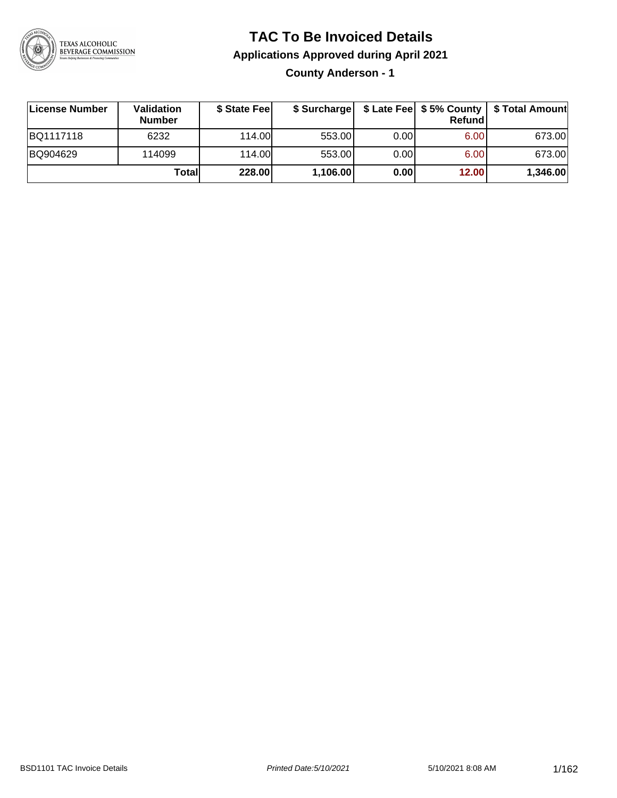

### **TAC To Be Invoiced Details**

**Applications Approved during April 2021**

**County Anderson - 1**

| License Number | Validation<br><b>Number</b> | \$ State Fee |          |      | <b>Refund</b> | \$ Surcharge   \$ Late Fee   \$5% County   \$ Total Amount |
|----------------|-----------------------------|--------------|----------|------|---------------|------------------------------------------------------------|
| BQ1117118      | 6232                        | 114.00       | 553.00   | 0.00 | 6.00          | 673.00                                                     |
| BQ904629       | 114099                      | 114.00L      | 553.00   | 0.00 | 6.00          | 673.00                                                     |
|                | Totall                      | 228.00       | 1,106.00 | 0.00 | 12.00         | 1,346.00                                                   |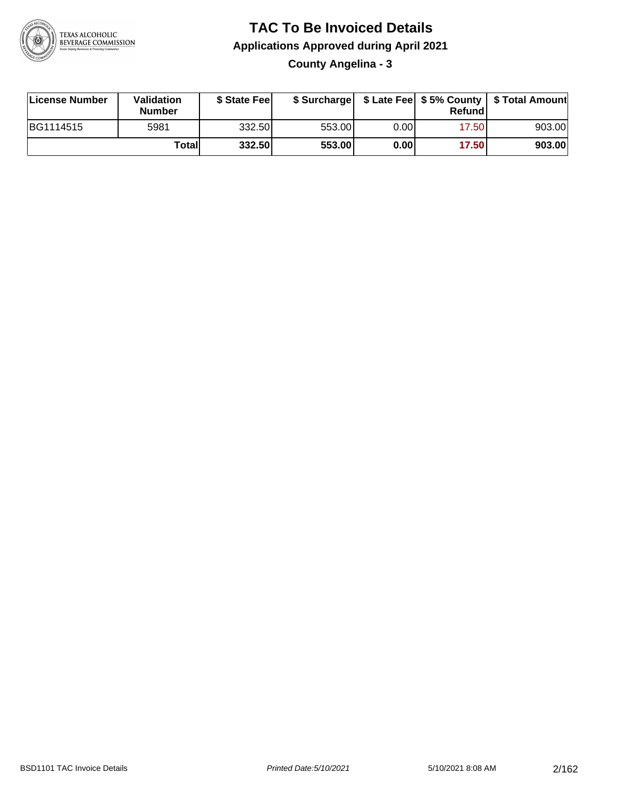

**County Angelina - 3**

| License Number | <b>Validation</b><br><b>Number</b> | \$ State Fee | \$ Surcharge |      | Refundl |        |
|----------------|------------------------------------|--------------|--------------|------|---------|--------|
| BG1114515      | 5981                               | 332.50       | 553.00       | 0.00 | 17.501  | 903.00 |
|                | Totall                             | 332.50       | 553.00       | 0.00 | 17.50   | 903.00 |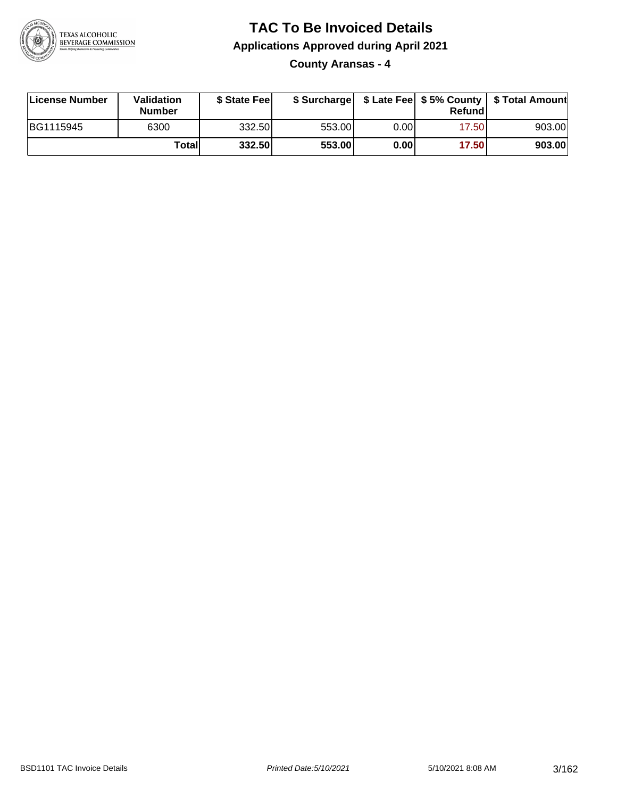

**County Aransas - 4**

| License Number | <b>Validation</b><br><b>Number</b> | \$ State Feel |        |      | Refundl | \$ Surcharge   \$ Late Fee   \$5% County   \$ Total Amount |
|----------------|------------------------------------|---------------|--------|------|---------|------------------------------------------------------------|
| BG1115945      | 6300                               | 332.50        | 553.00 | 0.00 | 17.50   | 903.00                                                     |
|                | Totall                             | 332.50        | 553.00 | 0.00 | 17.50   | 903.00                                                     |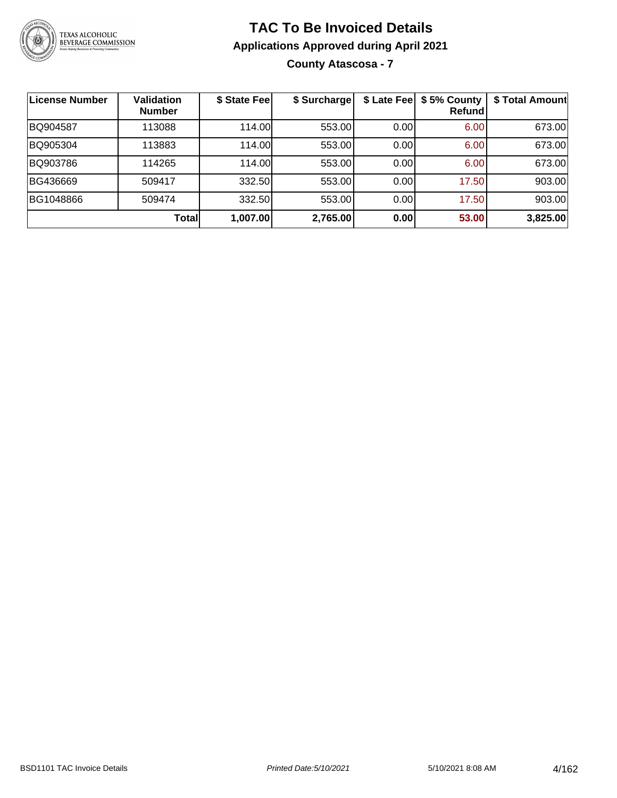

#### **TAC To Be Invoiced Details Applications Approved during April 2021 County Atascosa - 7**

| License Number | <b>Validation</b><br><b>Number</b> | \$ State Fee | \$ Surcharge | \$ Late Fee | \$5% County<br>Refundl | \$ Total Amount |
|----------------|------------------------------------|--------------|--------------|-------------|------------------------|-----------------|
| BQ904587       | 113088                             | 114.00       | 553.00       | 0.00        | 6.00                   | 673.00          |
| BQ905304       | 113883                             | 114.00       | 553.00       | 0.00        | 6.00                   | 673.00          |
| BQ903786       | 114265                             | 114.00       | 553.00       | 0.00        | 6.00                   | 673.00          |
| BG436669       | 509417                             | 332.50       | 553.00       | 0.00        | 17.50                  | 903.00          |
| BG1048866      | 509474                             | 332.50       | 553.00       | 0.00        | 17.50                  | 903.00          |
|                | <b>Total</b>                       | 1,007.00     | 2,765.00     | 0.00        | 53.00                  | 3,825.00        |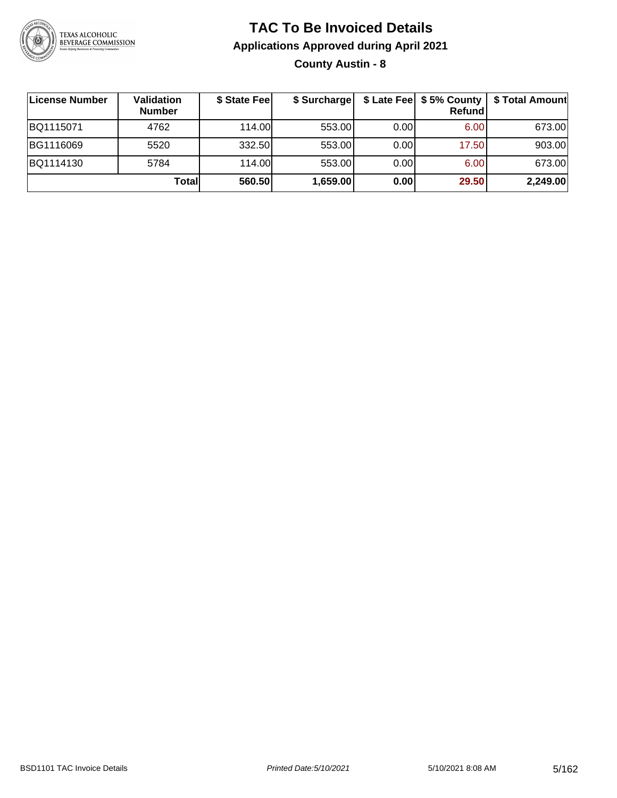

**County Austin - 8**

| License Number | Validation<br><b>Number</b> | \$ State Fee | \$ Surcharge |       | <b>Refund</b> | \$ Late Fee   \$5% County   \$ Total Amount |
|----------------|-----------------------------|--------------|--------------|-------|---------------|---------------------------------------------|
| BQ1115071      | 4762                        | 114.00       | 553.00       | 0.001 | 6.00          | 673.00                                      |
| BG1116069      | 5520                        | 332.50       | 553.00       | 0.001 | 17.50         | 903.00                                      |
| BQ1114130      | 5784                        | 114.00       | 553.00       | 0.00  | 6.00          | 673.00                                      |
|                | Totall                      | 560.50       | 1,659.00     | 0.00  | 29.50         | 2,249.00                                    |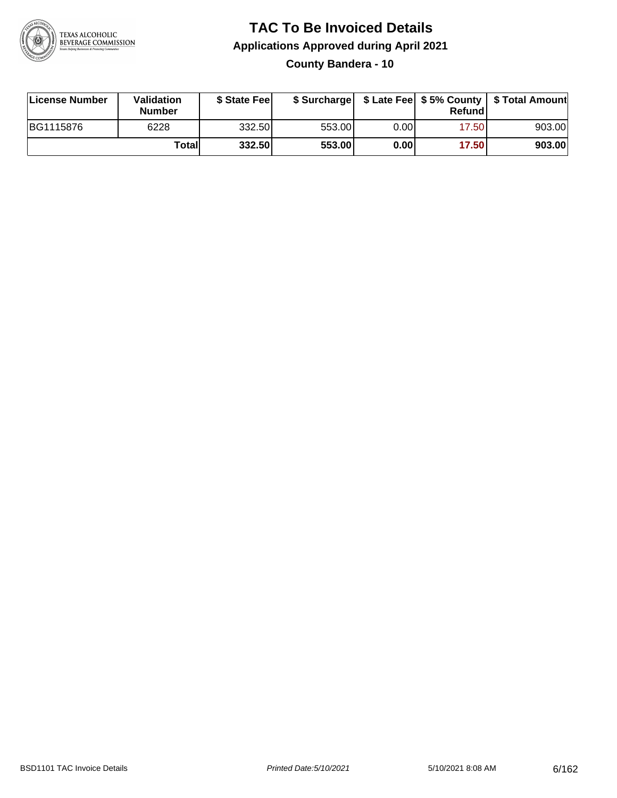

#### **TAC To Be Invoiced Details Applications Approved during April 2021 County Bandera - 10**

| License Number | Validation<br><b>Number</b> | \$ State Feel |        |       | Refundl | \$ Surcharge   \$ Late Fee   \$5% County   \$ Total Amount |
|----------------|-----------------------------|---------------|--------|-------|---------|------------------------------------------------------------|
| BG1115876      | 6228                        | 332.50        | 553.00 | 0.00  | 17.50   | 903.00                                                     |
|                | Totall                      | 332.50        | 553.00 | 0.001 | 17.50   | 903.00                                                     |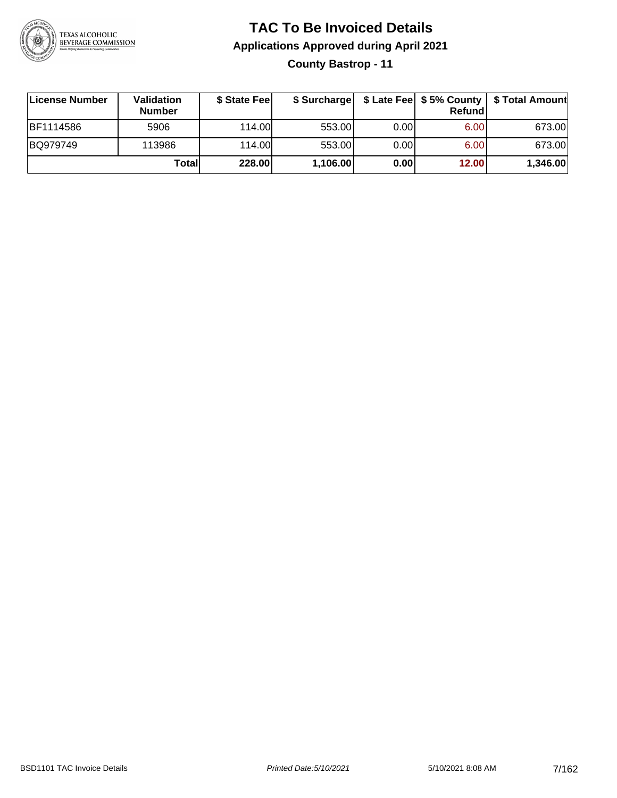

#### **TAC To Be Invoiced Details Applications Approved during April 2021 County Bastrop - 11**

| License Number | Validation<br><b>Number</b> | \$ State Feel |          |       | Refundl | \$ Surcharge   \$ Late Fee   \$5% County   \$ Total Amount |
|----------------|-----------------------------|---------------|----------|-------|---------|------------------------------------------------------------|
| BF1114586      | 5906                        | 114.00        | 553.00   | 0.001 | 6.00    | 673.00                                                     |
| BQ979749       | 113986                      | 114.00        | 553.00   | 0.00  | 6.00    | 673.00                                                     |
|                | Totall                      | 228.00        | 1,106.00 | 0.00  | 12.00   | 1,346.00                                                   |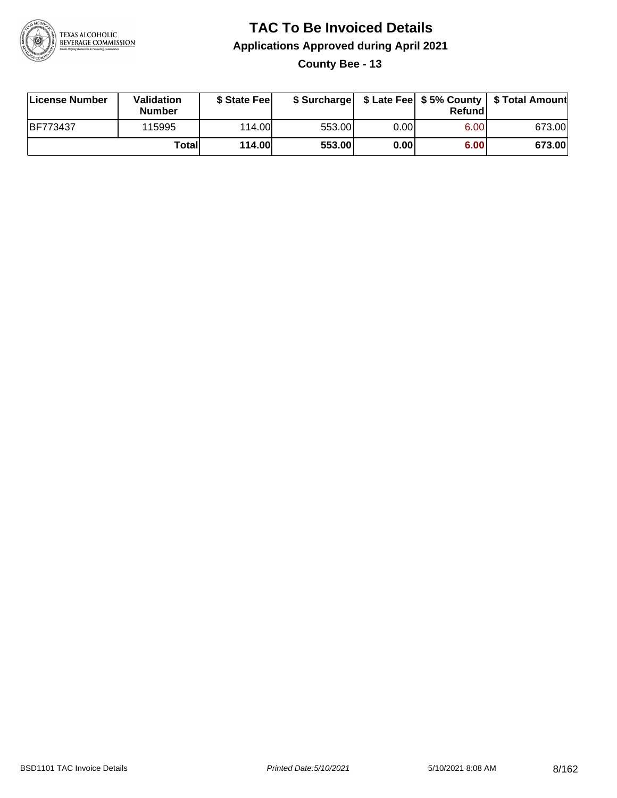

**County Bee - 13**

| License Number  | Validation<br><b>Number</b> | \$ State Feel | \$ Surcharge |      | Refund | \$ Late Fee   \$5% County   \$ Total Amount |
|-----------------|-----------------------------|---------------|--------------|------|--------|---------------------------------------------|
| <b>BF773437</b> | 115995                      | 114.00L       | 553.00       | 0.00 | 6.00   | 673.00                                      |
|                 | Totall                      | <b>114.00</b> | 553.00       | 0.00 | 6.00   | 673.00                                      |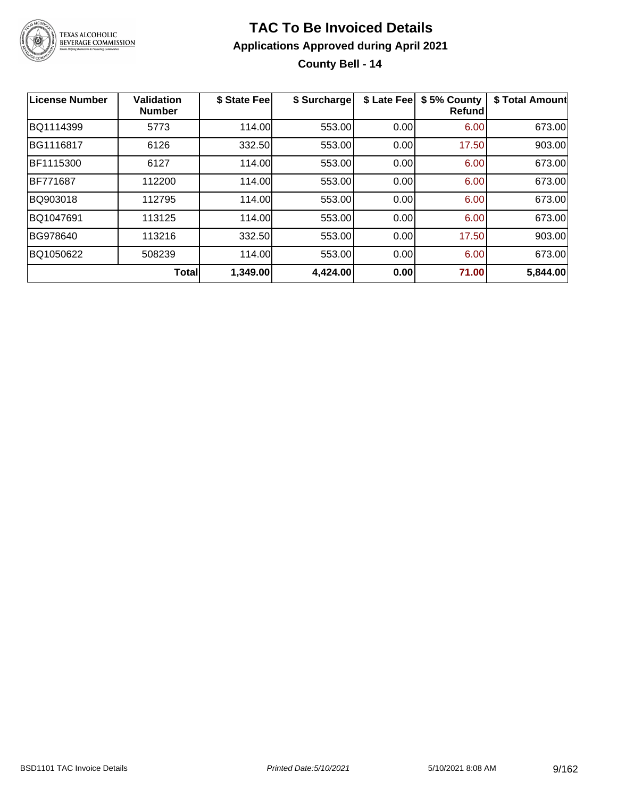

#### **TAC To Be Invoiced Details Applications Approved during April 2021 County Bell - 14**

| License Number | <b>Validation</b><br><b>Number</b> | \$ State Fee | \$ Surcharge | \$ Late Fee | \$5% County<br><b>Refund</b> | \$ Total Amount |
|----------------|------------------------------------|--------------|--------------|-------------|------------------------------|-----------------|
| BQ1114399      | 5773                               | 114.00       | 553.00       | 0.00        | 6.00                         | 673.00          |
| BG1116817      | 6126                               | 332.50       | 553.00       | 0.00        | 17.50                        | 903.00          |
| BF1115300      | 6127                               | 114.00       | 553.00       | 0.00        | 6.00                         | 673.00          |
| BF771687       | 112200                             | 114.00       | 553.00       | 0.00        | 6.00                         | 673.00          |
| BQ903018       | 112795                             | 114.00       | 553.00       | 0.00        | 6.00                         | 673.00          |
| BQ1047691      | 113125                             | 114.00       | 553.00       | 0.00        | 6.00                         | 673.00          |
| BG978640       | 113216                             | 332.50       | 553.00       | 0.00        | 17.50                        | 903.00          |
| BQ1050622      | 508239                             | 114.00       | 553.00       | 0.00        | 6.00                         | 673.00          |
|                | Total                              | 1,349.00     | 4,424.00     | 0.00        | 71.00                        | 5,844.00        |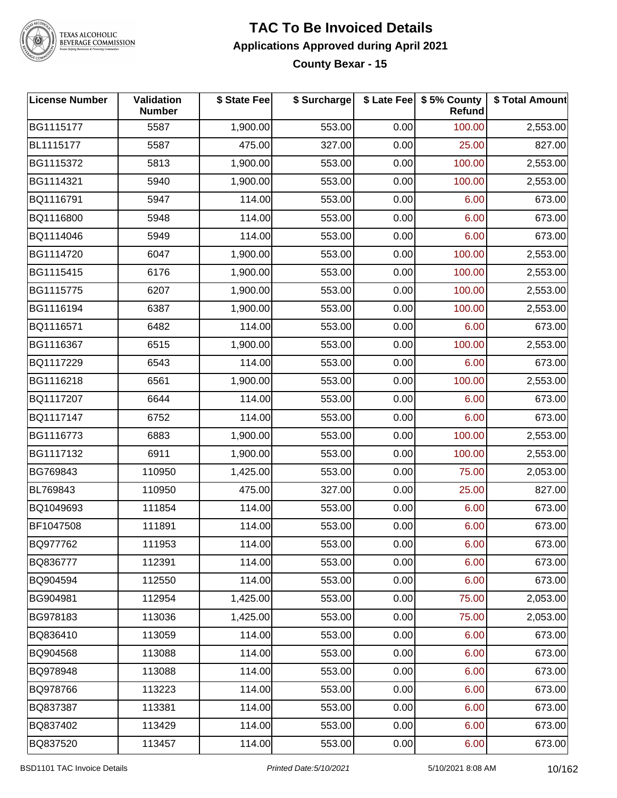

## TEXAS ALCOHOLIC<br>BEVERAGE COMMISSION

#### **TAC To Be Invoiced Details Applications Approved during April 2021 County Bexar - 15**

| <b>License Number</b> | <b>Validation</b><br><b>Number</b> | \$ State Fee | \$ Surcharge |      | \$ Late Fee   \$5% County<br><b>Refund</b> | \$ Total Amount |
|-----------------------|------------------------------------|--------------|--------------|------|--------------------------------------------|-----------------|
| BG1115177             | 5587                               | 1,900.00     | 553.00       | 0.00 | 100.00                                     | 2,553.00        |
| BL1115177             | 5587                               | 475.00       | 327.00       | 0.00 | 25.00                                      | 827.00          |
| BG1115372             | 5813                               | 1,900.00     | 553.00       | 0.00 | 100.00                                     | 2,553.00        |
| BG1114321             | 5940                               | 1,900.00     | 553.00       | 0.00 | 100.00                                     | 2,553.00        |
| BQ1116791             | 5947                               | 114.00       | 553.00       | 0.00 | 6.00                                       | 673.00          |
| BQ1116800             | 5948                               | 114.00       | 553.00       | 0.00 | 6.00                                       | 673.00          |
| BQ1114046             | 5949                               | 114.00       | 553.00       | 0.00 | 6.00                                       | 673.00          |
| BG1114720             | 6047                               | 1,900.00     | 553.00       | 0.00 | 100.00                                     | 2,553.00        |
| BG1115415             | 6176                               | 1,900.00     | 553.00       | 0.00 | 100.00                                     | 2,553.00        |
| BG1115775             | 6207                               | 1,900.00     | 553.00       | 0.00 | 100.00                                     | 2,553.00        |
| BG1116194             | 6387                               | 1,900.00     | 553.00       | 0.00 | 100.00                                     | 2,553.00        |
| BQ1116571             | 6482                               | 114.00       | 553.00       | 0.00 | 6.00                                       | 673.00          |
| BG1116367             | 6515                               | 1,900.00     | 553.00       | 0.00 | 100.00                                     | 2,553.00        |
| BQ1117229             | 6543                               | 114.00       | 553.00       | 0.00 | 6.00                                       | 673.00          |
| BG1116218             | 6561                               | 1,900.00     | 553.00       | 0.00 | 100.00                                     | 2,553.00        |
| BQ1117207             | 6644                               | 114.00       | 553.00       | 0.00 | 6.00                                       | 673.00          |
| BQ1117147             | 6752                               | 114.00       | 553.00       | 0.00 | 6.00                                       | 673.00          |
| BG1116773             | 6883                               | 1,900.00     | 553.00       | 0.00 | 100.00                                     | 2,553.00        |
| BG1117132             | 6911                               | 1,900.00     | 553.00       | 0.00 | 100.00                                     | 2,553.00        |
| BG769843              | 110950                             | 1,425.00     | 553.00       | 0.00 | 75.00                                      | 2,053.00        |
| BL769843              | 110950                             | 475.00       | 327.00       | 0.00 | 25.00                                      | 827.00          |
| BQ1049693             | 111854                             | 114.00       | 553.00       | 0.00 | 6.00                                       | 673.00          |
| BF1047508             | 111891                             | 114.00       | 553.00       | 0.00 | 6.00                                       | 673.00          |
| BQ977762              | 111953                             | 114.00       | 553.00       | 0.00 | 6.00                                       | 673.00          |
| BQ836777              | 112391                             | 114.00       | 553.00       | 0.00 | 6.00                                       | 673.00          |
| BQ904594              | 112550                             | 114.00       | 553.00       | 0.00 | 6.00                                       | 673.00          |
| BG904981              | 112954                             | 1,425.00     | 553.00       | 0.00 | 75.00                                      | 2,053.00        |
| BG978183              | 113036                             | 1,425.00     | 553.00       | 0.00 | 75.00                                      | 2,053.00        |
| BQ836410              | 113059                             | 114.00       | 553.00       | 0.00 | 6.00                                       | 673.00          |
| BQ904568              | 113088                             | 114.00       | 553.00       | 0.00 | 6.00                                       | 673.00          |
| BQ978948              | 113088                             | 114.00       | 553.00       | 0.00 | 6.00                                       | 673.00          |
| BQ978766              | 113223                             | 114.00       | 553.00       | 0.00 | 6.00                                       | 673.00          |
| BQ837387              | 113381                             | 114.00       | 553.00       | 0.00 | 6.00                                       | 673.00          |
| BQ837402              | 113429                             | 114.00       | 553.00       | 0.00 | 6.00                                       | 673.00          |
| BQ837520              | 113457                             | 114.00       | 553.00       | 0.00 | 6.00                                       | 673.00          |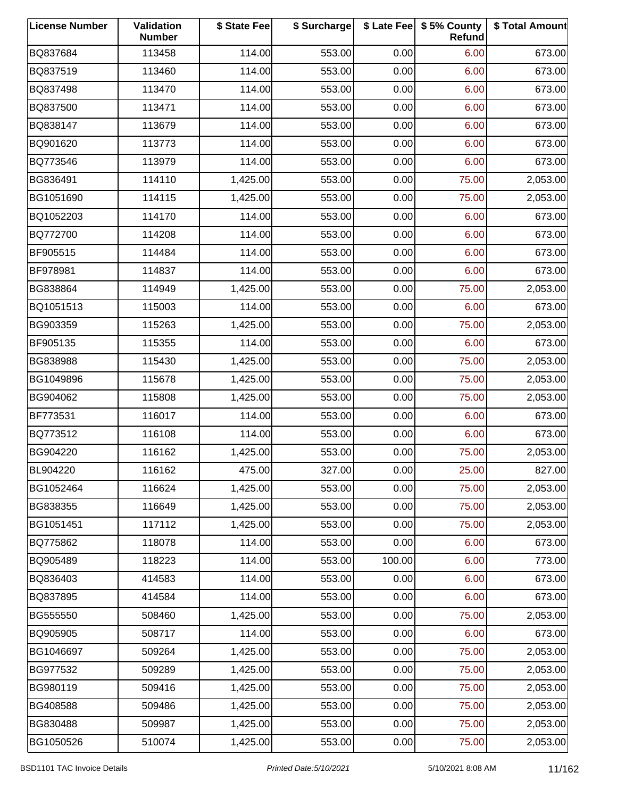| <b>License Number</b> | Validation<br><b>Number</b> | \$ State Fee | \$ Surcharge |        | \$ Late Fee   \$5% County<br>Refund | \$ Total Amount |
|-----------------------|-----------------------------|--------------|--------------|--------|-------------------------------------|-----------------|
| BQ837684              | 113458                      | 114.00       | 553.00       | 0.00   | 6.00                                | 673.00          |
| BQ837519              | 113460                      | 114.00       | 553.00       | 0.00   | 6.00                                | 673.00          |
| BQ837498              | 113470                      | 114.00       | 553.00       | 0.00   | 6.00                                | 673.00          |
| BQ837500              | 113471                      | 114.00       | 553.00       | 0.00   | 6.00                                | 673.00          |
| BQ838147              | 113679                      | 114.00       | 553.00       | 0.00   | 6.00                                | 673.00          |
| BQ901620              | 113773                      | 114.00       | 553.00       | 0.00   | 6.00                                | 673.00          |
| BQ773546              | 113979                      | 114.00       | 553.00       | 0.00   | 6.00                                | 673.00          |
| BG836491              | 114110                      | 1,425.00     | 553.00       | 0.00   | 75.00                               | 2,053.00        |
| BG1051690             | 114115                      | 1,425.00     | 553.00       | 0.00   | 75.00                               | 2,053.00        |
| BQ1052203             | 114170                      | 114.00       | 553.00       | 0.00   | 6.00                                | 673.00          |
| BQ772700              | 114208                      | 114.00       | 553.00       | 0.00   | 6.00                                | 673.00          |
| BF905515              | 114484                      | 114.00       | 553.00       | 0.00   | 6.00                                | 673.00          |
| BF978981              | 114837                      | 114.00       | 553.00       | 0.00   | 6.00                                | 673.00          |
| BG838864              | 114949                      | 1,425.00     | 553.00       | 0.00   | 75.00                               | 2,053.00        |
| BQ1051513             | 115003                      | 114.00       | 553.00       | 0.00   | 6.00                                | 673.00          |
| BG903359              | 115263                      | 1,425.00     | 553.00       | 0.00   | 75.00                               | 2,053.00        |
| BF905135              | 115355                      | 114.00       | 553.00       | 0.00   | 6.00                                | 673.00          |
| BG838988              | 115430                      | 1,425.00     | 553.00       | 0.00   | 75.00                               | 2,053.00        |
| BG1049896             | 115678                      | 1,425.00     | 553.00       | 0.00   | 75.00                               | 2,053.00        |
| BG904062              | 115808                      | 1,425.00     | 553.00       | 0.00   | 75.00                               | 2,053.00        |
| BF773531              | 116017                      | 114.00       | 553.00       | 0.00   | 6.00                                | 673.00          |
| BQ773512              | 116108                      | 114.00       | 553.00       | 0.00   | 6.00                                | 673.00          |
| BG904220              | 116162                      | 1,425.00     | 553.00       | 0.00   | 75.00                               | 2,053.00        |
| BL904220              | 116162                      | 475.00       | 327.00       | 0.00   | 25.00                               | 827.00          |
| BG1052464             | 116624                      | 1,425.00     | 553.00       | 0.00   | 75.00                               | 2,053.00        |
| BG838355              | 116649                      | 1,425.00     | 553.00       | 0.00   | 75.00                               | 2,053.00        |
| BG1051451             | 117112                      | 1,425.00     | 553.00       | 0.00   | 75.00                               | 2,053.00        |
| BQ775862              | 118078                      | 114.00       | 553.00       | 0.00   | 6.00                                | 673.00          |
| BQ905489              | 118223                      | 114.00       | 553.00       | 100.00 | 6.00                                | 773.00          |
| BQ836403              | 414583                      | 114.00       | 553.00       | 0.00   | 6.00                                | 673.00          |
| BQ837895              | 414584                      | 114.00       | 553.00       | 0.00   | 6.00                                | 673.00          |
| BG555550              | 508460                      | 1,425.00     | 553.00       | 0.00   | 75.00                               | 2,053.00        |
| BQ905905              | 508717                      | 114.00       | 553.00       | 0.00   | 6.00                                | 673.00          |
| BG1046697             | 509264                      | 1,425.00     | 553.00       | 0.00   | 75.00                               | 2,053.00        |
| BG977532              | 509289                      | 1,425.00     | 553.00       | 0.00   | 75.00                               | 2,053.00        |
| BG980119              | 509416                      | 1,425.00     | 553.00       | 0.00   | 75.00                               | 2,053.00        |
| BG408588              | 509486                      | 1,425.00     | 553.00       | 0.00   | 75.00                               | 2,053.00        |
| BG830488              | 509987                      | 1,425.00     | 553.00       | 0.00   | 75.00                               | 2,053.00        |
| BG1050526             | 510074                      | 1,425.00     | 553.00       | 0.00   | 75.00                               | 2,053.00        |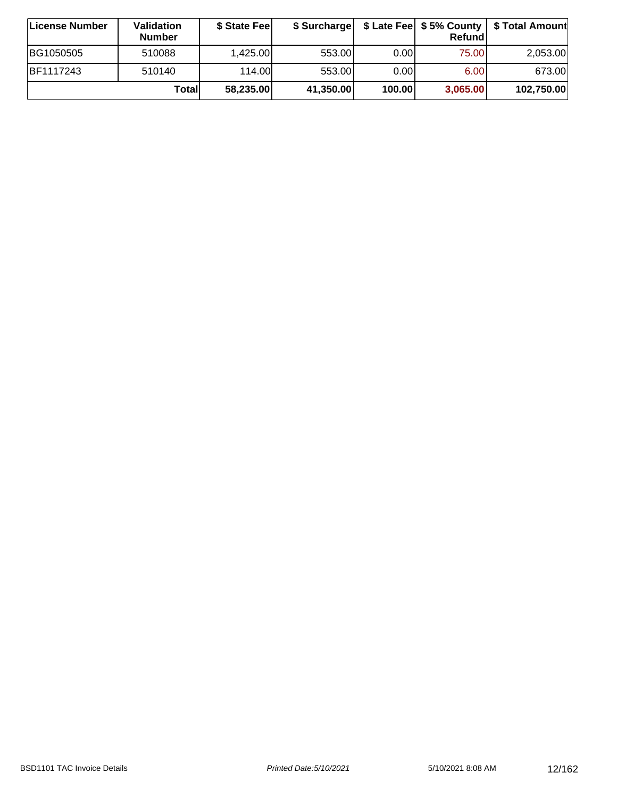| <b>∣License Number</b> | <b>Validation</b><br><b>Number</b> | \$ State Fee | \$ Surcharge |        | Refundl  |            |
|------------------------|------------------------------------|--------------|--------------|--------|----------|------------|
| BG1050505              | 510088                             | 1,425.00     | 553.00       | 0.00   | 75.00    | 2,053.00   |
| BF1117243              | 510140                             | 114.00L      | 553.00       | 0.001  | 6.00     | 673.00     |
|                        | Totall                             | 58,235.00    | 41,350.00    | 100.00 | 3,065.00 | 102,750.00 |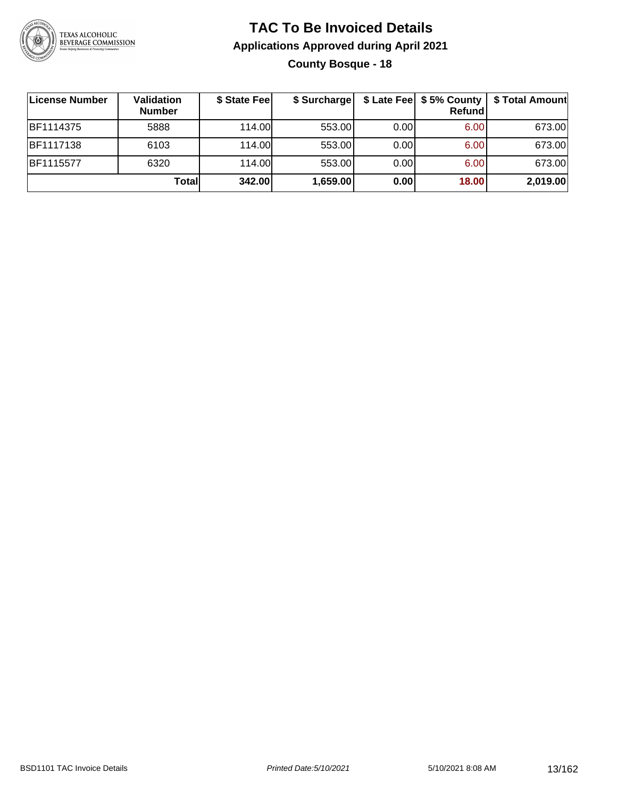

#### **TAC To Be Invoiced Details Applications Approved during April 2021 County Bosque - 18**

| License Number   | Validation<br><b>Number</b> | \$ State Fee | \$ Surcharge |      | Refundl | \$ Late Fee   \$5% County   \$ Total Amount |
|------------------|-----------------------------|--------------|--------------|------|---------|---------------------------------------------|
| <b>BF1114375</b> | 5888                        | 114.00L      | 553.00       | 0.00 | 6.00    | 673.00                                      |
| <b>BF1117138</b> | 6103                        | 114.00       | 553.00       | 0.00 | 6.00    | 673.00                                      |
| BF1115577        | 6320                        | 114.00       | 553.00       | 0.00 | 6.00    | 673.00                                      |
|                  | Totall                      | 342.00       | 1,659.00     | 0.00 | 18.00   | 2,019.00                                    |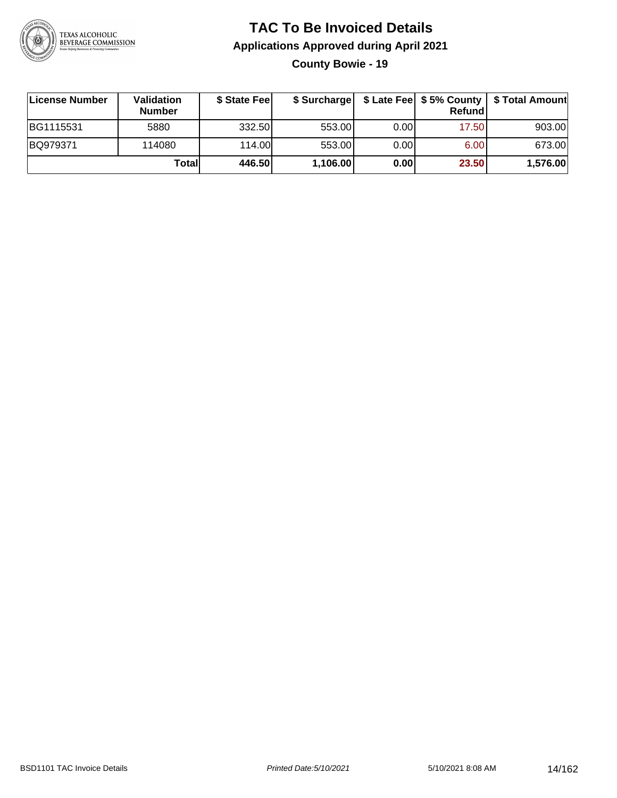

#### **TAC To Be Invoiced Details Applications Approved during April 2021 County Bowie - 19**

**License Number Validation Number \$ State Fee \$ Surcharge \$ Late Fee \$ 5% County Refund \$ Total Amount** BG1115531 | 5880 | 332.50| 553.00| 0.00| 17.50| 903.00 BQ979371 114080 114.00 553.00 0.00 6.00 673.00 **Total 446.50 1,106.00 0.00 23.50 1,576.00**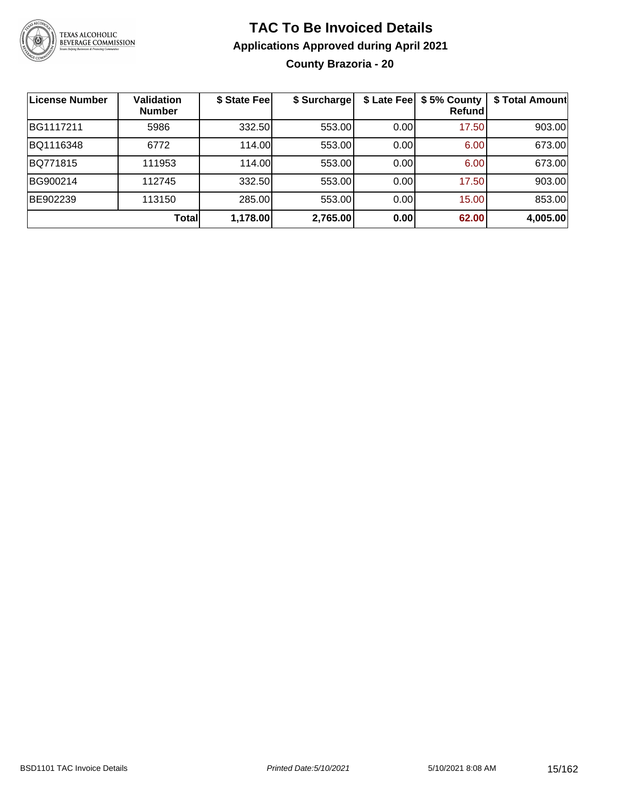

#### **TAC To Be Invoiced Details Applications Approved during April 2021 County Brazoria - 20**

| <b>License Number</b> | Validation<br><b>Number</b> | \$ State Fee | \$ Surcharge |      | \$ Late Fee   \$5% County<br>Refundl | \$ Total Amount |
|-----------------------|-----------------------------|--------------|--------------|------|--------------------------------------|-----------------|
| BG1117211             | 5986                        | 332.50       | 553.00       | 0.00 | 17.50                                | 903.00          |
| BQ1116348             | 6772                        | 114.00       | 553.00       | 0.00 | 6.00                                 | 673.00          |
| BQ771815              | 111953                      | 114.00       | 553.00       | 0.00 | 6.00                                 | 673.00          |
| BG900214              | 112745                      | 332.50       | 553.00       | 0.00 | 17.50                                | 903.00          |
| BE902239              | 113150                      | 285.00       | 553.00       | 0.00 | 15.00                                | 853.00          |
|                       | Total                       | 1,178.00     | 2,765.00     | 0.00 | 62.00                                | 4,005.00        |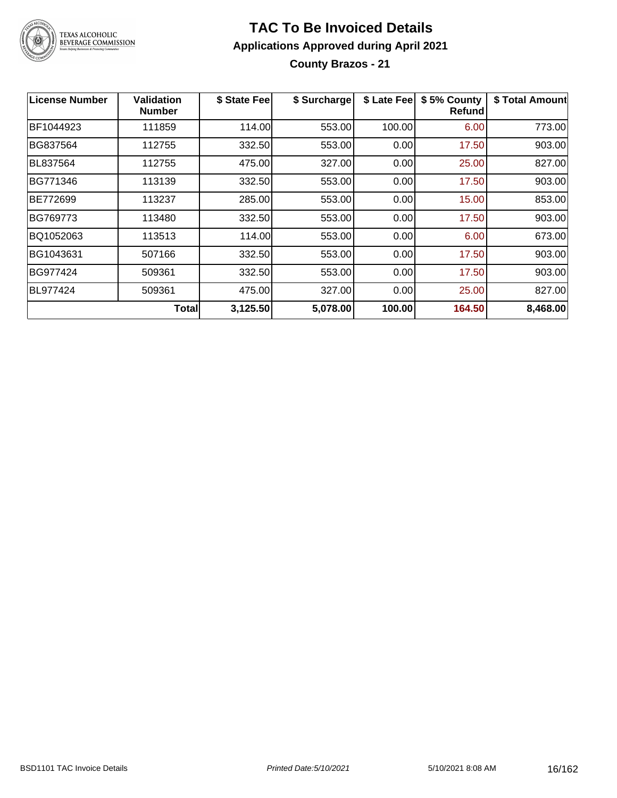

**County Brazos - 21**

| <b>License Number</b> | Validation<br><b>Number</b> | \$ State Fee | \$ Surcharge | \$ Late Fee | \$5% County<br>Refundl | \$ Total Amount |
|-----------------------|-----------------------------|--------------|--------------|-------------|------------------------|-----------------|
| BF1044923             | 111859                      | 114.00       | 553.00       | 100.00      | 6.00                   | 773.00          |
| BG837564              | 112755                      | 332.50       | 553.00       | 0.00        | 17.50                  | 903.00          |
| <b>BL837564</b>       | 112755                      | 475.00       | 327.00       | 0.00        | 25.00                  | 827.00          |
| BG771346              | 113139                      | 332.50       | 553.00       | 0.00        | 17.50                  | 903.00          |
| BE772699              | 113237                      | 285.00       | 553.00       | 0.00        | 15.00                  | 853.00          |
| BG769773              | 113480                      | 332.50       | 553.00       | 0.00        | 17.50                  | 903.00          |
| BQ1052063             | 113513                      | 114.00       | 553.00       | 0.00        | 6.00                   | 673.00          |
| BG1043631             | 507166                      | 332.50       | 553.00       | 0.00        | 17.50                  | 903.00          |
| BG977424              | 509361                      | 332.50       | 553.00       | 0.00        | 17.50                  | 903.00          |
| BL977424              | 509361                      | 475.00       | 327.00       | 0.00        | 25.00                  | 827.00          |
|                       | <b>Total</b>                | 3,125.50     | 5,078.00     | 100.00      | 164.50                 | 8,468.00        |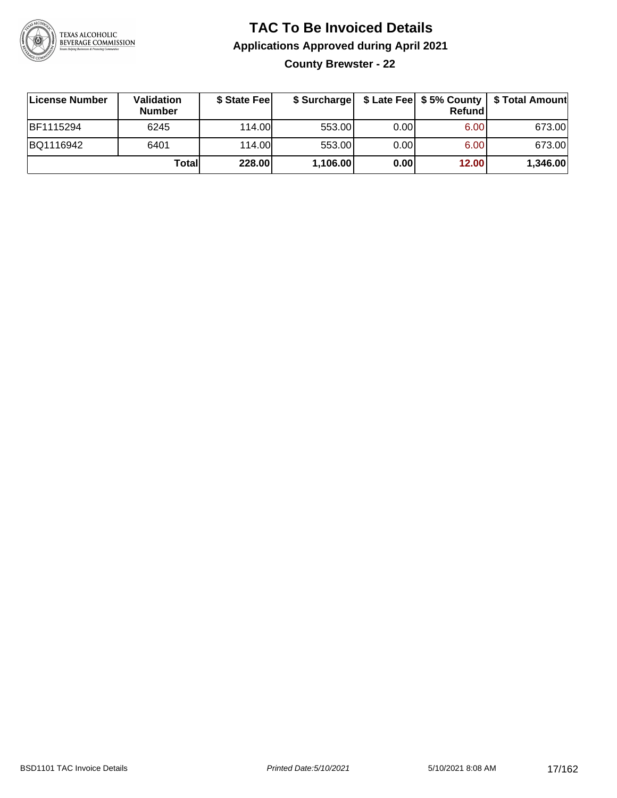

**County Brewster - 22**

| License Number | Validation<br><b>Number</b> | \$ State Fee |          |      | <b>Refund</b> | \$ Surcharge   \$ Late Fee   \$5% County   \$ Total Amount |
|----------------|-----------------------------|--------------|----------|------|---------------|------------------------------------------------------------|
| BF1115294      | 6245                        | 114.00       | 553.00   | 0.00 | 6.00          | 673.00                                                     |
| BQ1116942      | 6401                        | 114.00       | 553.00   | 0.00 | 6.00          | 673.00                                                     |
|                | Totall                      | 228.00       | 1,106.00 | 0.00 | 12.00         | 1,346.00                                                   |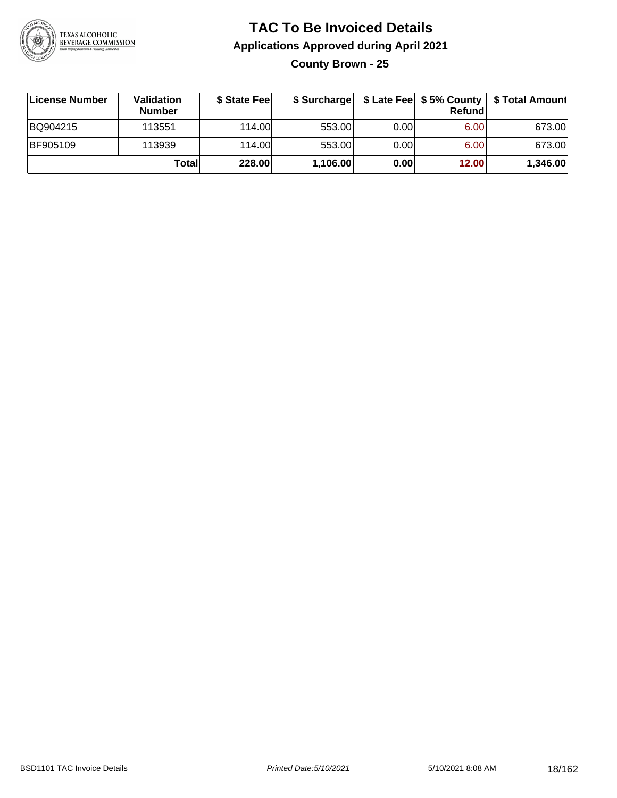

#### **TAC To Be Invoiced Details Applications Approved during April 2021 County Brown - 25**

**License Number Validation Number \$ State Fee \$ Surcharge \$ Late Fee \$ 5% County Refund \$ Total Amount** BQ904215 113551 114.00 553.00 0.00 6.00 673.00 BF905109 | 113939 | 114.00| 553.00| 0.00| 6.00| 673.00 **Total 228.00 1,106.00 0.00 12.00 1,346.00**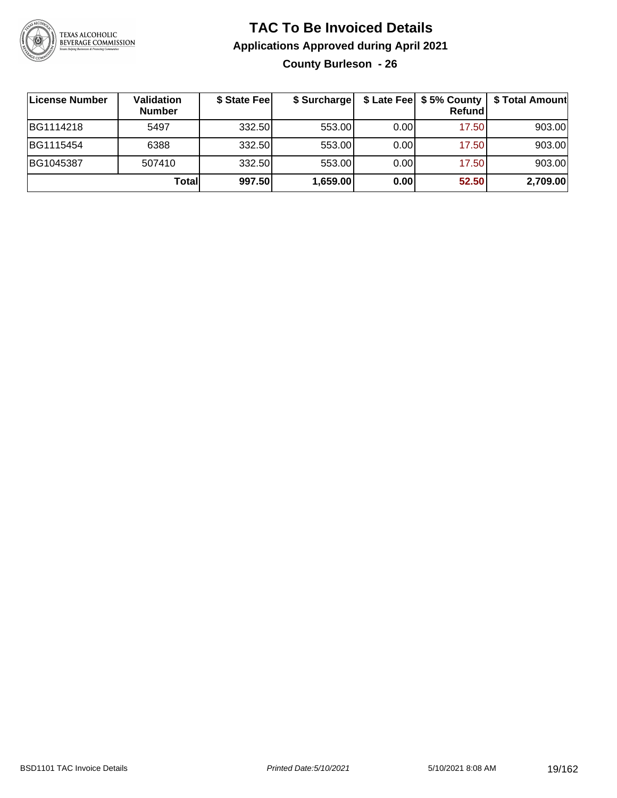

#### **TAC To Be Invoiced Details Applications Approved during April 2021 County Burleson - 26**

| ∣License Number | Validation<br><b>Number</b> | \$ State Feel | \$ Surcharge |       | \$ Late Fee   \$5% County  <br>Refund | \$ Total Amount |
|-----------------|-----------------------------|---------------|--------------|-------|---------------------------------------|-----------------|
| BG1114218       | 5497                        | 332.50        | 553.00       | 0.001 | 17.50                                 | 903.00          |
| BG1115454       | 6388                        | 332.50        | 553.00       | 0.00  | 17.50                                 | 903.00          |
| BG1045387       | 507410                      | 332.50        | 553.00       | 0.00  | 17.50                                 | 903.00          |
|                 | Totall                      | 997.50        | 1,659.00     | 0.00  | 52.50                                 | 2,709.00        |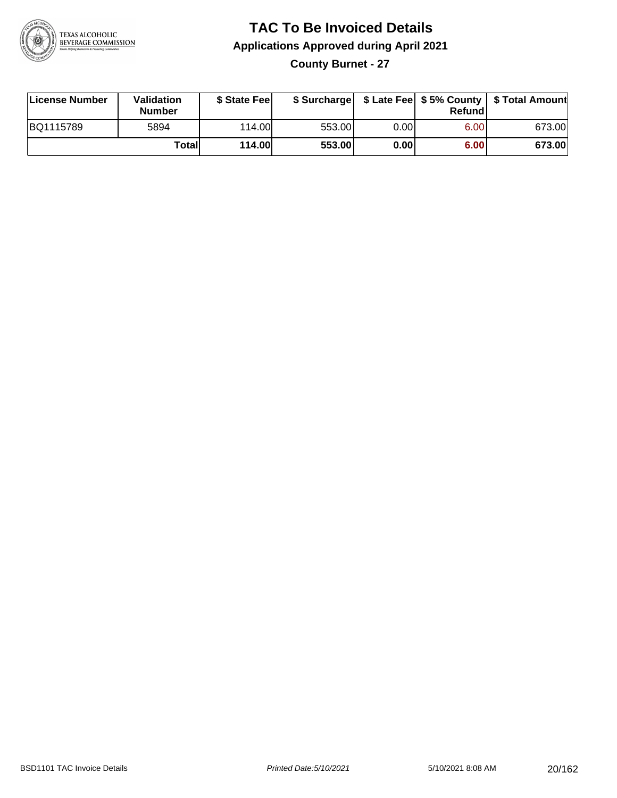

#### **TAC To Be Invoiced Details Applications Approved during April 2021 County Burnet - 27**

| License Number | <b>Validation</b><br>Number | \$ State Fee  |        |       | Refundl | \$ Surcharge   \$ Late Fee   \$5% County   \$ Total Amount |
|----------------|-----------------------------|---------------|--------|-------|---------|------------------------------------------------------------|
| BQ1115789      | 5894                        | 114.00L       | 553.00 | 0.00  | 6.00    | 673.00                                                     |
|                | Totall                      | <b>114.00</b> | 553.00 | 0.001 | 6.00    | 673.00                                                     |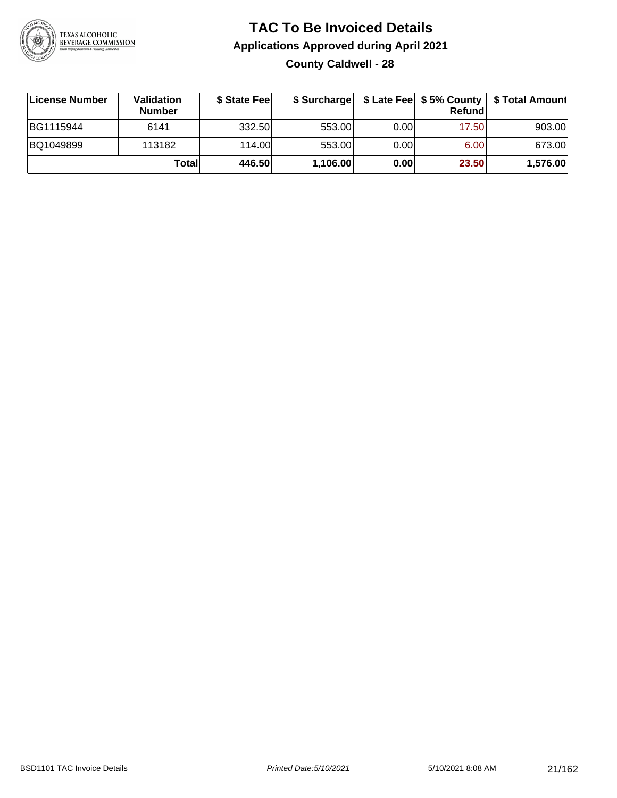

#### **TAC To Be Invoiced Details Applications Approved during April 2021 County Caldwell - 28**

| License Number | Validation<br><b>Number</b> | \$ State Feel |          |       | Refundl | \$ Surcharge   \$ Late Fee   \$5% County   \$ Total Amount |
|----------------|-----------------------------|---------------|----------|-------|---------|------------------------------------------------------------|
| BG1115944      | 6141                        | 332.50        | 553.00   | 0.001 | 17.50   | 903.00                                                     |
| BQ1049899      | 113182                      | 114.00        | 553.00   | 0.00  | 6.00    | 673.00                                                     |
|                | Total                       | 446.50        | 1,106.00 | 0.00  | 23.50   | 1,576.00                                                   |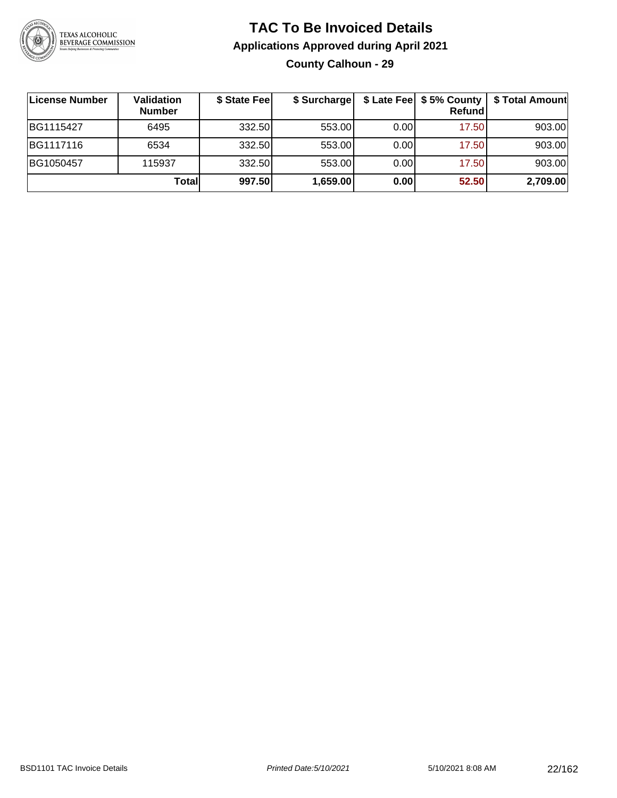

#### **TAC To Be Invoiced Details Applications Approved during April 2021 County Calhoun - 29**

| License Number | Validation<br><b>Number</b> | \$ State Fee | \$ Surcharge |      | $$$ Late Fee $$5%$ County<br><b>Refund</b> | \$ Total Amount |
|----------------|-----------------------------|--------------|--------------|------|--------------------------------------------|-----------------|
| BG1115427      | 6495                        | 332.50       | 553.00       | 0.00 | 17.50                                      | 903.00          |
| BG1117116      | 6534                        | 332.50       | 553.00       | 0.00 | 17.50                                      | 903.00          |
| BG1050457      | 115937                      | 332.50       | 553.00       | 0.00 | 17.50                                      | 903.00          |
|                | Total                       | 997.50       | 1,659.00     | 0.00 | 52.50                                      | 2,709.00        |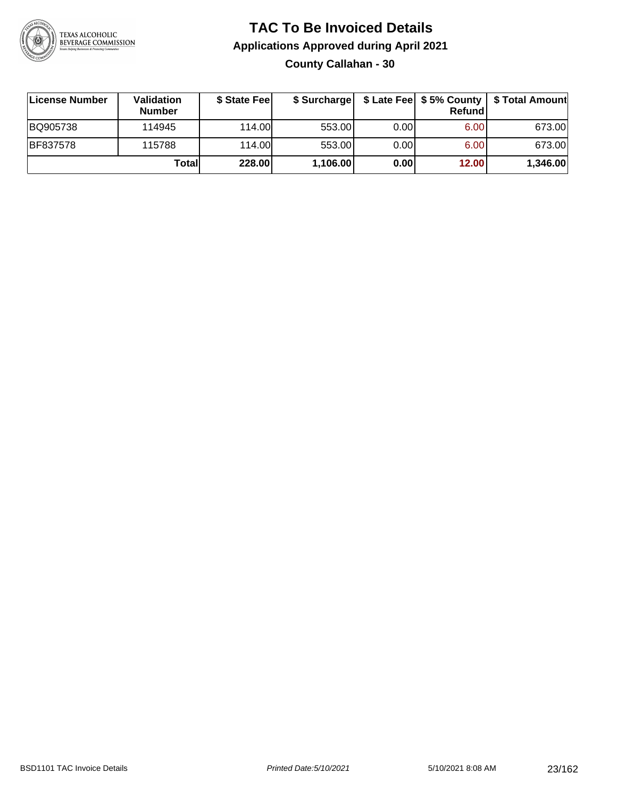

#### **TAC To Be Invoiced Details Applications Approved during April 2021 County Callahan - 30**

| License Number  | <b>Validation</b><br><b>Number</b> | \$ State Fee | \$ Surcharge |      | <b>Refund</b> | \$ Late Fee   \$5% County   \$ Total Amount |
|-----------------|------------------------------------|--------------|--------------|------|---------------|---------------------------------------------|
| BQ905738        | 114945                             | 114.00       | 553.00       | 0.00 | 6.00          | 673.00                                      |
| <b>BF837578</b> | 115788                             | 114.00       | 553.00       | 0.00 | 6.00          | 673.00                                      |
|                 | Totall                             | 228.00       | 1,106.00     | 0.00 | 12.00         | 1,346.00                                    |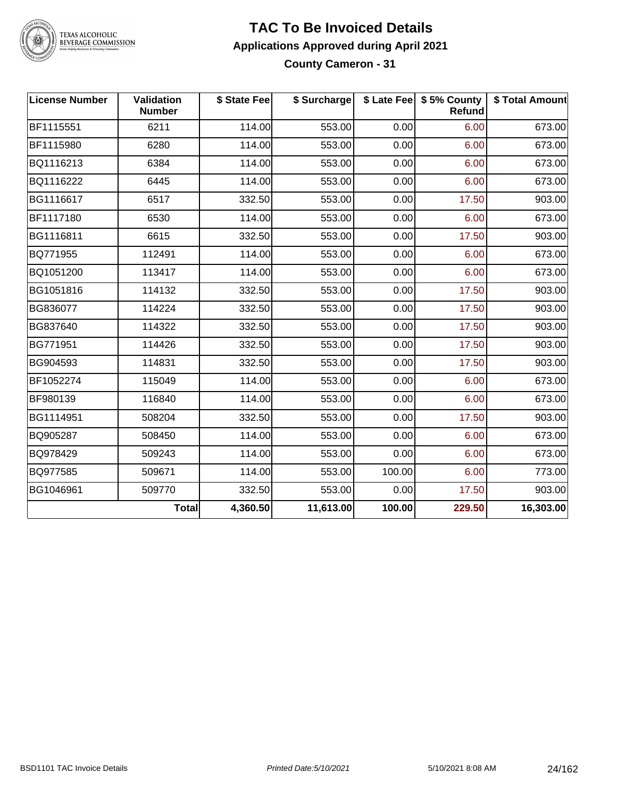

# TEXAS ALCOHOLIC<br>BEVERAGE COMMISSION

#### **TAC To Be Invoiced Details Applications Approved during April 2021 County Cameron - 31**

| <b>License Number</b> | <b>Validation</b><br><b>Number</b> | \$ State Fee | \$ Surcharge |        | \$ Late Fee   \$5% County<br>Refund | \$ Total Amount |
|-----------------------|------------------------------------|--------------|--------------|--------|-------------------------------------|-----------------|
| BF1115551             | 6211                               | 114.00       | 553.00       | 0.00   | 6.00                                | 673.00          |
| BF1115980             | 6280                               | 114.00       | 553.00       | 0.00   | 6.00                                | 673.00          |
| BQ1116213             | 6384                               | 114.00       | 553.00       | 0.00   | 6.00                                | 673.00          |
| BQ1116222             | 6445                               | 114.00       | 553.00       | 0.00   | 6.00                                | 673.00          |
| BG1116617             | 6517                               | 332.50       | 553.00       | 0.00   | 17.50                               | 903.00          |
| BF1117180             | 6530                               | 114.00       | 553.00       | 0.00   | 6.00                                | 673.00          |
| BG1116811             | 6615                               | 332.50       | 553.00       | 0.00   | 17.50                               | 903.00          |
| BQ771955              | 112491                             | 114.00       | 553.00       | 0.00   | 6.00                                | 673.00          |
| BQ1051200             | 113417                             | 114.00       | 553.00       | 0.00   | 6.00                                | 673.00          |
| BG1051816             | 114132                             | 332.50       | 553.00       | 0.00   | 17.50                               | 903.00          |
| BG836077              | 114224                             | 332.50       | 553.00       | 0.00   | 17.50                               | 903.00          |
| BG837640              | 114322                             | 332.50       | 553.00       | 0.00   | 17.50                               | 903.00          |
| BG771951              | 114426                             | 332.50       | 553.00       | 0.00   | 17.50                               | 903.00          |
| BG904593              | 114831                             | 332.50       | 553.00       | 0.00   | 17.50                               | 903.00          |
| BF1052274             | 115049                             | 114.00       | 553.00       | 0.00   | 6.00                                | 673.00          |
| BF980139              | 116840                             | 114.00       | 553.00       | 0.00   | 6.00                                | 673.00          |
| BG1114951             | 508204                             | 332.50       | 553.00       | 0.00   | 17.50                               | 903.00          |
| BQ905287              | 508450                             | 114.00       | 553.00       | 0.00   | 6.00                                | 673.00          |
| BQ978429              | 509243                             | 114.00       | 553.00       | 0.00   | 6.00                                | 673.00          |
| BQ977585              | 509671                             | 114.00       | 553.00       | 100.00 | 6.00                                | 773.00          |
| BG1046961             | 509770                             | 332.50       | 553.00       | 0.00   | 17.50                               | 903.00          |
|                       | Total                              | 4,360.50     | 11,613.00    | 100.00 | 229.50                              | 16,303.00       |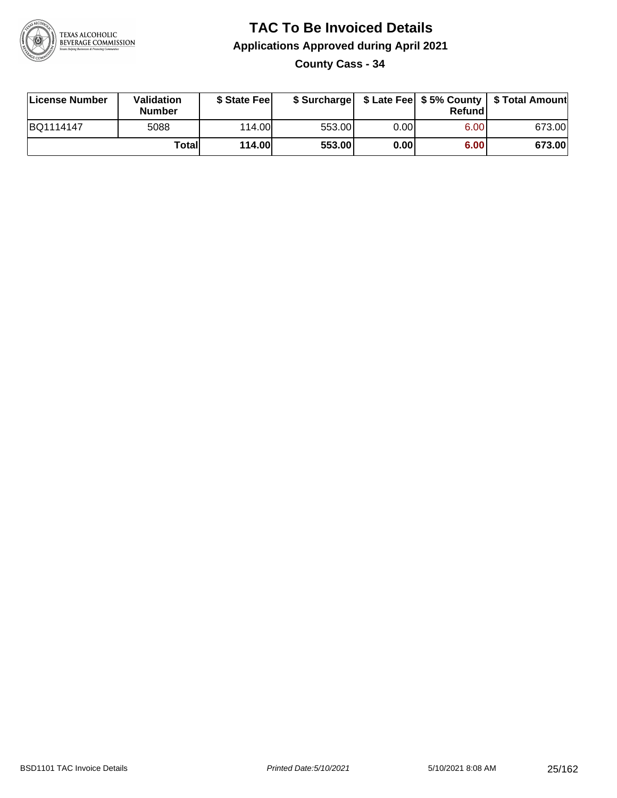

**County Cass - 34**

| License Number | Validation<br><b>Number</b> | \$ State Fee  | \$ Surcharge |      | Refund |        |
|----------------|-----------------------------|---------------|--------------|------|--------|--------|
| BQ1114147      | 5088                        | 114.00        | 553.00       | 0.00 | 6.00   | 673.00 |
|                | Totall                      | <b>114.00</b> | 553.00       | 0.00 | 6.00   | 673.00 |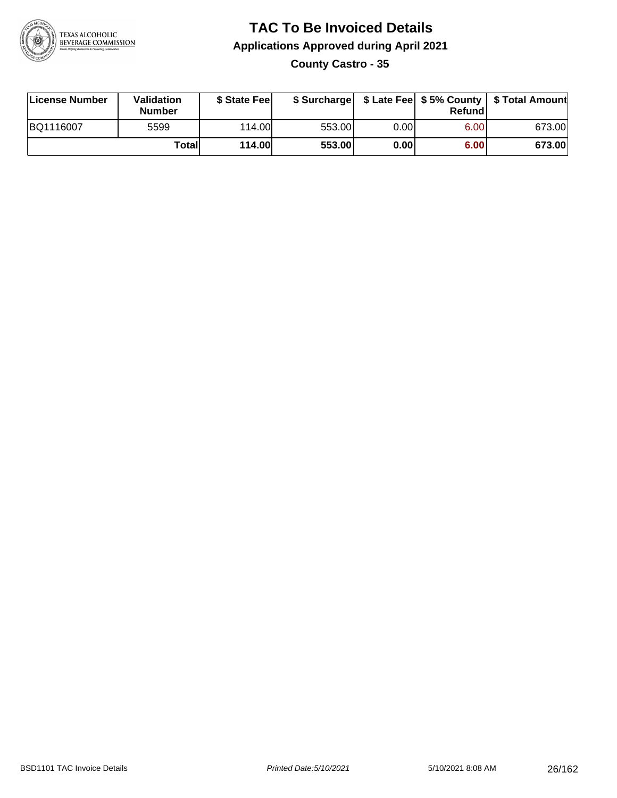

**County Castro - 35**

| License Number | Validation<br><b>Number</b> | \$ State Feel |        |       | Refundl | \$ Surcharge   \$ Late Fee   \$5% County   \$ Total Amount |
|----------------|-----------------------------|---------------|--------|-------|---------|------------------------------------------------------------|
| BQ1116007      | 5599                        | 114.00        | 553.00 | 0.001 | 6.00    | 673.00                                                     |
|                | Totall                      | <b>114.00</b> | 553.00 | 0.00  | 6.00    | 673.00                                                     |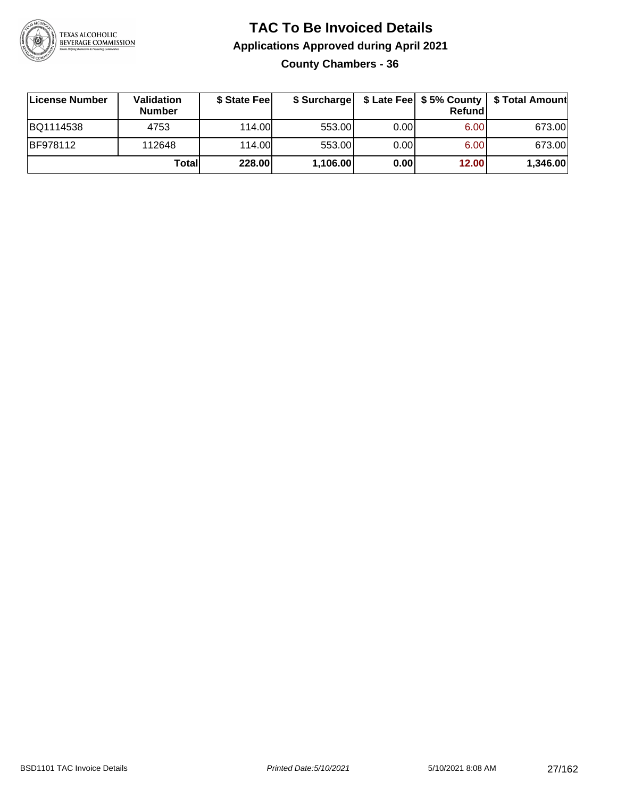

#### **TAC To Be Invoiced Details Applications Approved during April 2021 County Chambers - 36**

| License Number  | Validation<br><b>Number</b> | \$ State Feel |          |       | Refundl | \$ Surcharge   \$ Late Fee   \$5% County   \$ Total Amount |
|-----------------|-----------------------------|---------------|----------|-------|---------|------------------------------------------------------------|
| BQ1114538       | 4753                        | 114.00        | 553.00   | 0.001 | 6.00    | 673.00                                                     |
| <b>BF978112</b> | 112648                      | 114.00        | 553.00   | 0.00  | 6.00    | 673.00                                                     |
|                 | Totall                      | 228.00        | 1,106.00 | 0.00  | 12.00   | 1,346.00                                                   |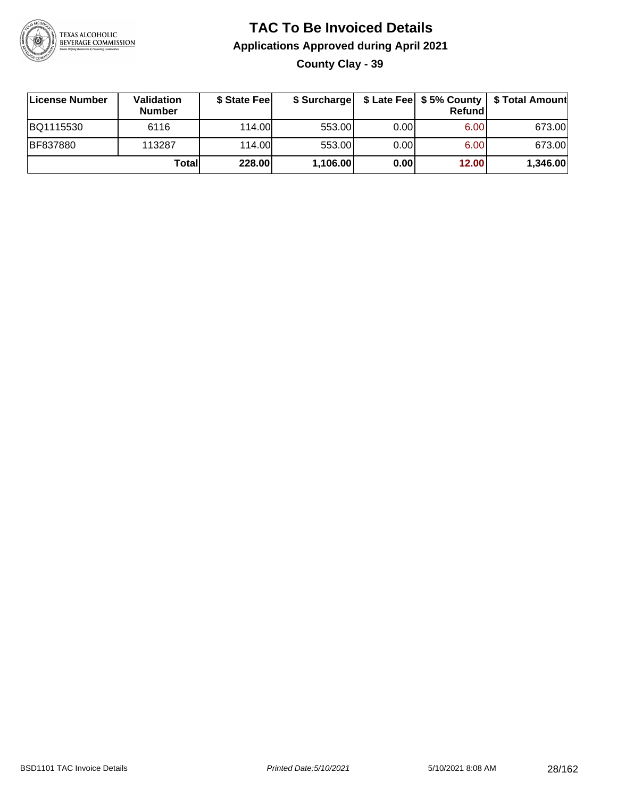

**County Clay - 39**

| License Number  | Validation<br><b>Number</b> | \$ State Fee | \$ Surcharge |      | <b>Refund</b>     | \$ Late Fee   \$5% County   \$ Total Amount |
|-----------------|-----------------------------|--------------|--------------|------|-------------------|---------------------------------------------|
| BQ1115530       | 6116                        | 114.00       | 553.00       | 0.00 | 6.00 <sub>1</sub> | 673.00                                      |
| <b>BF837880</b> | 113287                      | 114.00L      | 553.00       | 0.00 | 6.00 <sub>1</sub> | 673.00                                      |
|                 | Totall                      | 228.00       | 1,106.00     | 0.00 | 12.00             | 1,346.00                                    |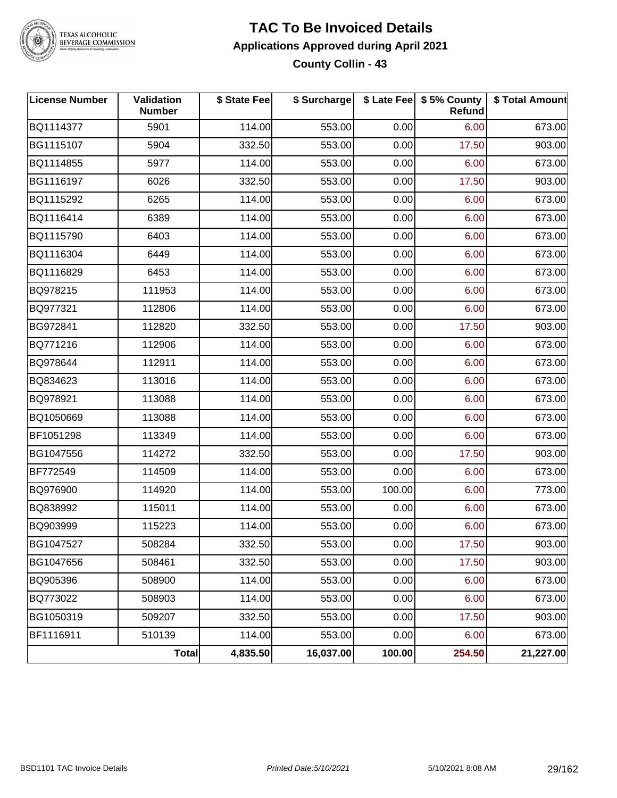

TEXAS ALCOHOLIC<br>BEVERAGE COMMISSION

#### **TAC To Be Invoiced Details Applications Approved during April 2021 County Collin - 43**

| <b>License Number</b> | Validation<br><b>Number</b> | \$ State Fee | \$ Surcharge |        | \$ Late Fee   \$5% County<br>Refund | \$ Total Amount |
|-----------------------|-----------------------------|--------------|--------------|--------|-------------------------------------|-----------------|
| BQ1114377             | 5901                        | 114.00       | 553.00       | 0.00   | 6.00                                | 673.00          |
| BG1115107             | 5904                        | 332.50       | 553.00       | 0.00   | 17.50                               | 903.00          |
| BQ1114855             | 5977                        | 114.00       | 553.00       | 0.00   | 6.00                                | 673.00          |
| BG1116197             | 6026                        | 332.50       | 553.00       | 0.00   | 17.50                               | 903.00          |
| BQ1115292             | 6265                        | 114.00       | 553.00       | 0.00   | 6.00                                | 673.00          |
| BQ1116414             | 6389                        | 114.00       | 553.00       | 0.00   | 6.00                                | 673.00          |
| BQ1115790             | 6403                        | 114.00       | 553.00       | 0.00   | 6.00                                | 673.00          |
| BQ1116304             | 6449                        | 114.00       | 553.00       | 0.00   | 6.00                                | 673.00          |
| BQ1116829             | 6453                        | 114.00       | 553.00       | 0.00   | 6.00                                | 673.00          |
| BQ978215              | 111953                      | 114.00       | 553.00       | 0.00   | 6.00                                | 673.00          |
| BQ977321              | 112806                      | 114.00       | 553.00       | 0.00   | 6.00                                | 673.00          |
| BG972841              | 112820                      | 332.50       | 553.00       | 0.00   | 17.50                               | 903.00          |
| BQ771216              | 112906                      | 114.00       | 553.00       | 0.00   | 6.00                                | 673.00          |
| BQ978644              | 112911                      | 114.00       | 553.00       | 0.00   | 6.00                                | 673.00          |
| BQ834623              | 113016                      | 114.00       | 553.00       | 0.00   | 6.00                                | 673.00          |
| BQ978921              | 113088                      | 114.00       | 553.00       | 0.00   | 6.00                                | 673.00          |
| BQ1050669             | 113088                      | 114.00       | 553.00       | 0.00   | 6.00                                | 673.00          |
| BF1051298             | 113349                      | 114.00       | 553.00       | 0.00   | 6.00                                | 673.00          |
| BG1047556             | 114272                      | 332.50       | 553.00       | 0.00   | 17.50                               | 903.00          |
| BF772549              | 114509                      | 114.00       | 553.00       | 0.00   | 6.00                                | 673.00          |
| BQ976900              | 114920                      | 114.00       | 553.00       | 100.00 | 6.00                                | 773.00          |
| BQ838992              | 115011                      | 114.00       | 553.00       | 0.00   | 6.00                                | 673.00          |
| BQ903999              | 115223                      | 114.00       | 553.00       | 0.00   | 6.00                                | 673.00          |
| BG1047527             | 508284                      | 332.50       | 553.00       | 0.00   | 17.50                               | 903.00          |
| BG1047656             | 508461                      | 332.50       | 553.00       | 0.00   | 17.50                               | 903.00          |
| BQ905396              | 508900                      | 114.00       | 553.00       | 0.00   | 6.00                                | 673.00          |
| BQ773022              | 508903                      | 114.00       | 553.00       | 0.00   | 6.00                                | 673.00          |
| BG1050319             | 509207                      | 332.50       | 553.00       | 0.00   | 17.50                               | 903.00          |
| BF1116911             | 510139                      | 114.00       | 553.00       | 0.00   | 6.00                                | 673.00          |
|                       | Total                       | 4,835.50     | 16,037.00    | 100.00 | 254.50                              | 21,227.00       |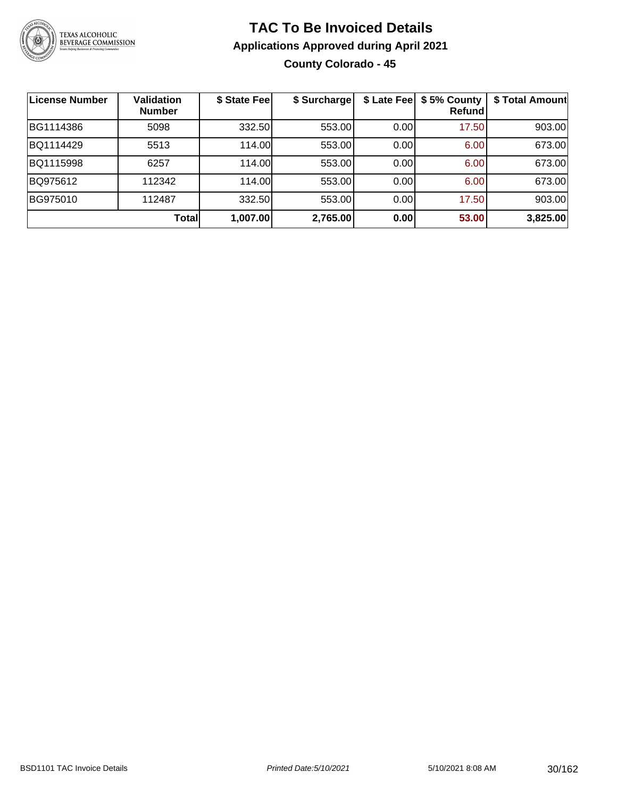

#### **TAC To Be Invoiced Details Applications Approved during April 2021 County Colorado - 45**

| License Number | <b>Validation</b><br><b>Number</b> | \$ State Fee | \$ Surcharge |       | \$ Late Fee   \$5% County<br>Refundl | \$ Total Amount |
|----------------|------------------------------------|--------------|--------------|-------|--------------------------------------|-----------------|
| BG1114386      | 5098                               | 332.50       | 553.00       | 0.00  | 17.50                                | 903.00          |
| BQ1114429      | 5513                               | 114.00       | 553.00       | 0.00  | 6.00                                 | 673.00          |
| BQ1115998      | 6257                               | 114.00       | 553.00       | 0.00  | 6.00                                 | 673.00          |
| BQ975612       | 112342                             | 114.00       | 553.00       | 0.00  | 6.00                                 | 673.00          |
| BG975010       | 112487                             | 332.50       | 553.00       | 0.001 | 17.50                                | 903.00          |
|                | <b>Total</b>                       | 1,007.00     | 2,765.00     | 0.00  | 53.00                                | 3,825.00        |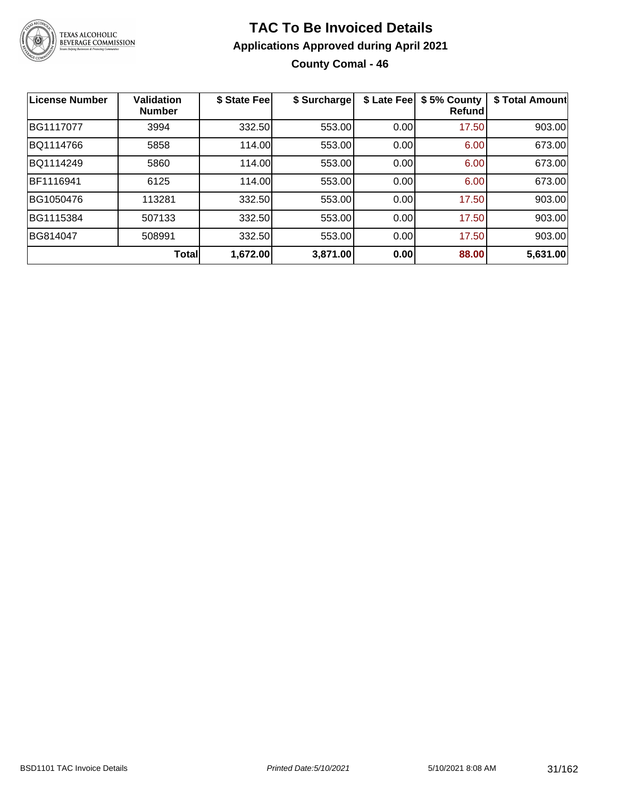

#### **TAC To Be Invoiced Details Applications Approved during April 2021 County Comal - 46**

| <b>License Number</b> | <b>Validation</b><br><b>Number</b> | \$ State Fee | \$ Surcharge | \$ Late Fee | \$5% County<br><b>Refund</b> | \$ Total Amount |
|-----------------------|------------------------------------|--------------|--------------|-------------|------------------------------|-----------------|
| BG1117077             | 3994                               | 332.50       | 553.00       | 0.00        | 17.50                        | 903.00          |
| BQ1114766             | 5858                               | 114.00       | 553.00       | 0.00        | 6.00                         | 673.00          |
| BQ1114249             | 5860                               | 114.00       | 553.00       | 0.00        | 6.00                         | 673.00          |
| BF1116941             | 6125                               | 114.00       | 553.00       | 0.00        | 6.00                         | 673.00          |
| BG1050476             | 113281                             | 332.50       | 553.00       | 0.00        | 17.50                        | 903.00          |
| BG1115384             | 507133                             | 332.50       | 553.00       | 0.00        | 17.50                        | 903.00          |
| BG814047              | 508991                             | 332.50       | 553.00       | 0.00        | 17.50                        | 903.00          |
|                       | <b>Total</b>                       | 1,672.00     | 3,871.00     | 0.00        | 88.00                        | 5,631.00        |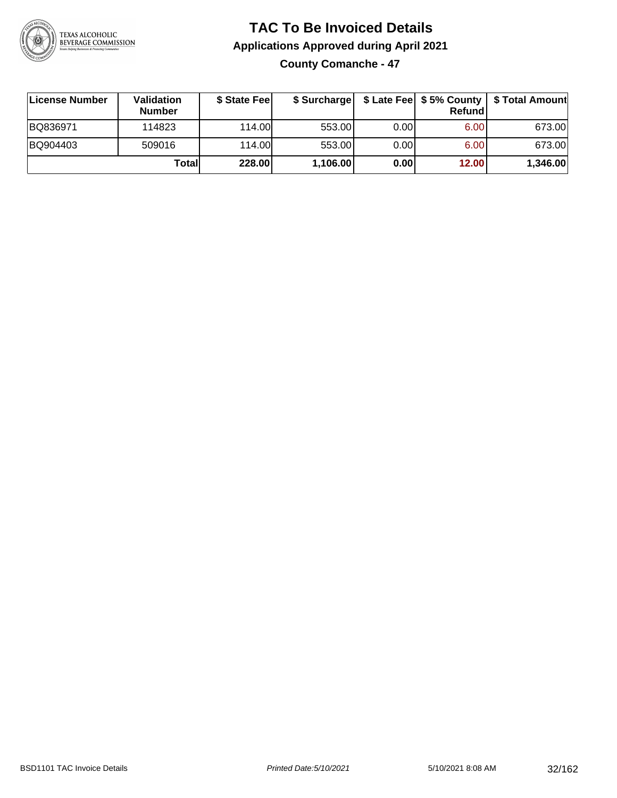

#### **TAC To Be Invoiced Details Applications Approved during April 2021 County Comanche - 47**

| License Number | Validation<br><b>Number</b> | \$ State Feel | \$ Surcharge |      | Refund | \$ Late Fee   \$5% County   \$ Total Amount |
|----------------|-----------------------------|---------------|--------------|------|--------|---------------------------------------------|
| BQ836971       | 114823                      | 114.00        | 553.00       | 0.00 | 6.00   | 673.00                                      |
| BQ904403       | 509016                      | 114.00        | 553.00       | 0.00 | 6.00   | 673.00                                      |
|                | Totall                      | 228.00        | 1,106.00     | 0.00 | 12.00  | 1,346.00                                    |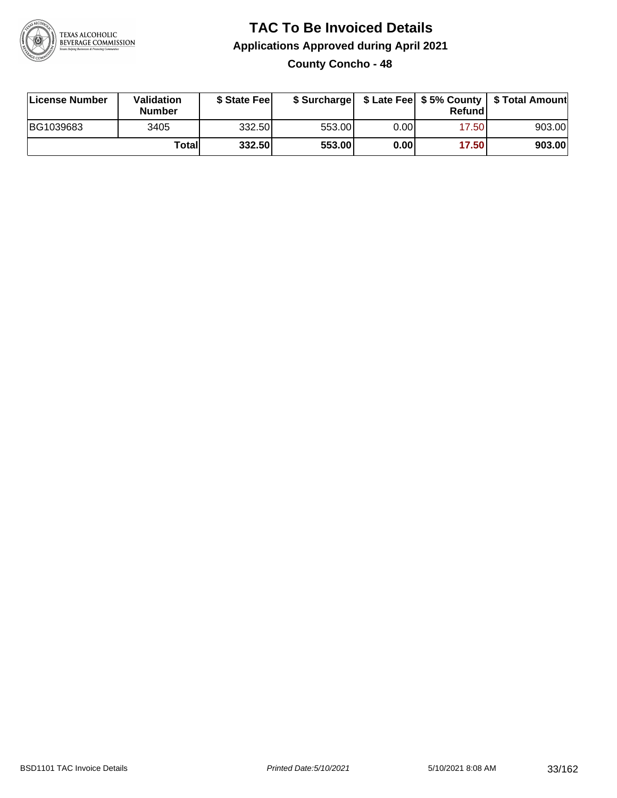

#### **TAC To Be Invoiced Details Applications Approved during April 2021 County Concho - 48**

| License Number | Validation<br><b>Number</b> | \$ State Feel |        |       | Refund | \$ Surcharge   \$ Late Fee   \$5% County   \$ Total Amount |
|----------------|-----------------------------|---------------|--------|-------|--------|------------------------------------------------------------|
| BG1039683      | 3405                        | 332.50        | 553.00 | 0.001 | 17.50  | 903.00                                                     |
|                | Totall                      | 332.50        | 553.00 | 0.00  | 17.50  | 903.00                                                     |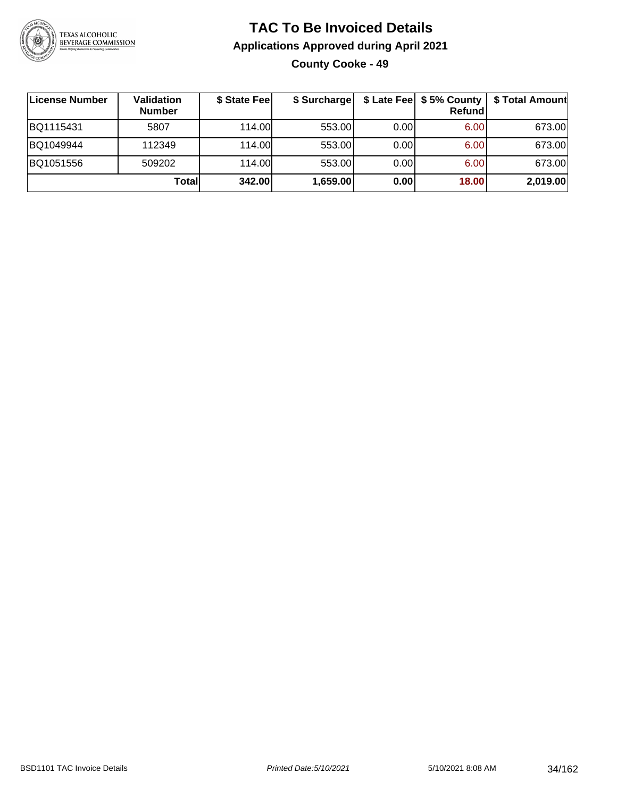

#### **TAC To Be Invoiced Details Applications Approved during April 2021 County Cooke - 49**

| ∣License Number | Validation<br><b>Number</b> | \$ State Fee | \$ Surcharge |      | \$ Late Fee   \$5% County<br>Refundl | \$ Total Amount |
|-----------------|-----------------------------|--------------|--------------|------|--------------------------------------|-----------------|
| BQ1115431       | 5807                        | 114.00       | 553.00       | 0.00 | 6.00                                 | 673.00          |
| BQ1049944       | 112349                      | 114.00       | 553.00       | 0.00 | 6.00                                 | 673.00          |
| BQ1051556       | 509202                      | 114.00       | 553.00       | 0.00 | 6.00                                 | 673.00          |
|                 | Totall                      | 342.00       | 1,659.00     | 0.00 | 18.00                                | 2,019.00        |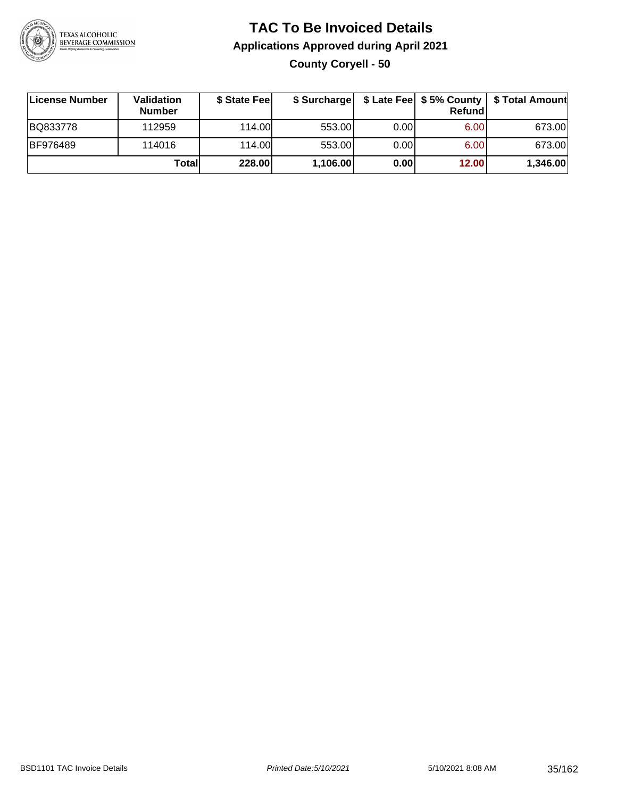

#### **TAC To Be Invoiced Details Applications Approved during April 2021 County Coryell - 50**

| License Number  | Validation<br><b>Number</b> | \$ State Fee |          |      | Refundl | \$ Surcharge   \$ Late Fee   \$5% County   \$ Total Amount |
|-----------------|-----------------------------|--------------|----------|------|---------|------------------------------------------------------------|
| BQ833778        | 112959                      | 114.00L      | 553.00   | 0.00 | 6.00    | 673.00                                                     |
| <b>BF976489</b> | 114016                      | 114.00L      | 553.00   | 0.00 | 6.00    | 673.00                                                     |
|                 | Totall                      | 228.00       | 1,106.00 | 0.00 | 12.00   | 1,346.00                                                   |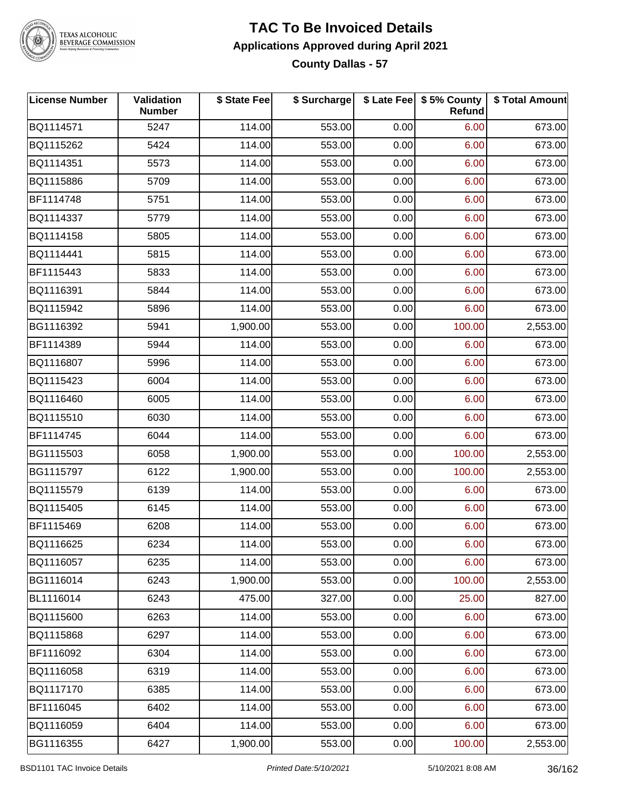

## TEXAS ALCOHOLIC<br>BEVERAGE COMMISSION

#### **TAC To Be Invoiced Details Applications Approved during April 2021 County Dallas - 57**

| <b>License Number</b> | Validation<br><b>Number</b> | \$ State Fee | \$ Surcharge |      | \$ Late Fee   \$5% County<br><b>Refund</b> | \$ Total Amount |
|-----------------------|-----------------------------|--------------|--------------|------|--------------------------------------------|-----------------|
| BQ1114571             | 5247                        | 114.00       | 553.00       | 0.00 | 6.00                                       | 673.00          |
| BQ1115262             | 5424                        | 114.00       | 553.00       | 0.00 | 6.00                                       | 673.00          |
| BQ1114351             | 5573                        | 114.00       | 553.00       | 0.00 | 6.00                                       | 673.00          |
| BQ1115886             | 5709                        | 114.00       | 553.00       | 0.00 | 6.00                                       | 673.00          |
| BF1114748             | 5751                        | 114.00       | 553.00       | 0.00 | 6.00                                       | 673.00          |
| BQ1114337             | 5779                        | 114.00       | 553.00       | 0.00 | 6.00                                       | 673.00          |
| BQ1114158             | 5805                        | 114.00       | 553.00       | 0.00 | 6.00                                       | 673.00          |
| BQ1114441             | 5815                        | 114.00       | 553.00       | 0.00 | 6.00                                       | 673.00          |
| BF1115443             | 5833                        | 114.00       | 553.00       | 0.00 | 6.00                                       | 673.00          |
| BQ1116391             | 5844                        | 114.00       | 553.00       | 0.00 | 6.00                                       | 673.00          |
| BQ1115942             | 5896                        | 114.00       | 553.00       | 0.00 | 6.00                                       | 673.00          |
| BG1116392             | 5941                        | 1,900.00     | 553.00       | 0.00 | 100.00                                     | 2,553.00        |
| BF1114389             | 5944                        | 114.00       | 553.00       | 0.00 | 6.00                                       | 673.00          |
| BQ1116807             | 5996                        | 114.00       | 553.00       | 0.00 | 6.00                                       | 673.00          |
| BQ1115423             | 6004                        | 114.00       | 553.00       | 0.00 | 6.00                                       | 673.00          |
| BQ1116460             | 6005                        | 114.00       | 553.00       | 0.00 | 6.00                                       | 673.00          |
| BQ1115510             | 6030                        | 114.00       | 553.00       | 0.00 | 6.00                                       | 673.00          |
| BF1114745             | 6044                        | 114.00       | 553.00       | 0.00 | 6.00                                       | 673.00          |
| BG1115503             | 6058                        | 1,900.00     | 553.00       | 0.00 | 100.00                                     | 2,553.00        |
| BG1115797             | 6122                        | 1,900.00     | 553.00       | 0.00 | 100.00                                     | 2,553.00        |
| BQ1115579             | 6139                        | 114.00       | 553.00       | 0.00 | 6.00                                       | 673.00          |
| BQ1115405             | 6145                        | 114.00       | 553.00       | 0.00 | 6.00                                       | 673.00          |
| BF1115469             | 6208                        | 114.00       | 553.00       | 0.00 | 6.00                                       | 673.00          |
| BQ1116625             | 6234                        | 114.00       | 553.00       | 0.00 | 6.00                                       | 673.00          |
| BQ1116057             | 6235                        | 114.00       | 553.00       | 0.00 | 6.00                                       | 673.00          |
| BG1116014             | 6243                        | 1,900.00     | 553.00       | 0.00 | 100.00                                     | 2,553.00        |
| BL1116014             | 6243                        | 475.00       | 327.00       | 0.00 | 25.00                                      | 827.00          |
| BQ1115600             | 6263                        | 114.00       | 553.00       | 0.00 | 6.00                                       | 673.00          |
| BQ1115868             | 6297                        | 114.00       | 553.00       | 0.00 | 6.00                                       | 673.00          |
| BF1116092             | 6304                        | 114.00       | 553.00       | 0.00 | 6.00                                       | 673.00          |
| BQ1116058             | 6319                        | 114.00       | 553.00       | 0.00 | 6.00                                       | 673.00          |
| BQ1117170             | 6385                        | 114.00       | 553.00       | 0.00 | 6.00                                       | 673.00          |
| BF1116045             | 6402                        | 114.00       | 553.00       | 0.00 | 6.00                                       | 673.00          |
| BQ1116059             | 6404                        | 114.00       | 553.00       | 0.00 | 6.00                                       | 673.00          |
| BG1116355             | 6427                        | 1,900.00     | 553.00       | 0.00 | 100.00                                     | 2,553.00        |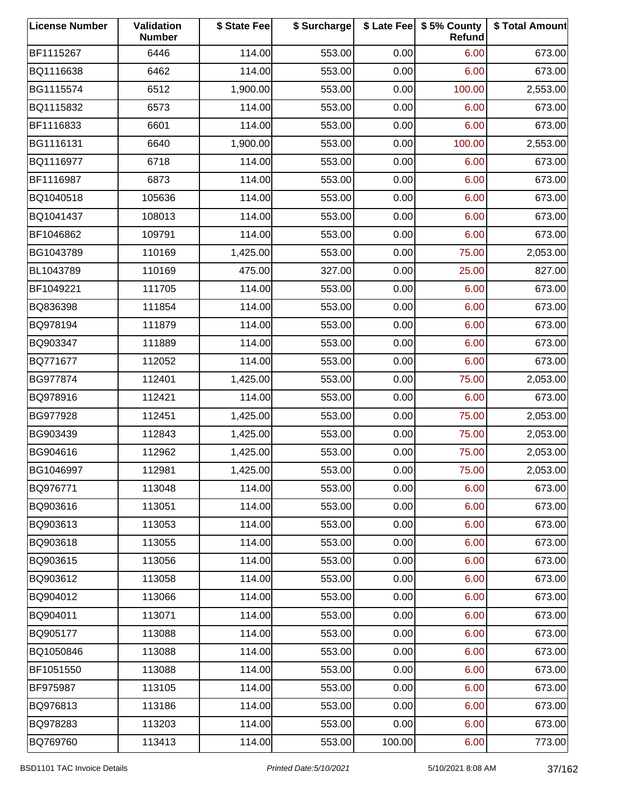| <b>License Number</b> | Validation<br><b>Number</b> | \$ State Fee | \$ Surcharge |        | \$ Late Fee   \$5% County<br>Refund | \$ Total Amount |
|-----------------------|-----------------------------|--------------|--------------|--------|-------------------------------------|-----------------|
| BF1115267             | 6446                        | 114.00       | 553.00       | 0.00   | 6.00                                | 673.00          |
| BQ1116638             | 6462                        | 114.00       | 553.00       | 0.00   | 6.00                                | 673.00          |
| BG1115574             | 6512                        | 1,900.00     | 553.00       | 0.00   | 100.00                              | 2,553.00        |
| BQ1115832             | 6573                        | 114.00       | 553.00       | 0.00   | 6.00                                | 673.00          |
| BF1116833             | 6601                        | 114.00       | 553.00       | 0.00   | 6.00                                | 673.00          |
| BG1116131             | 6640                        | 1,900.00     | 553.00       | 0.00   | 100.00                              | 2,553.00        |
| BQ1116977             | 6718                        | 114.00       | 553.00       | 0.00   | 6.00                                | 673.00          |
| BF1116987             | 6873                        | 114.00       | 553.00       | 0.00   | 6.00                                | 673.00          |
| BQ1040518             | 105636                      | 114.00       | 553.00       | 0.00   | 6.00                                | 673.00          |
| BQ1041437             | 108013                      | 114.00       | 553.00       | 0.00   | 6.00                                | 673.00          |
| BF1046862             | 109791                      | 114.00       | 553.00       | 0.00   | 6.00                                | 673.00          |
| BG1043789             | 110169                      | 1,425.00     | 553.00       | 0.00   | 75.00                               | 2,053.00        |
| BL1043789             | 110169                      | 475.00       | 327.00       | 0.00   | 25.00                               | 827.00          |
| BF1049221             | 111705                      | 114.00       | 553.00       | 0.00   | 6.00                                | 673.00          |
| BQ836398              | 111854                      | 114.00       | 553.00       | 0.00   | 6.00                                | 673.00          |
| BQ978194              | 111879                      | 114.00       | 553.00       | 0.00   | 6.00                                | 673.00          |
| BQ903347              | 111889                      | 114.00       | 553.00       | 0.00   | 6.00                                | 673.00          |
| BQ771677              | 112052                      | 114.00       | 553.00       | 0.00   | 6.00                                | 673.00          |
| BG977874              | 112401                      | 1,425.00     | 553.00       | 0.00   | 75.00                               | 2,053.00        |
| BQ978916              | 112421                      | 114.00       | 553.00       | 0.00   | 6.00                                | 673.00          |
| BG977928              | 112451                      | 1,425.00     | 553.00       | 0.00   | 75.00                               | 2,053.00        |
| BG903439              | 112843                      | 1,425.00     | 553.00       | 0.00   | 75.00                               | 2,053.00        |
| BG904616              | 112962                      | 1,425.00     | 553.00       | 0.00   | 75.00                               | 2,053.00        |
| BG1046997             | 112981                      | 1,425.00     | 553.00       | 0.00   | 75.00                               | 2,053.00        |
| BQ976771              | 113048                      | 114.00       | 553.00       | 0.00   | 6.00                                | 673.00          |
| BQ903616              | 113051                      | 114.00       | 553.00       | 0.00   | 6.00                                | 673.00          |
| BQ903613              | 113053                      | 114.00       | 553.00       | 0.00   | 6.00                                | 673.00          |
| BQ903618              | 113055                      | 114.00       | 553.00       | 0.00   | 6.00                                | 673.00          |
| BQ903615              | 113056                      | 114.00       | 553.00       | 0.00   | 6.00                                | 673.00          |
| BQ903612              | 113058                      | 114.00       | 553.00       | 0.00   | 6.00                                | 673.00          |
| BQ904012              | 113066                      | 114.00       | 553.00       | 0.00   | 6.00                                | 673.00          |
| BQ904011              | 113071                      | 114.00       | 553.00       | 0.00   | 6.00                                | 673.00          |
| BQ905177              | 113088                      | 114.00       | 553.00       | 0.00   | 6.00                                | 673.00          |
| BQ1050846             | 113088                      | 114.00       | 553.00       | 0.00   | 6.00                                | 673.00          |
| BF1051550             | 113088                      | 114.00       | 553.00       | 0.00   | 6.00                                | 673.00          |
| BF975987              | 113105                      | 114.00       | 553.00       | 0.00   | 6.00                                | 673.00          |
| BQ976813              | 113186                      | 114.00       | 553.00       | 0.00   | 6.00                                | 673.00          |
| BQ978283              | 113203                      | 114.00       | 553.00       | 0.00   | 6.00                                | 673.00          |
| BQ769760              | 113413                      | 114.00       | 553.00       | 100.00 | 6.00                                | 773.00          |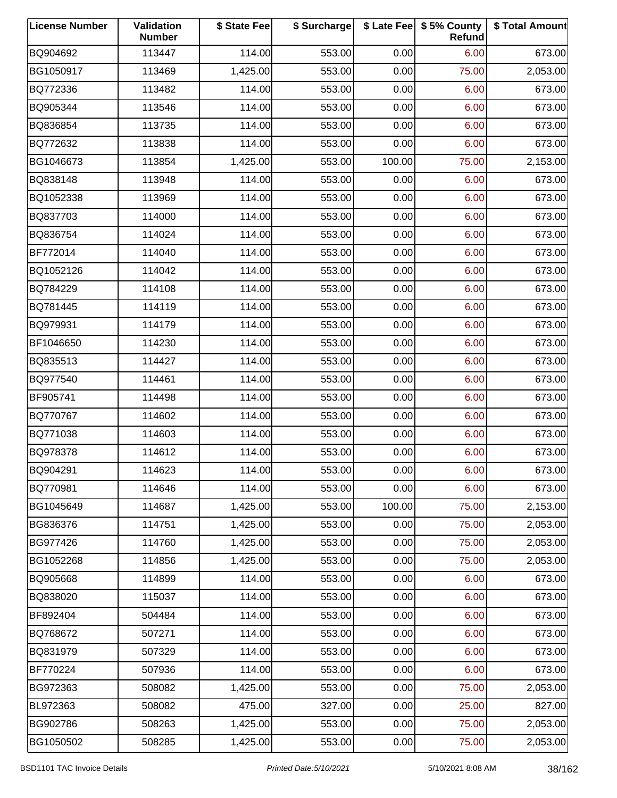| <b>License Number</b> | Validation<br><b>Number</b> | \$ State Fee | \$ Surcharge |        | \$ Late Fee   \$5% County<br>Refund | \$ Total Amount |
|-----------------------|-----------------------------|--------------|--------------|--------|-------------------------------------|-----------------|
| BQ904692              | 113447                      | 114.00       | 553.00       | 0.00   | 6.00                                | 673.00          |
| BG1050917             | 113469                      | 1,425.00     | 553.00       | 0.00   | 75.00                               | 2,053.00        |
| BQ772336              | 113482                      | 114.00       | 553.00       | 0.00   | 6.00                                | 673.00          |
| BQ905344              | 113546                      | 114.00       | 553.00       | 0.00   | 6.00                                | 673.00          |
| BQ836854              | 113735                      | 114.00       | 553.00       | 0.00   | 6.00                                | 673.00          |
| BQ772632              | 113838                      | 114.00       | 553.00       | 0.00   | 6.00                                | 673.00          |
| BG1046673             | 113854                      | 1,425.00     | 553.00       | 100.00 | 75.00                               | 2,153.00        |
| BQ838148              | 113948                      | 114.00       | 553.00       | 0.00   | 6.00                                | 673.00          |
| BQ1052338             | 113969                      | 114.00       | 553.00       | 0.00   | 6.00                                | 673.00          |
| BQ837703              | 114000                      | 114.00       | 553.00       | 0.00   | 6.00                                | 673.00          |
| BQ836754              | 114024                      | 114.00       | 553.00       | 0.00   | 6.00                                | 673.00          |
| BF772014              | 114040                      | 114.00       | 553.00       | 0.00   | 6.00                                | 673.00          |
| BQ1052126             | 114042                      | 114.00       | 553.00       | 0.00   | 6.00                                | 673.00          |
| BQ784229              | 114108                      | 114.00       | 553.00       | 0.00   | 6.00                                | 673.00          |
| BQ781445              | 114119                      | 114.00       | 553.00       | 0.00   | 6.00                                | 673.00          |
| BQ979931              | 114179                      | 114.00       | 553.00       | 0.00   | 6.00                                | 673.00          |
| BF1046650             | 114230                      | 114.00       | 553.00       | 0.00   | 6.00                                | 673.00          |
| BQ835513              | 114427                      | 114.00       | 553.00       | 0.00   | 6.00                                | 673.00          |
| BQ977540              | 114461                      | 114.00       | 553.00       | 0.00   | 6.00                                | 673.00          |
| BF905741              | 114498                      | 114.00       | 553.00       | 0.00   | 6.00                                | 673.00          |
| BQ770767              | 114602                      | 114.00       | 553.00       | 0.00   | 6.00                                | 673.00          |
| BQ771038              | 114603                      | 114.00       | 553.00       | 0.00   | 6.00                                | 673.00          |
| BQ978378              | 114612                      | 114.00       | 553.00       | 0.00   | 6.00                                | 673.00          |
| BQ904291              | 114623                      | 114.00       | 553.00       | 0.00   | 6.00                                | 673.00          |
| BQ770981              | 114646                      | 114.00       | 553.00       | 0.00   | 6.00                                | 673.00          |
| BG1045649             | 114687                      | 1,425.00     | 553.00       | 100.00 | 75.00                               | 2,153.00        |
| BG836376              | 114751                      | 1,425.00     | 553.00       | 0.00   | 75.00                               | 2,053.00        |
| BG977426              | 114760                      | 1,425.00     | 553.00       | 0.00   | 75.00                               | 2,053.00        |
| BG1052268             | 114856                      | 1,425.00     | 553.00       | 0.00   | 75.00                               | 2,053.00        |
| BQ905668              | 114899                      | 114.00       | 553.00       | 0.00   | 6.00                                | 673.00          |
| BQ838020              | 115037                      | 114.00       | 553.00       | 0.00   | 6.00                                | 673.00          |
| BF892404              | 504484                      | 114.00       | 553.00       | 0.00   | 6.00                                | 673.00          |
| BQ768672              | 507271                      | 114.00       | 553.00       | 0.00   | 6.00                                | 673.00          |
| BQ831979              | 507329                      | 114.00       | 553.00       | 0.00   | 6.00                                | 673.00          |
| BF770224              | 507936                      | 114.00       | 553.00       | 0.00   | 6.00                                | 673.00          |
| BG972363              | 508082                      | 1,425.00     | 553.00       | 0.00   | 75.00                               | 2,053.00        |
| BL972363              | 508082                      | 475.00       | 327.00       | 0.00   | 25.00                               | 827.00          |
| BG902786              | 508263                      | 1,425.00     | 553.00       | 0.00   | 75.00                               | 2,053.00        |
| BG1050502             | 508285                      | 1,425.00     | 553.00       | 0.00   | 75.00                               | 2,053.00        |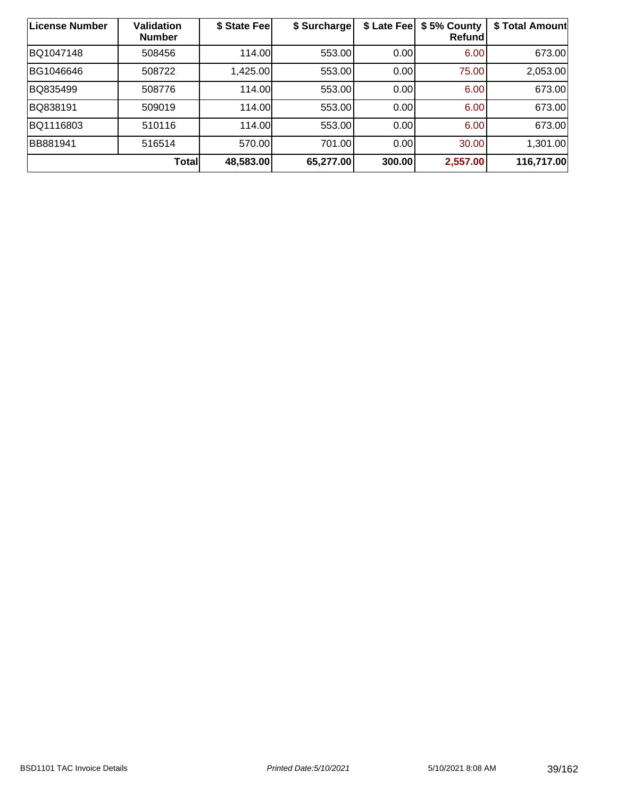| <b>License Number</b> | <b>Validation</b><br><b>Number</b> | \$ State Fee | \$ Surcharge | \$ Late Fee | \$5% County<br>Refund | \$ Total Amount |
|-----------------------|------------------------------------|--------------|--------------|-------------|-----------------------|-----------------|
| BQ1047148             | 508456                             | 114.00       | 553.00       | 0.00        | 6.00                  | 673.00          |
| BG1046646             | 508722                             | 1,425.00     | 553.00       | 0.00        | 75.00                 | 2,053.00        |
| BQ835499              | 508776                             | 114.00       | 553.00       | 0.00        | 6.00                  | 673.00          |
| BQ838191              | 509019                             | 114.00       | 553.00       | 0.00        | 6.00                  | 673.00          |
| BQ1116803             | 510116                             | 114.00       | 553.00       | 0.00        | 6.00                  | 673.00          |
| BB881941              | 516514                             | 570.00       | 701.00       | 0.00        | 30.00                 | 1,301.00        |
|                       | <b>Total</b>                       | 48,583.00    | 65,277.00    | 300.00      | 2,557.00              | 116,717.00      |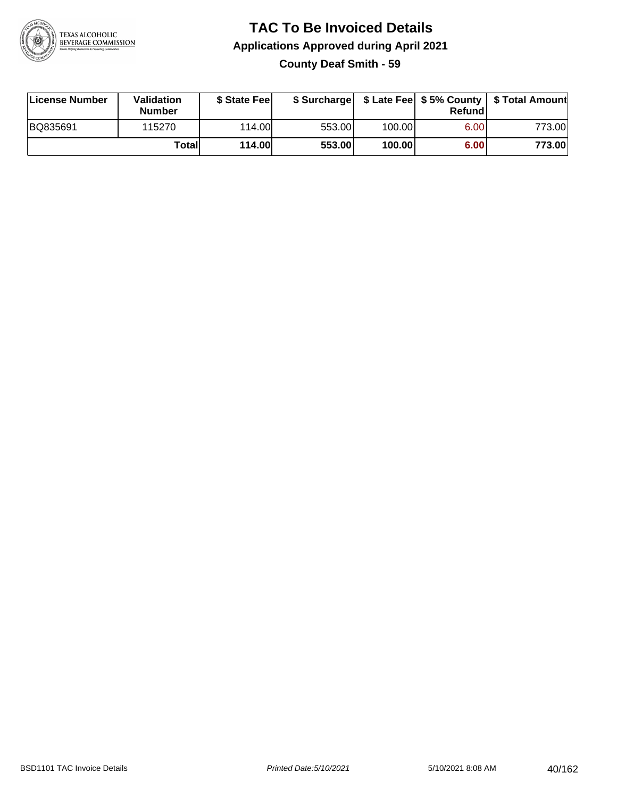

### **TAC To Be Invoiced Details Applications Approved during April 2021 County Deaf Smith - 59**

| License Number | <b>Validation</b><br><b>Number</b> | \$ State Feel |        |        | Refundl | \$ Surcharge   \$ Late Fee   \$5% County   \$ Total Amount |
|----------------|------------------------------------|---------------|--------|--------|---------|------------------------------------------------------------|
| BQ835691       | 115270                             | 114.00        | 553.00 | 100.00 | 6.00    | 773.00                                                     |
|                | Totall                             | <b>114.00</b> | 553.00 | 100.00 | 6.00    | 773.00                                                     |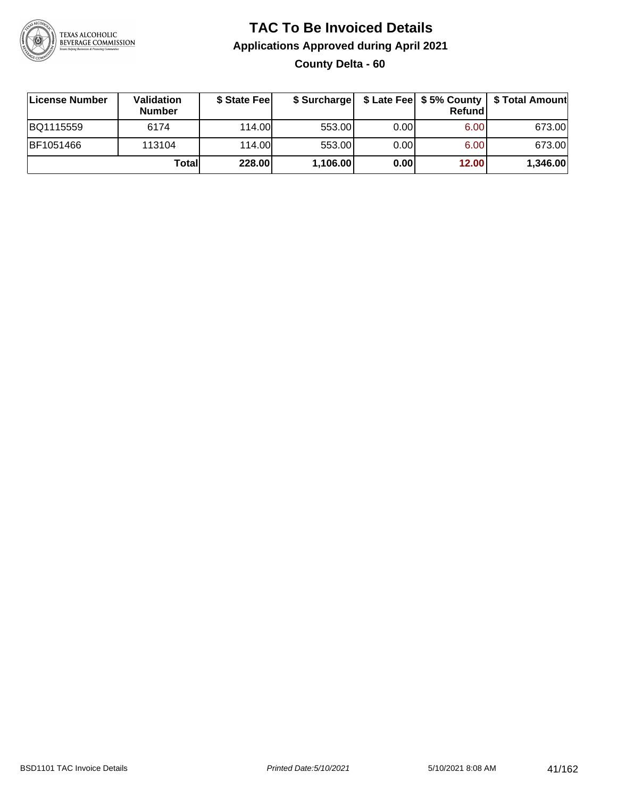

### **TAC To Be Invoiced Details Applications Approved during April 2021 County Delta - 60**

| License Number | Validation<br><b>Number</b> | \$ State Feel |          |       | Refund | \$ Surcharge   \$ Late Fee   \$5% County   \$ Total Amount |
|----------------|-----------------------------|---------------|----------|-------|--------|------------------------------------------------------------|
| BQ1115559      | 6174                        | 114.00L       | 553.00   | 0.001 | 6.00   | 673.00                                                     |
| BF1051466      | 113104                      | 114.00L       | 553.00   | 0.00  | 6.00   | 673.00                                                     |
|                | Totall                      | 228.00        | 1,106.00 | 0.00  | 12.00  | 1,346.00                                                   |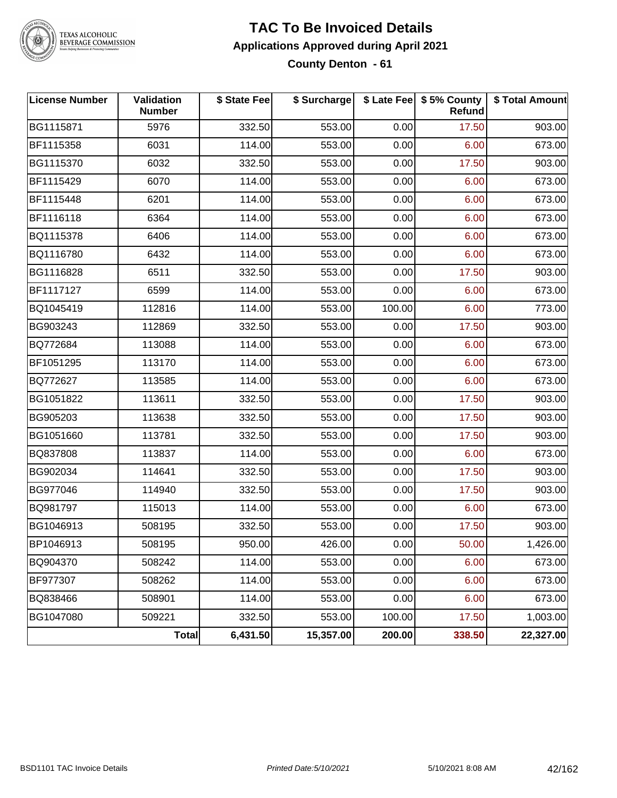

## TEXAS ALCOHOLIC<br>BEVERAGE COMMISSION

#### **TAC To Be Invoiced Details Applications Approved during April 2021 County Denton - 61**

| <b>License Number</b> | Validation<br><b>Number</b> | \$ State Fee | \$ Surcharge |        | \$ Late Fee   \$5% County<br><b>Refund</b> | \$ Total Amount |
|-----------------------|-----------------------------|--------------|--------------|--------|--------------------------------------------|-----------------|
| BG1115871             | 5976                        | 332.50       | 553.00       | 0.00   | 17.50                                      | 903.00          |
| BF1115358             | 6031                        | 114.00       | 553.00       | 0.00   | 6.00                                       | 673.00          |
| BG1115370             | 6032                        | 332.50       | 553.00       | 0.00   | 17.50                                      | 903.00          |
| BF1115429             | 6070                        | 114.00       | 553.00       | 0.00   | 6.00                                       | 673.00          |
| BF1115448             | 6201                        | 114.00       | 553.00       | 0.00   | 6.00                                       | 673.00          |
| BF1116118             | 6364                        | 114.00       | 553.00       | 0.00   | 6.00                                       | 673.00          |
| BQ1115378             | 6406                        | 114.00       | 553.00       | 0.00   | 6.00                                       | 673.00          |
| BQ1116780             | 6432                        | 114.00       | 553.00       | 0.00   | 6.00                                       | 673.00          |
| BG1116828             | 6511                        | 332.50       | 553.00       | 0.00   | 17.50                                      | 903.00          |
| BF1117127             | 6599                        | 114.00       | 553.00       | 0.00   | 6.00                                       | 673.00          |
| BQ1045419             | 112816                      | 114.00       | 553.00       | 100.00 | 6.00                                       | 773.00          |
| BG903243              | 112869                      | 332.50       | 553.00       | 0.00   | 17.50                                      | 903.00          |
| BQ772684              | 113088                      | 114.00       | 553.00       | 0.00   | 6.00                                       | 673.00          |
| BF1051295             | 113170                      | 114.00       | 553.00       | 0.00   | 6.00                                       | 673.00          |
| BQ772627              | 113585                      | 114.00       | 553.00       | 0.00   | 6.00                                       | 673.00          |
| BG1051822             | 113611                      | 332.50       | 553.00       | 0.00   | 17.50                                      | 903.00          |
| BG905203              | 113638                      | 332.50       | 553.00       | 0.00   | 17.50                                      | 903.00          |
| BG1051660             | 113781                      | 332.50       | 553.00       | 0.00   | 17.50                                      | 903.00          |
| BQ837808              | 113837                      | 114.00       | 553.00       | 0.00   | 6.00                                       | 673.00          |
| BG902034              | 114641                      | 332.50       | 553.00       | 0.00   | 17.50                                      | 903.00          |
| BG977046              | 114940                      | 332.50       | 553.00       | 0.00   | 17.50                                      | 903.00          |
| BQ981797              | 115013                      | 114.00       | 553.00       | 0.00   | 6.00                                       | 673.00          |
| BG1046913             | 508195                      | 332.50       | 553.00       | 0.00   | 17.50                                      | 903.00          |
| BP1046913             | 508195                      | 950.00       | 426.00       | 0.00   | 50.00                                      | 1,426.00        |
| BQ904370              | 508242                      | 114.00       | 553.00       | 0.00   | 6.00                                       | 673.00          |
| BF977307              | 508262                      | 114.00       | 553.00       | 0.00   | 6.00                                       | 673.00          |
| BQ838466              | 508901                      | 114.00       | 553.00       | 0.00   | 6.00                                       | 673.00          |
| BG1047080             | 509221                      | 332.50       | 553.00       | 100.00 | 17.50                                      | 1,003.00        |
|                       | Total                       | 6,431.50     | 15,357.00    | 200.00 | 338.50                                     | 22,327.00       |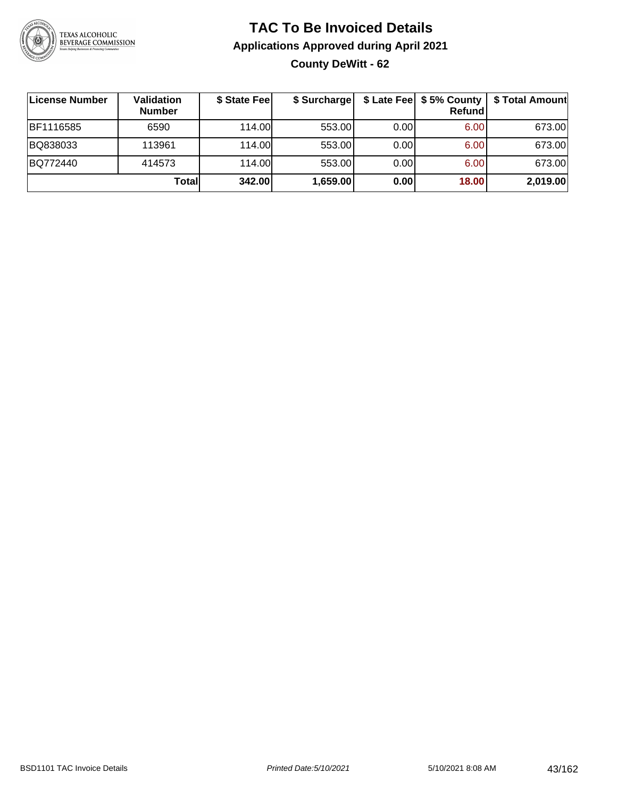

### **TAC To Be Invoiced Details Applications Approved during April 2021 County DeWitt - 62**

| License Number   | Validation<br><b>Number</b> | \$ State Fee | \$ Surcharge |      | Refund | \$ Late Fee   \$5% County   \$ Total Amount |
|------------------|-----------------------------|--------------|--------------|------|--------|---------------------------------------------|
| <b>BF1116585</b> | 6590                        | 114.00L      | 553.00       | 0.00 | 6.00   | 673.00                                      |
| BQ838033         | 113961                      | 114.00L      | 553.00       | 0.00 | 6.00   | 673.00                                      |
| BQ772440         | 414573                      | 114.00L      | 553.00       | 0.00 | 6.00   | 673.00                                      |
|                  | Totall                      | 342.00       | 1,659.00     | 0.00 | 18.00  | 2,019.00                                    |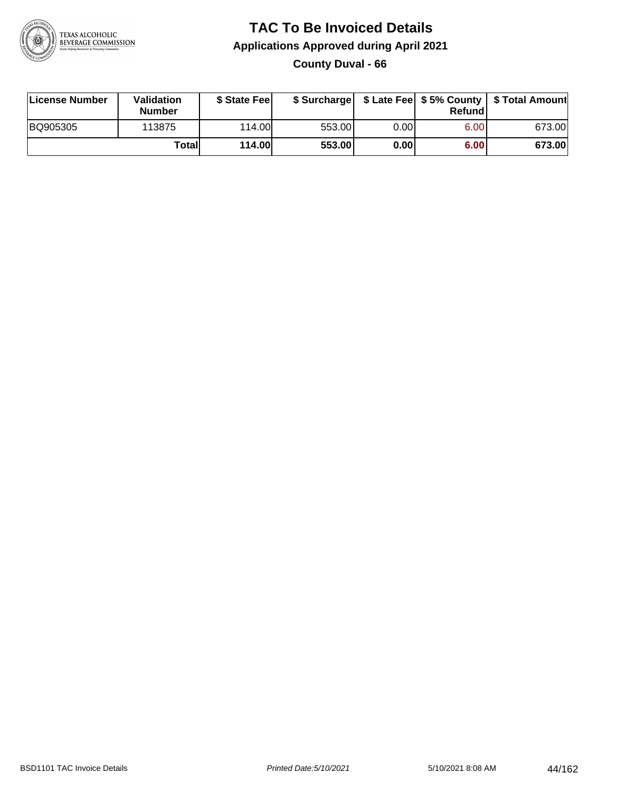

### **TAC To Be Invoiced Details Applications Approved during April 2021 County Duval - 66**

| License Number | Validation<br>Number | \$ State Fee  |        |      | Refundl | \$ Surcharge   \$ Late Fee   \$5% County   \$ Total Amount |
|----------------|----------------------|---------------|--------|------|---------|------------------------------------------------------------|
| BQ905305       | 113875               | 114.00L       | 553.00 | 0.00 | 6.00    | 673.00                                                     |
|                | Totall               | <b>114.00</b> | 553.00 | 0.00 | 6.00    | 673.00                                                     |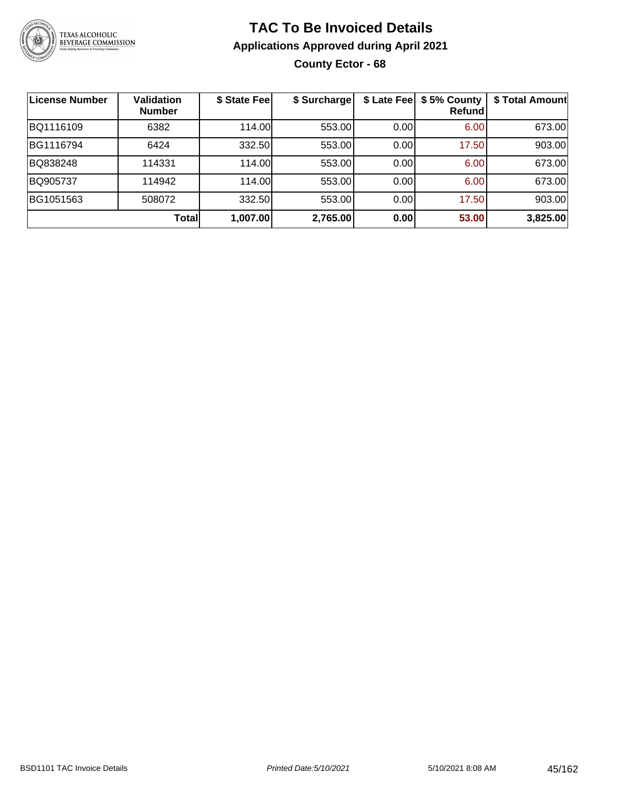

### **TAC To Be Invoiced Details Applications Approved during April 2021 County Ector - 68**

| License Number | <b>Validation</b><br><b>Number</b> | \$ State Fee | \$ Surcharge | \$ Late Fee | \$5% County<br>Refundl | \$ Total Amount |
|----------------|------------------------------------|--------------|--------------|-------------|------------------------|-----------------|
| BQ1116109      | 6382                               | 114.00       | 553.00       | 0.00        | 6.00                   | 673.00          |
| BG1116794      | 6424                               | 332.50       | 553.00       | 0.00        | 17.50                  | 903.00          |
| BQ838248       | 114331                             | 114.00       | 553.00       | 0.00        | 6.00                   | 673.00          |
| BQ905737       | 114942                             | 114.00       | 553.00       | 0.00        | 6.00                   | 673.00          |
| BG1051563      | 508072                             | 332.50       | 553.00       | 0.00        | 17.50                  | 903.00          |
|                | Total                              | 1,007.00     | 2,765.00     | 0.00        | 53.00                  | 3,825.00        |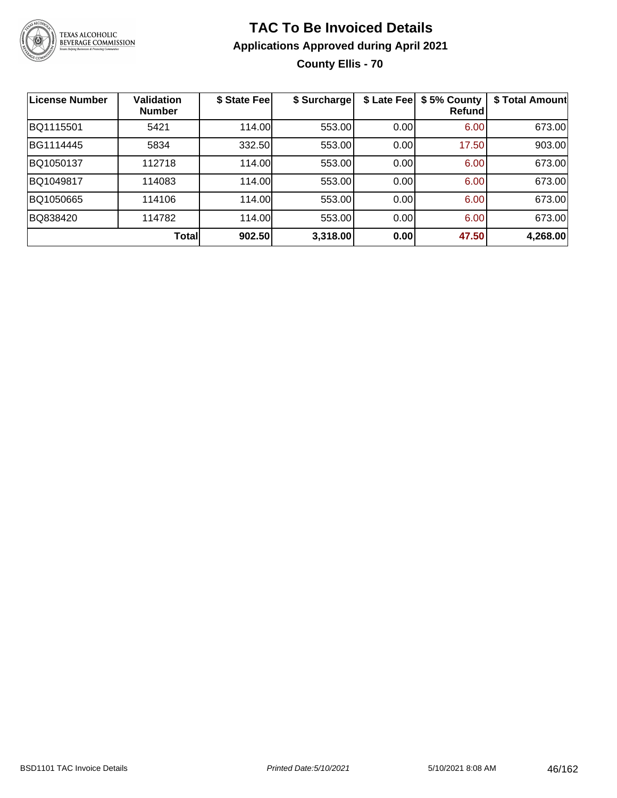

### **TAC To Be Invoiced Details Applications Approved during April 2021 County Ellis - 70**

| <b>License Number</b> | <b>Validation</b><br><b>Number</b> | \$ State Fee | \$ Surcharge | \$ Late Fee | \$5% County<br>Refundl | \$ Total Amount |
|-----------------------|------------------------------------|--------------|--------------|-------------|------------------------|-----------------|
| BQ1115501             | 5421                               | 114.00       | 553.00       | 0.00        | 6.00                   | 673.00          |
| BG1114445             | 5834                               | 332.50       | 553.00       | 0.00        | 17.50                  | 903.00          |
| BQ1050137             | 112718                             | 114.00       | 553.00       | 0.00        | 6.00                   | 673.00          |
| BQ1049817             | 114083                             | 114.00       | 553.00       | 0.00        | 6.00                   | 673.00          |
| BQ1050665             | 114106                             | 114.00       | 553.00       | 0.00        | 6.00                   | 673.00          |
| BQ838420              | 114782                             | 114.00       | 553.00       | 0.00        | 6.00                   | 673.00          |
|                       | Total                              | 902.50       | 3,318.00     | 0.00        | 47.50                  | 4,268.00        |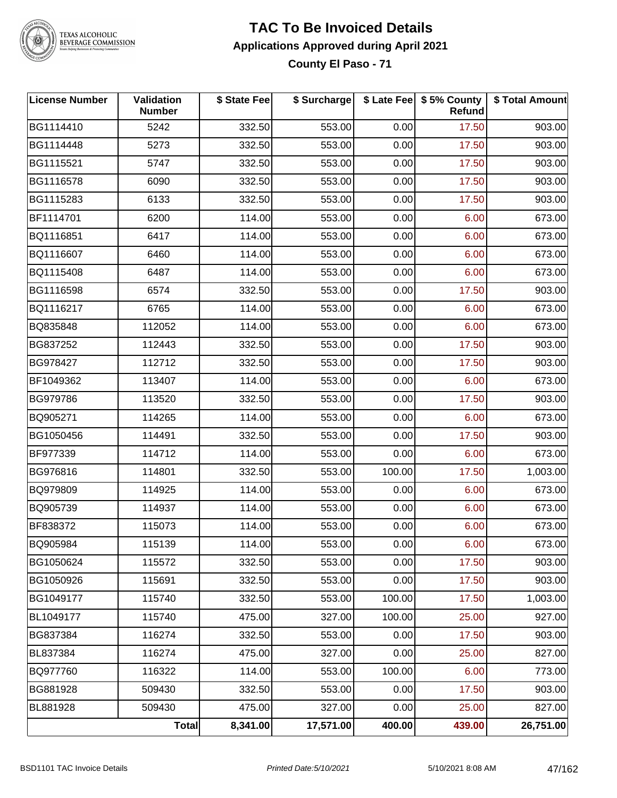

## TEXAS ALCOHOLIC<br>BEVERAGE COMMISSION

#### **TAC To Be Invoiced Details Applications Approved during April 2021 County El Paso - 71**

| <b>License Number</b> | <b>Validation</b><br><b>Number</b> | \$ State Fee | \$ Surcharge |        | \$ Late Fee   \$5% County<br><b>Refund</b> | \$ Total Amount |
|-----------------------|------------------------------------|--------------|--------------|--------|--------------------------------------------|-----------------|
| BG1114410             | 5242                               | 332.50       | 553.00       | 0.00   | 17.50                                      | 903.00          |
| BG1114448             | 5273                               | 332.50       | 553.00       | 0.00   | 17.50                                      | 903.00          |
| BG1115521             | 5747                               | 332.50       | 553.00       | 0.00   | 17.50                                      | 903.00          |
| BG1116578             | 6090                               | 332.50       | 553.00       | 0.00   | 17.50                                      | 903.00          |
| BG1115283             | 6133                               | 332.50       | 553.00       | 0.00   | 17.50                                      | 903.00          |
| BF1114701             | 6200                               | 114.00       | 553.00       | 0.00   | 6.00                                       | 673.00          |
| BQ1116851             | 6417                               | 114.00       | 553.00       | 0.00   | 6.00                                       | 673.00          |
| BQ1116607             | 6460                               | 114.00       | 553.00       | 0.00   | 6.00                                       | 673.00          |
| BQ1115408             | 6487                               | 114.00       | 553.00       | 0.00   | 6.00                                       | 673.00          |
| BG1116598             | 6574                               | 332.50       | 553.00       | 0.00   | 17.50                                      | 903.00          |
| BQ1116217             | 6765                               | 114.00       | 553.00       | 0.00   | 6.00                                       | 673.00          |
| BQ835848              | 112052                             | 114.00       | 553.00       | 0.00   | 6.00                                       | 673.00          |
| BG837252              | 112443                             | 332.50       | 553.00       | 0.00   | 17.50                                      | 903.00          |
| BG978427              | 112712                             | 332.50       | 553.00       | 0.00   | 17.50                                      | 903.00          |
| BF1049362             | 113407                             | 114.00       | 553.00       | 0.00   | 6.00                                       | 673.00          |
| BG979786              | 113520                             | 332.50       | 553.00       | 0.00   | 17.50                                      | 903.00          |
| BQ905271              | 114265                             | 114.00       | 553.00       | 0.00   | 6.00                                       | 673.00          |
| BG1050456             | 114491                             | 332.50       | 553.00       | 0.00   | 17.50                                      | 903.00          |
| BF977339              | 114712                             | 114.00       | 553.00       | 0.00   | 6.00                                       | 673.00          |
| BG976816              | 114801                             | 332.50       | 553.00       | 100.00 | 17.50                                      | 1,003.00        |
| BQ979809              | 114925                             | 114.00       | 553.00       | 0.00   | 6.00                                       | 673.00          |
| BQ905739              | 114937                             | 114.00       | 553.00       | 0.00   | 6.00                                       | 673.00          |
| BF838372              | 115073                             | 114.00       | 553.00       | 0.00   | 6.00                                       | 673.00          |
| BQ905984              | 115139                             | 114.00       | 553.00       | 0.00   | 6.00                                       | 673.00          |
| BG1050624             | 115572                             | 332.50       | 553.00       | 0.00   | 17.50                                      | 903.00          |
| BG1050926             | 115691                             | 332.50       | 553.00       | 0.00   | 17.50                                      | 903.00          |
| BG1049177             | 115740                             | 332.50       | 553.00       | 100.00 | 17.50                                      | 1,003.00        |
| BL1049177             | 115740                             | 475.00       | 327.00       | 100.00 | 25.00                                      | 927.00          |
| BG837384              | 116274                             | 332.50       | 553.00       | 0.00   | 17.50                                      | 903.00          |
| BL837384              | 116274                             | 475.00       | 327.00       | 0.00   | 25.00                                      | 827.00          |
| BQ977760              | 116322                             | 114.00       | 553.00       | 100.00 | 6.00                                       | 773.00          |
| BG881928              | 509430                             | 332.50       | 553.00       | 0.00   | 17.50                                      | 903.00          |
| BL881928              | 509430                             | 475.00       | 327.00       | 0.00   | 25.00                                      | 827.00          |
|                       | <b>Total</b>                       | 8,341.00     | 17,571.00    | 400.00 | 439.00                                     | 26,751.00       |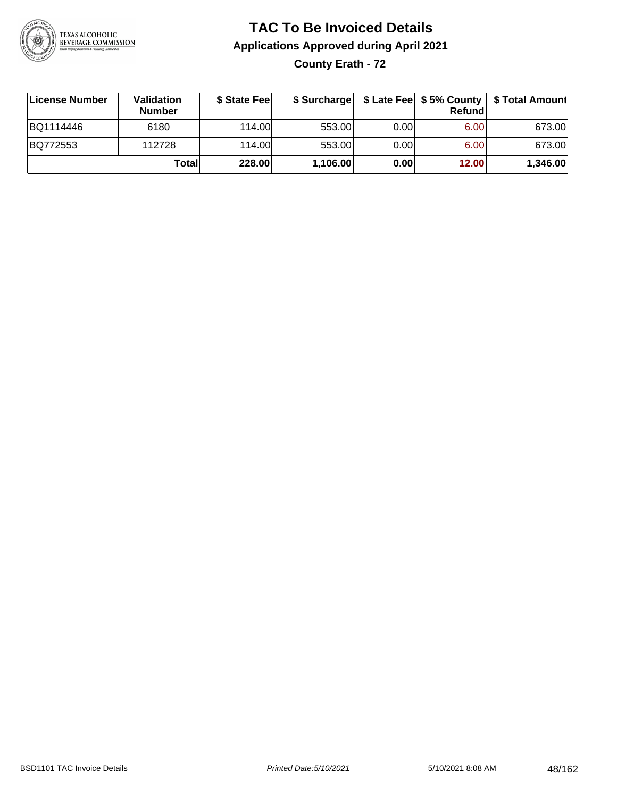

# **TAC To Be Invoiced Details Applications Approved during April 2021**

**County Erath - 72**

| License Number | Validation<br><b>Number</b> | \$ State Fee | \$ Surcharge |       | Refundl           | \$ Late Fee   \$5% County   \$ Total Amount |
|----------------|-----------------------------|--------------|--------------|-------|-------------------|---------------------------------------------|
| BQ1114446      | 6180                        | 114.00       | 553.00       | 0.00  | 6.00 <sub>1</sub> | 673.00                                      |
| BQ772553       | 112728                      | 114.00L      | 553.00       | 0.001 | 6.00 <sub>1</sub> | 673.00                                      |
|                | Totall                      | 228.00       | 1,106.00     | 0.00  | 12.00             | 1,346.00                                    |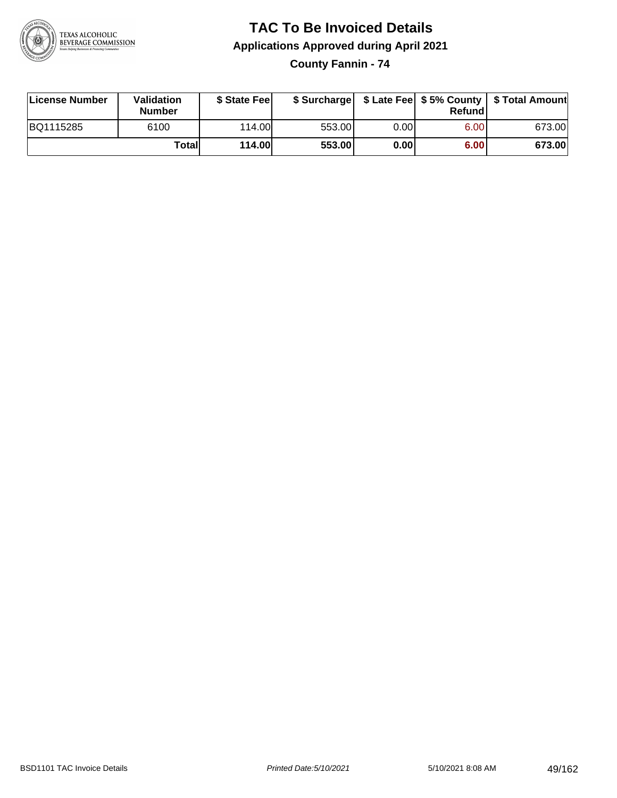

### **TAC To Be Invoiced Details Applications Approved during April 2021**

**County Fannin - 74**

| License Number | Validation<br><b>Number</b> | \$ State Feel |        |      | Refundl | \$ Surcharge   \$ Late Fee   \$5% County   \$ Total Amount |
|----------------|-----------------------------|---------------|--------|------|---------|------------------------------------------------------------|
| BQ1115285      | 6100                        | 114.00        | 553.00 | 0.00 | 6.00    | 673.00                                                     |
|                | Totall                      | <b>114.00</b> | 553.00 | 0.00 | 6.00    | 673.00                                                     |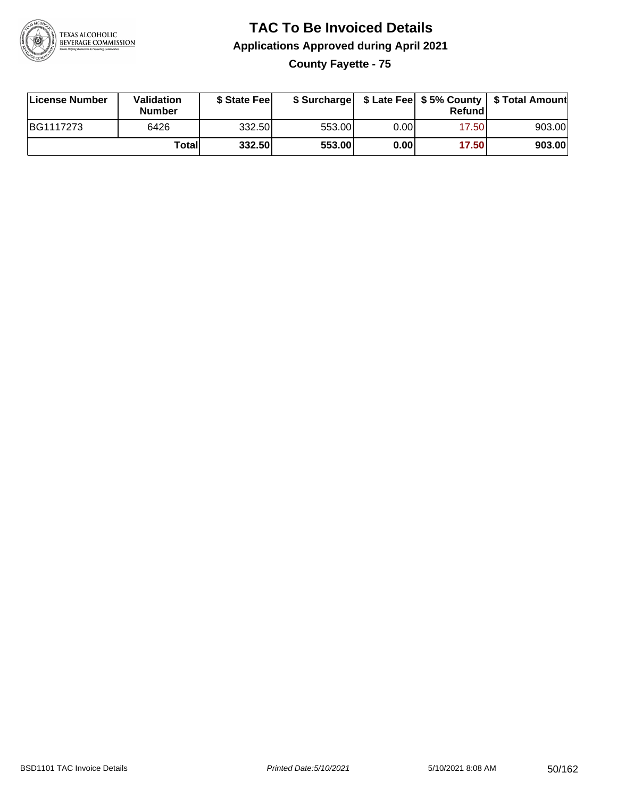

### **TAC To Be Invoiced Details Applications Approved during April 2021 County Fayette - 75**

| License Number | <b>Validation</b><br><b>Number</b> | \$ State Feel |        |      | Refund | \$ Surcharge   \$ Late Fee   \$5% County   \$ Total Amount |
|----------------|------------------------------------|---------------|--------|------|--------|------------------------------------------------------------|
| BG1117273      | 6426                               | 332.50        | 553.00 | 0.00 | 17.50  | 903.00                                                     |
|                | Total                              | 332.50        | 553.00 | 0.00 | 17.50  | 903.00                                                     |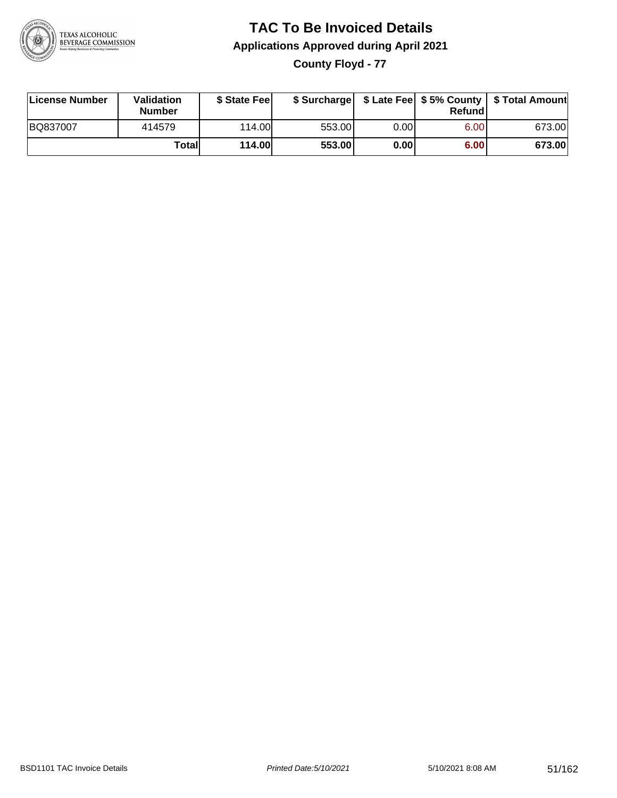

# **TAC To Be Invoiced Details Applications Approved during April 2021**

**County Floyd - 77**

| License Number | Validation<br><b>Number</b> | \$ State Fee  | \$ Surcharge |      | Refund |        |
|----------------|-----------------------------|---------------|--------------|------|--------|--------|
| BQ837007       | 414579                      | 114.00        | 553.00       | 0.00 | 6.00   | 673.00 |
|                | Totall                      | <b>114.00</b> | 553.00       | 0.00 | 6.00   | 673.00 |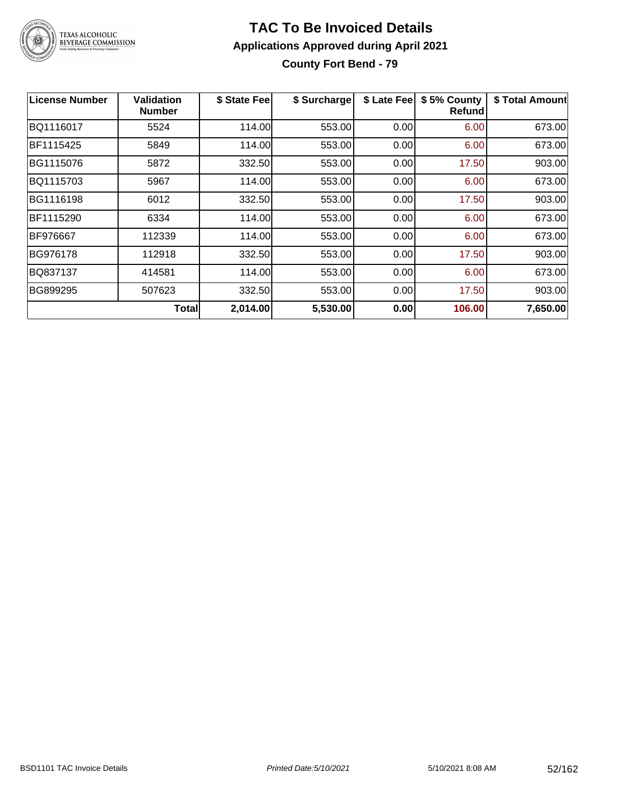

### **TAC To Be Invoiced Details Applications Approved during April 2021 County Fort Bend - 79**

| <b>License Number</b> | Validation<br><b>Number</b> | \$ State Fee | \$ Surcharge | \$ Late Fee | \$5% County<br>Refundl | \$ Total Amount |
|-----------------------|-----------------------------|--------------|--------------|-------------|------------------------|-----------------|
| BQ1116017             | 5524                        | 114.00       | 553.00       | 0.00        | 6.00                   | 673.00          |
| BF1115425             | 5849                        | 114.00       | 553.00       | 0.00        | 6.00                   | 673.00          |
| BG1115076             | 5872                        | 332.50       | 553.00       | 0.00        | 17.50                  | 903.00          |
| BQ1115703             | 5967                        | 114.00       | 553.00       | 0.00        | 6.00                   | 673.00          |
| BG1116198             | 6012                        | 332.50       | 553.00       | 0.00        | 17.50                  | 903.00          |
| BF1115290             | 6334                        | 114.00       | 553.00       | 0.00        | 6.00                   | 673.00          |
| BF976667              | 112339                      | 114.00       | 553.00       | 0.00        | 6.00                   | 673.00          |
| BG976178              | 112918                      | 332.50       | 553.00       | 0.00        | 17.50                  | 903.00          |
| BQ837137              | 414581                      | 114.00       | 553.00       | 0.00        | 6.00                   | 673.00          |
| BG899295              | 507623                      | 332.50       | 553.00       | 0.00        | 17.50                  | 903.00          |
|                       | <b>Total</b>                | 2,014.00     | 5,530.00     | 0.00        | 106.00                 | 7,650.00        |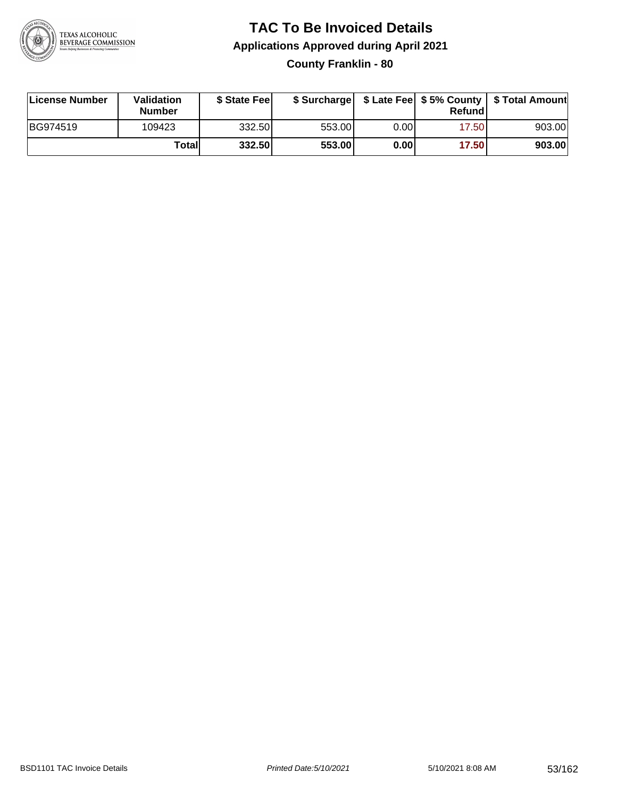

### **TAC To Be Invoiced Details Applications Approved during April 2021 County Franklin - 80**

| License Number | Validation<br>Number | \$ State Fee |        |      | Refund | \$ Surcharge   \$ Late Fee   \$5% County   \$ Total Amount |
|----------------|----------------------|--------------|--------|------|--------|------------------------------------------------------------|
| BG974519       | 109423               | 332.50       | 553.00 | 0.00 | 17.50  | 903.00                                                     |
|                | Totall               | 332.50       | 553.00 | 0.00 | 17.50  | 903.00                                                     |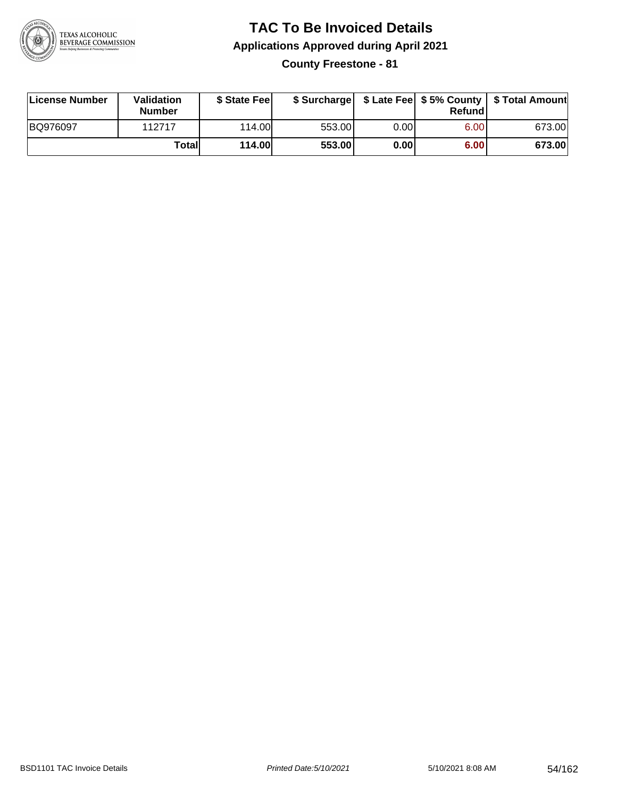

# **TAC To Be Invoiced Details Applications Approved during April 2021**

**County Freestone - 81**

| License Number | Validation<br><b>Number</b> | \$ State Fee  | \$ Surcharge |      | Refund |        |
|----------------|-----------------------------|---------------|--------------|------|--------|--------|
| BQ976097       | 112717                      | 114.00        | 553.00       | 0.00 | 6.00   | 673.00 |
|                | Totall                      | <b>114.00</b> | 553.00       | 0.00 | 6.00   | 673.00 |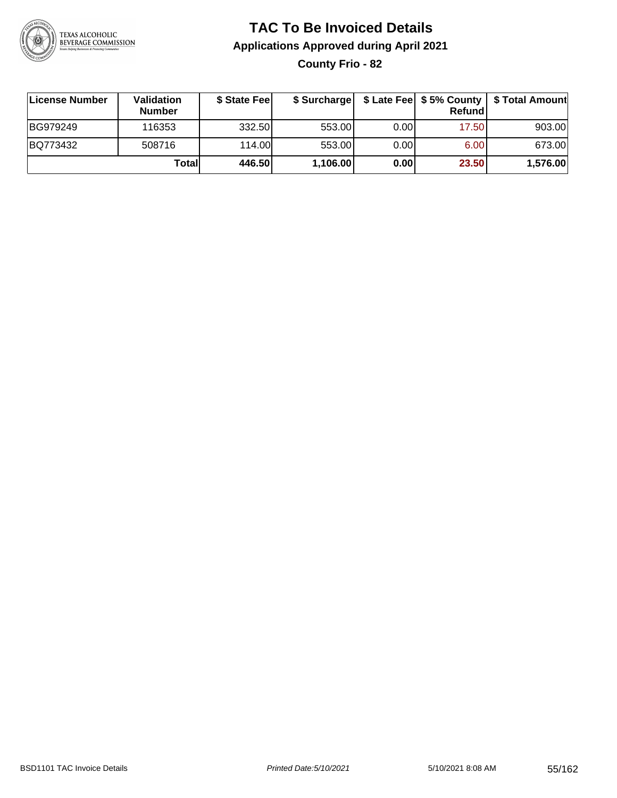

# **TAC To Be Invoiced Details Applications Approved during April 2021**

**County Frio - 82**

| ∣License Number | Validation<br><b>Number</b> | \$ State Feel | \$ Surcharge |      | Refundl | \$ Late Fee   \$5% County   \$ Total Amount |
|-----------------|-----------------------------|---------------|--------------|------|---------|---------------------------------------------|
| BG979249        | 116353                      | 332.50        | 553.00       | 0.00 | 17.50   | 903.00                                      |
| BQ773432        | 508716                      | 114.00L       | 553.00       | 0.00 | 6.00    | 673.00                                      |
|                 | Totall                      | 446.50        | 1,106.00     | 0.00 | 23.50   | 1,576.00                                    |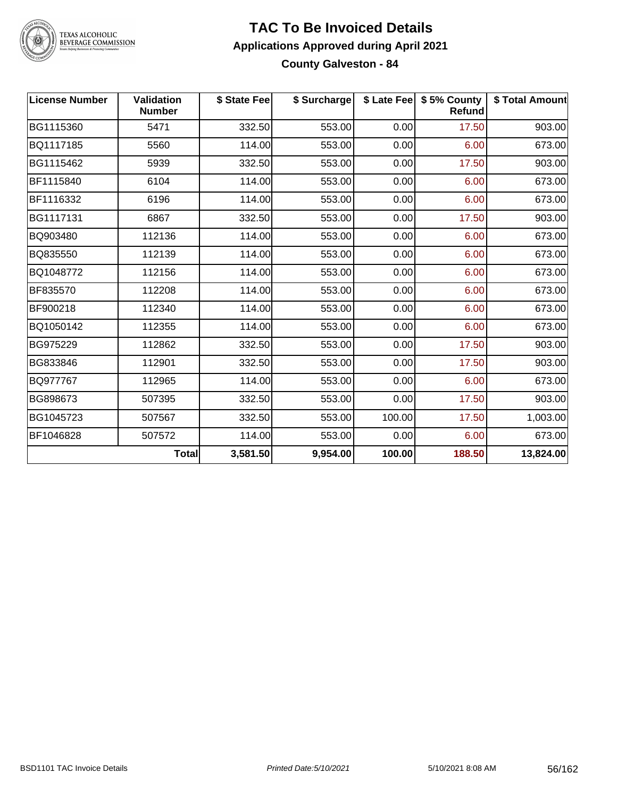

## TEXAS ALCOHOLIC<br>BEVERAGE COMMISSION

#### **TAC To Be Invoiced Details Applications Approved during April 2021 County Galveston - 84**

| <b>License Number</b> | <b>Validation</b><br><b>Number</b> | \$ State Fee | \$ Surcharge |        | \$ Late Fee   \$5% County<br><b>Refund</b> | \$ Total Amount |
|-----------------------|------------------------------------|--------------|--------------|--------|--------------------------------------------|-----------------|
| BG1115360             | 5471                               | 332.50       | 553.00       | 0.00   | 17.50                                      | 903.00          |
| BQ1117185             | 5560                               | 114.00       | 553.00       | 0.00   | 6.00                                       | 673.00          |
| BG1115462             | 5939                               | 332.50       | 553.00       | 0.00   | 17.50                                      | 903.00          |
| BF1115840             | 6104                               | 114.00       | 553.00       | 0.00   | 6.00                                       | 673.00          |
| BF1116332             | 6196                               | 114.00       | 553.00       | 0.00   | 6.00                                       | 673.00          |
| BG1117131             | 6867                               | 332.50       | 553.00       | 0.00   | 17.50                                      | 903.00          |
| BQ903480              | 112136                             | 114.00       | 553.00       | 0.00   | 6.00                                       | 673.00          |
| BQ835550              | 112139                             | 114.00       | 553.00       | 0.00   | 6.00                                       | 673.00          |
| BQ1048772             | 112156                             | 114.00       | 553.00       | 0.00   | 6.00                                       | 673.00          |
| BF835570              | 112208                             | 114.00       | 553.00       | 0.00   | 6.00                                       | 673.00          |
| BF900218              | 112340                             | 114.00       | 553.00       | 0.00   | 6.00                                       | 673.00          |
| BQ1050142             | 112355                             | 114.00       | 553.00       | 0.00   | 6.00                                       | 673.00          |
| BG975229              | 112862                             | 332.50       | 553.00       | 0.00   | 17.50                                      | 903.00          |
| BG833846              | 112901                             | 332.50       | 553.00       | 0.00   | 17.50                                      | 903.00          |
| BQ977767              | 112965                             | 114.00       | 553.00       | 0.00   | 6.00                                       | 673.00          |
| BG898673              | 507395                             | 332.50       | 553.00       | 0.00   | 17.50                                      | 903.00          |
| BG1045723             | 507567                             | 332.50       | 553.00       | 100.00 | 17.50                                      | 1,003.00        |
| BF1046828             | 507572                             | 114.00       | 553.00       | 0.00   | 6.00                                       | 673.00          |
|                       | <b>Total</b>                       | 3,581.50     | 9,954.00     | 100.00 | 188.50                                     | 13,824.00       |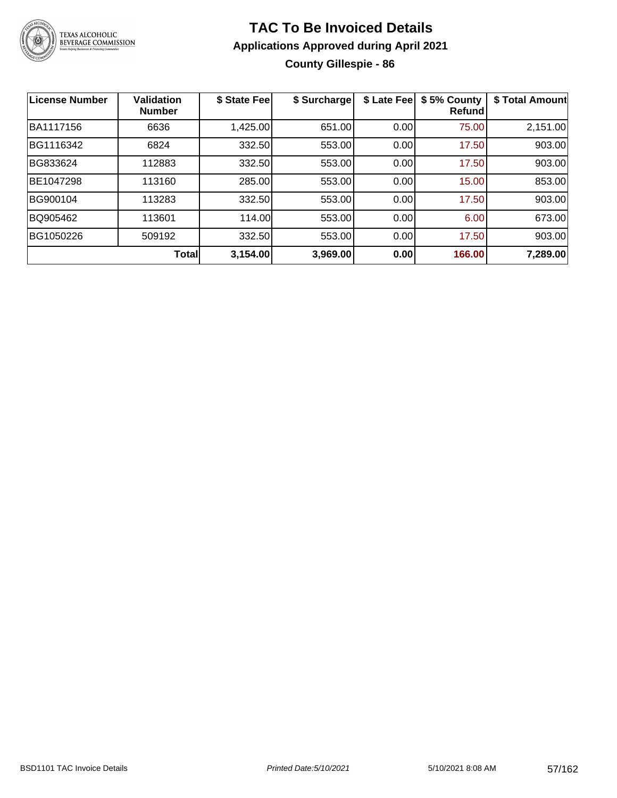

### **TAC To Be Invoiced Details Applications Approved during April 2021 County Gillespie - 86**

| <b>License Number</b> | <b>Validation</b><br><b>Number</b> | \$ State Fee | \$ Surcharge | \$ Late Fee | \$5% County<br><b>Refund</b> | \$ Total Amount |
|-----------------------|------------------------------------|--------------|--------------|-------------|------------------------------|-----------------|
| BA1117156             | 6636                               | 1,425.00     | 651.00       | 0.00        | 75.00                        | 2,151.00        |
| BG1116342             | 6824                               | 332.50       | 553.00       | 0.00        | 17.50                        | 903.00          |
| BG833624              | 112883                             | 332.50       | 553.00       | 0.00        | 17.50                        | 903.00          |
| BE1047298             | 113160                             | 285.00       | 553.00       | 0.00        | 15.00                        | 853.00          |
| BG900104              | 113283                             | 332.50       | 553.00       | 0.00        | 17.50                        | 903.00          |
| BQ905462              | 113601                             | 114.00       | 553.00       | 0.00        | 6.00                         | 673.00          |
| BG1050226             | 509192                             | 332.50       | 553.00       | 0.00        | 17.50                        | 903.00          |
|                       | Total                              | 3,154.00     | 3,969.00     | 0.00        | 166.00                       | 7,289.00        |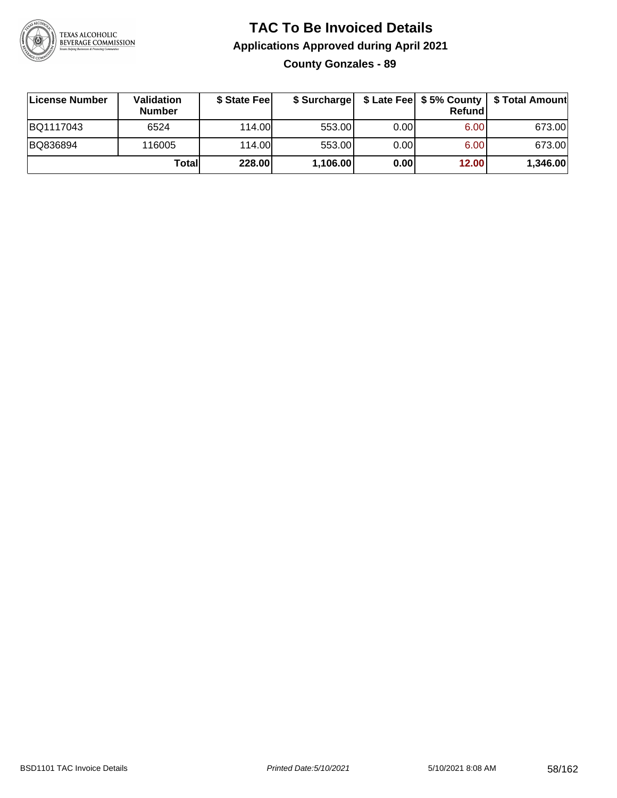

### **TAC To Be Invoiced Details Applications Approved during April 2021 County Gonzales - 89**

| License Number | Validation<br><b>Number</b> | \$ State Fee |          |       | Refundl | \$ Surcharge   \$ Late Fee   \$5% County   \$ Total Amount |
|----------------|-----------------------------|--------------|----------|-------|---------|------------------------------------------------------------|
| BQ1117043      | 6524                        | 114.00       | 553.00   | 0.001 | 6.00    | 673.00                                                     |
| BQ836894       | 116005                      | 114.00L      | 553.00   | 0.00  | 6.00    | 673.00                                                     |
|                | Totall                      | 228.00       | 1,106.00 | 0.00  | 12.00   | 1,346.00                                                   |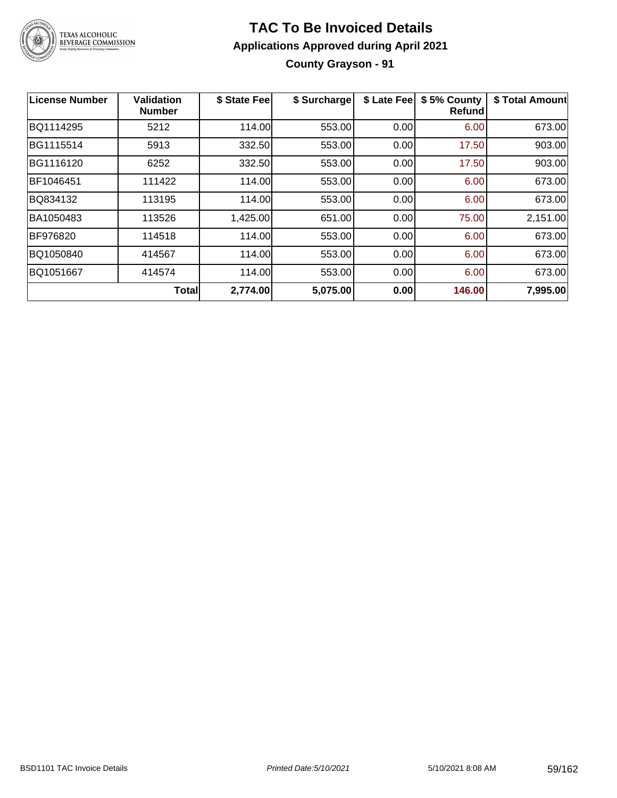

### **TAC To Be Invoiced Details Applications Approved during April 2021 County Grayson - 91**

| License Number | <b>Validation</b><br><b>Number</b> | \$ State Fee | \$ Surcharge | \$ Late Fee | \$5% County<br>Refundl | \$ Total Amount |
|----------------|------------------------------------|--------------|--------------|-------------|------------------------|-----------------|
| BQ1114295      | 5212                               | 114.00       | 553.00       | 0.00        | 6.00                   | 673.00          |
| BG1115514      | 5913                               | 332.50       | 553.00       | 0.00        | 17.50                  | 903.00          |
| BG1116120      | 6252                               | 332.50       | 553.00       | 0.00        | 17.50                  | 903.00          |
| BF1046451      | 111422                             | 114.00       | 553.00       | 0.00        | 6.00                   | 673.00          |
| BQ834132       | 113195                             | 114.00       | 553.00       | 0.00        | 6.00                   | 673.00          |
| BA1050483      | 113526                             | 1,425.00     | 651.00       | 0.00        | 75.00                  | 2,151.00        |
| BF976820       | 114518                             | 114.00       | 553.00       | 0.00        | 6.00                   | 673.00          |
| BQ1050840      | 414567                             | 114.00       | 553.00       | 0.00        | 6.00                   | 673.00          |
| BQ1051667      | 414574                             | 114.00       | 553.00       | 0.00        | 6.00                   | 673.00          |
|                | Total                              | 2,774.00     | 5,075.00     | 0.00        | 146.00                 | 7,995.00        |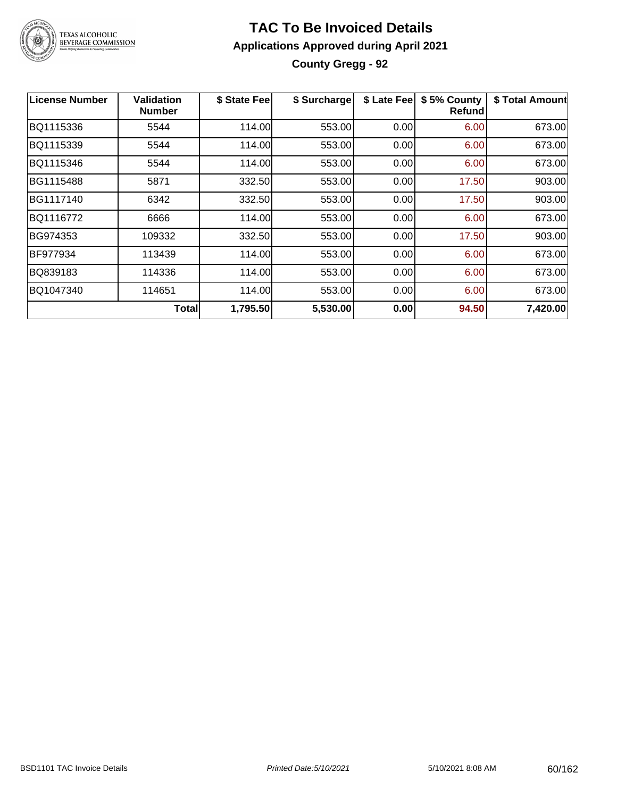

### **TAC To Be Invoiced Details Applications Approved during April 2021 County Gregg - 92**

| <b>License Number</b> | Validation<br><b>Number</b> | \$ State Fee | \$ Surcharge | \$ Late Fee | \$5% County<br>Refundl | \$ Total Amount |
|-----------------------|-----------------------------|--------------|--------------|-------------|------------------------|-----------------|
| BQ1115336             | 5544                        | 114.00       | 553.00       | 0.00        | 6.00                   | 673.00          |
| BQ1115339             | 5544                        | 114.00       | 553.00       | 0.00        | 6.00                   | 673.00          |
| BQ1115346             | 5544                        | 114.00       | 553.00       | 0.00        | 6.00                   | 673.00          |
| BG1115488             | 5871                        | 332.50       | 553.00       | 0.00        | 17.50                  | 903.00          |
| BG1117140             | 6342                        | 332.50       | 553.00       | 0.00        | 17.50                  | 903.00          |
| BQ1116772             | 6666                        | 114.00       | 553.00       | 0.00        | 6.00                   | 673.00          |
| BG974353              | 109332                      | 332.50       | 553.00       | 0.00        | 17.50                  | 903.00          |
| <b>BF977934</b>       | 113439                      | 114.00       | 553.00       | 0.00        | 6.00                   | 673.00          |
| BQ839183              | 114336                      | 114.00       | 553.00       | 0.00        | 6.00                   | 673.00          |
| BQ1047340             | 114651                      | 114.00       | 553.00       | 0.00        | 6.00                   | 673.00          |
|                       | Total                       | 1,795.50     | 5,530.00     | 0.00        | 94.50                  | 7,420.00        |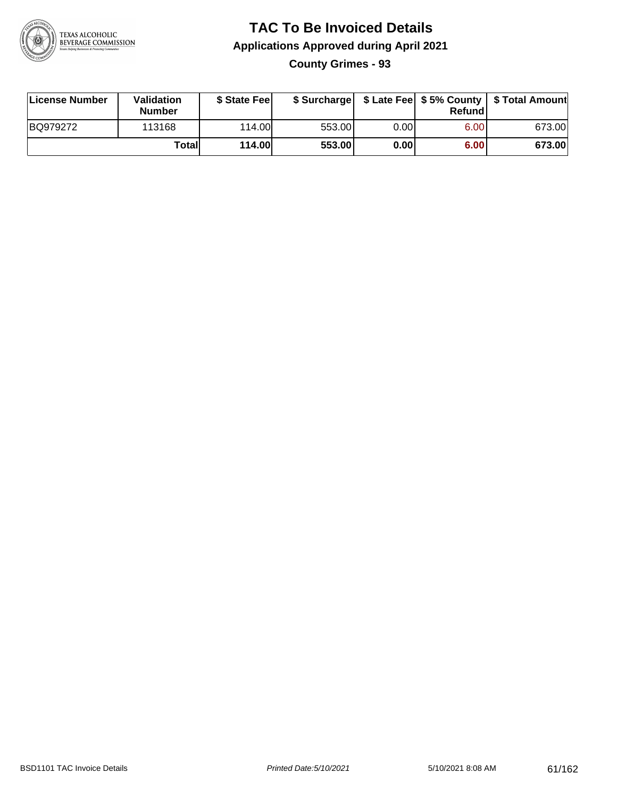

### **TAC To Be Invoiced Details Applications Approved during April 2021 County Grimes - 93**

| License Number | Validation<br><b>Number</b> | \$ State Fee  |        |      | Refund | \$ Surcharge   \$ Late Fee   \$5% County   \$ Total Amount |
|----------------|-----------------------------|---------------|--------|------|--------|------------------------------------------------------------|
| BQ979272       | 113168                      | 114.00        | 553.00 | 0.00 | 6.00   | 673.00                                                     |
|                | Totall                      | <b>114.00</b> | 553.00 | 0.00 | 6.00   | 673.00                                                     |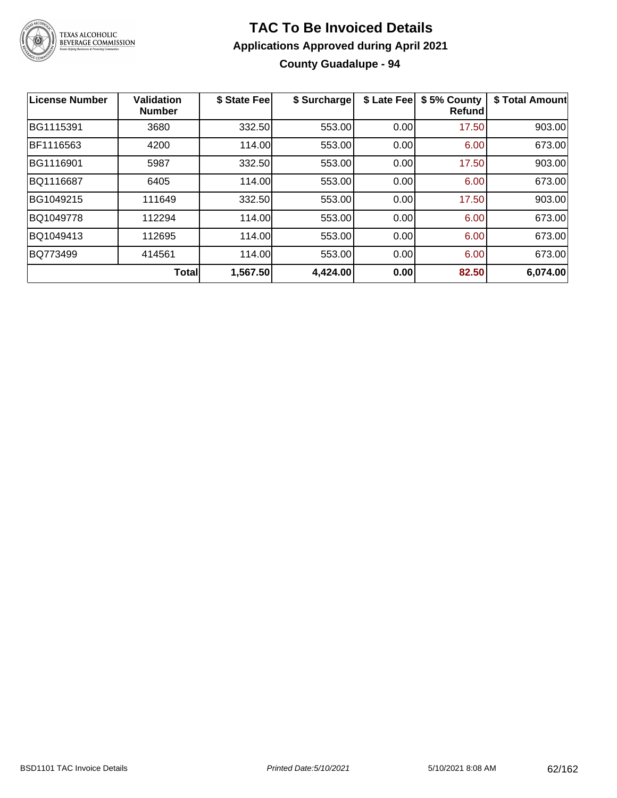

### **TAC To Be Invoiced Details Applications Approved during April 2021 County Guadalupe - 94**

| <b>License Number</b> | <b>Validation</b><br><b>Number</b> | \$ State Fee | \$ Surcharge | \$ Late Fee | \$5% County<br><b>Refund</b> | \$ Total Amount |
|-----------------------|------------------------------------|--------------|--------------|-------------|------------------------------|-----------------|
| BG1115391             | 3680                               | 332.50       | 553.00       | 0.00        | 17.50                        | 903.00          |
| BF1116563             | 4200                               | 114.00       | 553.00       | 0.00        | 6.00                         | 673.00          |
| BG1116901             | 5987                               | 332.50       | 553.00       | 0.00        | 17.50                        | 903.00          |
| BQ1116687             | 6405                               | 114.00       | 553.00       | 0.00        | 6.00                         | 673.00          |
| BG1049215             | 111649                             | 332.50       | 553.00       | 0.00        | 17.50                        | 903.00          |
| BQ1049778             | 112294                             | 114.00       | 553.00       | 0.00        | 6.00                         | 673.00          |
| BQ1049413             | 112695                             | 114.00       | 553.00       | 0.00        | 6.00                         | 673.00          |
| BQ773499              | 414561                             | 114.00       | 553.00       | 0.00        | 6.00                         | 673.00          |
|                       | <b>Total</b>                       | 1,567.50     | 4,424.00     | 0.00        | 82.50                        | 6,074.00        |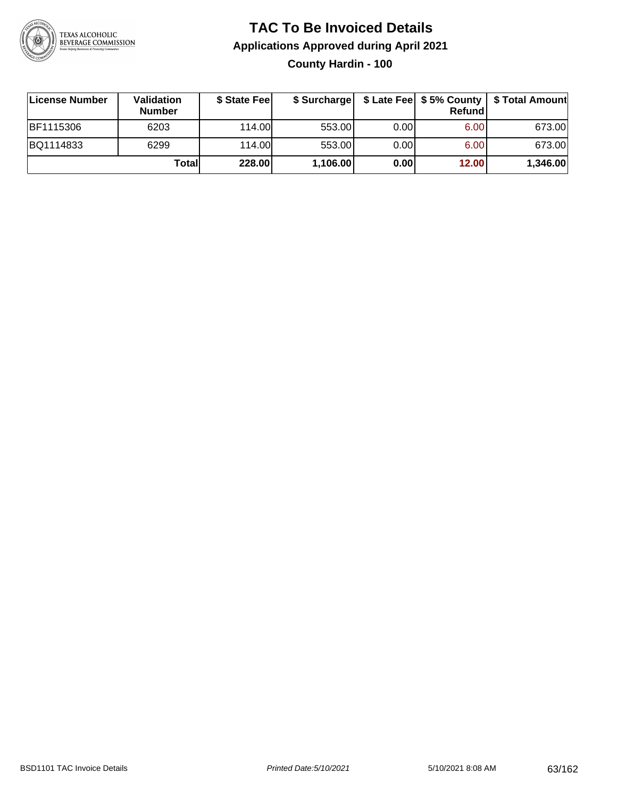

### **TAC To Be Invoiced Details Applications Approved during April 2021 County Hardin - 100**

| ∣License Number  | Validation<br><b>Number</b> | \$ State Fee |          |       | <b>Refund</b> | \$ Surcharge   \$ Late Fee   \$5% County   \$ Total Amount |
|------------------|-----------------------------|--------------|----------|-------|---------------|------------------------------------------------------------|
| <b>BF1115306</b> | 6203                        | 114.00L      | 553.00   | 0.001 | 6.00          | 673.00                                                     |
| BQ1114833        | 6299                        | 114.00L      | 553.00   | 0.001 | 6.00          | 673.00                                                     |
|                  | Totall                      | 228.00       | 1,106.00 | 0.00  | 12.00         | 1,346.00                                                   |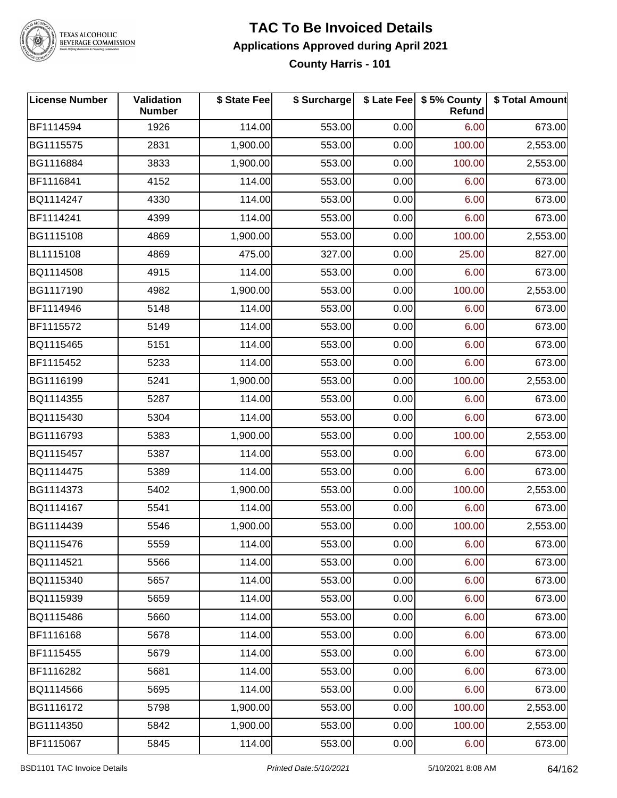

# TEXAS ALCOHOLIC<br>BEVERAGE COMMISSION

#### **TAC To Be Invoiced Details Applications Approved during April 2021 County Harris - 101**

| <b>License Number</b> | Validation<br><b>Number</b> | \$ State Fee | \$ Surcharge |      | \$ Late Fee   \$5% County<br>Refund | \$ Total Amount |
|-----------------------|-----------------------------|--------------|--------------|------|-------------------------------------|-----------------|
| BF1114594             | 1926                        | 114.00       | 553.00       | 0.00 | 6.00                                | 673.00          |
| BG1115575             | 2831                        | 1,900.00     | 553.00       | 0.00 | 100.00                              | 2,553.00        |
| BG1116884             | 3833                        | 1,900.00     | 553.00       | 0.00 | 100.00                              | 2,553.00        |
| BF1116841             | 4152                        | 114.00       | 553.00       | 0.00 | 6.00                                | 673.00          |
| BQ1114247             | 4330                        | 114.00       | 553.00       | 0.00 | 6.00                                | 673.00          |
| BF1114241             | 4399                        | 114.00       | 553.00       | 0.00 | 6.00                                | 673.00          |
| BG1115108             | 4869                        | 1,900.00     | 553.00       | 0.00 | 100.00                              | 2,553.00        |
| BL1115108             | 4869                        | 475.00       | 327.00       | 0.00 | 25.00                               | 827.00          |
| BQ1114508             | 4915                        | 114.00       | 553.00       | 0.00 | 6.00                                | 673.00          |
| BG1117190             | 4982                        | 1,900.00     | 553.00       | 0.00 | 100.00                              | 2,553.00        |
| BF1114946             | 5148                        | 114.00       | 553.00       | 0.00 | 6.00                                | 673.00          |
| BF1115572             | 5149                        | 114.00       | 553.00       | 0.00 | 6.00                                | 673.00          |
| BQ1115465             | 5151                        | 114.00       | 553.00       | 0.00 | 6.00                                | 673.00          |
| BF1115452             | 5233                        | 114.00       | 553.00       | 0.00 | 6.00                                | 673.00          |
| BG1116199             | 5241                        | 1,900.00     | 553.00       | 0.00 | 100.00                              | 2,553.00        |
| BQ1114355             | 5287                        | 114.00       | 553.00       | 0.00 | 6.00                                | 673.00          |
| BQ1115430             | 5304                        | 114.00       | 553.00       | 0.00 | 6.00                                | 673.00          |
| BG1116793             | 5383                        | 1,900.00     | 553.00       | 0.00 | 100.00                              | 2,553.00        |
| BQ1115457             | 5387                        | 114.00       | 553.00       | 0.00 | 6.00                                | 673.00          |
| BQ1114475             | 5389                        | 114.00       | 553.00       | 0.00 | 6.00                                | 673.00          |
| BG1114373             | 5402                        | 1,900.00     | 553.00       | 0.00 | 100.00                              | 2,553.00        |
| BQ1114167             | 5541                        | 114.00       | 553.00       | 0.00 | 6.00                                | 673.00          |
| BG1114439             | 5546                        | 1,900.00     | 553.00       | 0.00 | 100.00                              | 2,553.00        |
| BQ1115476             | 5559                        | 114.00       | 553.00       | 0.00 | 6.00                                | 673.00          |
| BQ1114521             | 5566                        | 114.00       | 553.00       | 0.00 | 6.00                                | 673.00          |
| BQ1115340             | 5657                        | 114.00       | 553.00       | 0.00 | 6.00                                | 673.00          |
| BQ1115939             | 5659                        | 114.00       | 553.00       | 0.00 | 6.00                                | 673.00          |
| BQ1115486             | 5660                        | 114.00       | 553.00       | 0.00 | 6.00                                | 673.00          |
| BF1116168             | 5678                        | 114.00       | 553.00       | 0.00 | 6.00                                | 673.00          |
| BF1115455             | 5679                        | 114.00       | 553.00       | 0.00 | 6.00                                | 673.00          |
| BF1116282             | 5681                        | 114.00       | 553.00       | 0.00 | 6.00                                | 673.00          |
| BQ1114566             | 5695                        | 114.00       | 553.00       | 0.00 | 6.00                                | 673.00          |
| BG1116172             | 5798                        | 1,900.00     | 553.00       | 0.00 | 100.00                              | 2,553.00        |
| BG1114350             | 5842                        | 1,900.00     | 553.00       | 0.00 | 100.00                              | 2,553.00        |
| BF1115067             | 5845                        | 114.00       | 553.00       | 0.00 | 6.00                                | 673.00          |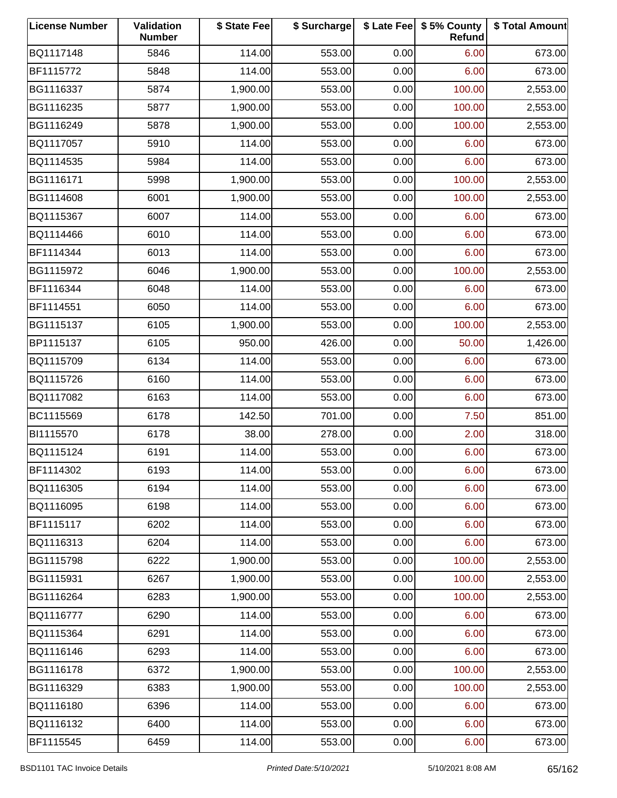| <b>License Number</b> | Validation<br><b>Number</b> | \$ State Fee | \$ Surcharge |      | \$ Late Fee   \$5% County<br>Refund | \$ Total Amount |
|-----------------------|-----------------------------|--------------|--------------|------|-------------------------------------|-----------------|
| BQ1117148             | 5846                        | 114.00       | 553.00       | 0.00 | 6.00                                | 673.00          |
| BF1115772             | 5848                        | 114.00       | 553.00       | 0.00 | 6.00                                | 673.00          |
| BG1116337             | 5874                        | 1,900.00     | 553.00       | 0.00 | 100.00                              | 2,553.00        |
| BG1116235             | 5877                        | 1,900.00     | 553.00       | 0.00 | 100.00                              | 2,553.00        |
| BG1116249             | 5878                        | 1,900.00     | 553.00       | 0.00 | 100.00                              | 2,553.00        |
| BQ1117057             | 5910                        | 114.00       | 553.00       | 0.00 | 6.00                                | 673.00          |
| BQ1114535             | 5984                        | 114.00       | 553.00       | 0.00 | 6.00                                | 673.00          |
| BG1116171             | 5998                        | 1,900.00     | 553.00       | 0.00 | 100.00                              | 2,553.00        |
| BG1114608             | 6001                        | 1,900.00     | 553.00       | 0.00 | 100.00                              | 2,553.00        |
| BQ1115367             | 6007                        | 114.00       | 553.00       | 0.00 | 6.00                                | 673.00          |
| BQ1114466             | 6010                        | 114.00       | 553.00       | 0.00 | 6.00                                | 673.00          |
| BF1114344             | 6013                        | 114.00       | 553.00       | 0.00 | 6.00                                | 673.00          |
| BG1115972             | 6046                        | 1,900.00     | 553.00       | 0.00 | 100.00                              | 2,553.00        |
| BF1116344             | 6048                        | 114.00       | 553.00       | 0.00 | 6.00                                | 673.00          |
| BF1114551             | 6050                        | 114.00       | 553.00       | 0.00 | 6.00                                | 673.00          |
| BG1115137             | 6105                        | 1,900.00     | 553.00       | 0.00 | 100.00                              | 2,553.00        |
| BP1115137             | 6105                        | 950.00       | 426.00       | 0.00 | 50.00                               | 1,426.00        |
| BQ1115709             | 6134                        | 114.00       | 553.00       | 0.00 | 6.00                                | 673.00          |
| BQ1115726             | 6160                        | 114.00       | 553.00       | 0.00 | 6.00                                | 673.00          |
| BQ1117082             | 6163                        | 114.00       | 553.00       | 0.00 | 6.00                                | 673.00          |
| BC1115569             | 6178                        | 142.50       | 701.00       | 0.00 | 7.50                                | 851.00          |
| BI1115570             | 6178                        | 38.00        | 278.00       | 0.00 | 2.00                                | 318.00          |
| BQ1115124             | 6191                        | 114.00       | 553.00       | 0.00 | 6.00                                | 673.00          |
| BF1114302             | 6193                        | 114.00       | 553.00       | 0.00 | 6.00                                | 673.00          |
| BQ1116305             | 6194                        | 114.00       | 553.00       | 0.00 | 6.00                                | 673.00          |
| BQ1116095             | 6198                        | 114.00       | 553.00       | 0.00 | 6.00                                | 673.00          |
| BF1115117             | 6202                        | 114.00       | 553.00       | 0.00 | 6.00                                | 673.00          |
| BQ1116313             | 6204                        | 114.00       | 553.00       | 0.00 | 6.00                                | 673.00          |
| BG1115798             | 6222                        | 1,900.00     | 553.00       | 0.00 | 100.00                              | 2,553.00        |
| BG1115931             | 6267                        | 1,900.00     | 553.00       | 0.00 | 100.00                              | 2,553.00        |
| BG1116264             | 6283                        | 1,900.00     | 553.00       | 0.00 | 100.00                              | 2,553.00        |
| BQ1116777             | 6290                        | 114.00       | 553.00       | 0.00 | 6.00                                | 673.00          |
| BQ1115364             | 6291                        | 114.00       | 553.00       | 0.00 | 6.00                                | 673.00          |
| BQ1116146             | 6293                        | 114.00       | 553.00       | 0.00 | 6.00                                | 673.00          |
| BG1116178             | 6372                        | 1,900.00     | 553.00       | 0.00 | 100.00                              | 2,553.00        |
| BG1116329             | 6383                        | 1,900.00     | 553.00       | 0.00 | 100.00                              | 2,553.00        |
| BQ1116180             | 6396                        | 114.00       | 553.00       | 0.00 | 6.00                                | 673.00          |
| BQ1116132             | 6400                        | 114.00       | 553.00       | 0.00 | 6.00                                | 673.00          |
| BF1115545             | 6459                        | 114.00       | 553.00       | 0.00 | 6.00                                | 673.00          |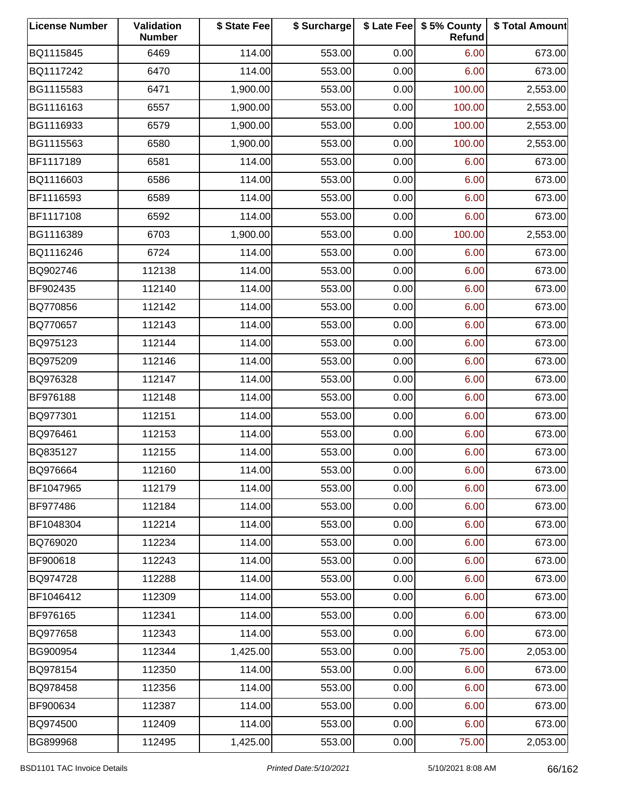| <b>License Number</b> | Validation<br><b>Number</b> | \$ State Fee | \$ Surcharge |      | \$ Late Fee   \$5% County<br>Refund | \$ Total Amount |
|-----------------------|-----------------------------|--------------|--------------|------|-------------------------------------|-----------------|
| BQ1115845             | 6469                        | 114.00       | 553.00       | 0.00 | 6.00                                | 673.00          |
| BQ1117242             | 6470                        | 114.00       | 553.00       | 0.00 | 6.00                                | 673.00          |
| BG1115583             | 6471                        | 1,900.00     | 553.00       | 0.00 | 100.00                              | 2,553.00        |
| BG1116163             | 6557                        | 1,900.00     | 553.00       | 0.00 | 100.00                              | 2,553.00        |
| BG1116933             | 6579                        | 1,900.00     | 553.00       | 0.00 | 100.00                              | 2,553.00        |
| BG1115563             | 6580                        | 1,900.00     | 553.00       | 0.00 | 100.00                              | 2,553.00        |
| BF1117189             | 6581                        | 114.00       | 553.00       | 0.00 | 6.00                                | 673.00          |
| BQ1116603             | 6586                        | 114.00       | 553.00       | 0.00 | 6.00                                | 673.00          |
| BF1116593             | 6589                        | 114.00       | 553.00       | 0.00 | 6.00                                | 673.00          |
| BF1117108             | 6592                        | 114.00       | 553.00       | 0.00 | 6.00                                | 673.00          |
| BG1116389             | 6703                        | 1,900.00     | 553.00       | 0.00 | 100.00                              | 2,553.00        |
| BQ1116246             | 6724                        | 114.00       | 553.00       | 0.00 | 6.00                                | 673.00          |
| BQ902746              | 112138                      | 114.00       | 553.00       | 0.00 | 6.00                                | 673.00          |
| BF902435              | 112140                      | 114.00       | 553.00       | 0.00 | 6.00                                | 673.00          |
| BQ770856              | 112142                      | 114.00       | 553.00       | 0.00 | 6.00                                | 673.00          |
| BQ770657              | 112143                      | 114.00       | 553.00       | 0.00 | 6.00                                | 673.00          |
| BQ975123              | 112144                      | 114.00       | 553.00       | 0.00 | 6.00                                | 673.00          |
| BQ975209              | 112146                      | 114.00       | 553.00       | 0.00 | 6.00                                | 673.00          |
| BQ976328              | 112147                      | 114.00       | 553.00       | 0.00 | 6.00                                | 673.00          |
| BF976188              | 112148                      | 114.00       | 553.00       | 0.00 | 6.00                                | 673.00          |
| BQ977301              | 112151                      | 114.00       | 553.00       | 0.00 | 6.00                                | 673.00          |
| BQ976461              | 112153                      | 114.00       | 553.00       | 0.00 | 6.00                                | 673.00          |
| BQ835127              | 112155                      | 114.00       | 553.00       | 0.00 | 6.00                                | 673.00          |
| BQ976664              | 112160                      | 114.00       | 553.00       | 0.00 | 6.00                                | 673.00          |
| BF1047965             | 112179                      | 114.00       | 553.00       | 0.00 | 6.00                                | 673.00          |
| <b>BF977486</b>       | 112184                      | 114.00       | 553.00       | 0.00 | 6.00                                | 673.00          |
| BF1048304             | 112214                      | 114.00       | 553.00       | 0.00 | 6.00                                | 673.00          |
| BQ769020              | 112234                      | 114.00       | 553.00       | 0.00 | 6.00                                | 673.00          |
| BF900618              | 112243                      | 114.00       | 553.00       | 0.00 | 6.00                                | 673.00          |
| BQ974728              | 112288                      | 114.00       | 553.00       | 0.00 | 6.00                                | 673.00          |
| BF1046412             | 112309                      | 114.00       | 553.00       | 0.00 | 6.00                                | 673.00          |
| BF976165              | 112341                      | 114.00       | 553.00       | 0.00 | 6.00                                | 673.00          |
| BQ977658              | 112343                      | 114.00       | 553.00       | 0.00 | 6.00                                | 673.00          |
| BG900954              | 112344                      | 1,425.00     | 553.00       | 0.00 | 75.00                               | 2,053.00        |
| BQ978154              | 112350                      | 114.00       | 553.00       | 0.00 | 6.00                                | 673.00          |
| BQ978458              | 112356                      | 114.00       | 553.00       | 0.00 | 6.00                                | 673.00          |
| BF900634              | 112387                      | 114.00       | 553.00       | 0.00 | 6.00                                | 673.00          |
| BQ974500              | 112409                      | 114.00       | 553.00       | 0.00 | 6.00                                | 673.00          |
| BG899968              | 112495                      | 1,425.00     | 553.00       | 0.00 | 75.00                               | 2,053.00        |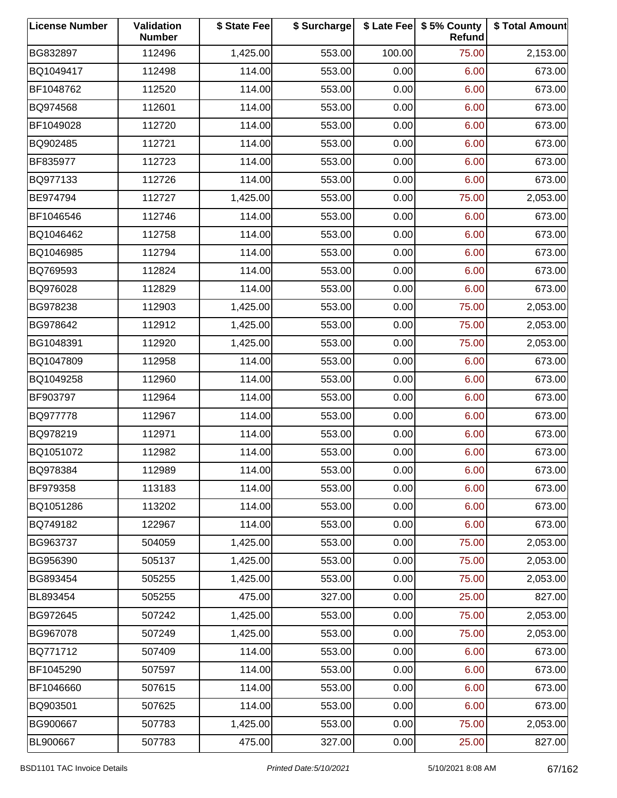| <b>License Number</b> | Validation<br><b>Number</b> | \$ State Fee | \$ Surcharge |        | \$ Late Fee   \$5% County<br>Refund | \$ Total Amount |
|-----------------------|-----------------------------|--------------|--------------|--------|-------------------------------------|-----------------|
| BG832897              | 112496                      | 1,425.00     | 553.00       | 100.00 | 75.00                               | 2,153.00        |
| BQ1049417             | 112498                      | 114.00       | 553.00       | 0.00   | 6.00                                | 673.00          |
| BF1048762             | 112520                      | 114.00       | 553.00       | 0.00   | 6.00                                | 673.00          |
| BQ974568              | 112601                      | 114.00       | 553.00       | 0.00   | 6.00                                | 673.00          |
| BF1049028             | 112720                      | 114.00       | 553.00       | 0.00   | 6.00                                | 673.00          |
| BQ902485              | 112721                      | 114.00       | 553.00       | 0.00   | 6.00                                | 673.00          |
| BF835977              | 112723                      | 114.00       | 553.00       | 0.00   | 6.00                                | 673.00          |
| BQ977133              | 112726                      | 114.00       | 553.00       | 0.00   | 6.00                                | 673.00          |
| BE974794              | 112727                      | 1,425.00     | 553.00       | 0.00   | 75.00                               | 2,053.00        |
| BF1046546             | 112746                      | 114.00       | 553.00       | 0.00   | 6.00                                | 673.00          |
| BQ1046462             | 112758                      | 114.00       | 553.00       | 0.00   | 6.00                                | 673.00          |
| BQ1046985             | 112794                      | 114.00       | 553.00       | 0.00   | 6.00                                | 673.00          |
| BQ769593              | 112824                      | 114.00       | 553.00       | 0.00   | 6.00                                | 673.00          |
| BQ976028              | 112829                      | 114.00       | 553.00       | 0.00   | 6.00                                | 673.00          |
| BG978238              | 112903                      | 1,425.00     | 553.00       | 0.00   | 75.00                               | 2,053.00        |
| BG978642              | 112912                      | 1,425.00     | 553.00       | 0.00   | 75.00                               | 2,053.00        |
| BG1048391             | 112920                      | 1,425.00     | 553.00       | 0.00   | 75.00                               | 2,053.00        |
| BQ1047809             | 112958                      | 114.00       | 553.00       | 0.00   | 6.00                                | 673.00          |
| BQ1049258             | 112960                      | 114.00       | 553.00       | 0.00   | 6.00                                | 673.00          |
| BF903797              | 112964                      | 114.00       | 553.00       | 0.00   | 6.00                                | 673.00          |
| BQ977778              | 112967                      | 114.00       | 553.00       | 0.00   | 6.00                                | 673.00          |
| BQ978219              | 112971                      | 114.00       | 553.00       | 0.00   | 6.00                                | 673.00          |
| BQ1051072             | 112982                      | 114.00       | 553.00       | 0.00   | 6.00                                | 673.00          |
| BQ978384              | 112989                      | 114.00       | 553.00       | 0.00   | 6.00                                | 673.00          |
| BF979358              | 113183                      | 114.00       | 553.00       | 0.00   | 6.00                                | 673.00          |
| BQ1051286             | 113202                      | 114.00       | 553.00       | 0.00   | 6.00                                | 673.00          |
| BQ749182              | 122967                      | 114.00       | 553.00       | 0.00   | 6.00                                | 673.00          |
| BG963737              | 504059                      | 1,425.00     | 553.00       | 0.00   | 75.00                               | 2,053.00        |
| BG956390              | 505137                      | 1,425.00     | 553.00       | 0.00   | 75.00                               | 2,053.00        |
| BG893454              | 505255                      | 1,425.00     | 553.00       | 0.00   | 75.00                               | 2,053.00        |
| BL893454              | 505255                      | 475.00       | 327.00       | 0.00   | 25.00                               | 827.00          |
| BG972645              | 507242                      | 1,425.00     | 553.00       | 0.00   | 75.00                               | 2,053.00        |
| BG967078              | 507249                      | 1,425.00     | 553.00       | 0.00   | 75.00                               | 2,053.00        |
| BQ771712              | 507409                      | 114.00       | 553.00       | 0.00   | 6.00                                | 673.00          |
| BF1045290             | 507597                      | 114.00       | 553.00       | 0.00   | 6.00                                | 673.00          |
| BF1046660             | 507615                      | 114.00       | 553.00       | 0.00   | 6.00                                | 673.00          |
| BQ903501              | 507625                      | 114.00       | 553.00       | 0.00   | 6.00                                | 673.00          |
| BG900667              | 507783                      | 1,425.00     | 553.00       | 0.00   | 75.00                               | 2,053.00        |
| BL900667              | 507783                      | 475.00       | 327.00       | 0.00   | 25.00                               | 827.00          |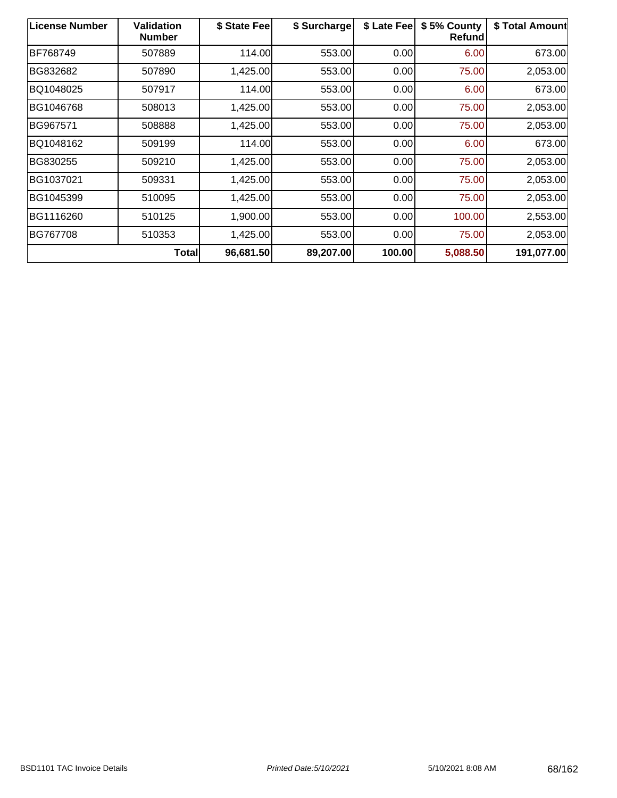| <b>License Number</b> | Validation<br><b>Number</b> | \$ State Fee | \$ Surcharge | \$ Late Fee | \$5% County<br><b>Refund</b> | \$ Total Amount |
|-----------------------|-----------------------------|--------------|--------------|-------------|------------------------------|-----------------|
| BF768749              | 507889                      | 114.00       | 553.00       | 0.00        | 6.00                         | 673.00          |
| BG832682              | 507890                      | 1,425.00     | 553.00       | 0.00        | 75.00                        | 2,053.00        |
| BQ1048025             | 507917                      | 114.00       | 553.00       | 0.00        | 6.00                         | 673.00          |
| BG1046768             | 508013                      | 1,425.00     | 553.00       | 0.00        | 75.00                        | 2,053.00        |
| BG967571              | 508888                      | 1,425.00     | 553.00       | 0.00        | 75.00                        | 2,053.00        |
| BQ1048162             | 509199                      | 114.00       | 553.00       | 0.00        | 6.00                         | 673.00          |
| BG830255              | 509210                      | 1,425.00     | 553.00       | 0.00        | 75.00                        | 2,053.00        |
| BG1037021             | 509331                      | 1,425.00     | 553.00       | 0.00        | 75.00                        | 2,053.00        |
| BG1045399             | 510095                      | 1,425.00     | 553.00       | 0.00        | 75.00                        | 2,053.00        |
| BG1116260             | 510125                      | 1,900.00     | 553.00       | 0.00        | 100.00                       | 2,553.00        |
| BG767708              | 510353                      | 1,425.00     | 553.00       | 0.00        | 75.00                        | 2,053.00        |
|                       | <b>Total</b>                | 96,681.50    | 89,207.00    | 100.00      | 5,088.50                     | 191,077.00      |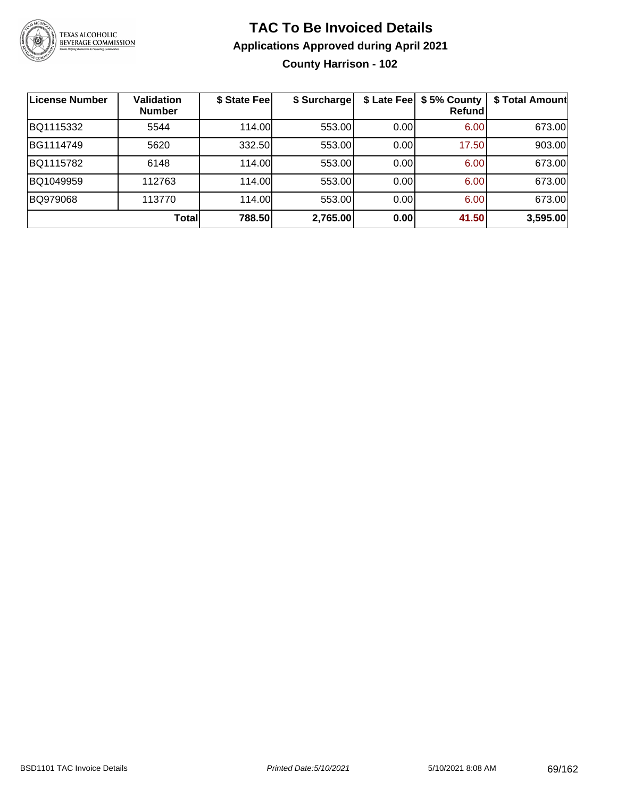

### **TAC To Be Invoiced Details Applications Approved during April 2021 County Harrison - 102**

| ∣License Number | Validation<br><b>Number</b> | \$ State Fee | \$ Surcharge | \$ Late Fee | \$5% County<br>Refundl | \$ Total Amount |
|-----------------|-----------------------------|--------------|--------------|-------------|------------------------|-----------------|
| BQ1115332       | 5544                        | 114.00       | 553.00       | 0.00        | 6.00                   | 673.00          |
| BG1114749       | 5620                        | 332.50       | 553.00       | 0.00        | 17.50                  | 903.00          |
| BQ1115782       | 6148                        | 114.00       | 553.00       | 0.00        | 6.00                   | 673.00          |
| BQ1049959       | 112763                      | 114.00       | 553.00       | 0.00        | 6.00                   | 673.00          |
| BQ979068        | 113770                      | 114.00       | 553.00       | 0.00        | 6.00                   | 673.00          |
|                 | Totall                      | 788.50       | 2,765.00     | 0.00        | 41.50                  | 3,595.00        |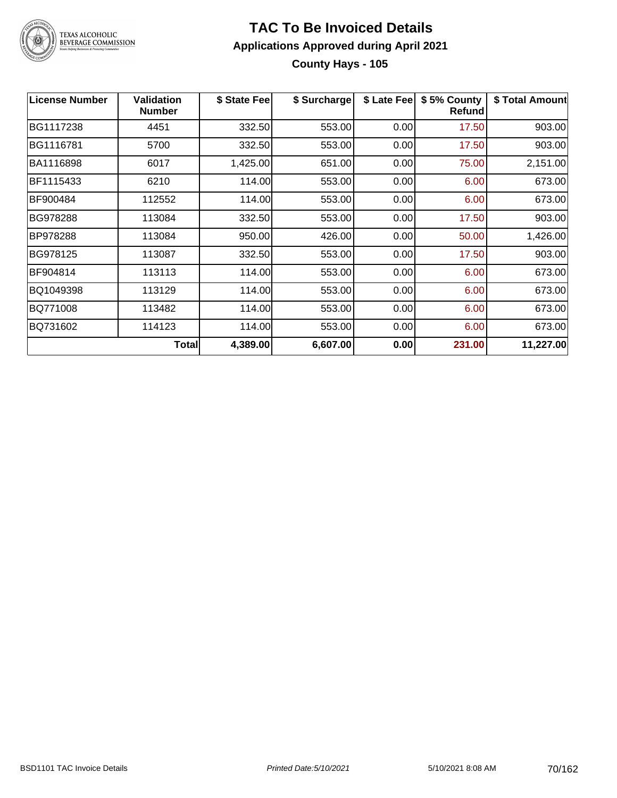

### **TAC To Be Invoiced Details Applications Approved during April 2021 County Hays - 105**

| <b>License Number</b> | <b>Validation</b><br><b>Number</b> | \$ State Fee | \$ Surcharge | \$ Late Fee | \$5% County<br><b>Refund</b> | \$ Total Amount |
|-----------------------|------------------------------------|--------------|--------------|-------------|------------------------------|-----------------|
| BG1117238             | 4451                               | 332.50       | 553.00       | 0.00        | 17.50                        | 903.00          |
| BG1116781             | 5700                               | 332.50       | 553.00       | 0.00        | 17.50                        | 903.00          |
| BA1116898             | 6017                               | 1,425.00     | 651.00       | 0.00        | 75.00                        | 2,151.00        |
| BF1115433             | 6210                               | 114.00       | 553.00       | 0.00        | 6.00                         | 673.00          |
| BF900484              | 112552                             | 114.00       | 553.00       | 0.00        | 6.00                         | 673.00          |
| BG978288              | 113084                             | 332.50       | 553.00       | 0.00        | 17.50                        | 903.00          |
| BP978288              | 113084                             | 950.00       | 426.00       | 0.00        | 50.00                        | 1,426.00        |
| BG978125              | 113087                             | 332.50       | 553.00       | 0.00        | 17.50                        | 903.00          |
| BF904814              | 113113                             | 114.00       | 553.00       | 0.00        | 6.00                         | 673.00          |
| BQ1049398             | 113129                             | 114.00       | 553.00       | 0.00        | 6.00                         | 673.00          |
| BQ771008              | 113482                             | 114.00       | 553.00       | 0.00        | 6.00                         | 673.00          |
| BQ731602              | 114123                             | 114.00       | 553.00       | 0.00        | 6.00                         | 673.00          |
|                       | <b>Total</b>                       | 4,389.00     | 6,607.00     | 0.00        | 231.00                       | 11,227.00       |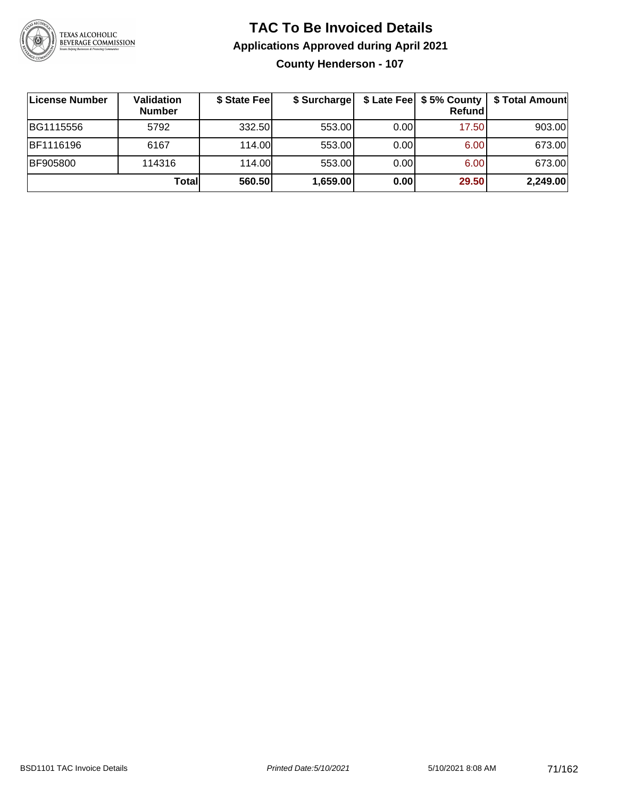

### **TAC To Be Invoiced Details Applications Approved during April 2021 County Henderson - 107**

| License Number   | Validation<br><b>Number</b> | \$ State Fee | \$ Surcharge |      | Refund | \$ Late Fee   \$5% County   \$ Total Amount |
|------------------|-----------------------------|--------------|--------------|------|--------|---------------------------------------------|
| BG1115556        | 5792                        | 332.50       | 553.00       | 0.00 | 17.50  | 903.00                                      |
| <b>BF1116196</b> | 6167                        | 114.00L      | 553.00       | 0.00 | 6.00   | 673.00                                      |
| <b>BF905800</b>  | 114316                      | 114.00       | 553.00       | 0.00 | 6.00   | 673.00                                      |
|                  | Total                       | 560.50       | 1,659.00     | 0.00 | 29.50  | 2,249.00                                    |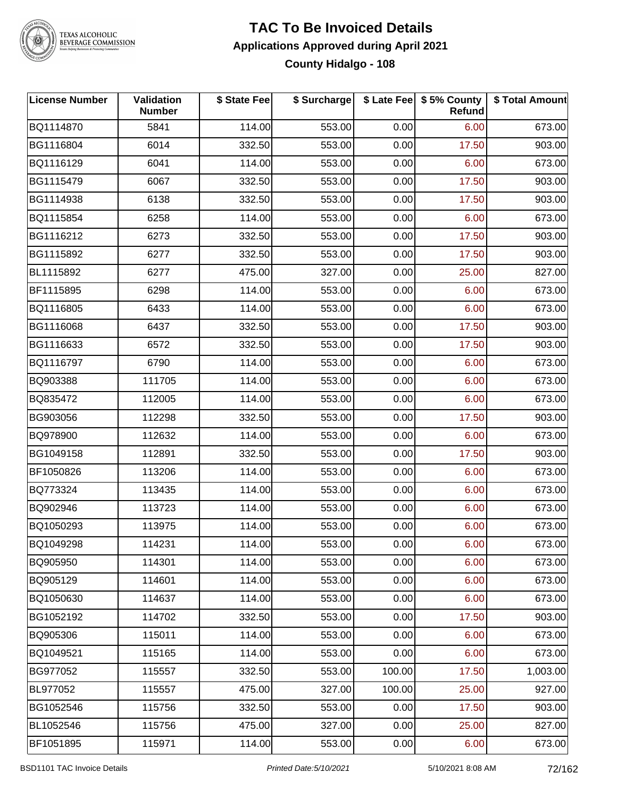

# TEXAS ALCOHOLIC<br>BEVERAGE COMMISSION

### **TAC To Be Invoiced Details Applications Approved during April 2021 County Hidalgo - 108**

| <b>License Number</b> | Validation<br><b>Number</b> | \$ State Fee | \$ Surcharge |        | \$ Late Fee   \$5% County<br>Refund | \$ Total Amount |
|-----------------------|-----------------------------|--------------|--------------|--------|-------------------------------------|-----------------|
| BQ1114870             | 5841                        | 114.00       | 553.00       | 0.00   | 6.00                                | 673.00          |
| BG1116804             | 6014                        | 332.50       | 553.00       | 0.00   | 17.50                               | 903.00          |
| BQ1116129             | 6041                        | 114.00       | 553.00       | 0.00   | 6.00                                | 673.00          |
| BG1115479             | 6067                        | 332.50       | 553.00       | 0.00   | 17.50                               | 903.00          |
| BG1114938             | 6138                        | 332.50       | 553.00       | 0.00   | 17.50                               | 903.00          |
| BQ1115854             | 6258                        | 114.00       | 553.00       | 0.00   | 6.00                                | 673.00          |
| BG1116212             | 6273                        | 332.50       | 553.00       | 0.00   | 17.50                               | 903.00          |
| BG1115892             | 6277                        | 332.50       | 553.00       | 0.00   | 17.50                               | 903.00          |
| BL1115892             | 6277                        | 475.00       | 327.00       | 0.00   | 25.00                               | 827.00          |
| BF1115895             | 6298                        | 114.00       | 553.00       | 0.00   | 6.00                                | 673.00          |
| BQ1116805             | 6433                        | 114.00       | 553.00       | 0.00   | 6.00                                | 673.00          |
| BG1116068             | 6437                        | 332.50       | 553.00       | 0.00   | 17.50                               | 903.00          |
| BG1116633             | 6572                        | 332.50       | 553.00       | 0.00   | 17.50                               | 903.00          |
| BQ1116797             | 6790                        | 114.00       | 553.00       | 0.00   | 6.00                                | 673.00          |
| BQ903388              | 111705                      | 114.00       | 553.00       | 0.00   | 6.00                                | 673.00          |
| BQ835472              | 112005                      | 114.00       | 553.00       | 0.00   | 6.00                                | 673.00          |
| BG903056              | 112298                      | 332.50       | 553.00       | 0.00   | 17.50                               | 903.00          |
| BQ978900              | 112632                      | 114.00       | 553.00       | 0.00   | 6.00                                | 673.00          |
| BG1049158             | 112891                      | 332.50       | 553.00       | 0.00   | 17.50                               | 903.00          |
| BF1050826             | 113206                      | 114.00       | 553.00       | 0.00   | 6.00                                | 673.00          |
| BQ773324              | 113435                      | 114.00       | 553.00       | 0.00   | 6.00                                | 673.00          |
| BQ902946              | 113723                      | 114.00       | 553.00       | 0.00   | 6.00                                | 673.00          |
| BQ1050293             | 113975                      | 114.00       | 553.00       | 0.00   | 6.00                                | 673.00          |
| BQ1049298             | 114231                      | 114.00       | 553.00       | 0.00   | 6.00                                | 673.00          |
| BQ905950              | 114301                      | 114.00       | 553.00       | 0.00   | 6.00                                | 673.00          |
| BQ905129              | 114601                      | 114.00       | 553.00       | 0.00   | 6.00                                | 673.00          |
| BQ1050630             | 114637                      | 114.00       | 553.00       | 0.00   | 6.00                                | 673.00          |
| BG1052192             | 114702                      | 332.50       | 553.00       | 0.00   | 17.50                               | 903.00          |
| BQ905306              | 115011                      | 114.00       | 553.00       | 0.00   | 6.00                                | 673.00          |
| BQ1049521             | 115165                      | 114.00       | 553.00       | 0.00   | 6.00                                | 673.00          |
| BG977052              | 115557                      | 332.50       | 553.00       | 100.00 | 17.50                               | 1,003.00        |
| BL977052              | 115557                      | 475.00       | 327.00       | 100.00 | 25.00                               | 927.00          |
| BG1052546             | 115756                      | 332.50       | 553.00       | 0.00   | 17.50                               | 903.00          |
| BL1052546             | 115756                      | 475.00       | 327.00       | 0.00   | 25.00                               | 827.00          |
| BF1051895             | 115971                      | 114.00       | 553.00       | 0.00   | 6.00                                | 673.00          |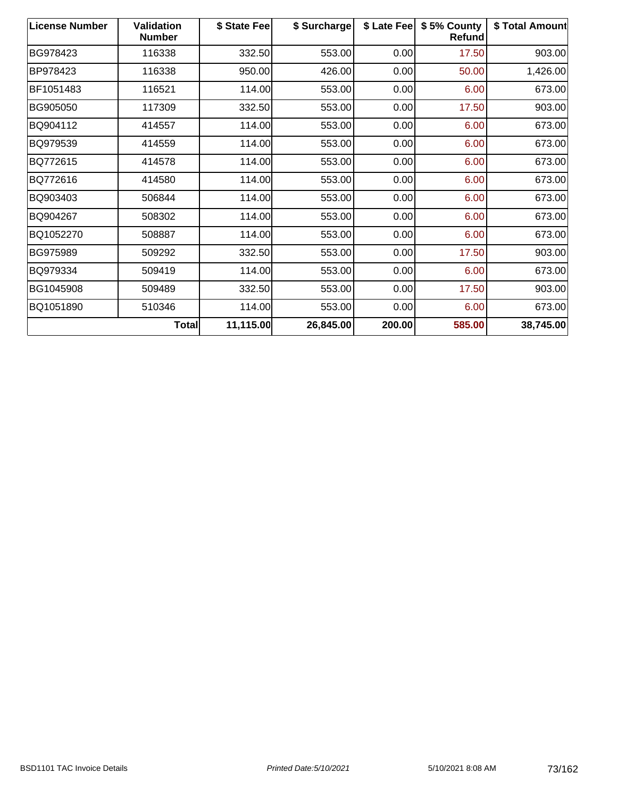| <b>License Number</b> | <b>Validation</b><br><b>Number</b> | \$ State Fee | \$ Surcharge | \$ Late Fee | \$5% County<br>Refund | \$ Total Amount |
|-----------------------|------------------------------------|--------------|--------------|-------------|-----------------------|-----------------|
| BG978423              | 116338                             | 332.50       | 553.00       | 0.00        | 17.50                 | 903.00          |
| BP978423              | 116338                             | 950.00       | 426.00       | 0.00        | 50.00                 | 1,426.00        |
| BF1051483             | 116521                             | 114.00       | 553.00       | 0.00        | 6.00                  | 673.00          |
| BG905050              | 117309                             | 332.50       | 553.00       | 0.00        | 17.50                 | 903.00          |
| BQ904112              | 414557                             | 114.00       | 553.00       | 0.00        | 6.00                  | 673.00          |
| BQ979539              | 414559                             | 114.00       | 553.00       | 0.00        | 6.00                  | 673.00          |
| BQ772615              | 414578                             | 114.00       | 553.00       | 0.00        | 6.00                  | 673.00          |
| BQ772616              | 414580                             | 114.00       | 553.00       | 0.00        | 6.00                  | 673.00          |
| BQ903403              | 506844                             | 114.00       | 553.00       | 0.00        | 6.00                  | 673.00          |
| BQ904267              | 508302                             | 114.00       | 553.00       | 0.00        | 6.00                  | 673.00          |
| BQ1052270             | 508887                             | 114.00       | 553.00       | 0.00        | 6.00                  | 673.00          |
| BG975989              | 509292                             | 332.50       | 553.00       | 0.00        | 17.50                 | 903.00          |
| BQ979334              | 509419                             | 114.00       | 553.00       | 0.00        | 6.00                  | 673.00          |
| BG1045908             | 509489                             | 332.50       | 553.00       | 0.00        | 17.50                 | 903.00          |
| BQ1051890             | 510346                             | 114.00       | 553.00       | 0.00        | 6.00                  | 673.00          |
|                       | Total                              | 11,115.00    | 26,845.00    | 200.00      | 585.00                | 38,745.00       |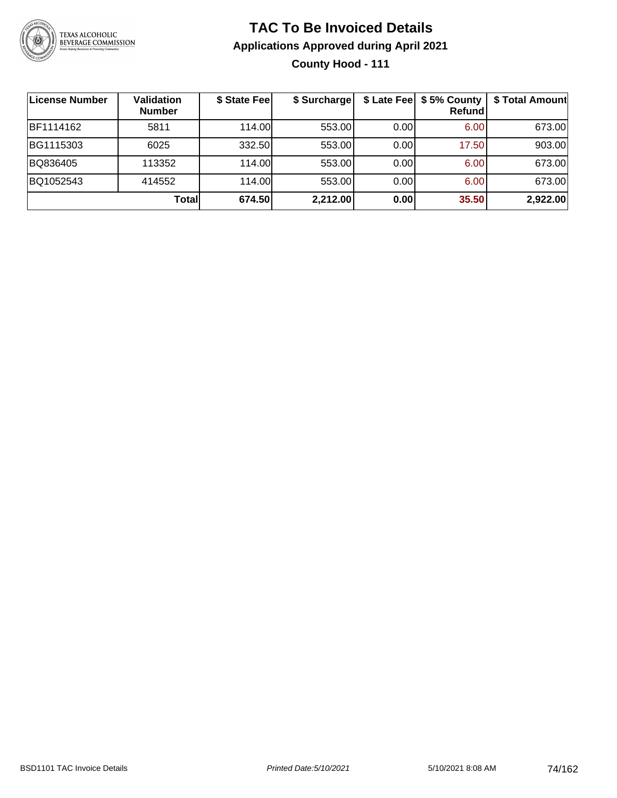

### **TAC To Be Invoiced Details Applications Approved during April 2021 County Hood - 111**

| License Number | <b>Validation</b><br><b>Number</b> | \$ State Fee | \$ Surcharge |      | \$ Late Fee   \$5% County<br>Refundl | \$ Total Amount |
|----------------|------------------------------------|--------------|--------------|------|--------------------------------------|-----------------|
| BF1114162      | 5811                               | 114.00L      | 553.00       | 0.00 | 6.00                                 | 673.00          |
| BG1115303      | 6025                               | 332.50       | 553.00       | 0.00 | 17.50                                | 903.00          |
| BQ836405       | 113352                             | 114.00       | 553.00       | 0.00 | 6.00                                 | 673.00          |
| BQ1052543      | 414552                             | 114.00       | 553.00       | 0.00 | 6.00                                 | 673.00          |
|                | Totall                             | 674.50       | 2,212.00     | 0.00 | 35.50                                | 2,922.00        |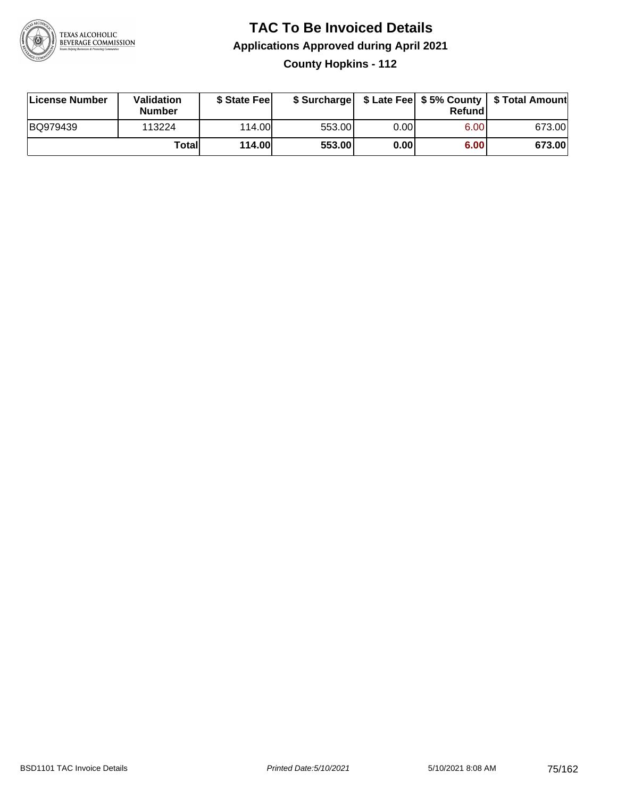

### **TAC To Be Invoiced Details Applications Approved during April 2021 County Hopkins - 112**

| License Number | Validation<br><b>Number</b> | \$ State Fee |        |      | Refundl | \$ Surcharge   \$ Late Fee   \$5% County   \$ Total Amount |
|----------------|-----------------------------|--------------|--------|------|---------|------------------------------------------------------------|
| BQ979439       | 113224                      | 114.00       | 553.00 | 0.00 | 6.00    | 673.00                                                     |
|                | Totall                      | 114.00       | 553.00 | 0.00 | 6.00    | 673.00                                                     |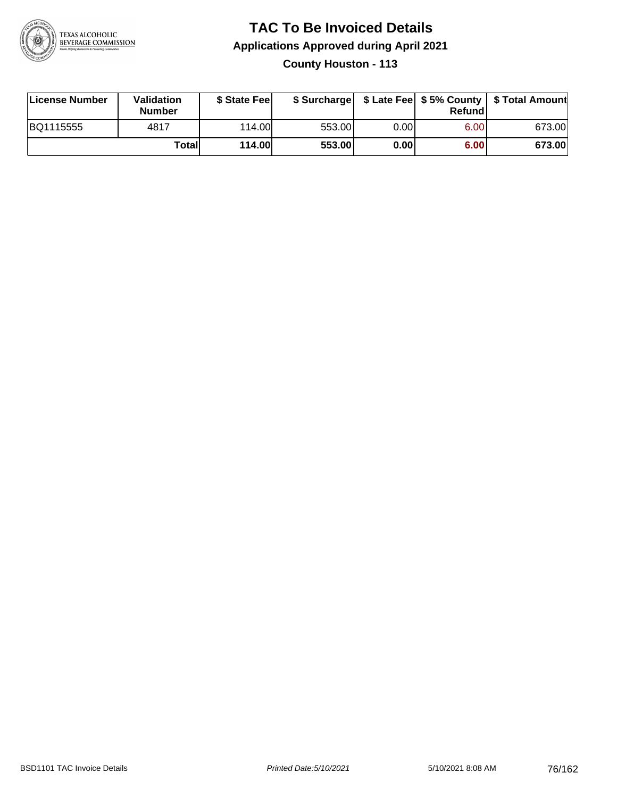

### **TAC To Be Invoiced Details Applications Approved during April 2021 County Houston - 113**

| License Number | <b>Validation</b><br><b>Number</b> | \$ State Feel |        |      | Refund | \$ Surcharge   \$ Late Fee   \$5% County   \$ Total Amount |
|----------------|------------------------------------|---------------|--------|------|--------|------------------------------------------------------------|
| BQ1115555      | 4817                               | 114.00L       | 553.00 | 0.00 | 6.00   | 673.00                                                     |
|                | Totall                             | <b>114.00</b> | 553.00 | 0.00 | 6.00   | 673.00                                                     |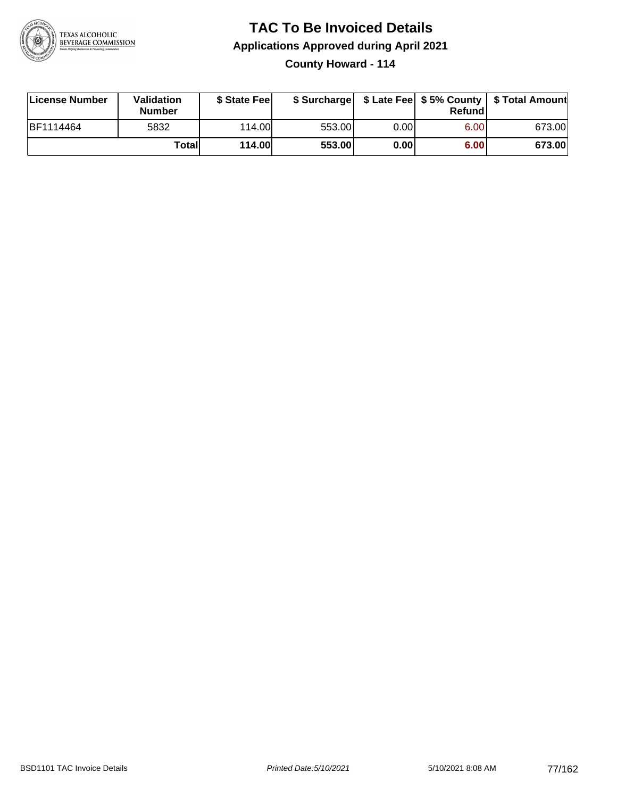

### **TAC To Be Invoiced Details Applications Approved during April 2021 County Howard - 114**

| License Number   | Validation<br>Number | \$ State Feel |        |      | <b>Refund</b> | \$ Surcharge   \$ Late Fee   \$5% County   \$ Total Amount |
|------------------|----------------------|---------------|--------|------|---------------|------------------------------------------------------------|
| <b>BF1114464</b> | 5832                 | 114.00        | 553.00 | 0.00 | 6.00          | 673.00                                                     |
|                  | Total                | <b>114.00</b> | 553.00 | 0.00 | 6.00          | 673.00                                                     |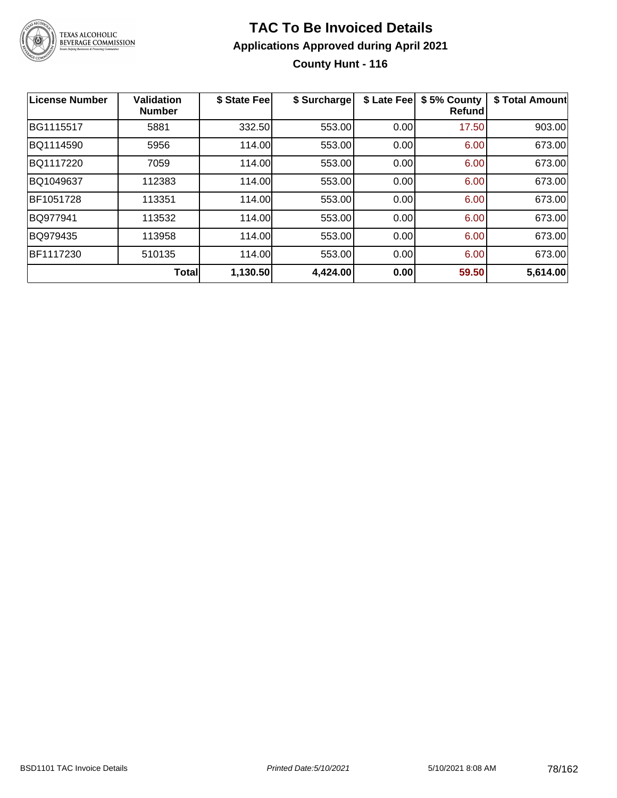

### **TAC To Be Invoiced Details Applications Approved during April 2021 County Hunt - 116**

| <b>License Number</b> | <b>Validation</b><br><b>Number</b> | \$ State Fee | \$ Surcharge | \$ Late Fee | \$5% County<br><b>Refund</b> | \$ Total Amount |
|-----------------------|------------------------------------|--------------|--------------|-------------|------------------------------|-----------------|
| BG1115517             | 5881                               | 332.50       | 553.00       | 0.00        | 17.50                        | 903.00          |
| BQ1114590             | 5956                               | 114.00       | 553.00       | 0.00        | 6.00                         | 673.00          |
| BQ1117220             | 7059                               | 114.00       | 553.00       | 0.00        | 6.00                         | 673.00          |
| BQ1049637             | 112383                             | 114.00       | 553.00       | 0.00        | 6.00                         | 673.00          |
| BF1051728             | 113351                             | 114.00       | 553.00       | 0.00        | 6.00                         | 673.00          |
| BQ977941              | 113532                             | 114.00       | 553.00       | 0.00        | 6.00                         | 673.00          |
| BQ979435              | 113958                             | 114.00       | 553.00       | 0.00        | 6.00                         | 673.00          |
| BF1117230             | 510135                             | 114.00       | 553.00       | 0.00        | 6.00                         | 673.00          |
|                       | <b>Total</b>                       | 1,130.50     | 4,424.00     | 0.00        | 59.50                        | 5,614.00        |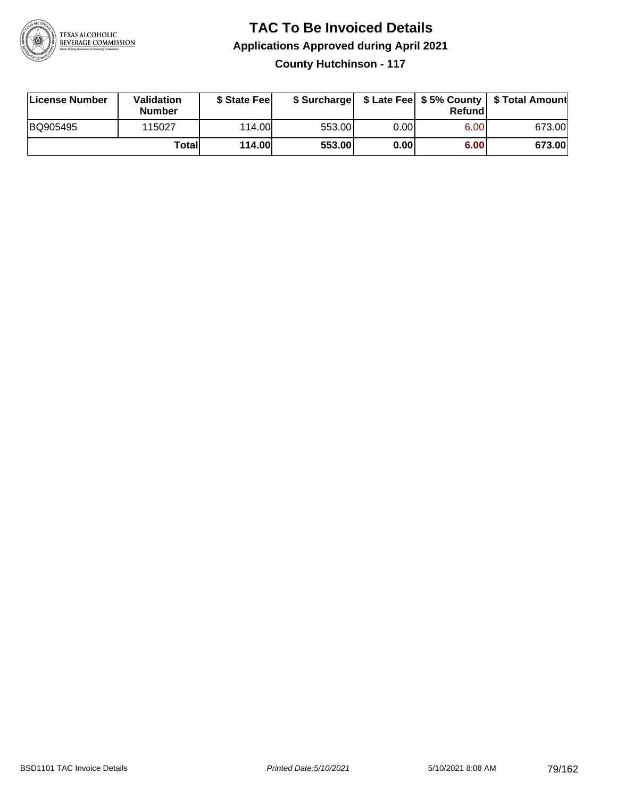

### **TAC To Be Invoiced Details Applications Approved during April 2021 County Hutchinson - 117**

| License Number | Validation<br><b>Number</b> | \$ State Feel |        |      | Refund | \$ Surcharge   \$ Late Fee   \$5% County   \$ Total Amount |
|----------------|-----------------------------|---------------|--------|------|--------|------------------------------------------------------------|
| BQ905495       | 115027                      | 114.00        | 553.00 | 0.00 | 6.00   | 673.00                                                     |
|                | Totall                      | <b>114.00</b> | 553.00 | 0.00 | 6.00   | 673.00                                                     |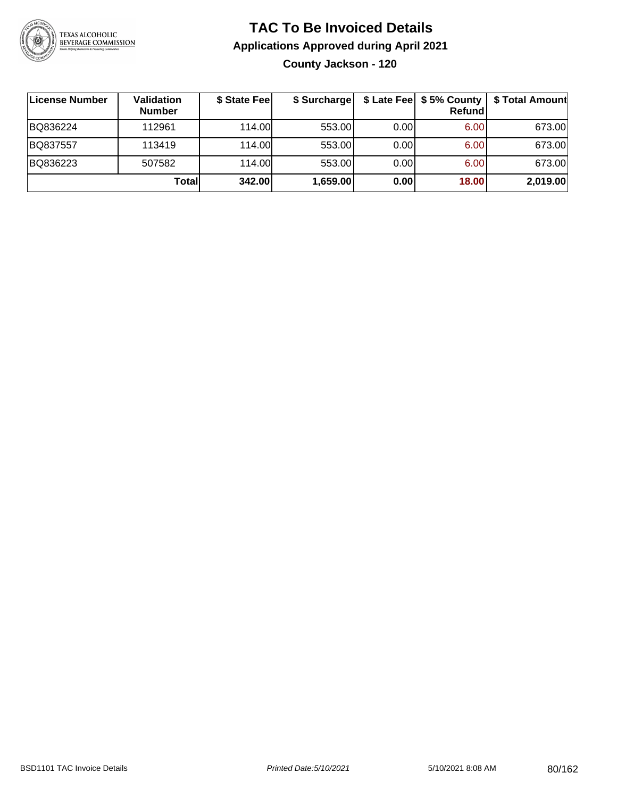

### **TAC To Be Invoiced Details Applications Approved during April 2021 County Jackson - 120**

| ∣License Number | Validation<br><b>Number</b> | \$ State Fee | \$ Surcharge |      | \$ Late Fee   \$5% County<br>Refundl | \$ Total Amount |
|-----------------|-----------------------------|--------------|--------------|------|--------------------------------------|-----------------|
| BQ836224        | 112961                      | 114.00       | 553.00       | 0.00 | 6.00                                 | 673.00          |
| BQ837557        | 113419                      | 114.00       | 553.00       | 0.00 | 6.00                                 | 673.00          |
| BQ836223        | 507582                      | 114.00       | 553.00       | 0.00 | 6.00                                 | 673.00          |
|                 | Totall                      | 342.00       | 1,659.00     | 0.00 | 18.00                                | 2,019.00        |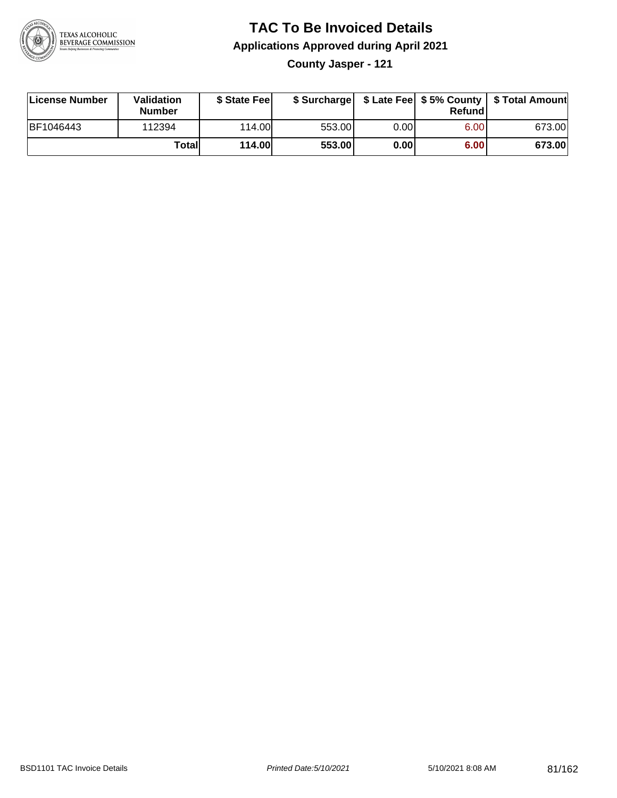

### **TAC To Be Invoiced Details Applications Approved during April 2021**

**County Jasper - 121**

| License Number | <b>Validation</b><br><b>Number</b> | \$ State Feel |        |       | Refundl | \$ Surcharge   \$ Late Fee   \$5% County   \$ Total Amount |
|----------------|------------------------------------|---------------|--------|-------|---------|------------------------------------------------------------|
| BF1046443      | 112394                             | 114.00L       | 553.00 | 0.00I | 6.00    | 673.00                                                     |
|                | Totall                             | 114.00        | 553.00 | 0.00  | 6.00    | 673.00                                                     |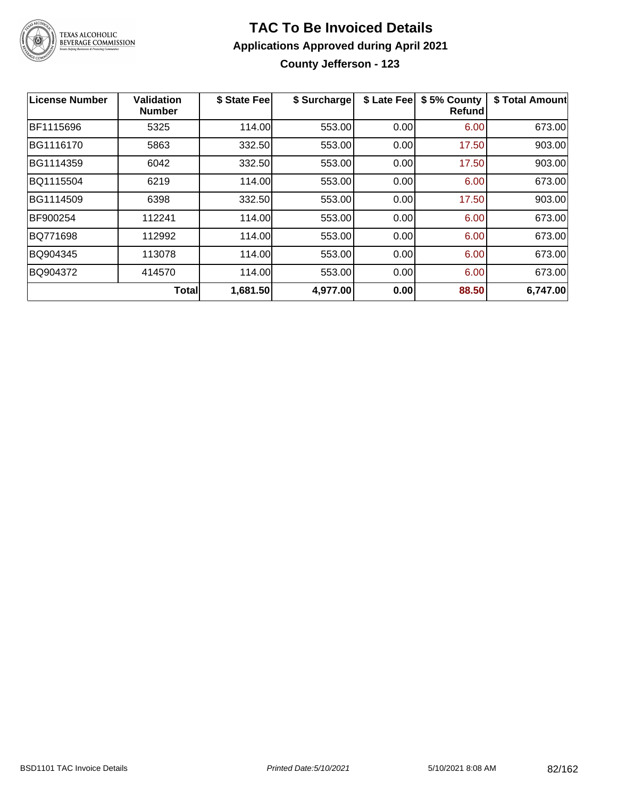

### **TAC To Be Invoiced Details Applications Approved during April 2021 County Jefferson - 123**

| <b>License Number</b> | <b>Validation</b><br><b>Number</b> | \$ State Fee | \$ Surcharge | \$ Late Fee | \$5% County<br><b>Refund</b> | \$ Total Amount |
|-----------------------|------------------------------------|--------------|--------------|-------------|------------------------------|-----------------|
| BF1115696             | 5325                               | 114.00       | 553.00       | 0.00        | 6.00                         | 673.00          |
| BG1116170             | 5863                               | 332.50       | 553.00       | 0.00        | 17.50                        | 903.00          |
| BG1114359             | 6042                               | 332.50       | 553.00       | 0.00        | 17.50                        | 903.00          |
| BQ1115504             | 6219                               | 114.00       | 553.00       | 0.00        | 6.00                         | 673.00          |
| BG1114509             | 6398                               | 332.50       | 553.00       | 0.00        | 17.50                        | 903.00          |
| BF900254              | 112241                             | 114.00       | 553.00       | 0.00        | 6.00                         | 673.00          |
| BQ771698              | 112992                             | 114.00       | 553.00       | 0.00        | 6.00                         | 673.00          |
| BQ904345              | 113078                             | 114.00       | 553.00       | 0.00        | 6.00                         | 673.00          |
| BQ904372              | 414570                             | 114.00       | 553.00       | 0.00        | 6.00                         | 673.00          |
|                       | <b>Total</b>                       | 1,681.50     | 4,977.00     | 0.00        | 88.50                        | 6,747.00        |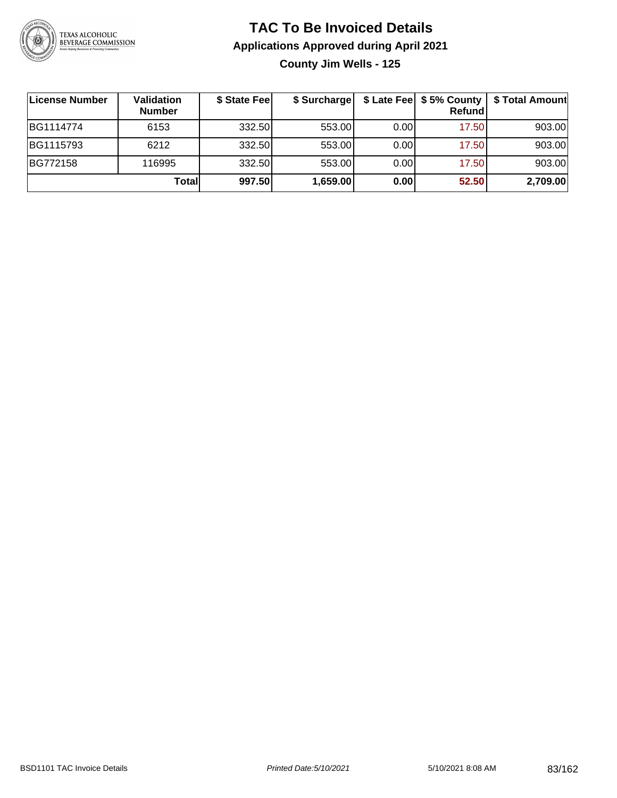

### **TAC To Be Invoiced Details Applications Approved during April 2021 County Jim Wells - 125**

| License Number | <b>Validation</b><br><b>Number</b> | \$ State Fee | \$ Surcharge |      | \$ Late Fee   \$5% County  <br><b>Refund</b> | \$ Total Amount |
|----------------|------------------------------------|--------------|--------------|------|----------------------------------------------|-----------------|
| BG1114774      | 6153                               | 332.50       | 553.00       | 0.00 | 17.50                                        | 903.00          |
| BG1115793      | 6212                               | 332.50       | 553.00       | 0.00 | 17.50                                        | 903.00          |
| BG772158       | 116995                             | 332.50       | 553.00       | 0.00 | 17.50                                        | 903.00          |
|                | Total                              | 997.50       | 1,659.00     | 0.00 | 52.50                                        | 2,709.00        |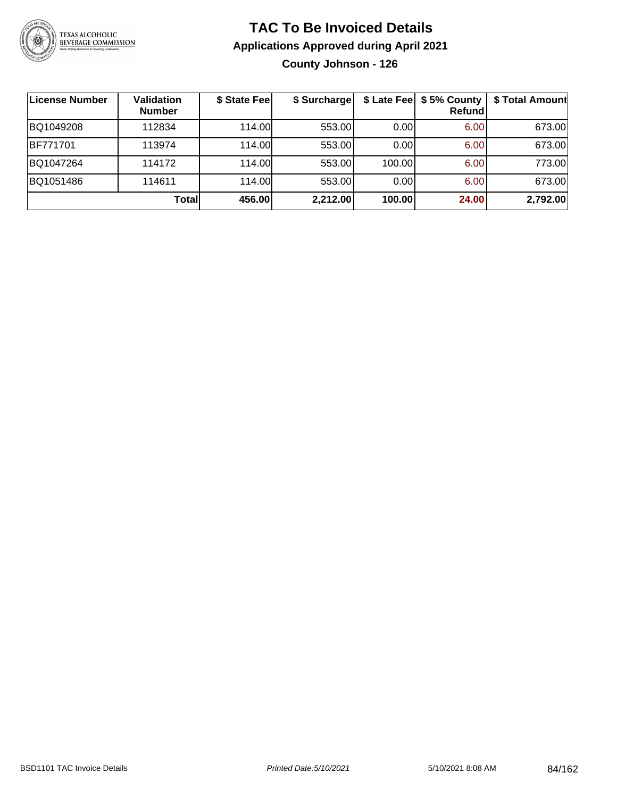

### **TAC To Be Invoiced Details Applications Approved during April 2021 County Johnson - 126**

| License Number | <b>Validation</b><br><b>Number</b> | \$ State Fee | \$ Surcharge | \$ Late Fee | \$5% County<br>Refundl | \$ Total Amount |
|----------------|------------------------------------|--------------|--------------|-------------|------------------------|-----------------|
| BQ1049208      | 112834                             | 114.00       | 553.00       | 0.00        | 6.00                   | 673.00          |
| BF771701       | 113974                             | 114.00       | 553.00       | 0.00        | 6.00                   | 673.00          |
| BQ1047264      | 114172                             | 114.00       | 553.00       | 100.00      | 6.00                   | 773.00          |
| BQ1051486      | 114611                             | 114.00       | 553.00       | 0.00        | 6.00                   | 673.00          |
|                | Totall                             | 456.00       | 2,212.00     | 100.00      | 24.00                  | 2,792.00        |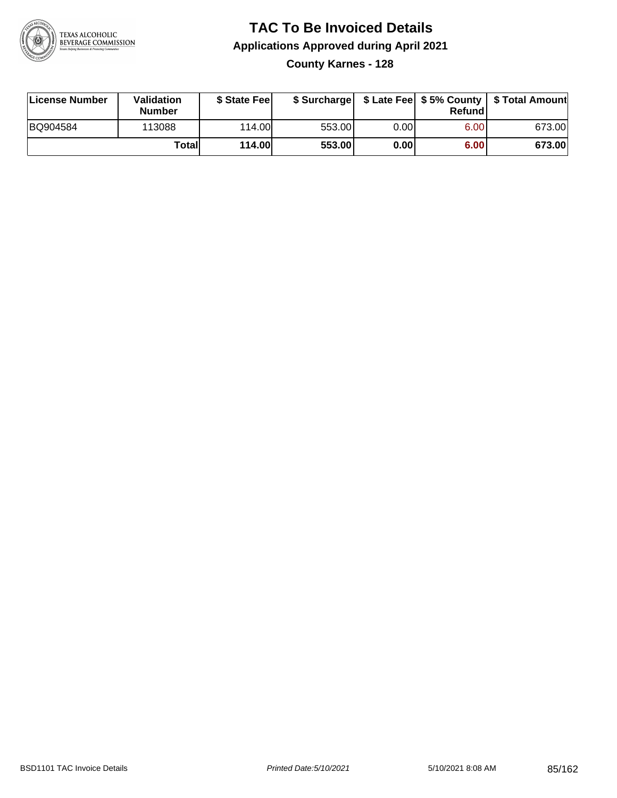

### **TAC To Be Invoiced Details Applications Approved during April 2021 County Karnes - 128**

| License Number | <b>Validation</b><br><b>Number</b> | \$ State Feel |        |       | Refund | \$ Surcharge   \$ Late Fee   \$5% County   \$ Total Amount |
|----------------|------------------------------------|---------------|--------|-------|--------|------------------------------------------------------------|
| BQ904584       | 113088                             | 114.00        | 553.00 | 0.001 | 6.00   | 673.00                                                     |
|                | Totall                             | 114.00        | 553.00 | 0.00  | 6.00   | 673.00                                                     |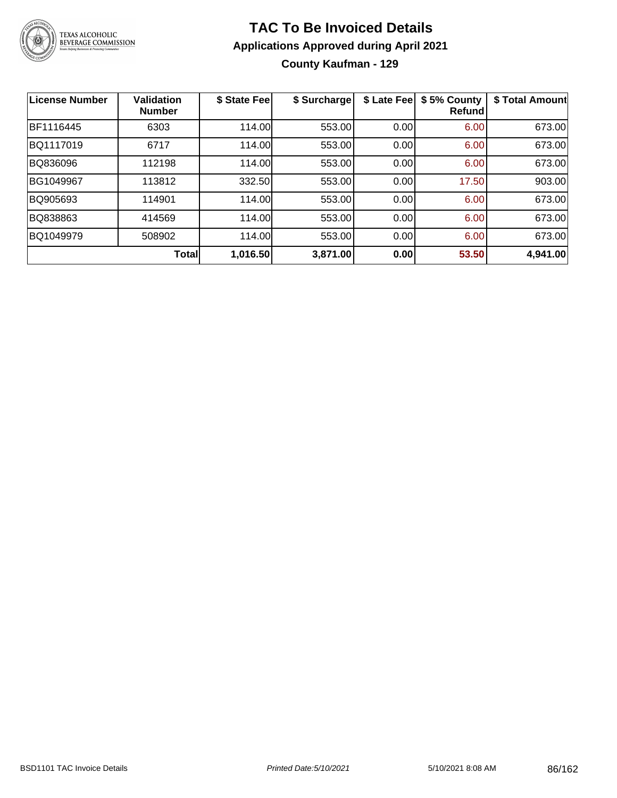

### **TAC To Be Invoiced Details Applications Approved during April 2021 County Kaufman - 129**

| <b>License Number</b> | <b>Validation</b><br><b>Number</b> | \$ State Fee | \$ Surcharge | \$ Late Fee | \$5% County<br><b>Refund</b> | \$ Total Amount |
|-----------------------|------------------------------------|--------------|--------------|-------------|------------------------------|-----------------|
| BF1116445             | 6303                               | 114.00       | 553.00       | 0.00        | 6.00                         | 673.00          |
| BQ1117019             | 6717                               | 114.00       | 553.00       | 0.00        | 6.00                         | 673.00          |
| BQ836096              | 112198                             | 114.00       | 553.00       | 0.00        | 6.00                         | 673.00          |
| BG1049967             | 113812                             | 332.50       | 553.00       | 0.00        | 17.50                        | 903.00          |
| BQ905693              | 114901                             | 114.00       | 553.00       | 0.00        | 6.00                         | 673.00          |
| BQ838863              | 414569                             | 114.00       | 553.00       | 0.00        | 6.00                         | 673.00          |
| BQ1049979             | 508902                             | 114.00       | 553.00       | 0.00        | 6.00                         | 673.00          |
|                       | Total                              | 1,016.50     | 3,871.00     | 0.00        | 53.50                        | 4,941.00        |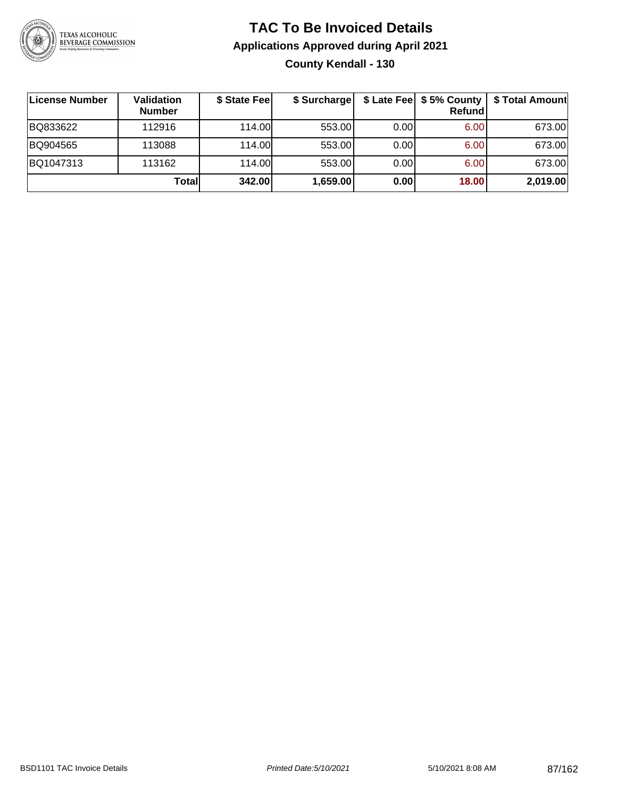

### **TAC To Be Invoiced Details Applications Approved during April 2021 County Kendall - 130**

| License Number | Validation<br><b>Number</b> | \$ State Fee | \$ Surcharge |      | \$ Late Fee   \$5% County  <br><b>Refund</b> | \$ Total Amount |
|----------------|-----------------------------|--------------|--------------|------|----------------------------------------------|-----------------|
| BQ833622       | 112916                      | 114.00       | 553.00       | 0.00 | 6.00                                         | 673.00          |
| BQ904565       | 113088                      | 114.00       | 553.00       | 0.00 | 6.00                                         | 673.00          |
| BQ1047313      | 113162                      | 114.00L      | 553.00       | 0.00 | 6.00                                         | 673.00          |
|                | Totall                      | 342.00       | 1,659.00     | 0.00 | 18.00                                        | 2,019.00        |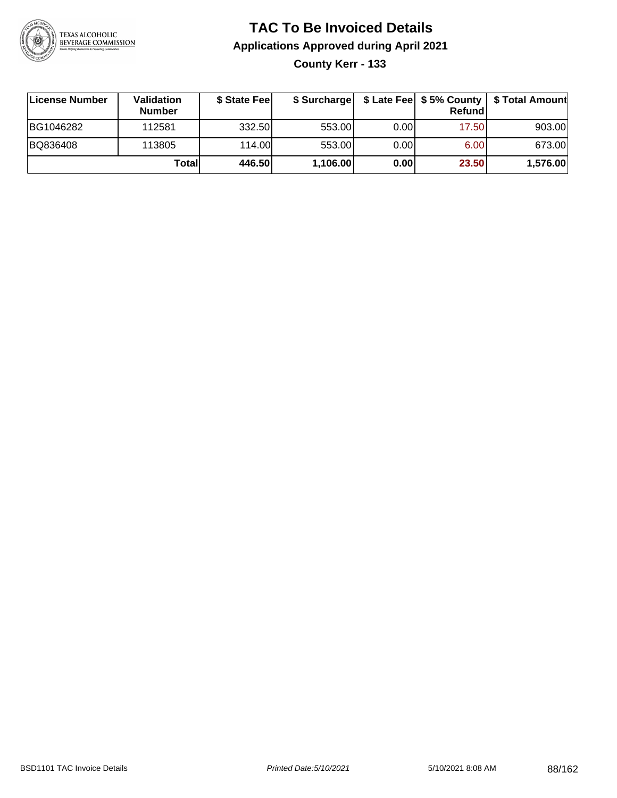

# **TAC To Be Invoiced Details Applications Approved during April 2021**

**County Kerr - 133**

| ∣License Number | Validation<br><b>Number</b> | \$ State Fee | \$ Surcharge |       | Refundl           | \$ Late Fee   \$5% County   \$ Total Amount |
|-----------------|-----------------------------|--------------|--------------|-------|-------------------|---------------------------------------------|
| BG1046282       | 112581                      | 332.50       | 553.00       | 0.00  | 17.50             | 903.00                                      |
| BQ836408        | 113805                      | 114.00L      | 553.00       | 0.001 | 6.00 <sub>1</sub> | 673.00                                      |
|                 | Totall                      | 446.50       | 1,106.00     | 0.00  | 23.50             | 1,576.00                                    |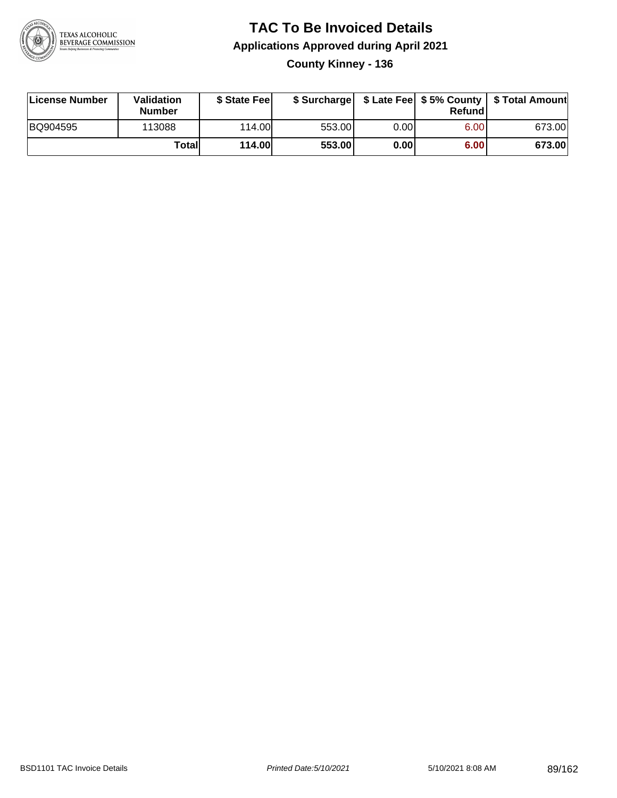

### **TAC To Be Invoiced Details Applications Approved during April 2021 County Kinney - 136**

| License Number | Validation<br><b>Number</b> | \$ State Fee |        |      | Refund | \$ Surcharge   \$ Late Fee   \$5% County   \$ Total Amount |
|----------------|-----------------------------|--------------|--------|------|--------|------------------------------------------------------------|
| BQ904595       | 113088                      | 114.00L      | 553.00 | 0.00 | 6.00   | 673.00                                                     |
|                | Totall                      | 114.00       | 553.00 | 0.00 | 6.00   | 673.00                                                     |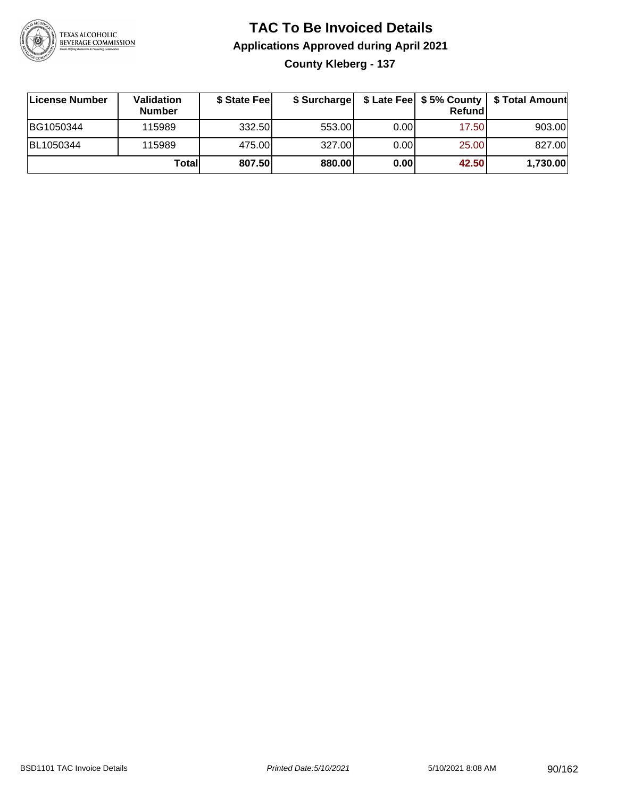

### **TAC To Be Invoiced Details Applications Approved during April 2021 County Kleberg - 137**

| License Number | <b>Validation</b><br><b>Number</b> | \$ State Feel |        |       | Refundl | \$ Surcharge   \$ Late Fee   \$5% County   \$ Total Amount |
|----------------|------------------------------------|---------------|--------|-------|---------|------------------------------------------------------------|
| BG1050344      | 115989                             | 332.50        | 553.00 | 0.001 | 17.50   | 903.00                                                     |
| BL1050344      | 115989                             | 475.00        | 327.00 | 0.001 | 25.00   | 827.00                                                     |
|                | Totall                             | 807.50        | 880.00 | 0.00  | 42.50   | 1,730.00                                                   |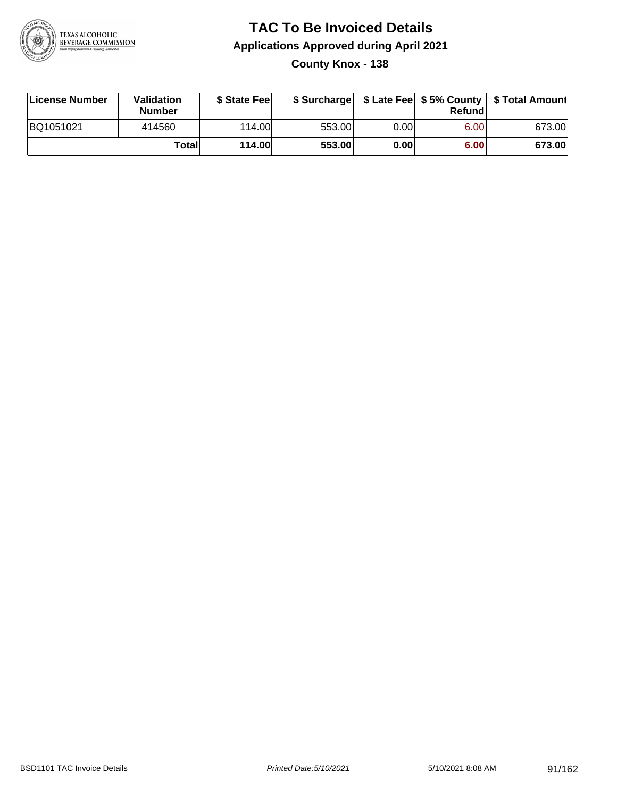

### **TAC To Be Invoiced Details Applications Approved during April 2021 County Knox - 138**

| License Number | Validation<br><b>Number</b> | \$ State Fee  | \$ Surcharge |      | Refundl | \$ Late Fee   \$5% County   \$ Total Amount |
|----------------|-----------------------------|---------------|--------------|------|---------|---------------------------------------------|
| BQ1051021      | 414560                      | 114.00        | 553.00       | 0.00 | 6.00    | 673.00                                      |
|                | Totall                      | <b>114.00</b> | 553.00       | 0.00 | 6.00    | 673.00                                      |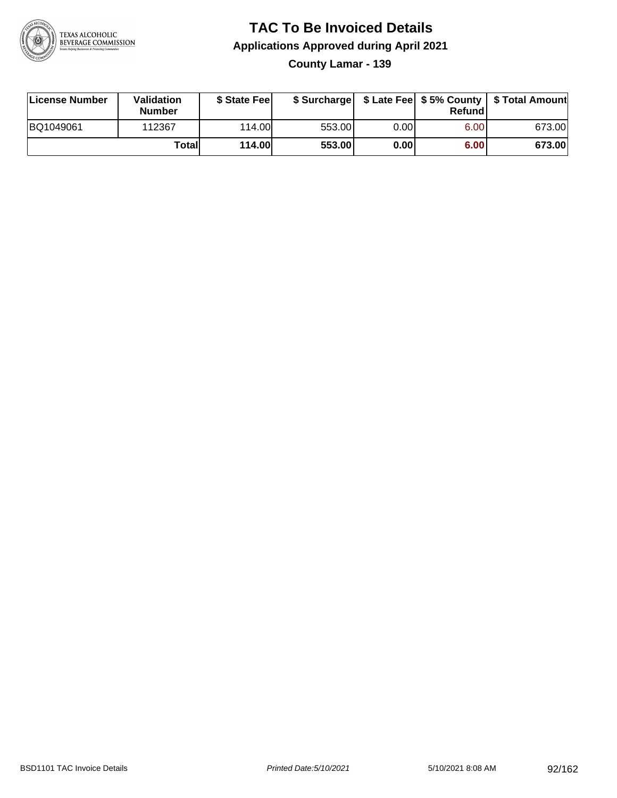

### **TAC To Be Invoiced Details Applications Approved during April 2021**

**County Lamar - 139**

| License Number | Validation<br><b>Number</b> | \$ State Fee  | \$ Surcharge |      | Refundl           | \$ Late Fee   \$5% County   \$ Total Amount |
|----------------|-----------------------------|---------------|--------------|------|-------------------|---------------------------------------------|
| BQ1049061      | 112367                      | 114.00        | 553.00       | 0.00 | 6.00 <sub>1</sub> | 673.00                                      |
|                | Totall                      | <b>114.00</b> | 553.00       | 0.00 | 6.00              | 673.00                                      |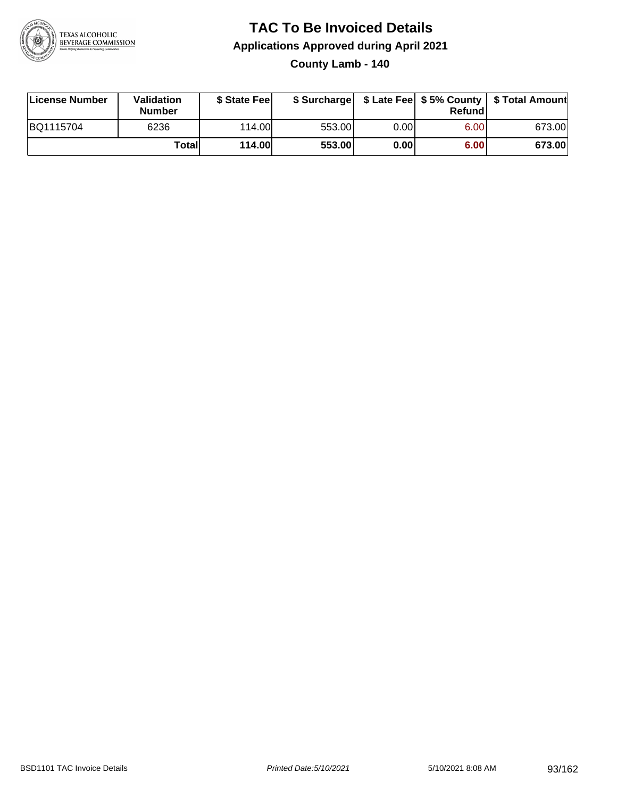

# **TAC To Be Invoiced Details Applications Approved during April 2021**

**County Lamb - 140**

| License Number | Validation<br><b>Number</b> | \$ State Feel |        |      | Refundl | \$ Surcharge   \$ Late Fee   \$5% County   \$ Total Amount |
|----------------|-----------------------------|---------------|--------|------|---------|------------------------------------------------------------|
| BQ1115704      | 6236                        | 114.00        | 553.00 | 0.00 | 6.00    | 673.00                                                     |
|                | Totall                      | <b>114.00</b> | 553.00 | 0.00 | 6.00    | 673.00                                                     |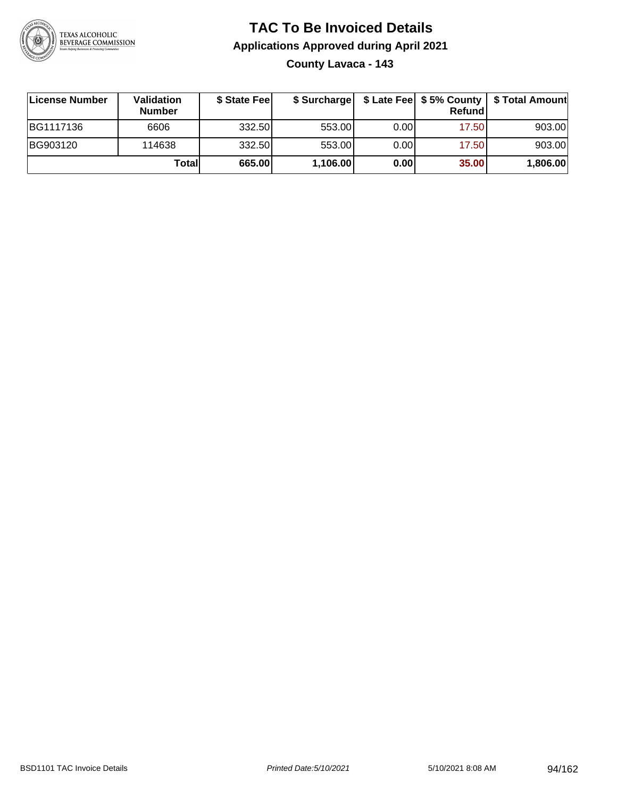

### **TAC To Be Invoiced Details Applications Approved during April 2021 County Lavaca - 143**

| License Number | Validation<br><b>Number</b> | \$ State Fee |          |       | <b>Refund</b> | \$ Surcharge   \$ Late Fee   \$5% County   \$ Total Amount |
|----------------|-----------------------------|--------------|----------|-------|---------------|------------------------------------------------------------|
| BG1117136      | 6606                        | 332.50       | 553.00   | 0.001 | 17.50         | 903.00                                                     |
| BG903120       | 114638                      | 332.50       | 553.00   | 0.00  | 17.50         | 903.00                                                     |
|                | Totall                      | 665.00       | 1,106.00 | 0.00  | 35.00         | 1,806.00                                                   |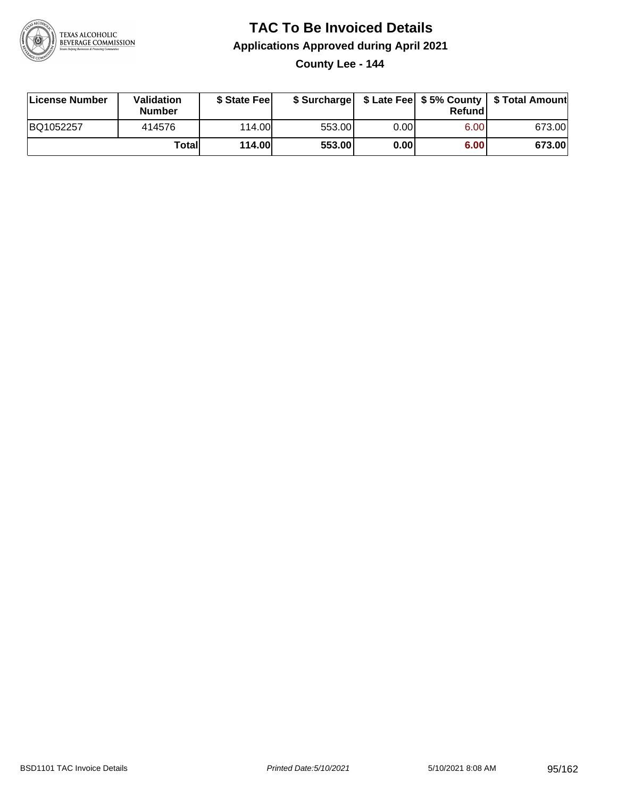

### **TAC To Be Invoiced Details Applications Approved during April 2021**

**County Lee - 144**

| License Number | <b>Validation</b><br><b>Number</b> | \$ State Feel |        |          | Refundl | \$ Surcharge   \$ Late Fee   \$5% County   \$ Total Amount |
|----------------|------------------------------------|---------------|--------|----------|---------|------------------------------------------------------------|
| BQ1052257      | 414576                             | 114.00L       | 553.00 | $0.00\,$ | 6.00    | 673.00                                                     |
|                | Totall                             | 114.00        | 553.00 | 0.00     | 6.00    | 673.00                                                     |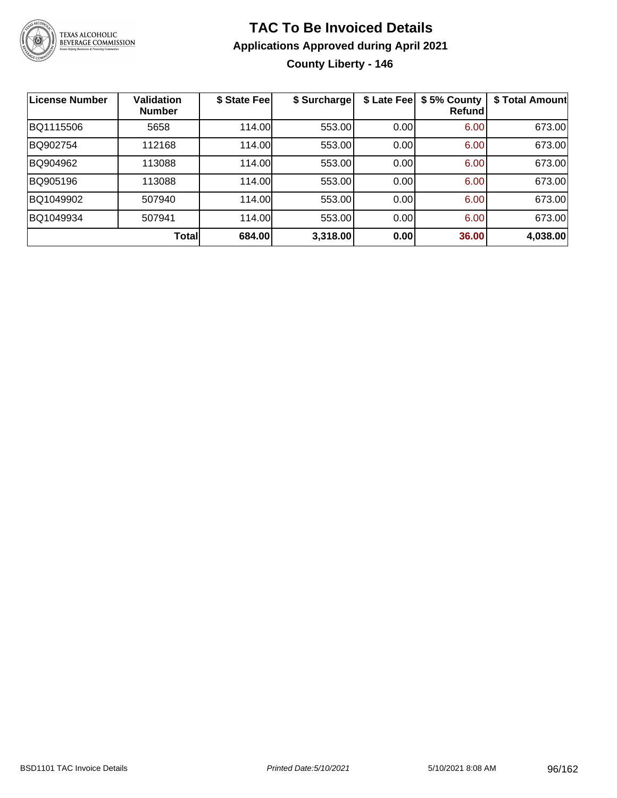

### **TAC To Be Invoiced Details Applications Approved during April 2021 County Liberty - 146**

| <b>License Number</b> | <b>Validation</b><br><b>Number</b> | \$ State Fee | \$ Surcharge | \$ Late Fee | \$5% County<br>Refund | \$ Total Amount |
|-----------------------|------------------------------------|--------------|--------------|-------------|-----------------------|-----------------|
| BQ1115506             | 5658                               | 114.00       | 553.00       | 0.00        | 6.00                  | 673.00          |
| BQ902754              | 112168                             | 114.00       | 553.00       | 0.00        | 6.00                  | 673.00          |
| BQ904962              | 113088                             | 114.00       | 553.00       | 0.00        | 6.00                  | 673.00          |
| BQ905196              | 113088                             | 114.00       | 553.00       | 0.00        | 6.00                  | 673.00          |
| BQ1049902             | 507940                             | 114.00       | 553.00       | 0.00        | 6.00                  | 673.00          |
| BQ1049934             | 507941                             | 114.00       | 553.00       | 0.00        | 6.00                  | 673.00          |
|                       | Total                              | 684.00       | 3,318.00     | 0.00        | 36.00                 | 4,038.00        |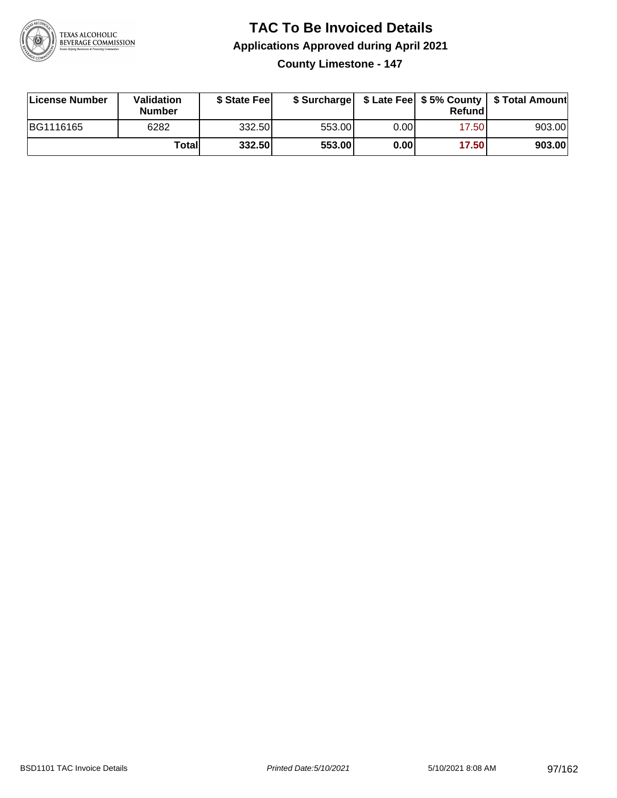

# **TAC To Be Invoiced Details Applications Approved during April 2021**

**County Limestone - 147**

| License Number | <b>Validation</b><br><b>Number</b> | \$ State Feel |        |      | Refundl | \$ Surcharge   \$ Late Fee   \$5% County   \$ Total Amount |
|----------------|------------------------------------|---------------|--------|------|---------|------------------------------------------------------------|
| BG1116165      | 6282                               | 332.50        | 553.00 | 0.00 | 17.50   | 903.00                                                     |
|                | Totall                             | 332.50        | 553.00 | 0.00 | 17.50   | 903.00                                                     |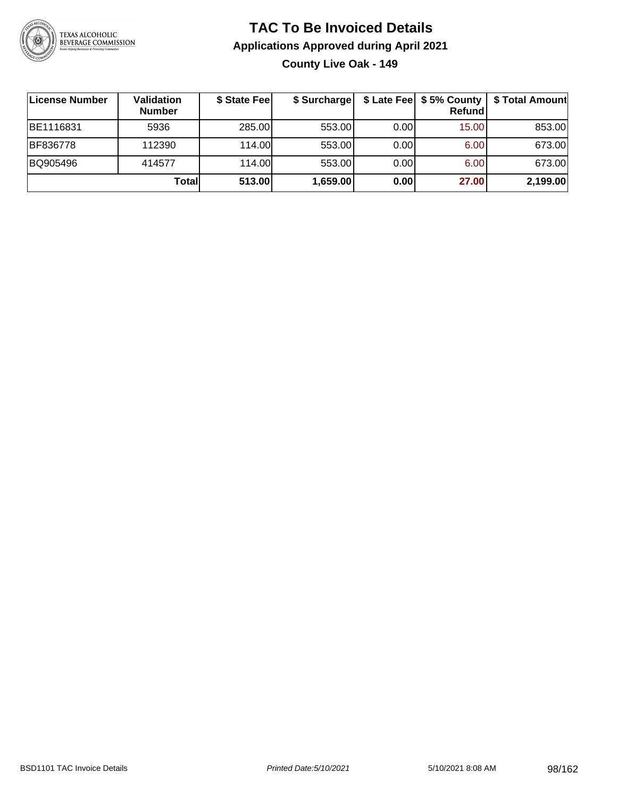

### **TAC To Be Invoiced Details Applications Approved during April 2021 County Live Oak - 149**

| ∣License Number | Validation<br><b>Number</b> | \$ State Fee | \$ Surcharge |       | \$ Late Fee   \$5% County<br>Refundl | \$ Total Amount |
|-----------------|-----------------------------|--------------|--------------|-------|--------------------------------------|-----------------|
| BE1116831       | 5936                        | 285.00       | 553.00       | 0.001 | 15.00                                | 853.00          |
| BF836778        | 112390                      | 114.00       | 553.00       | 0.00  | 6.00                                 | 673.00          |
| BQ905496        | 414577                      | 114.00       | 553.00       | 0.00  | 6.00                                 | 673.00          |
|                 | Totall                      | 513.00       | 1,659.00     | 0.00  | 27.00                                | 2,199.00        |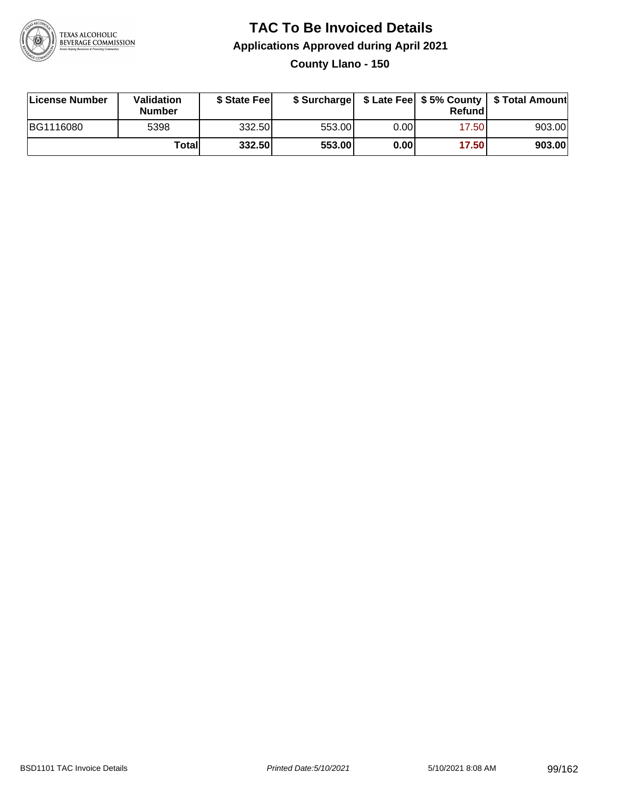

### **TAC To Be Invoiced Details Applications Approved during April 2021 County Llano - 150**

| License Number | Validation<br><b>Number</b> | \$ State Feel |        |      | Refund | \$ Surcharge   \$ Late Fee   \$5% County   \$ Total Amount |
|----------------|-----------------------------|---------------|--------|------|--------|------------------------------------------------------------|
| BG1116080      | 5398                        | 332.50        | 553.00 | 0.00 | 17.50  | 903.00                                                     |
|                | Totall                      | 332.50        | 553.00 | 0.00 | 17.50  | 903.00                                                     |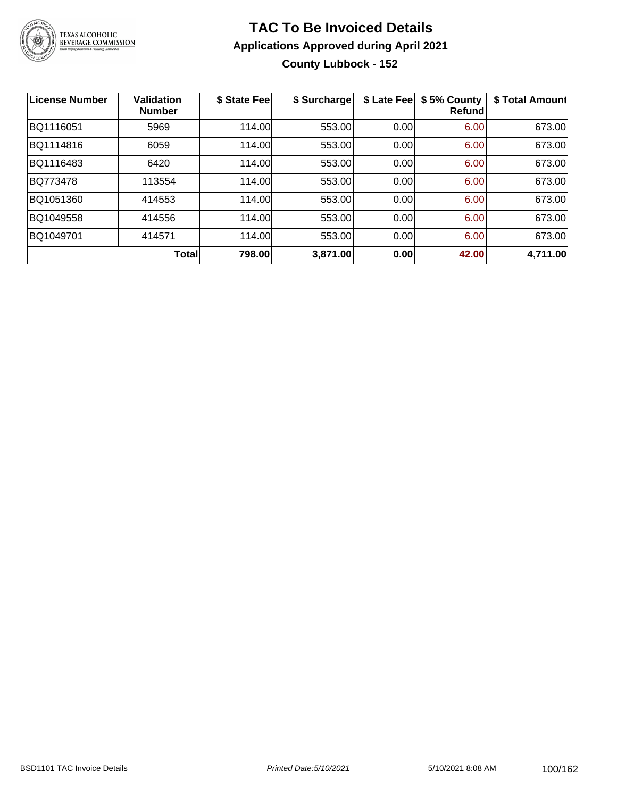

### **TAC To Be Invoiced Details Applications Approved during April 2021 County Lubbock - 152**

| <b>License Number</b> | <b>Validation</b><br><b>Number</b> | \$ State Fee | \$ Surcharge | \$ Late Fee | \$5% County<br><b>Refund</b> | \$ Total Amount |
|-----------------------|------------------------------------|--------------|--------------|-------------|------------------------------|-----------------|
| BQ1116051             | 5969                               | 114.00       | 553.00       | 0.00        | 6.00                         | 673.00          |
| BQ1114816             | 6059                               | 114.00       | 553.00       | 0.00        | 6.00                         | 673.00          |
| BQ1116483             | 6420                               | 114.00       | 553.00       | 0.00        | 6.00                         | 673.00          |
| BQ773478              | 113554                             | 114.00       | 553.00       | 0.00        | 6.00                         | 673.00          |
| BQ1051360             | 414553                             | 114.00       | 553.00       | 0.00        | 6.00                         | 673.00          |
| BQ1049558             | 414556                             | 114.00       | 553.00       | 0.00        | 6.00                         | 673.00          |
| BQ1049701             | 414571                             | 114.00       | 553.00       | 0.00        | 6.00                         | 673.00          |
|                       | <b>Total</b>                       | 798.00       | 3,871.00     | 0.00        | 42.00                        | 4,711.00        |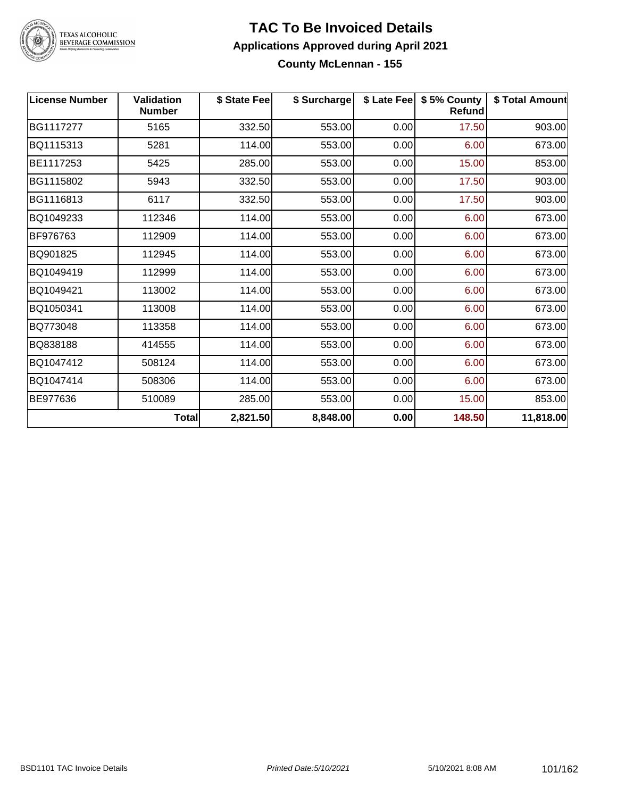

### **TAC To Be Invoiced Details Applications Approved during April 2021 County McLennan - 155**

| <b>License Number</b> | <b>Validation</b><br><b>Number</b> | \$ State Fee | \$ Surcharge | \$ Late Fee | \$5% County<br><b>Refund</b> | \$ Total Amount |
|-----------------------|------------------------------------|--------------|--------------|-------------|------------------------------|-----------------|
| BG1117277             | 5165                               | 332.50       | 553.00       | 0.00        | 17.50                        | 903.00          |
| BQ1115313             | 5281                               | 114.00       | 553.00       | 0.00        | 6.00                         | 673.00          |
| BE1117253             | 5425                               | 285.00       | 553.00       | 0.00        | 15.00                        | 853.00          |
| BG1115802             | 5943                               | 332.50       | 553.00       | 0.00        | 17.50                        | 903.00          |
| BG1116813             | 6117                               | 332.50       | 553.00       | 0.00        | 17.50                        | 903.00          |
| BQ1049233             | 112346                             | 114.00       | 553.00       | 0.00        | 6.00                         | 673.00          |
| BF976763              | 112909                             | 114.00       | 553.00       | 0.00        | 6.00                         | 673.00          |
| BQ901825              | 112945                             | 114.00       | 553.00       | 0.00        | 6.00                         | 673.00          |
| BQ1049419             | 112999                             | 114.00       | 553.00       | 0.00        | 6.00                         | 673.00          |
| BQ1049421             | 113002                             | 114.00       | 553.00       | 0.00        | 6.00                         | 673.00          |
| BQ1050341             | 113008                             | 114.00       | 553.00       | 0.00        | 6.00                         | 673.00          |
| BQ773048              | 113358                             | 114.00       | 553.00       | 0.00        | 6.00                         | 673.00          |
| BQ838188              | 414555                             | 114.00       | 553.00       | 0.00        | 6.00                         | 673.00          |
| BQ1047412             | 508124                             | 114.00       | 553.00       | 0.00        | 6.00                         | 673.00          |
| BQ1047414             | 508306                             | 114.00       | 553.00       | 0.00        | 6.00                         | 673.00          |
| BE977636              | 510089                             | 285.00       | 553.00       | 0.00        | 15.00                        | 853.00          |
|                       | <b>Total</b>                       | 2,821.50     | 8,848.00     | 0.00        | 148.50                       | 11,818.00       |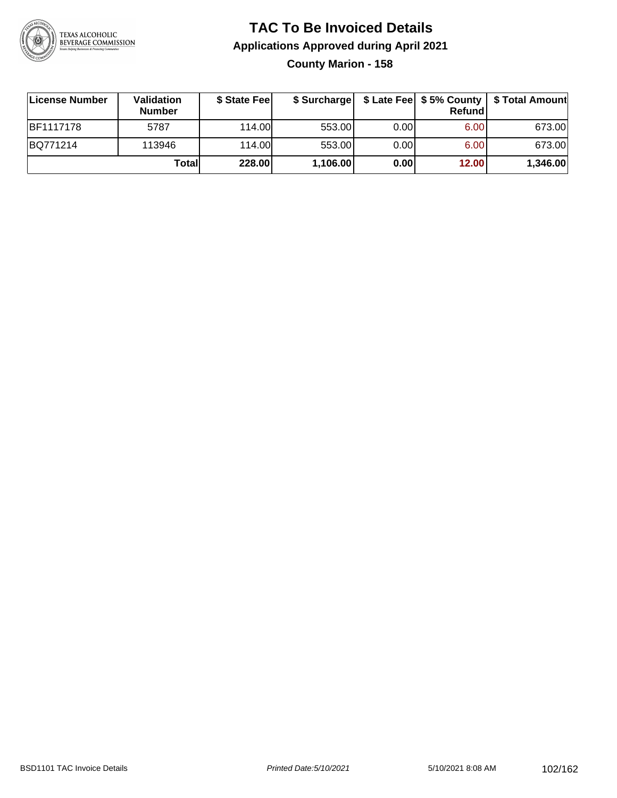

### **TAC To Be Invoiced Details Applications Approved during April 2021 County Marion - 158**

| License Number   | <b>Validation</b><br><b>Number</b> | \$ State Fee |          |      | <b>Refund</b> | \$ Surcharge   \$ Late Fee   \$5% County   \$ Total Amount |
|------------------|------------------------------------|--------------|----------|------|---------------|------------------------------------------------------------|
| <b>BF1117178</b> | 5787                               | 114.00L      | 553.00   | 0.00 | 6.00          | 673.00                                                     |
| BQ771214         | 113946                             | 114.00       | 553.00   | 0.00 | 6.00          | 673.00                                                     |
|                  | Total                              | 228.00       | 1,106.00 | 0.00 | 12.00         | 1,346.00                                                   |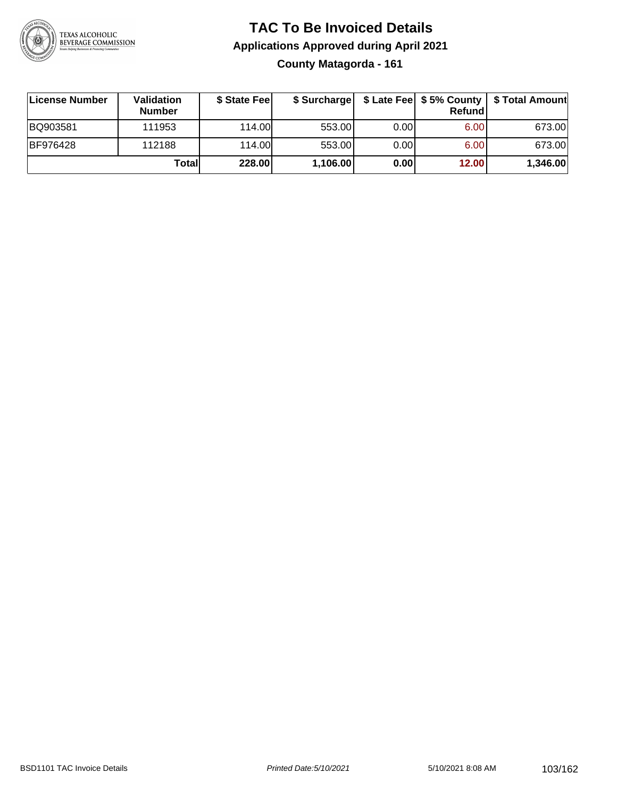

### **TAC To Be Invoiced Details Applications Approved during April 2021 County Matagorda - 161**

| License Number  | Validation<br><b>Number</b> | \$ State Feel | \$ Surcharge |      | Refund |          |
|-----------------|-----------------------------|---------------|--------------|------|--------|----------|
| BQ903581        | 111953                      | 114.00        | 553.00       | 0.00 | 6.00   | 673.00   |
| <b>BF976428</b> | 112188                      | 114.00        | 553.00       | 0.00 | 6.00   | 673.00   |
|                 | Totall                      | 228.00        | 1,106.00     | 0.00 | 12.00  | 1,346.00 |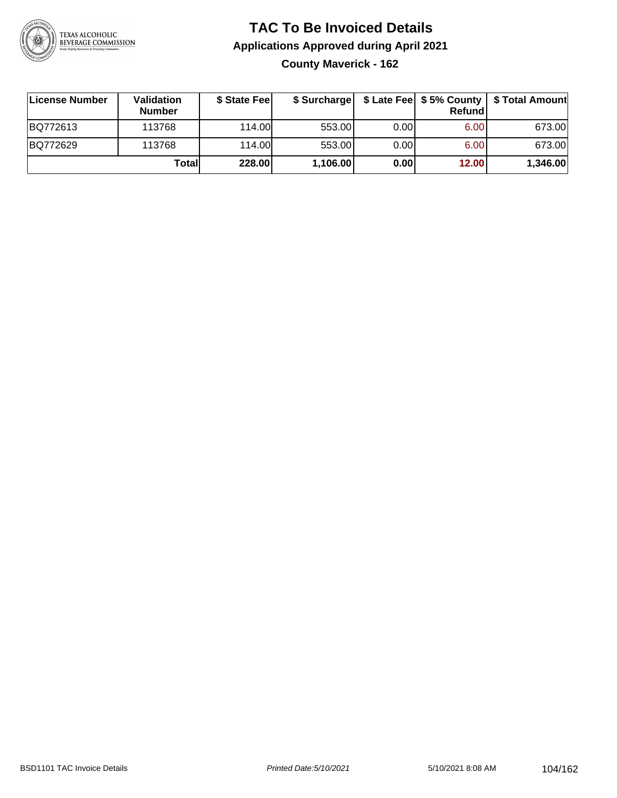

### **TAC To Be Invoiced Details Applications Approved during April 2021 County Maverick - 162**

| License Number | <b>Validation</b><br><b>Number</b> | \$ State Feel |          |       | Refundl | \$ Surcharge   \$ Late Fee   \$5% County   \$ Total Amount |
|----------------|------------------------------------|---------------|----------|-------|---------|------------------------------------------------------------|
| BQ772613       | 113768                             | 114.00        | 553.00   | 0.001 | 6.00    | 673.00                                                     |
| BQ772629       | 113768                             | 114.00        | 553.00   | 0.00  | 6.00    | 673.00                                                     |
|                | Totall                             | 228.00        | 1,106.00 | 0.00  | 12.00   | 1,346.00                                                   |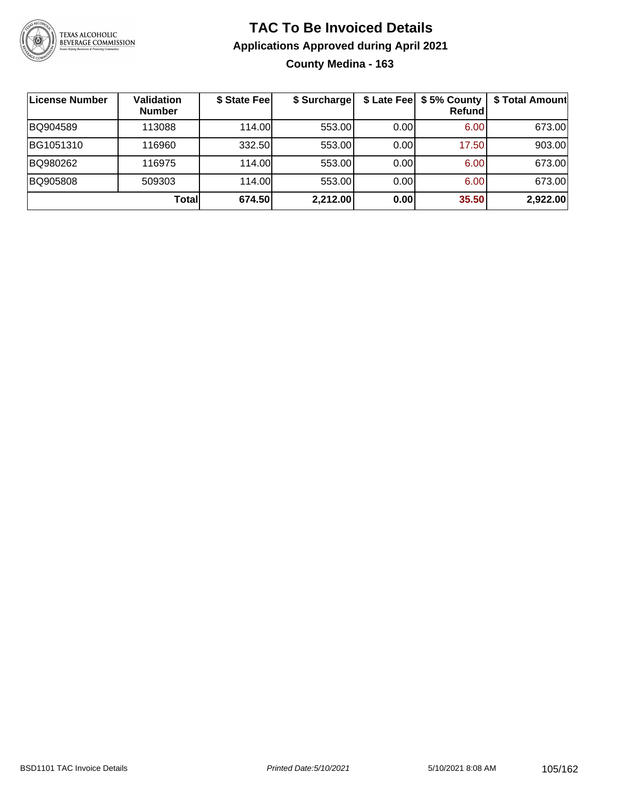

### **TAC To Be Invoiced Details Applications Approved during April 2021 County Medina - 163**

| License Number | Validation<br><b>Number</b> | \$ State Fee | \$ Surcharge |      | \$ Late Fee   \$5% County<br><b>Refund</b> | \$ Total Amount |
|----------------|-----------------------------|--------------|--------------|------|--------------------------------------------|-----------------|
| BQ904589       | 113088                      | 114.00       | 553.00       | 0.00 | 6.00                                       | 673.00          |
| BG1051310      | 116960                      | 332.50       | 553.00       | 0.00 | 17.50                                      | 903.00          |
| BQ980262       | 116975                      | 114.00L      | 553.00       | 0.00 | 6.00                                       | 673.00          |
| BQ905808       | 509303                      | 114.00       | 553.00       | 0.00 | 6.00                                       | 673.00          |
|                | Totall                      | 674.50       | 2,212.00     | 0.00 | 35.50                                      | 2,922.00        |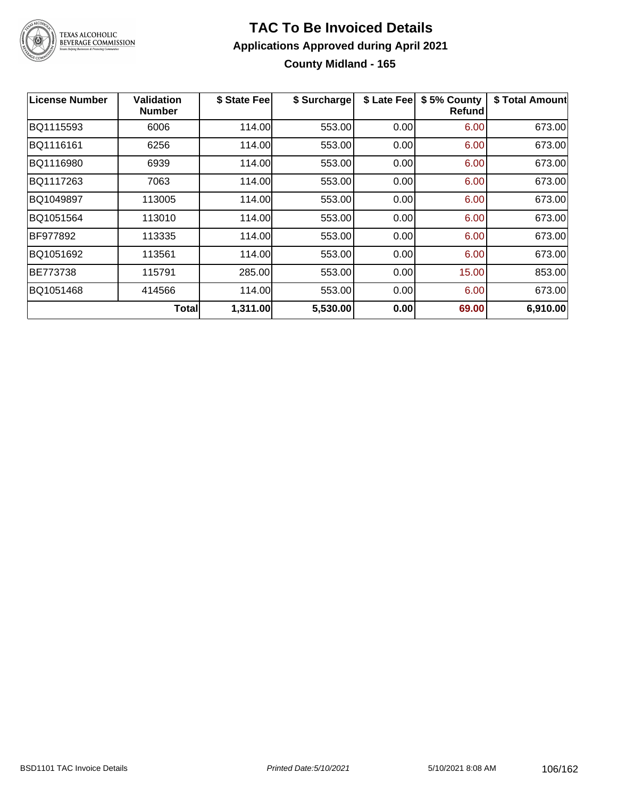

### **TAC To Be Invoiced Details Applications Approved during April 2021 County Midland - 165**

| License Number | Validation<br><b>Number</b> | \$ State Fee | \$ Surcharge | \$ Late Fee | \$5% County<br>Refundl | \$ Total Amount |
|----------------|-----------------------------|--------------|--------------|-------------|------------------------|-----------------|
| BQ1115593      | 6006                        | 114.00       | 553.00       | 0.00        | 6.00                   | 673.00          |
| BQ1116161      | 6256                        | 114.00       | 553.00       | 0.00        | 6.00                   | 673.00          |
| BQ1116980      | 6939                        | 114.00       | 553.00       | 0.00        | 6.00                   | 673.00          |
| BQ1117263      | 7063                        | 114.00       | 553.00       | 0.00        | 6.00                   | 673.00          |
| BQ1049897      | 113005                      | 114.00       | 553.00       | 0.00        | 6.00                   | 673.00          |
| BQ1051564      | 113010                      | 114.00       | 553.00       | 0.00        | 6.00                   | 673.00          |
| BF977892       | 113335                      | 114.00       | 553.00       | 0.00        | 6.00                   | 673.00          |
| BQ1051692      | 113561                      | 114.00       | 553.00       | 0.00        | 6.00                   | 673.00          |
| BE773738       | 115791                      | 285.00       | 553.00       | 0.00        | 15.00                  | 853.00          |
| BQ1051468      | 414566                      | 114.00       | 553.00       | 0.00        | 6.00                   | 673.00          |
|                | <b>Total</b>                | 1,311.00     | 5,530.00     | 0.00        | 69.00                  | 6,910.00        |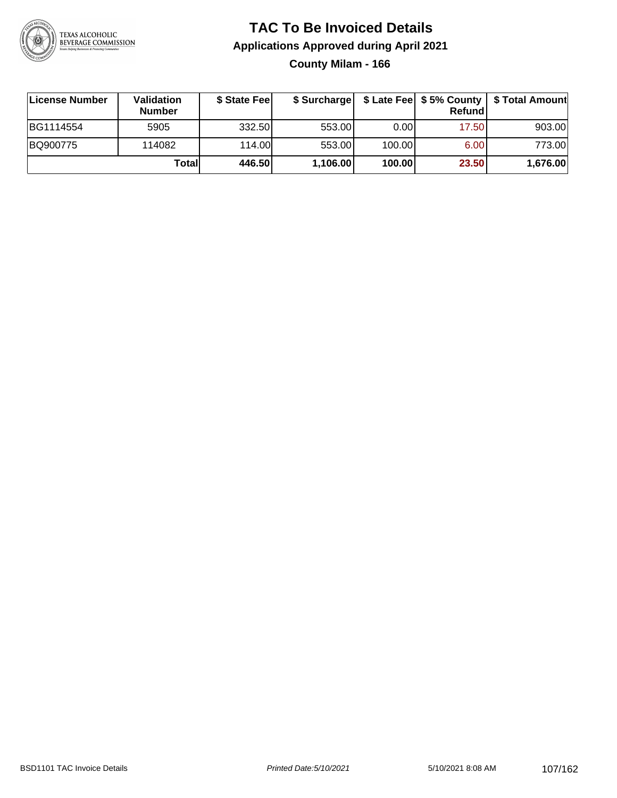

### **TAC To Be Invoiced Details Applications Approved during April 2021 County Milam - 166**

| License Number | <b>Validation</b><br><b>Number</b> | \$ State Fee | \$ Surcharge |        | <b>Refund</b> | \$ Late Fee   \$5% County   \$ Total Amount |
|----------------|------------------------------------|--------------|--------------|--------|---------------|---------------------------------------------|
| BG1114554      | 5905                               | 332.50       | 553.00       | 0.001  | 17.50         | 903.00                                      |
| BQ900775       | 114082                             | 114.00       | 553.00       | 100.00 | 6.00          | 773.00                                      |
|                | Totall                             | 446.50       | 1,106.00     | 100.00 | 23.50         | 1,676.00                                    |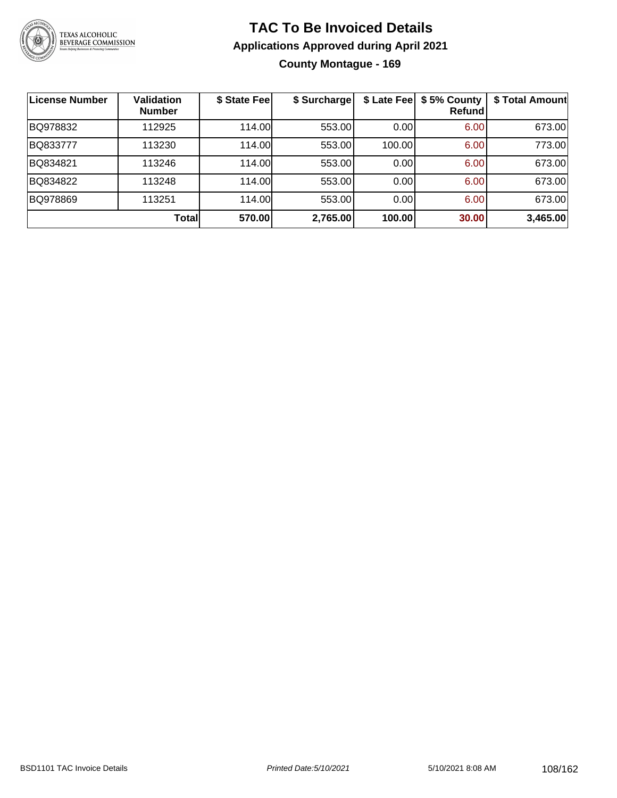

### **TAC To Be Invoiced Details Applications Approved during April 2021 County Montague - 169**

| License Number | <b>Validation</b><br><b>Number</b> | \$ State Feel | \$ Surcharge |        | \$ Late Fee   \$5% County<br>Refundl | \$ Total Amount |
|----------------|------------------------------------|---------------|--------------|--------|--------------------------------------|-----------------|
| BQ978832       | 112925                             | 114.00        | 553.00       | 0.00   | 6.00                                 | 673.00          |
| BQ833777       | 113230                             | 114.00        | 553.00       | 100.00 | 6.00                                 | 773.00          |
| BQ834821       | 113246                             | 114.00        | 553.00       | 0.00   | 6.00                                 | 673.00          |
| BQ834822       | 113248                             | 114.00        | 553.00       | 0.00   | 6.00                                 | 673.00          |
| BQ978869       | 113251                             | 114.00        | 553.00       | 0.00   | 6.00                                 | 673.00          |
|                | Total                              | 570.00        | 2,765.00     | 100.00 | 30.00                                | 3,465.00        |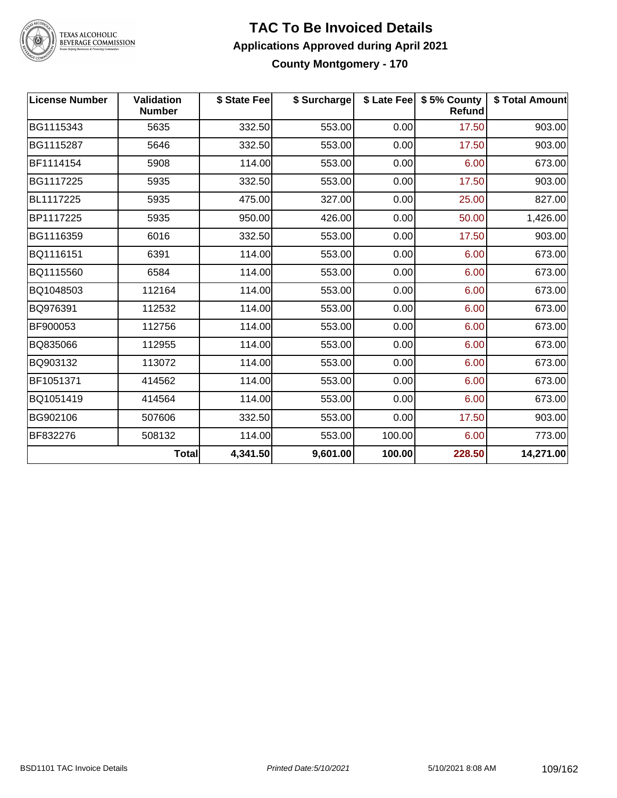

# TEXAS ALCOHOLIC<br>BEVERAGE COMMISSION

#### **TAC To Be Invoiced Details Applications Approved during April 2021 County Montgomery - 170**

| <b>License Number</b> | <b>Validation</b><br><b>Number</b> | \$ State Fee | \$ Surcharge |        | \$ Late Fee   \$5% County<br>Refund | \$ Total Amount |
|-----------------------|------------------------------------|--------------|--------------|--------|-------------------------------------|-----------------|
| BG1115343             | 5635                               | 332.50       | 553.00       | 0.00   | 17.50                               | 903.00          |
| BG1115287             | 5646                               | 332.50       | 553.00       | 0.00   | 17.50                               | 903.00          |
| BF1114154             | 5908                               | 114.00       | 553.00       | 0.00   | 6.00                                | 673.00          |
| BG1117225             | 5935                               | 332.50       | 553.00       | 0.00   | 17.50                               | 903.00          |
| BL1117225             | 5935                               | 475.00       | 327.00       | 0.00   | 25.00                               | 827.00          |
| BP1117225             | 5935                               | 950.00       | 426.00       | 0.00   | 50.00                               | 1,426.00        |
| BG1116359             | 6016                               | 332.50       | 553.00       | 0.00   | 17.50                               | 903.00          |
| BQ1116151             | 6391                               | 114.00       | 553.00       | 0.00   | 6.00                                | 673.00          |
| BQ1115560             | 6584                               | 114.00       | 553.00       | 0.00   | 6.00                                | 673.00          |
| BQ1048503             | 112164                             | 114.00       | 553.00       | 0.00   | 6.00                                | 673.00          |
| BQ976391              | 112532                             | 114.00       | 553.00       | 0.00   | 6.00                                | 673.00          |
| BF900053              | 112756                             | 114.00       | 553.00       | 0.00   | 6.00                                | 673.00          |
| BQ835066              | 112955                             | 114.00       | 553.00       | 0.00   | 6.00                                | 673.00          |
| BQ903132              | 113072                             | 114.00       | 553.00       | 0.00   | 6.00                                | 673.00          |
| BF1051371             | 414562                             | 114.00       | 553.00       | 0.00   | 6.00                                | 673.00          |
| BQ1051419             | 414564                             | 114.00       | 553.00       | 0.00   | 6.00                                | 673.00          |
| BG902106              | 507606                             | 332.50       | 553.00       | 0.00   | 17.50                               | 903.00          |
| BF832276              | 508132                             | 114.00       | 553.00       | 100.00 | 6.00                                | 773.00          |
|                       | <b>Total</b>                       | 4,341.50     | 9,601.00     | 100.00 | 228.50                              | 14,271.00       |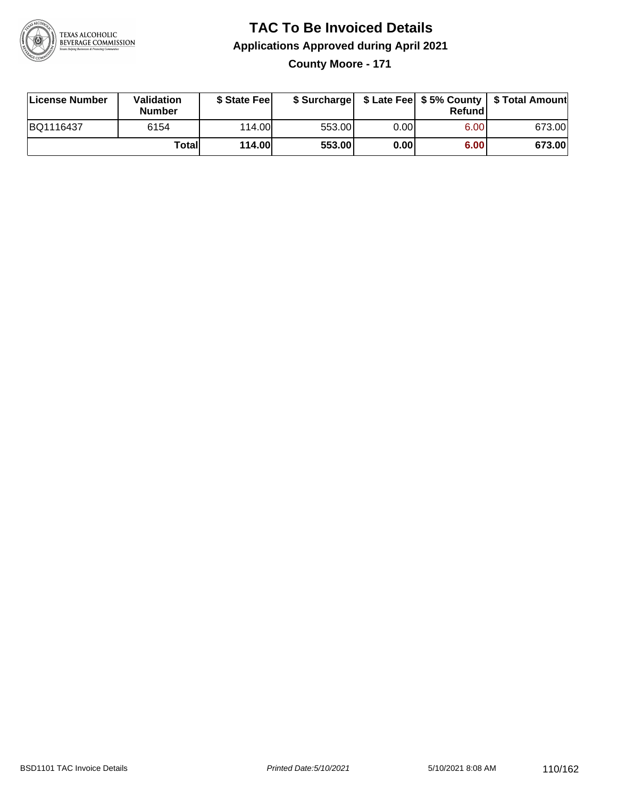

# **TAC To Be Invoiced Details Applications Approved during April 2021**

**County Moore - 171**

| License Number | <b>Validation</b><br><b>Number</b> | \$ State Feel | \$ Surcharge |      | Refund | \$ Late Fee   \$5% County   \$ Total Amount |
|----------------|------------------------------------|---------------|--------------|------|--------|---------------------------------------------|
| BQ1116437      | 6154                               | 114.00        | 553.00       | 0.00 | 6.00   | 673.00                                      |
|                | Totall                             | <b>114.00</b> | 553.00       | 0.00 | 6.00   | 673.00                                      |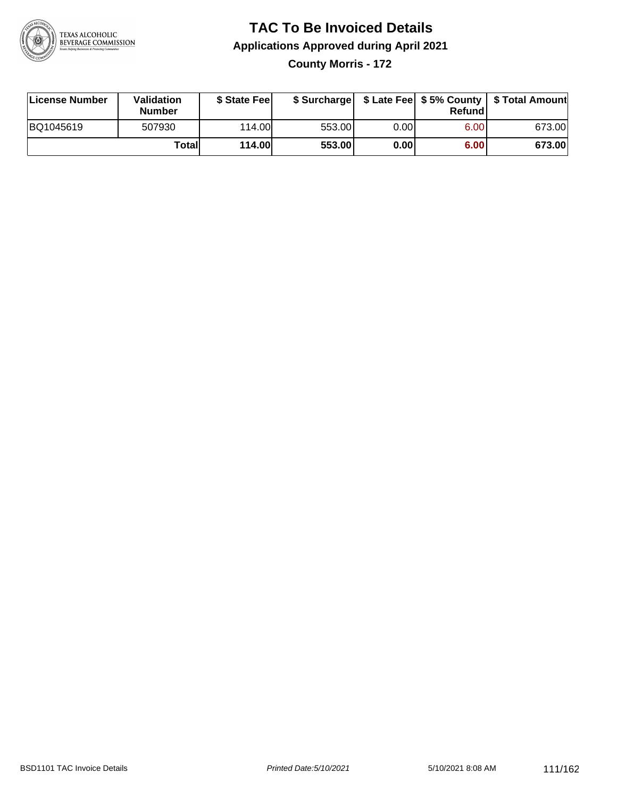

#### **TAC To Be Invoiced Details Applications Approved during April 2021 County Morris - 172**

| License Number | Validation<br><b>Number</b> | \$ State Feel |        |      | Refund | \$ Surcharge   \$ Late Fee   \$5% County   \$ Total Amount |
|----------------|-----------------------------|---------------|--------|------|--------|------------------------------------------------------------|
| BQ1045619      | 507930                      | 114.00L       | 553.00 | 0.00 | 6.00   | 673.00                                                     |
|                | Total                       | <b>114.00</b> | 553.00 | 0.00 | 6.00   | 673.00                                                     |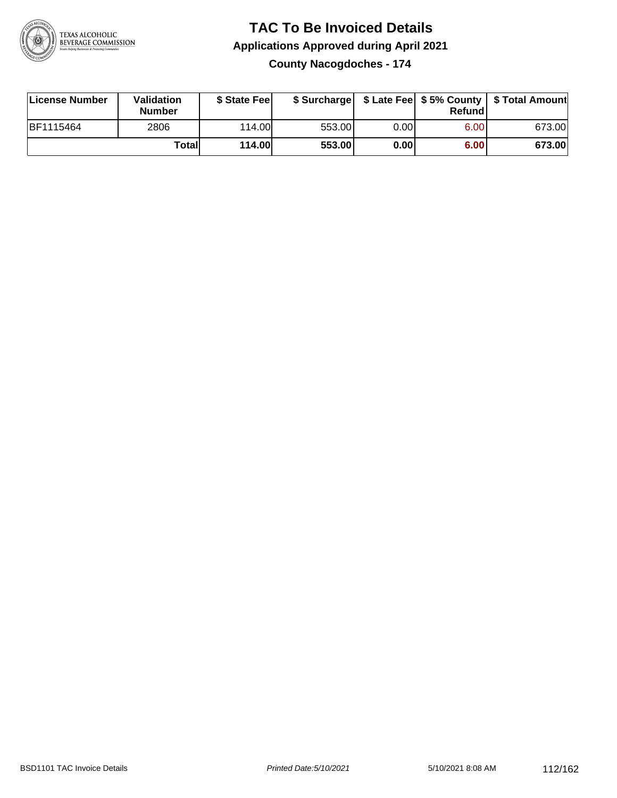

## **TAC To Be Invoiced Details Applications Approved during April 2021**

**County Nacogdoches - 174**

| License Number | Validation<br><b>Number</b> | \$ State Fee  |        |       | Refundl | \$ Surcharge   \$ Late Fee   \$5% County   \$ Total Amount |
|----------------|-----------------------------|---------------|--------|-------|---------|------------------------------------------------------------|
| BF1115464      | 2806                        | 114.00        | 553.00 | 0.001 | 6.00    | 673.00                                                     |
|                | Totall                      | <b>114.00</b> | 553.00 | 0.00  | 6.00    | 673.00                                                     |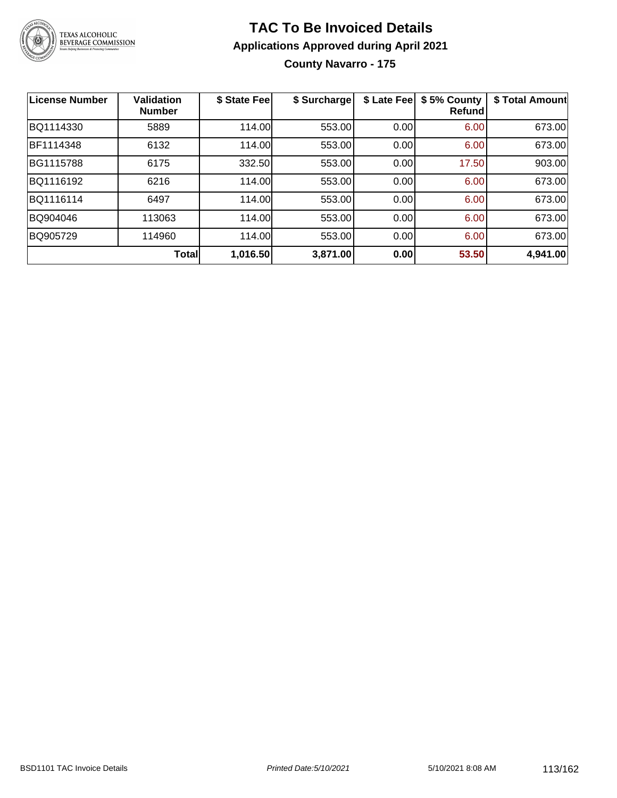

#### **TAC To Be Invoiced Details Applications Approved during April 2021 County Navarro - 175**

| <b>License Number</b> | <b>Validation</b><br><b>Number</b> | \$ State Fee | \$ Surcharge | \$ Late Fee | \$5% County<br><b>Refund</b> | \$ Total Amount |
|-----------------------|------------------------------------|--------------|--------------|-------------|------------------------------|-----------------|
| BQ1114330             | 5889                               | 114.00       | 553.00       | 0.00        | 6.00                         | 673.00          |
| BF1114348             | 6132                               | 114.00       | 553.00       | 0.00        | 6.00                         | 673.00          |
| BG1115788             | 6175                               | 332.50       | 553.00       | 0.00        | 17.50                        | 903.00          |
| BQ1116192             | 6216                               | 114.00       | 553.00       | 0.00        | 6.00                         | 673.00          |
| BQ1116114             | 6497                               | 114.00       | 553.00       | 0.00        | 6.00                         | 673.00          |
| BQ904046              | 113063                             | 114.00       | 553.00       | 0.00        | 6.00                         | 673.00          |
| BQ905729              | 114960                             | 114.00       | 553.00       | 0.00        | 6.00                         | 673.00          |
|                       | Total                              | 1,016.50     | 3,871.00     | 0.00        | 53.50                        | 4,941.00        |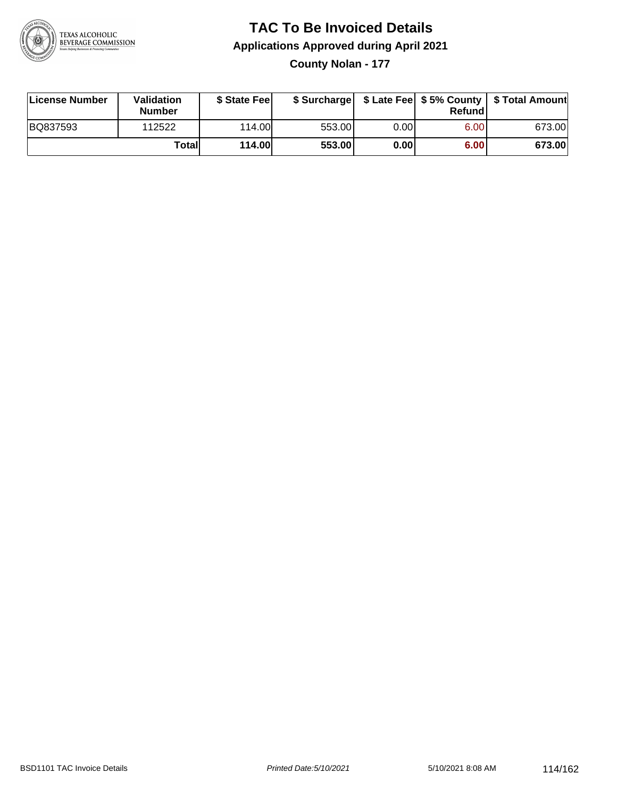

### **TAC To Be Invoiced Details Applications Approved during April 2021**

**County Nolan - 177**

| License Number | Validation<br><b>Number</b> | \$ State Feel | \$ Surcharge |       | Refundl |        |
|----------------|-----------------------------|---------------|--------------|-------|---------|--------|
| BQ837593       | 112522                      | 114.00L       | 553.00       | 0.001 | 6.00    | 673.00 |
|                | Totall                      | <b>114.00</b> | 553.00       | 0.00  | 6.00    | 673.00 |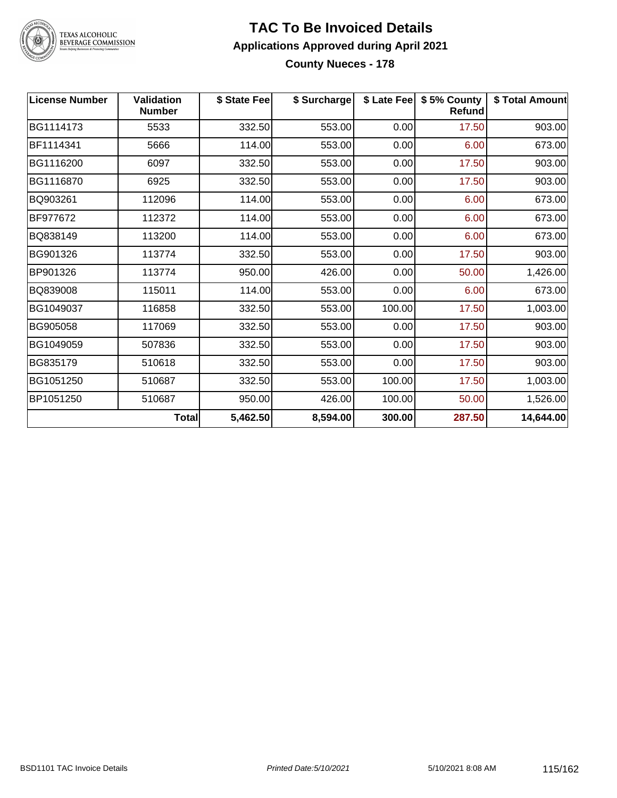

## TEXAS ALCOHOLIC<br>BEVERAGE COMMISSION

#### **TAC To Be Invoiced Details Applications Approved during April 2021 County Nueces - 178**

| <b>License Number</b> | <b>Validation</b><br><b>Number</b> | \$ State Fee | \$ Surcharge |        | \$ Late Fee   \$5% County<br><b>Refund</b> | \$ Total Amount |
|-----------------------|------------------------------------|--------------|--------------|--------|--------------------------------------------|-----------------|
| BG1114173             | 5533                               | 332.50       | 553.00       | 0.00   | 17.50                                      | 903.00          |
| BF1114341             | 5666                               | 114.00       | 553.00       | 0.00   | 6.00                                       | 673.00          |
| BG1116200             | 6097                               | 332.50       | 553.00       | 0.00   | 17.50                                      | 903.00          |
| BG1116870             | 6925                               | 332.50       | 553.00       | 0.00   | 17.50                                      | 903.00          |
| BQ903261              | 112096                             | 114.00       | 553.00       | 0.00   | 6.00                                       | 673.00          |
| BF977672              | 112372                             | 114.00       | 553.00       | 0.00   | 6.00                                       | 673.00          |
| BQ838149              | 113200                             | 114.00       | 553.00       | 0.00   | 6.00                                       | 673.00          |
| BG901326              | 113774                             | 332.50       | 553.00       | 0.00   | 17.50                                      | 903.00          |
| BP901326              | 113774                             | 950.00       | 426.00       | 0.00   | 50.00                                      | 1,426.00        |
| BQ839008              | 115011                             | 114.00       | 553.00       | 0.00   | 6.00                                       | 673.00          |
| BG1049037             | 116858                             | 332.50       | 553.00       | 100.00 | 17.50                                      | 1,003.00        |
| BG905058              | 117069                             | 332.50       | 553.00       | 0.00   | 17.50                                      | 903.00          |
| BG1049059             | 507836                             | 332.50       | 553.00       | 0.00   | 17.50                                      | 903.00          |
| BG835179              | 510618                             | 332.50       | 553.00       | 0.00   | 17.50                                      | 903.00          |
| BG1051250             | 510687                             | 332.50       | 553.00       | 100.00 | 17.50                                      | 1,003.00        |
| BP1051250             | 510687                             | 950.00       | 426.00       | 100.00 | 50.00                                      | 1,526.00        |
|                       | <b>Total</b>                       | 5,462.50     | 8,594.00     | 300.00 | 287.50                                     | 14,644.00       |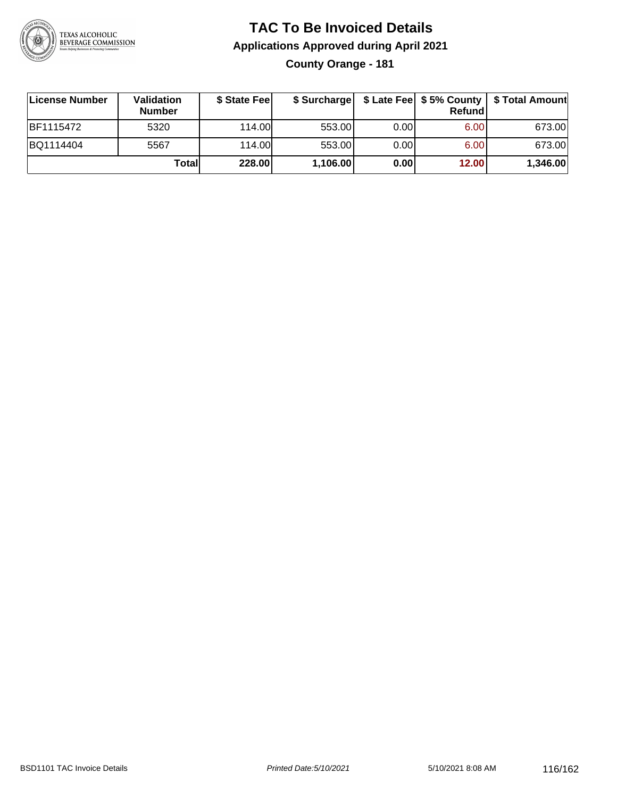

#### **TAC To Be Invoiced Details Applications Approved during April 2021 County Orange - 181**

| License Number   | Validation<br><b>Number</b> | \$ State Fee |          |      | Refundl | \$ Surcharge   \$ Late Fee   \$5% County   \$ Total Amount |
|------------------|-----------------------------|--------------|----------|------|---------|------------------------------------------------------------|
| <b>BF1115472</b> | 5320                        | 114.00L      | 553.00   | 0.00 | 6.00    | 673.00                                                     |
| BQ1114404        | 5567                        | 114.00       | 553.00   | 0.00 | 6.00    | 673.00                                                     |
|                  | Totall                      | 228.00       | 1,106.00 | 0.00 | 12.00   | 1,346.00                                                   |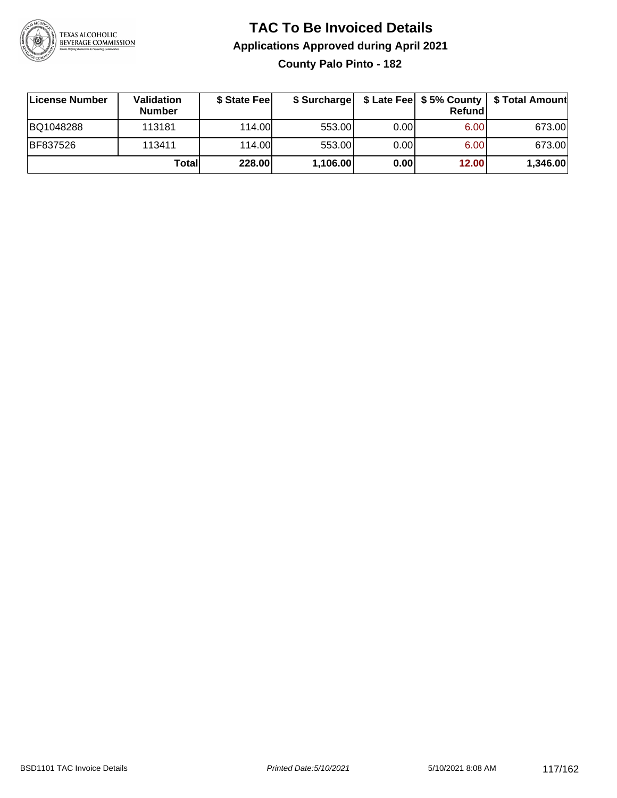

#### **TAC To Be Invoiced Details Applications Approved during April 2021 County Palo Pinto - 182**

| License Number | <b>Validation</b><br><b>Number</b> | \$ State Feel | \$ Surcharge |      | <b>Refund</b> |          |
|----------------|------------------------------------|---------------|--------------|------|---------------|----------|
| BQ1048288      | 113181                             | 114.00L       | 553.00       | 0.00 | 6.00          | 673.00   |
| BF837526       | 113411                             | 114.00        | 553.00       | 0.00 | 6.00          | 673.00   |
|                | Totall                             | 228.00        | 1,106.00     | 0.00 | 12.00         | 1,346.00 |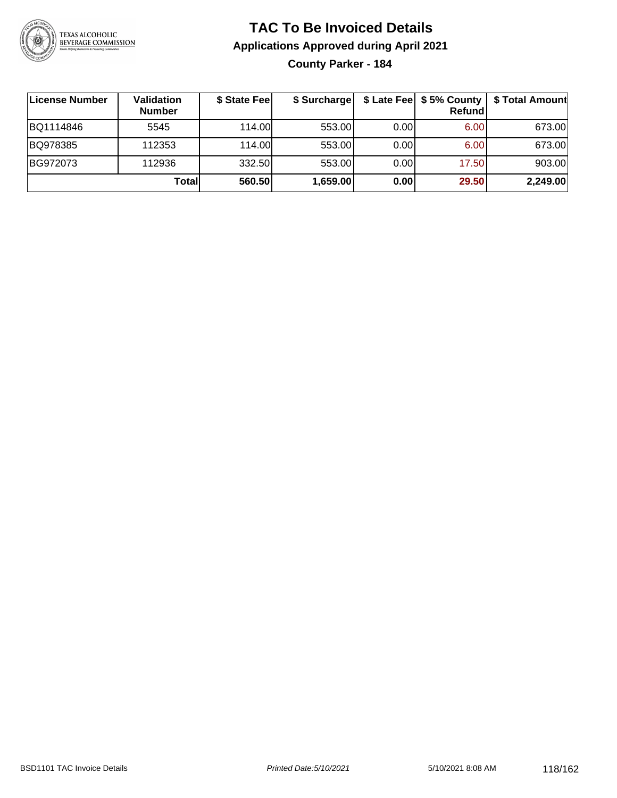

#### **TAC To Be Invoiced Details Applications Approved during April 2021 County Parker - 184**

| License Number | <b>Validation</b><br><b>Number</b> | \$ State Fee | \$ Surcharge |      | \$ Late Fee   \$5% County  <br><b>Refund</b> | \$ Total Amount |
|----------------|------------------------------------|--------------|--------------|------|----------------------------------------------|-----------------|
| BQ1114846      | 5545                               | 114.00L      | 553.00       | 0.00 | 6.00                                         | 673.00          |
| BQ978385       | 112353                             | 114.00       | 553.00       | 0.00 | 6.00                                         | 673.00          |
| BG972073       | 112936                             | 332.50       | 553.00       | 0.00 | 17.50                                        | 903.00          |
|                | Total                              | 560.50       | 1,659.00     | 0.00 | 29.50                                        | 2,249.00        |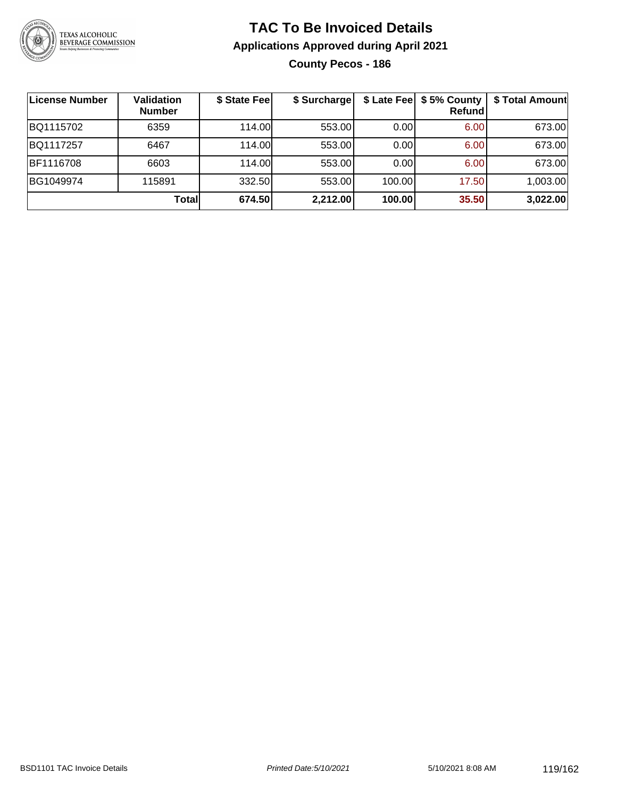

#### **TAC To Be Invoiced Details Applications Approved during April 2021 County Pecos - 186**

| ∣License Number | <b>Validation</b><br><b>Number</b> | \$ State Fee | \$ Surcharge |        | \$ Late Fee   \$5% County<br><b>Refund</b> | \$ Total Amount |
|-----------------|------------------------------------|--------------|--------------|--------|--------------------------------------------|-----------------|
| BQ1115702       | 6359                               | 114.00L      | 553.00       | 0.00   | 6.00                                       | 673.00          |
| BQ1117257       | 6467                               | 114.00       | 553.00       | 0.00   | 6.00                                       | 673.00          |
| BF1116708       | 6603                               | 114.00       | 553.00       | 0.00   | 6.00                                       | 673.00          |
| BG1049974       | 115891                             | 332.50       | 553.00       | 100.00 | 17.50                                      | 1,003.00        |
|                 | Totall                             | 674.50       | 2,212.00     | 100.00 | 35.50                                      | 3,022.00        |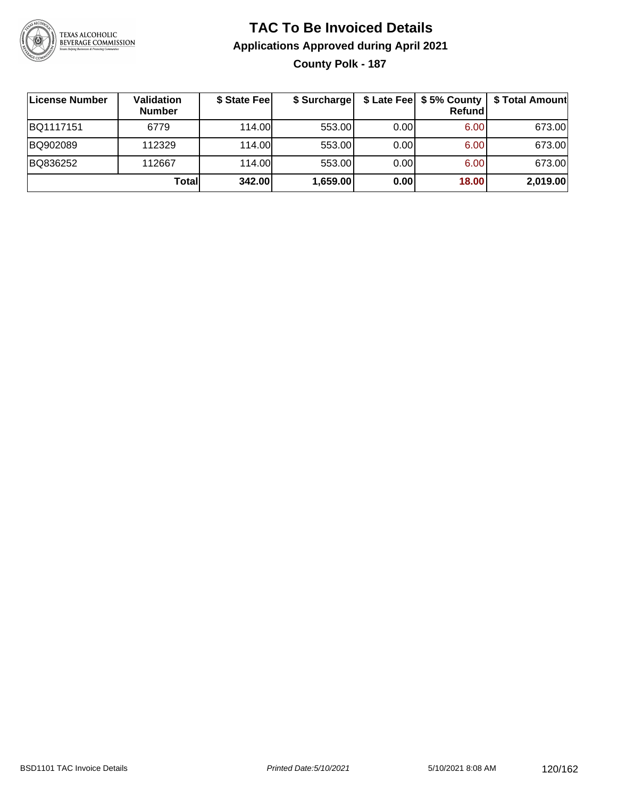

#### **TAC To Be Invoiced Details Applications Approved during April 2021 County Polk - 187**

| License Number | Validation<br><b>Number</b> | \$ State Fee | \$ Surcharge |      | \$ Late Fee   \$5% County  <br><b>Refund</b> | \$ Total Amount |
|----------------|-----------------------------|--------------|--------------|------|----------------------------------------------|-----------------|
| BQ1117151      | 6779                        | 114.00       | 553.00       | 0.00 | 6.00                                         | 673.00          |
| BQ902089       | 112329                      | 114.00       | 553.00       | 0.00 | 6.00                                         | 673.00          |
| BQ836252       | 112667                      | 114.00       | 553.00       | 0.00 | 6.00                                         | 673.00          |
|                | Totall                      | 342.00       | 1,659.00     | 0.00 | 18.00                                        | 2,019.00        |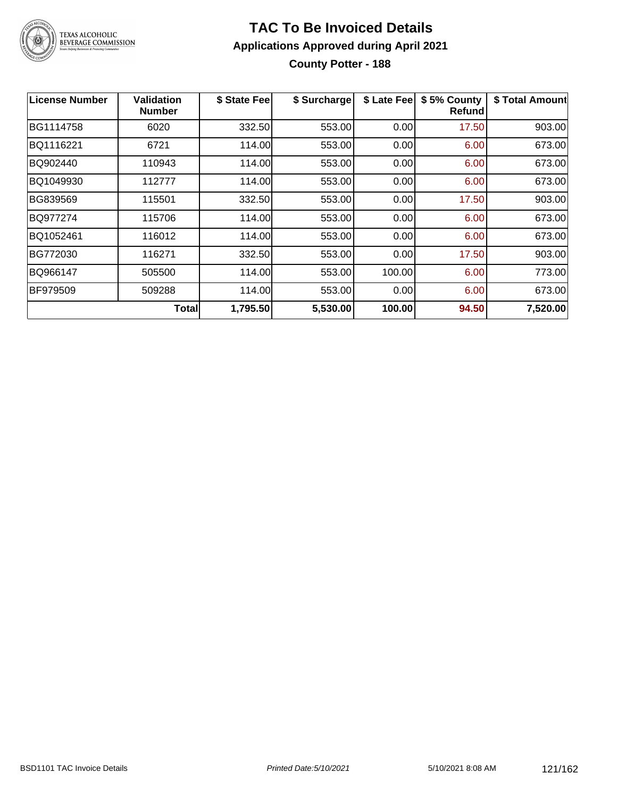

#### **TAC To Be Invoiced Details Applications Approved during April 2021 County Potter - 188**

| License Number | Validation<br><b>Number</b> | \$ State Fee | \$ Surcharge | \$ Late Fee | \$5% County<br>Refundl | \$ Total Amount |
|----------------|-----------------------------|--------------|--------------|-------------|------------------------|-----------------|
| BG1114758      | 6020                        | 332.50       | 553.00       | 0.00        | 17.50                  | 903.00          |
| BQ1116221      | 6721                        | 114.00       | 553.00       | 0.00        | 6.00                   | 673.00          |
| BQ902440       | 110943                      | 114.00       | 553.00       | 0.00        | 6.00                   | 673.00          |
| BQ1049930      | 112777                      | 114.00       | 553.00       | 0.00        | 6.00                   | 673.00          |
| BG839569       | 115501                      | 332.50       | 553.00       | 0.00        | 17.50                  | 903.00          |
| BQ977274       | 115706                      | 114.00       | 553.00       | 0.00        | 6.00                   | 673.00          |
| BQ1052461      | 116012                      | 114.00       | 553.00       | 0.00        | 6.00                   | 673.00          |
| BG772030       | 116271                      | 332.50       | 553.00       | 0.00        | 17.50                  | 903.00          |
| BQ966147       | 505500                      | 114.00       | 553.00       | 100.00      | 6.00                   | 773.00          |
| BF979509       | 509288                      | 114.00       | 553.00       | 0.00        | 6.00                   | 673.00          |
|                | Totall                      | 1,795.50     | 5,530.00     | 100.00      | 94.50                  | 7,520.00        |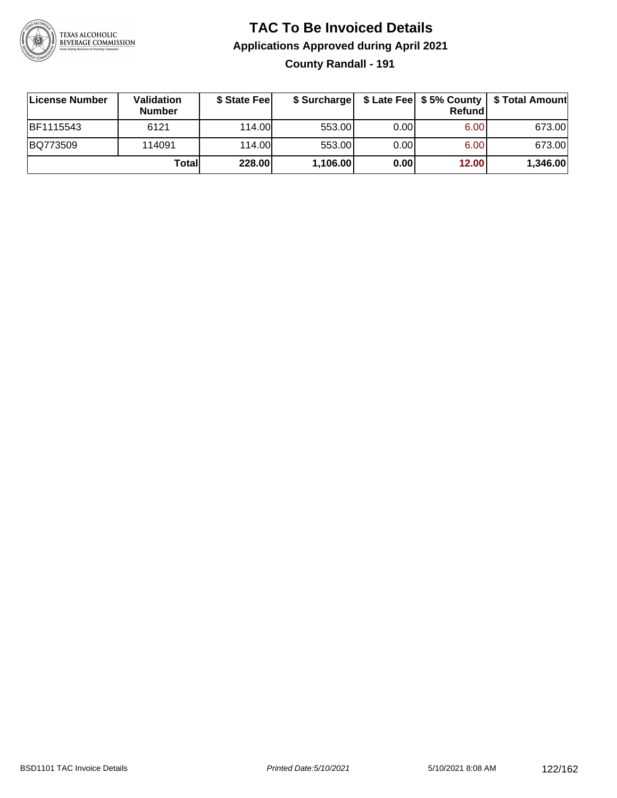

#### **TAC To Be Invoiced Details Applications Approved during April 2021 County Randall - 191**

| License Number | <b>Validation</b><br><b>Number</b> | \$ State Feel |          |       | <b>Refund</b> | \$ Surcharge   \$ Late Fee   \$5% County   \$ Total Amount |
|----------------|------------------------------------|---------------|----------|-------|---------------|------------------------------------------------------------|
| BF1115543      | 6121                               | 114.00L       | 553.00   | 0.001 | 6.00          | 673.00                                                     |
| BQ773509       | 114091                             | 114.00L       | 553.00   | 0.001 | 6.00          | 673.00                                                     |
|                | Totall                             | 228.00        | 1,106.00 | 0.00  | 12.00         | 1,346.00                                                   |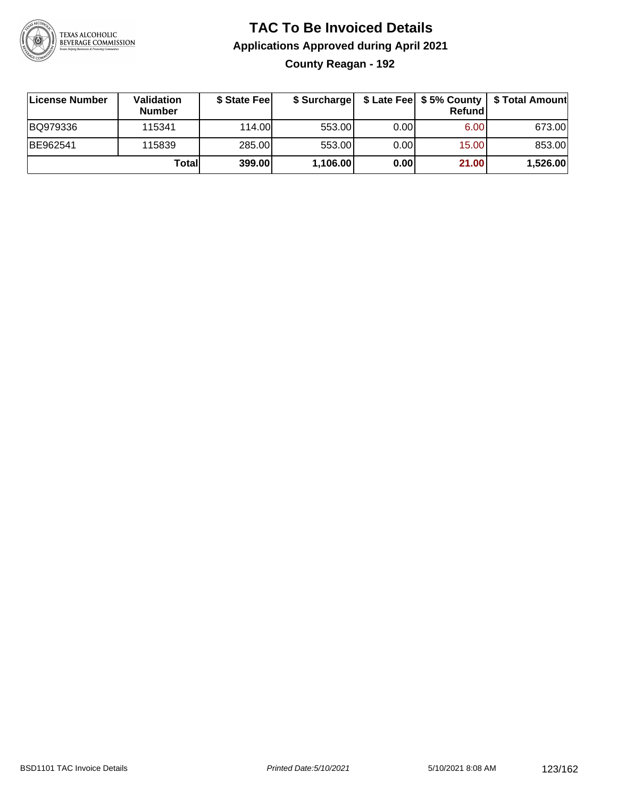

#### **TAC To Be Invoiced Details Applications Approved during April 2021 County Reagan - 192**

| License Number | Validation<br><b>Number</b> | \$ State Feel |          |       | Refundl | \$ Surcharge   \$ Late Fee   \$5% County   \$ Total Amount |
|----------------|-----------------------------|---------------|----------|-------|---------|------------------------------------------------------------|
| BQ979336       | 115341                      | 114.00        | 553.00   | 0.001 | 6.00    | 673.00                                                     |
| BE962541       | 115839                      | 285.00        | 553.00   | 0.001 | 15.00   | 853.00                                                     |
|                | Totall                      | 399.00        | 1,106.00 | 0.00  | 21.00   | 1,526.00                                                   |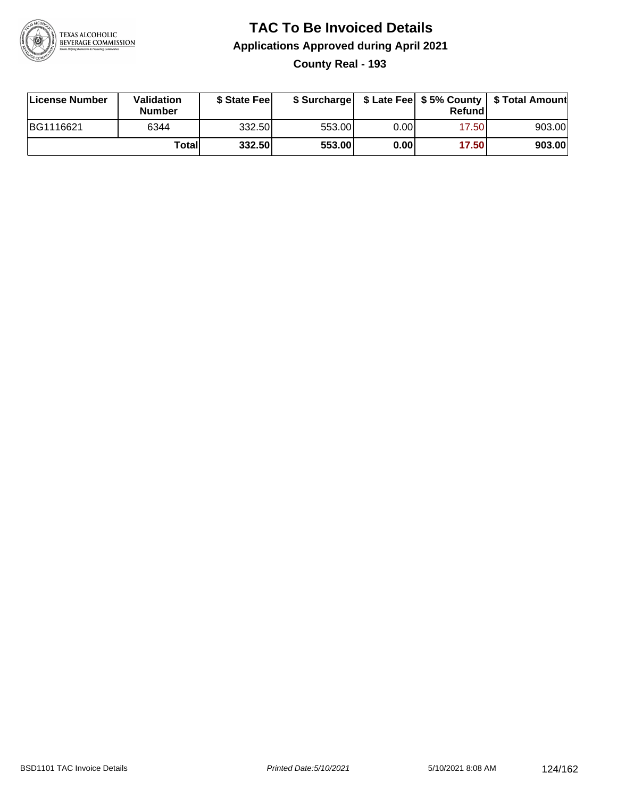

#### **TAC To Be Invoiced Details Applications Approved during April 2021 County Real - 193**

| License Number | Validation<br><b>Number</b> | \$ State Feel |        |      | Refund | \$ Surcharge   \$ Late Fee   \$5% County   \$ Total Amount |
|----------------|-----------------------------|---------------|--------|------|--------|------------------------------------------------------------|
| BG1116621      | 6344                        | 332.50        | 553.00 | 0.00 | 17.50  | 903.00                                                     |
|                | Totall                      | 332.50        | 553.00 | 0.00 | 17.50  | 903.00                                                     |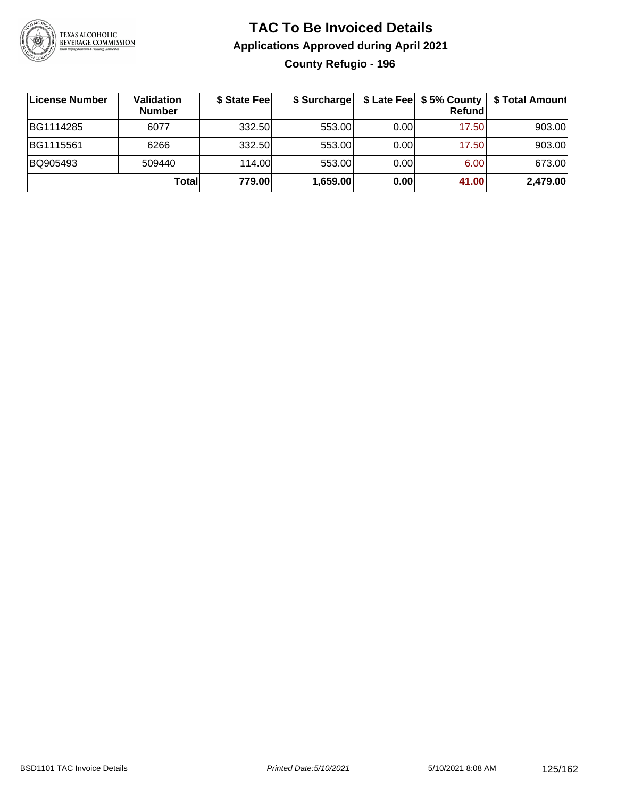

### **TAC To Be Invoiced Details Applications Approved during April 2021 County Refugio - 196**

| License Number | Validation<br><b>Number</b> | \$ State Fee | \$ Surcharge |      | Refund | \$ Late Fee   \$5% County   \$ Total Amount |
|----------------|-----------------------------|--------------|--------------|------|--------|---------------------------------------------|
| BG1114285      | 6077                        | 332.50       | 553.00       | 0.00 | 17.50  | 903.00                                      |
| BG1115561      | 6266                        | 332.50       | 553.00       | 0.00 | 17.50  | 903.00                                      |
| BQ905493       | 509440                      | 114.00L      | 553.00       | 0.00 | 6.00   | 673.00                                      |
|                | Totall                      | 779.00       | 1,659.00     | 0.00 | 41.00  | 2,479.00                                    |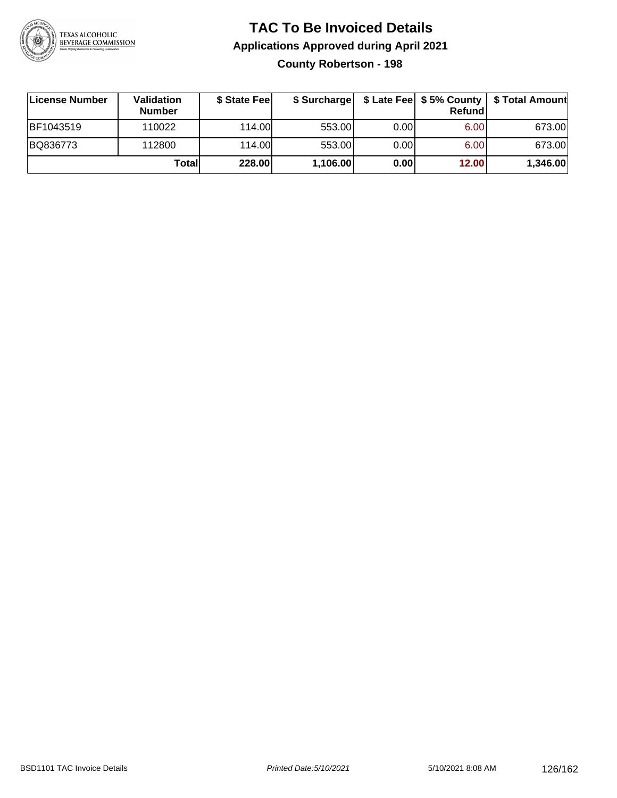

#### **TAC To Be Invoiced Details Applications Approved during April 2021 County Robertson - 198**

| ∣License Number | Validation<br><b>Number</b> | \$ State Fee |          |       | Refund | \$ Surcharge   \$ Late Fee   \$5% County   \$ Total Amount |
|-----------------|-----------------------------|--------------|----------|-------|--------|------------------------------------------------------------|
| BF1043519       | 110022                      | 114.00       | 553.00   | 0.001 | 6.00   | 673.00                                                     |
| BQ836773        | 112800                      | 114.00       | 553.00   | 0.001 | 6.00   | 673.00                                                     |
|                 | Totall                      | 228.00       | 1,106.00 | 0.00  | 12.00  | 1,346.00                                                   |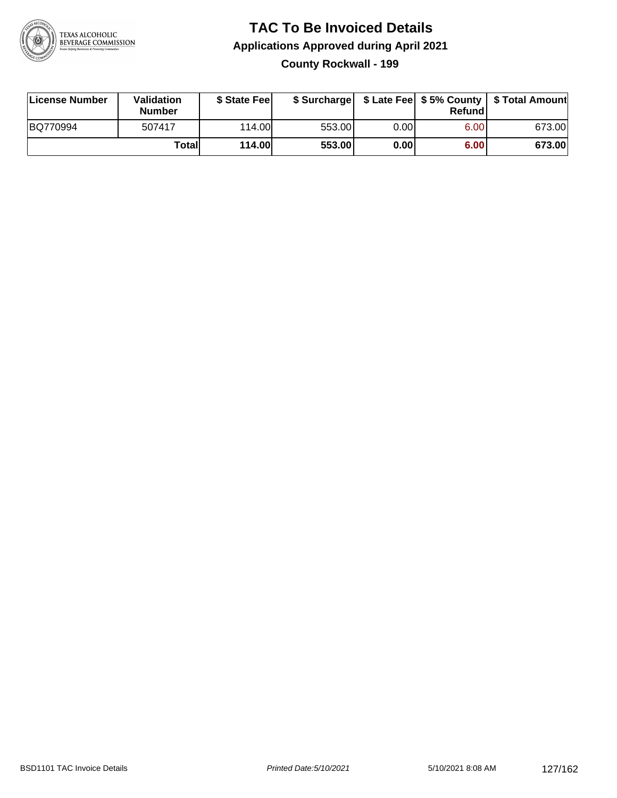

#### **TAC To Be Invoiced Details Applications Approved during April 2021 County Rockwall - 199**

| License Number | Validation<br>Number | \$ State Fee |        |       | Refundl | \$ Surcharge   \$ Late Fee   \$5% County   \$ Total Amount |
|----------------|----------------------|--------------|--------|-------|---------|------------------------------------------------------------|
| BQ770994       | 507417               | 114.00L      | 553.00 | 0.001 | 6.00    | 673.00                                                     |
|                | Total                | 114.00       | 553.00 | 0.001 | 6.00    | 673.00                                                     |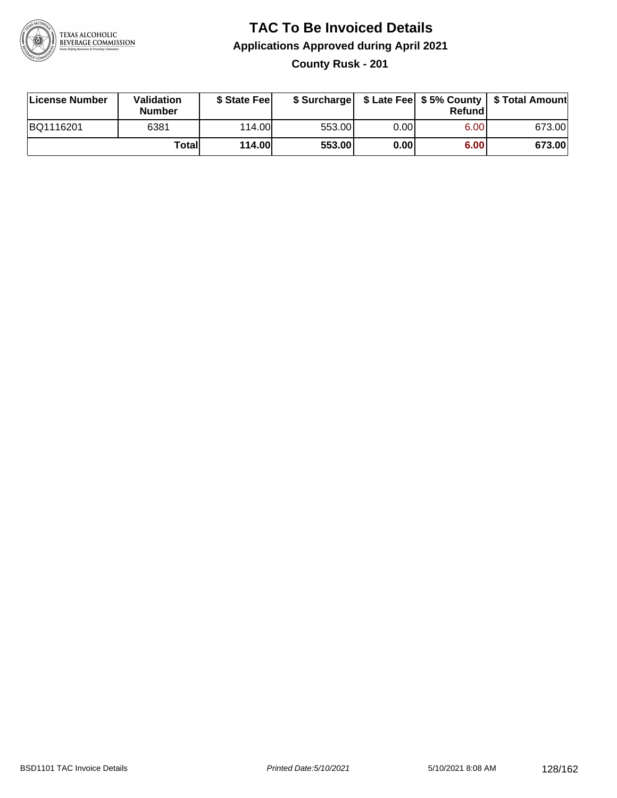

#### **TAC To Be Invoiced Details Applications Approved during April 2021 County Rusk - 201**

| License Number | Validation<br><b>Number</b> | \$ State Feel |        |      | Refundl | \$ Surcharge   \$ Late Fee   \$5% County   \$ Total Amount |
|----------------|-----------------------------|---------------|--------|------|---------|------------------------------------------------------------|
| BQ1116201      | 6381                        | 114.00L       | 553.00 | 0.00 | 6.00    | 673.00                                                     |
|                | Total                       | 114.00        | 553.00 | 0.00 | 6.00    | 673.00                                                     |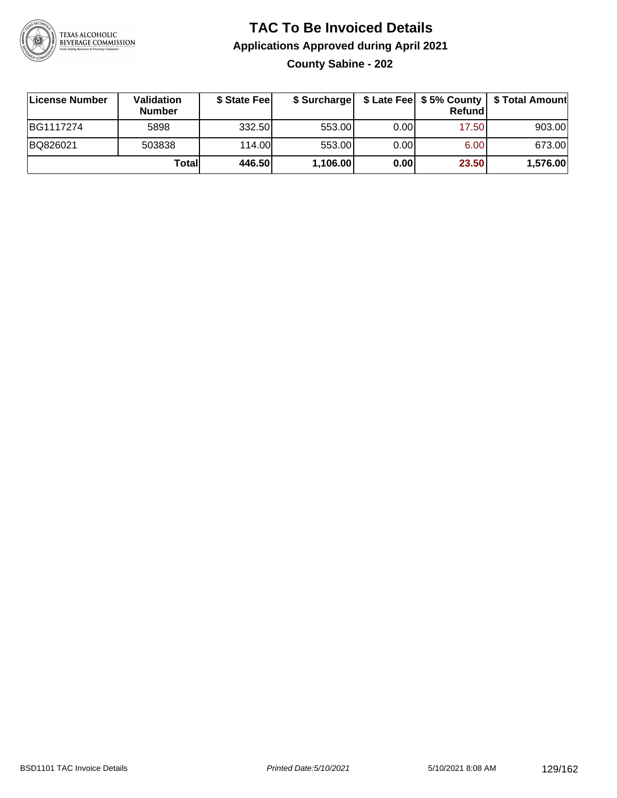

#### **TAC To Be Invoiced Details Applications Approved during April 2021 County Sabine - 202**

| License Number | Validation<br><b>Number</b> | \$ State Fee |          |      | Refundl | \$ Surcharge   \$ Late Fee   \$5% County   \$ Total Amount |
|----------------|-----------------------------|--------------|----------|------|---------|------------------------------------------------------------|
| BG1117274      | 5898                        | 332.50       | 553.00   | 0.00 | 17.50   | 903.00                                                     |
| BQ826021       | 503838                      | 114.00L      | 553.00   | 0.00 | 6.00    | 673.00                                                     |
|                | Total                       | 446.50       | 1,106.00 | 0.00 | 23.50   | 1,576.00                                                   |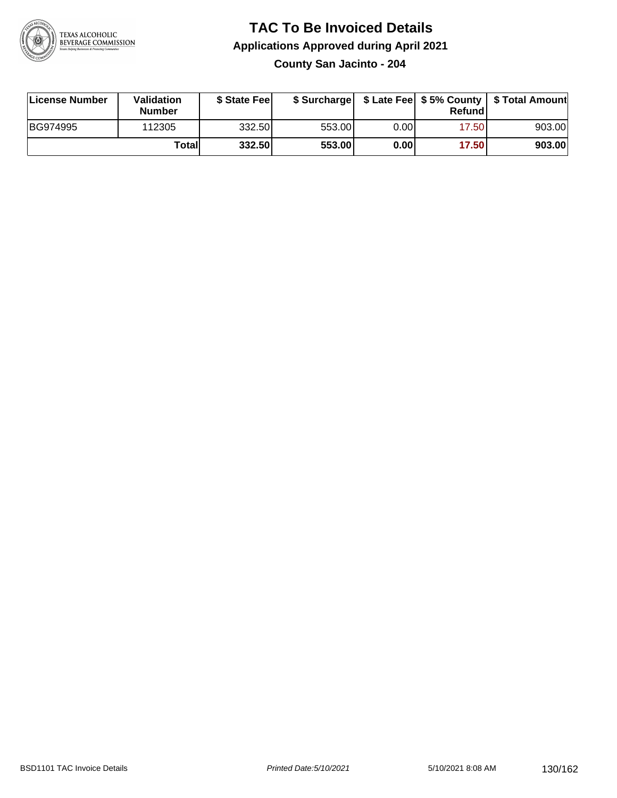

#### **TAC To Be Invoiced Details Applications Approved during April 2021 County San Jacinto - 204**

| License Number | Validation<br><b>Number</b> | \$ State Feel |        |      | Refund | \$ Surcharge   \$ Late Fee   \$5% County   \$ Total Amount |
|----------------|-----------------------------|---------------|--------|------|--------|------------------------------------------------------------|
| BG974995       | 112305                      | 332.50        | 553.00 | 0.00 | 17.50  | 903.00                                                     |
|                | Totall                      | 332.50        | 553.00 | 0.00 | 17.50  | 903.00                                                     |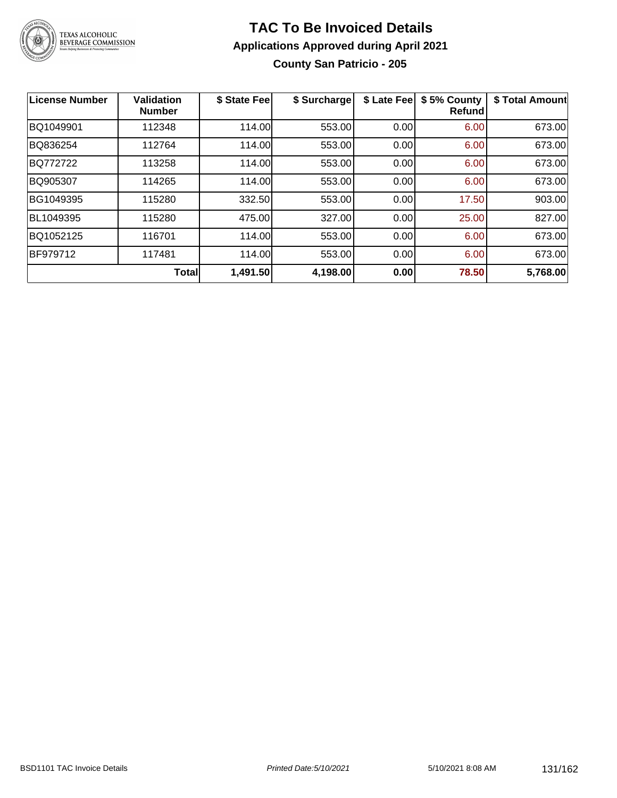

#### **TAC To Be Invoiced Details Applications Approved during April 2021 County San Patricio - 205**

| License Number | <b>Validation</b><br><b>Number</b> | \$ State Fee | \$ Surcharge | \$ Late Fee | \$5% County<br><b>Refund</b> | \$ Total Amount |
|----------------|------------------------------------|--------------|--------------|-------------|------------------------------|-----------------|
| BQ1049901      | 112348                             | 114.00       | 553.00       | 0.00        | 6.00                         | 673.00          |
| BQ836254       | 112764                             | 114.00       | 553.00       | 0.00        | 6.00                         | 673.00          |
| BQ772722       | 113258                             | 114.00       | 553.00       | 0.00        | 6.00                         | 673.00          |
| BQ905307       | 114265                             | 114.00       | 553.00       | 0.00        | 6.00                         | 673.00          |
| BG1049395      | 115280                             | 332.50       | 553.00       | 0.00        | 17.50                        | 903.00          |
| BL1049395      | 115280                             | 475.00       | 327.00       | 0.00        | 25.00                        | 827.00          |
| BQ1052125      | 116701                             | 114.00       | 553.00       | 0.00        | 6.00                         | 673.00          |
| BF979712       | 117481                             | 114.00       | 553.00       | 0.00        | 6.00                         | 673.00          |
|                | <b>Total</b>                       | 1,491.50     | 4,198.00     | 0.00        | 78.50                        | 5,768.00        |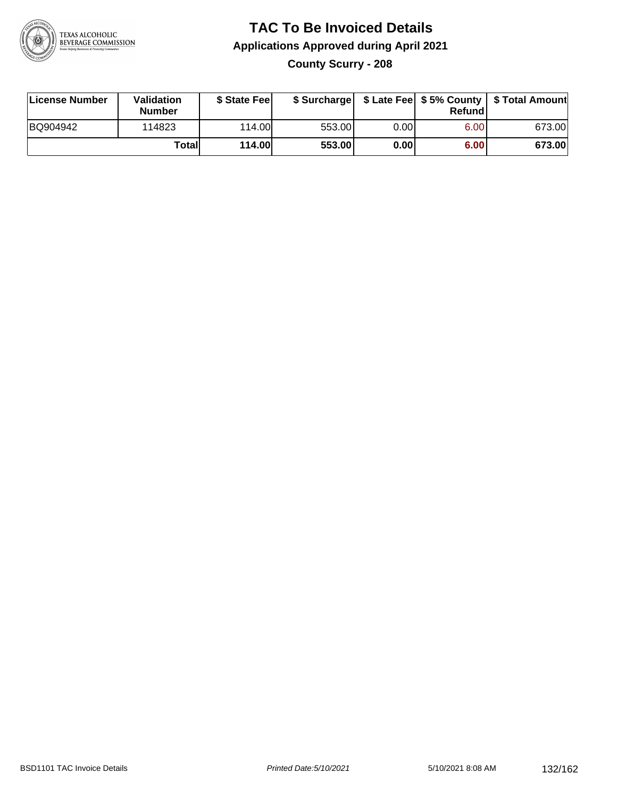

### **TAC To Be Invoiced Details Applications Approved during April 2021 County Scurry - 208**

| License Number | <b>Validation</b><br><b>Number</b> | \$ State Feel |        |       | Refund | \$ Surcharge   \$ Late Fee   \$5% County   \$ Total Amount |
|----------------|------------------------------------|---------------|--------|-------|--------|------------------------------------------------------------|
| BQ904942       | 114823                             | 114.00        | 553.00 | 0.001 | 6.00   | 673.00                                                     |
|                | Totall                             | 114.00        | 553.00 | 0.00  | 6.00   | 673.00                                                     |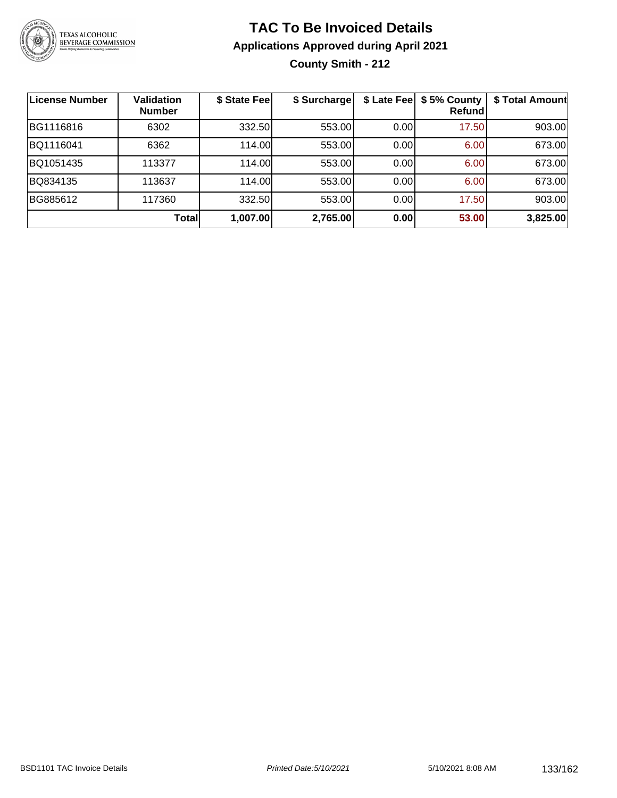

#### **TAC To Be Invoiced Details Applications Approved during April 2021 County Smith - 212**

| License Number | <b>Validation</b><br><b>Number</b> | \$ State Fee | \$ Surcharge |      | \$ Late Fee   \$5% County<br>Refundl | \$ Total Amount |
|----------------|------------------------------------|--------------|--------------|------|--------------------------------------|-----------------|
| BG1116816      | 6302                               | 332.50       | 553.00       | 0.00 | 17.50                                | 903.00          |
| BQ1116041      | 6362                               | 114.00       | 553.00       | 0.00 | 6.00                                 | 673.00          |
| BQ1051435      | 113377                             | 114.00       | 553.00       | 0.00 | 6.00                                 | 673.00          |
| BQ834135       | 113637                             | 114.00       | 553.00       | 0.00 | 6.00                                 | 673.00          |
| BG885612       | 117360                             | 332.50       | 553.00       | 0.00 | 17.50                                | 903.00          |
|                | Totall                             | 1,007.00     | 2,765.00     | 0.00 | 53.00                                | 3,825.00        |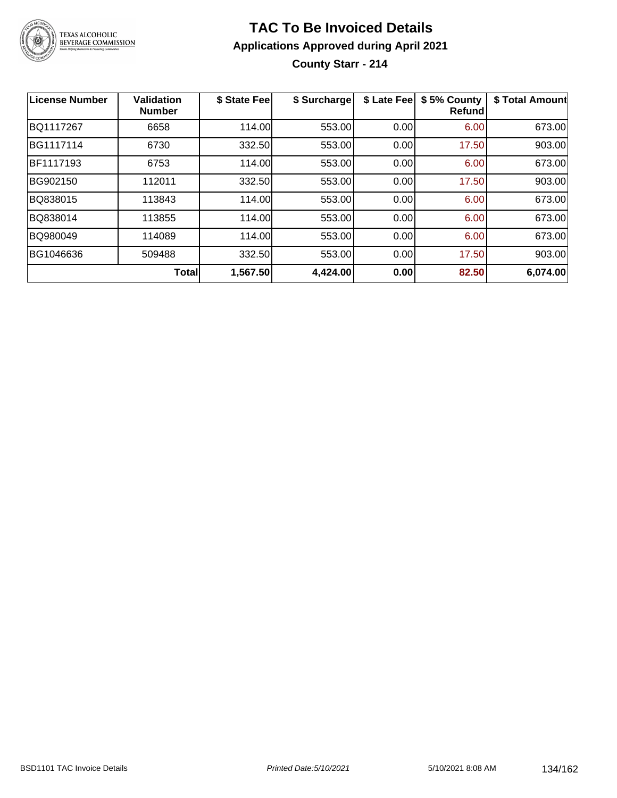

#### **TAC To Be Invoiced Details Applications Approved during April 2021 County Starr - 214**

| License Number | <b>Validation</b><br><b>Number</b> | \$ State Fee | \$ Surcharge | \$ Late Fee | \$5% County<br><b>Refund</b> | \$ Total Amount |
|----------------|------------------------------------|--------------|--------------|-------------|------------------------------|-----------------|
| BQ1117267      | 6658                               | 114.00       | 553.00       | 0.00        | 6.00                         | 673.00          |
| BG1117114      | 6730                               | 332.50       | 553.00       | 0.00        | 17.50                        | 903.00          |
| BF1117193      | 6753                               | 114.00       | 553.00       | 0.00        | 6.00                         | 673.00          |
| BG902150       | 112011                             | 332.50       | 553.00       | 0.00        | 17.50                        | 903.00          |
| BQ838015       | 113843                             | 114.00       | 553.00       | 0.00        | 6.00                         | 673.00          |
| BQ838014       | 113855                             | 114.00       | 553.00       | 0.00        | 6.00                         | 673.00          |
| BQ980049       | 114089                             | 114.00       | 553.00       | 0.00        | 6.00                         | 673.00          |
| BG1046636      | 509488                             | 332.50       | 553.00       | 0.00        | 17.50                        | 903.00          |
|                | <b>Total</b>                       | 1,567.50     | 4,424.00     | 0.00        | 82.50                        | 6,074.00        |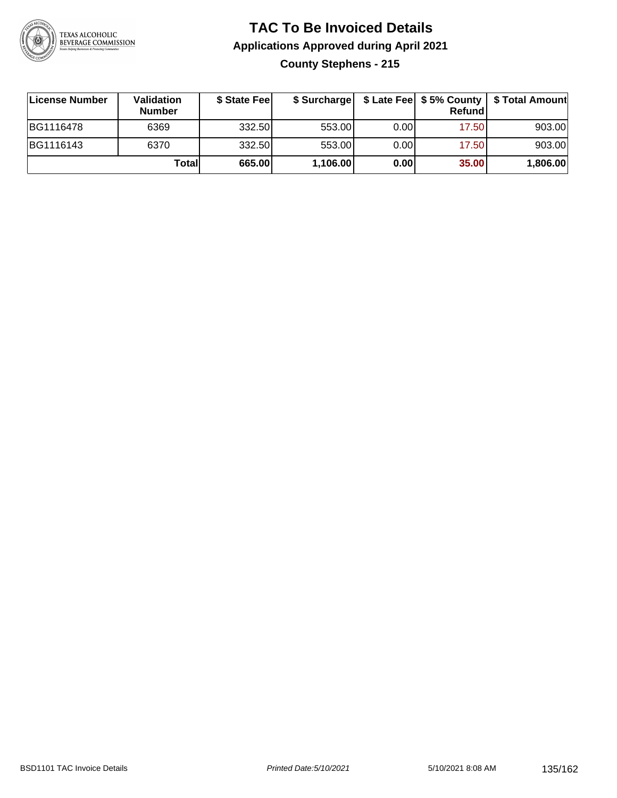

### **TAC To Be Invoiced Details Applications Approved during April 2021 County Stephens - 215**

| License Number | Validation<br><b>Number</b> | \$ State Fee |          |      | <b>Refund</b> | \$ Surcharge   \$ Late Fee   \$5% County   \$ Total Amount |
|----------------|-----------------------------|--------------|----------|------|---------------|------------------------------------------------------------|
| BG1116478      | 6369                        | 332.50       | 553.00   | 0.00 | 17.50         | 903.00                                                     |
| BG1116143      | 6370                        | 332.50       | 553.00   | 0.00 | 17.50         | 903.00                                                     |
|                | Totall                      | 665.00       | 1,106.00 | 0.00 | 35.00         | 1,806.00                                                   |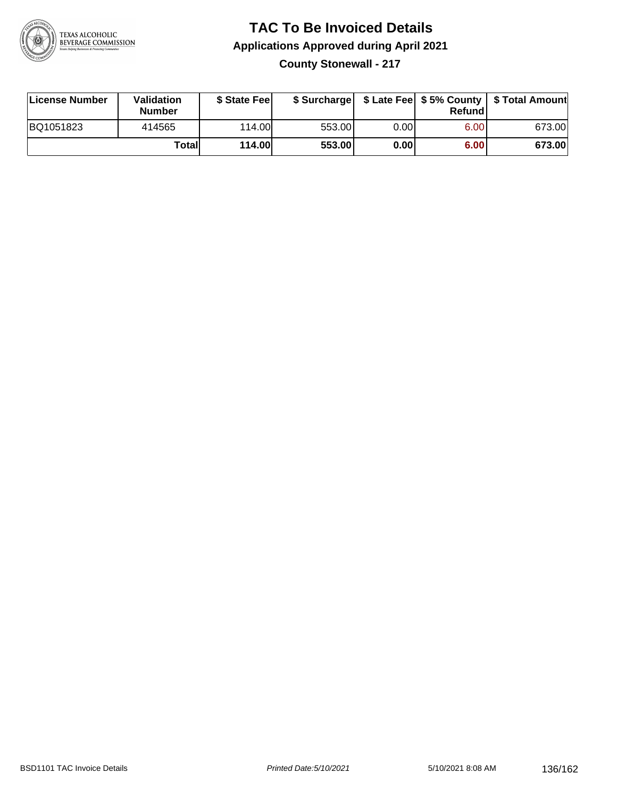

# **TAC To Be Invoiced Details Applications Approved during April 2021**

**County Stonewall - 217**

| License Number | Validation<br><b>Number</b> | \$ State Feel | \$ Surcharge |       | Refundl |        |
|----------------|-----------------------------|---------------|--------------|-------|---------|--------|
| BQ1051823      | 414565                      | 114.00        | 553.00       | 0.001 | 6.00    | 673.00 |
|                | Totall                      | <b>114.00</b> | 553.00       | 0.00  | 6.00    | 673.00 |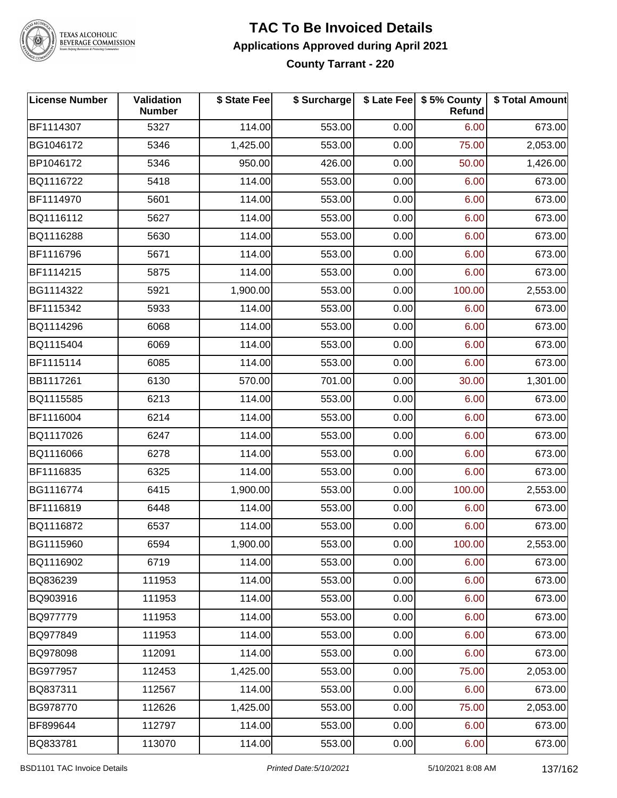

## TEXAS ALCOHOLIC<br>BEVERAGE COMMISSION

#### **TAC To Be Invoiced Details Applications Approved during April 2021 County Tarrant - 220**

| <b>License Number</b> | Validation<br><b>Number</b> | \$ State Fee | \$ Surcharge |      | \$ Late Fee   \$5% County<br>Refund | \$ Total Amount |
|-----------------------|-----------------------------|--------------|--------------|------|-------------------------------------|-----------------|
| BF1114307             | 5327                        | 114.00       | 553.00       | 0.00 | 6.00                                | 673.00          |
| BG1046172             | 5346                        | 1,425.00     | 553.00       | 0.00 | 75.00                               | 2,053.00        |
| BP1046172             | 5346                        | 950.00       | 426.00       | 0.00 | 50.00                               | 1,426.00        |
| BQ1116722             | 5418                        | 114.00       | 553.00       | 0.00 | 6.00                                | 673.00          |
| BF1114970             | 5601                        | 114.00       | 553.00       | 0.00 | 6.00                                | 673.00          |
| BQ1116112             | 5627                        | 114.00       | 553.00       | 0.00 | 6.00                                | 673.00          |
| BQ1116288             | 5630                        | 114.00       | 553.00       | 0.00 | 6.00                                | 673.00          |
| BF1116796             | 5671                        | 114.00       | 553.00       | 0.00 | 6.00                                | 673.00          |
| BF1114215             | 5875                        | 114.00       | 553.00       | 0.00 | 6.00                                | 673.00          |
| BG1114322             | 5921                        | 1,900.00     | 553.00       | 0.00 | 100.00                              | 2,553.00        |
| BF1115342             | 5933                        | 114.00       | 553.00       | 0.00 | 6.00                                | 673.00          |
| BQ1114296             | 6068                        | 114.00       | 553.00       | 0.00 | 6.00                                | 673.00          |
| BQ1115404             | 6069                        | 114.00       | 553.00       | 0.00 | 6.00                                | 673.00          |
| BF1115114             | 6085                        | 114.00       | 553.00       | 0.00 | 6.00                                | 673.00          |
| BB1117261             | 6130                        | 570.00       | 701.00       | 0.00 | 30.00                               | 1,301.00        |
| BQ1115585             | 6213                        | 114.00       | 553.00       | 0.00 | 6.00                                | 673.00          |
| BF1116004             | 6214                        | 114.00       | 553.00       | 0.00 | 6.00                                | 673.00          |
| BQ1117026             | 6247                        | 114.00       | 553.00       | 0.00 | 6.00                                | 673.00          |
| BQ1116066             | 6278                        | 114.00       | 553.00       | 0.00 | 6.00                                | 673.00          |
| BF1116835             | 6325                        | 114.00       | 553.00       | 0.00 | 6.00                                | 673.00          |
| BG1116774             | 6415                        | 1,900.00     | 553.00       | 0.00 | 100.00                              | 2,553.00        |
| BF1116819             | 6448                        | 114.00       | 553.00       | 0.00 | 6.00                                | 673.00          |
| BQ1116872             | 6537                        | 114.00       | 553.00       | 0.00 | 6.00                                | 673.00          |
| BG1115960             | 6594                        | 1,900.00     | 553.00       | 0.00 | 100.00                              | 2,553.00        |
| BQ1116902             | 6719                        | 114.00       | 553.00       | 0.00 | 6.00                                | 673.00          |
| BQ836239              | 111953                      | 114.00       | 553.00       | 0.00 | 6.00                                | 673.00          |
| BQ903916              | 111953                      | 114.00       | 553.00       | 0.00 | 6.00                                | 673.00          |
| BQ977779              | 111953                      | 114.00       | 553.00       | 0.00 | 6.00                                | 673.00          |
| BQ977849              | 111953                      | 114.00       | 553.00       | 0.00 | 6.00                                | 673.00          |
| BQ978098              | 112091                      | 114.00       | 553.00       | 0.00 | 6.00                                | 673.00          |
| BG977957              | 112453                      | 1,425.00     | 553.00       | 0.00 | 75.00                               | 2,053.00        |
| BQ837311              | 112567                      | 114.00       | 553.00       | 0.00 | 6.00                                | 673.00          |
| BG978770              | 112626                      | 1,425.00     | 553.00       | 0.00 | 75.00                               | 2,053.00        |
| BF899644              | 112797                      | 114.00       | 553.00       | 0.00 | 6.00                                | 673.00          |
| BQ833781              | 113070                      | 114.00       | 553.00       | 0.00 | 6.00                                | 673.00          |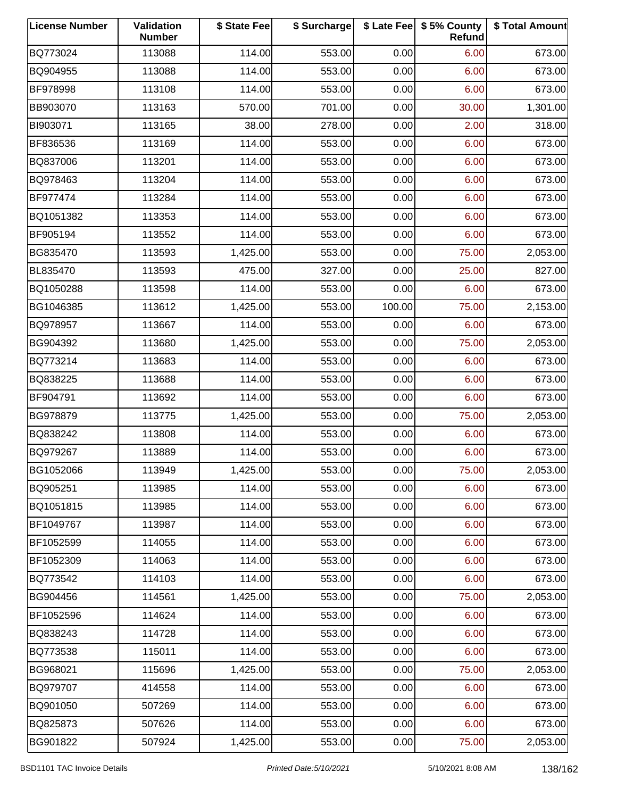| <b>License Number</b> | Validation<br><b>Number</b> | \$ State Fee | \$ Surcharge |        | \$ Late Fee   \$5% County<br>Refund | \$ Total Amount |
|-----------------------|-----------------------------|--------------|--------------|--------|-------------------------------------|-----------------|
| BQ773024              | 113088                      | 114.00       | 553.00       | 0.00   | 6.00                                | 673.00          |
| BQ904955              | 113088                      | 114.00       | 553.00       | 0.00   | 6.00                                | 673.00          |
| BF978998              | 113108                      | 114.00       | 553.00       | 0.00   | 6.00                                | 673.00          |
| BB903070              | 113163                      | 570.00       | 701.00       | 0.00   | 30.00                               | 1,301.00        |
| BI903071              | 113165                      | 38.00        | 278.00       | 0.00   | 2.00                                | 318.00          |
| BF836536              | 113169                      | 114.00       | 553.00       | 0.00   | 6.00                                | 673.00          |
| BQ837006              | 113201                      | 114.00       | 553.00       | 0.00   | 6.00                                | 673.00          |
| BQ978463              | 113204                      | 114.00       | 553.00       | 0.00   | 6.00                                | 673.00          |
| BF977474              | 113284                      | 114.00       | 553.00       | 0.00   | 6.00                                | 673.00          |
| BQ1051382             | 113353                      | 114.00       | 553.00       | 0.00   | 6.00                                | 673.00          |
| BF905194              | 113552                      | 114.00       | 553.00       | 0.00   | 6.00                                | 673.00          |
| BG835470              | 113593                      | 1,425.00     | 553.00       | 0.00   | 75.00                               | 2,053.00        |
| BL835470              | 113593                      | 475.00       | 327.00       | 0.00   | 25.00                               | 827.00          |
| BQ1050288             | 113598                      | 114.00       | 553.00       | 0.00   | 6.00                                | 673.00          |
| BG1046385             | 113612                      | 1,425.00     | 553.00       | 100.00 | 75.00                               | 2,153.00        |
| BQ978957              | 113667                      | 114.00       | 553.00       | 0.00   | 6.00                                | 673.00          |
| BG904392              | 113680                      | 1,425.00     | 553.00       | 0.00   | 75.00                               | 2,053.00        |
| BQ773214              | 113683                      | 114.00       | 553.00       | 0.00   | 6.00                                | 673.00          |
| BQ838225              | 113688                      | 114.00       | 553.00       | 0.00   | 6.00                                | 673.00          |
| BF904791              | 113692                      | 114.00       | 553.00       | 0.00   | 6.00                                | 673.00          |
| BG978879              | 113775                      | 1,425.00     | 553.00       | 0.00   | 75.00                               | 2,053.00        |
| BQ838242              | 113808                      | 114.00       | 553.00       | 0.00   | 6.00                                | 673.00          |
| BQ979267              | 113889                      | 114.00       | 553.00       | 0.00   | 6.00                                | 673.00          |
| BG1052066             | 113949                      | 1,425.00     | 553.00       | 0.00   | 75.00                               | 2,053.00        |
| BQ905251              | 113985                      | 114.00       | 553.00       | 0.00   | 6.00                                | 673.00          |
| BQ1051815             | 113985                      | 114.00       | 553.00       | 0.00   | 6.00                                | 673.00          |
| BF1049767             | 113987                      | 114.00       | 553.00       | 0.00   | 6.00                                | 673.00          |
| BF1052599             | 114055                      | 114.00       | 553.00       | 0.00   | 6.00                                | 673.00          |
| BF1052309             | 114063                      | 114.00       | 553.00       | 0.00   | 6.00                                | 673.00          |
| BQ773542              | 114103                      | 114.00       | 553.00       | 0.00   | 6.00                                | 673.00          |
| BG904456              | 114561                      | 1,425.00     | 553.00       | 0.00   | 75.00                               | 2,053.00        |
| BF1052596             | 114624                      | 114.00       | 553.00       | 0.00   | 6.00                                | 673.00          |
| BQ838243              | 114728                      | 114.00       | 553.00       | 0.00   | 6.00                                | 673.00          |
| BQ773538              | 115011                      | 114.00       | 553.00       | 0.00   | 6.00                                | 673.00          |
| BG968021              | 115696                      | 1,425.00     | 553.00       | 0.00   | 75.00                               | 2,053.00        |
| BQ979707              | 414558                      | 114.00       | 553.00       | 0.00   | 6.00                                | 673.00          |
| BQ901050              | 507269                      | 114.00       | 553.00       | 0.00   | 6.00                                | 673.00          |
| BQ825873              | 507626                      | 114.00       | 553.00       | 0.00   | 6.00                                | 673.00          |
| BG901822              | 507924                      | 1,425.00     | 553.00       | 0.00   | 75.00                               | 2,053.00        |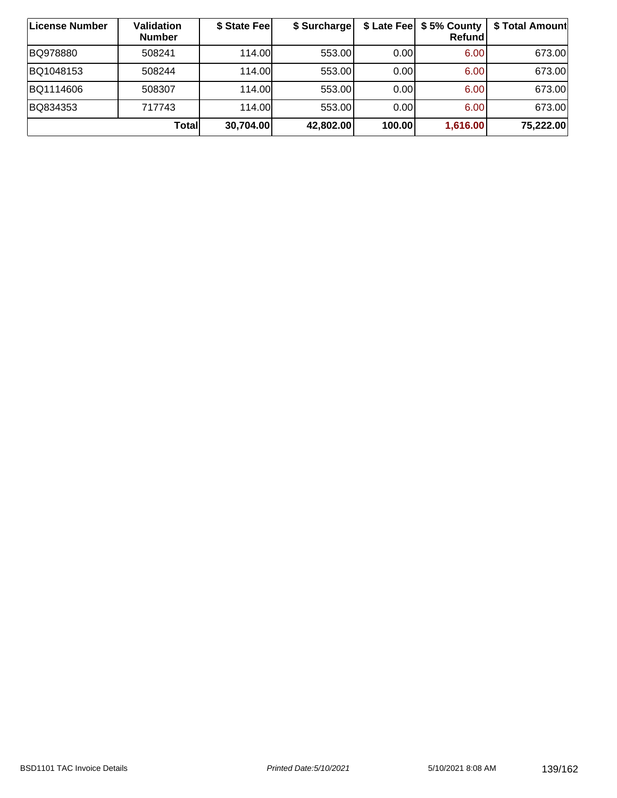| ∣License Number | <b>Validation</b><br><b>Number</b> | \$ State Fee | \$ Surcharge |        | \$ Late Fee   \$5% County  <br><b>Refund</b> | \$ Total Amount |
|-----------------|------------------------------------|--------------|--------------|--------|----------------------------------------------|-----------------|
| BQ978880        | 508241                             | 114.00       | 553.00       | 0.00   | 6.00                                         | 673.00          |
| BQ1048153       | 508244                             | 114.00L      | 553.00       | 0.00   | 6.00                                         | 673.00          |
| BQ1114606       | 508307                             | 114.00L      | 553.00       | 0.00   | 6.00                                         | 673.00          |
| BQ834353        | 717743                             | 114.00       | 553.00       | 0.00   | 6.00                                         | 673.00          |
|                 | Totall                             | 30,704.00    | 42,802.00    | 100.00 | 1,616.00                                     | 75,222.00       |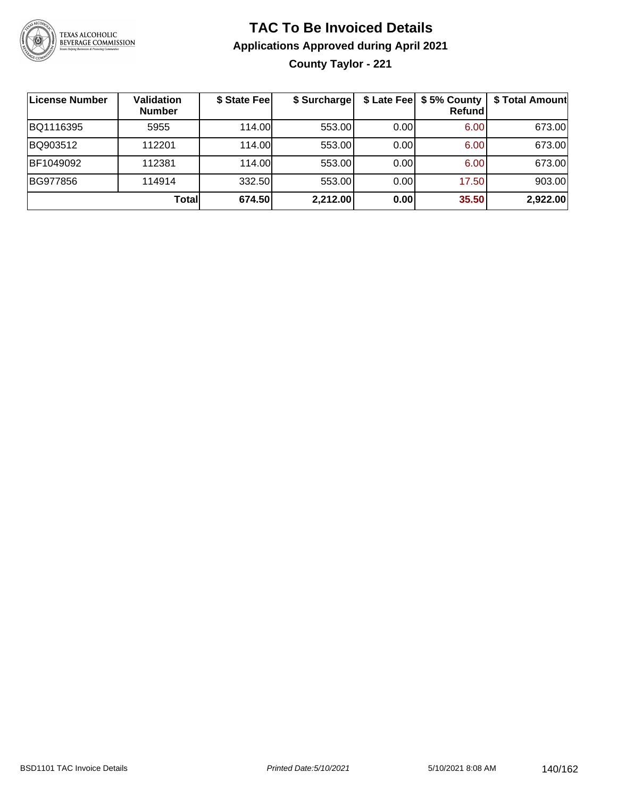

### **TAC To Be Invoiced Details Applications Approved during April 2021 County Taylor - 221**

| License Number | <b>Validation</b><br><b>Number</b> | \$ State Fee | \$ Surcharge |      | \$ Late Fee   \$5% County  <br>Refundl | \$ Total Amount |
|----------------|------------------------------------|--------------|--------------|------|----------------------------------------|-----------------|
| BQ1116395      | 5955                               | 114.00L      | 553.00       | 0.00 | 6.00 <sub>1</sub>                      | 673.00          |
| BQ903512       | 112201                             | 114.00L      | 553.00       | 0.00 | 6.00                                   | 673.00          |
| BF1049092      | 112381                             | 114.00       | 553.00       | 0.00 | 6.00                                   | 673.00          |
| BG977856       | 114914                             | 332.50       | 553.00       | 0.00 | 17.50                                  | 903.00          |
|                | Total                              | 674.50       | 2,212.00     | 0.00 | 35.50                                  | 2,922.00        |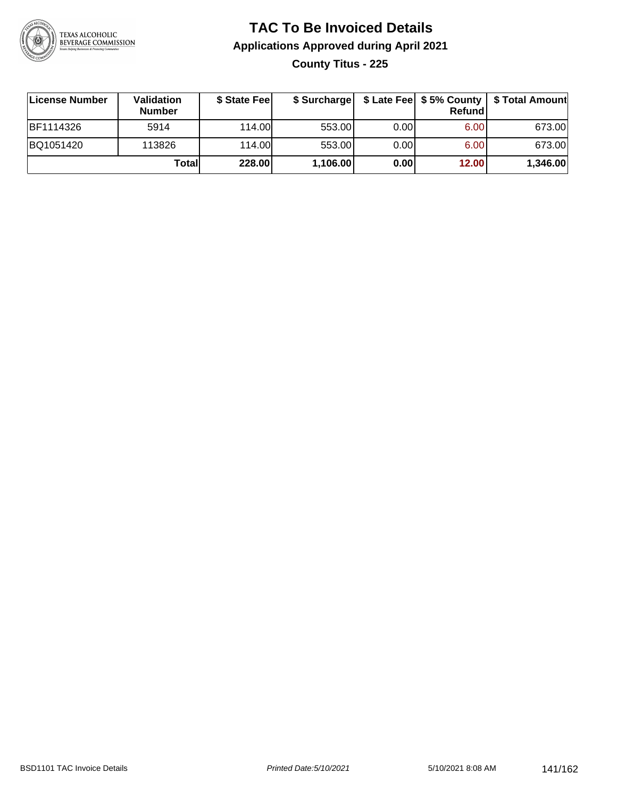

#### **TAC To Be Invoiced Details Applications Approved during April 2021 County Titus - 225**

| License Number | Validation<br><b>Number</b> | \$ State Feel |          |       | Refund | \$ Surcharge   \$ Late Fee   \$5% County   \$ Total Amount |
|----------------|-----------------------------|---------------|----------|-------|--------|------------------------------------------------------------|
| BF1114326      | 5914                        | 114.00L       | 553.00   | 0.001 | 6.00   | 673.00                                                     |
| BQ1051420      | 113826                      | 114.00L       | 553.00   | 0.00  | 6.00   | 673.00                                                     |
|                | Totall                      | 228.00        | 1,106.00 | 0.00  | 12.00  | 1,346.00                                                   |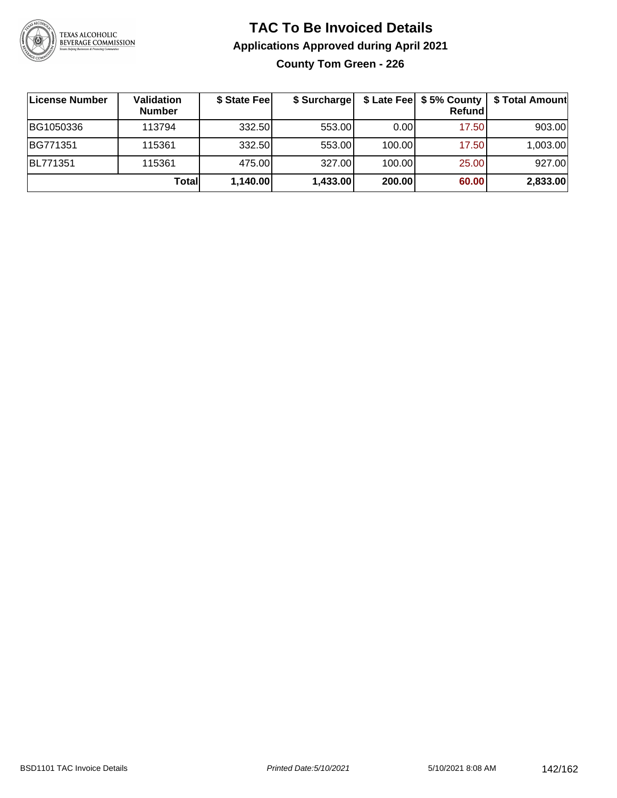

#### **TAC To Be Invoiced Details Applications Approved during April 2021 County Tom Green - 226**

| ∣License Number | Validation<br><b>Number</b> | \$ State Fee | \$ Surcharge |        | \$ Late Fee   \$5% County<br>Refundl | \$ Total Amount |
|-----------------|-----------------------------|--------------|--------------|--------|--------------------------------------|-----------------|
| BG1050336       | 113794                      | 332.50       | 553.00       | 0.00   | 17.50                                | 903.00          |
| BG771351        | 115361                      | 332.50       | 553.00       | 100.00 | 17.50                                | 1,003.00        |
| BL771351        | 115361                      | 475.00       | 327.00       | 100.00 | 25.00                                | 927.00          |
|                 | Totall                      | 1,140.00     | 1,433.00     | 200.00 | 60.00                                | 2,833.00        |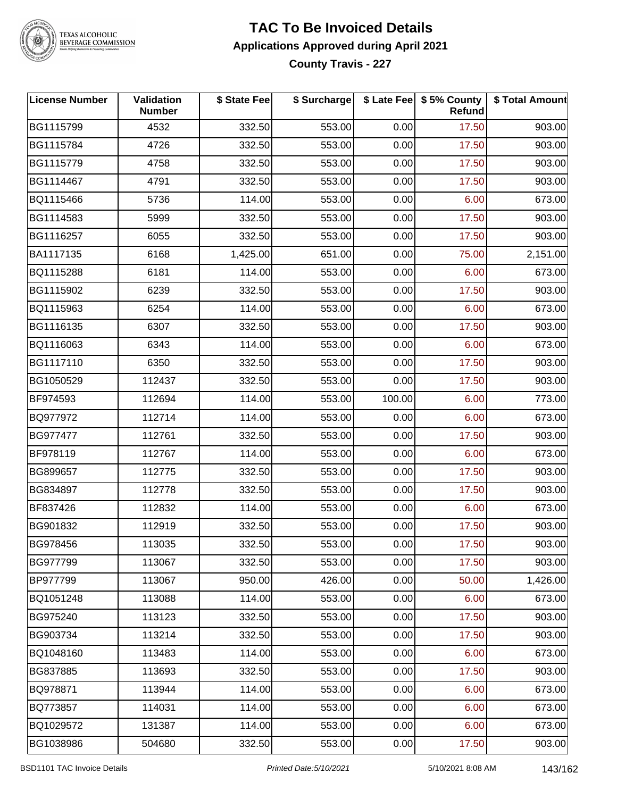

## TEXAS ALCOHOLIC<br>BEVERAGE COMMISSION

#### **TAC To Be Invoiced Details Applications Approved during April 2021 County Travis - 227**

| <b>License Number</b> | <b>Validation</b><br><b>Number</b> | \$ State Fee | \$ Surcharge |        | \$ Late Fee   \$5% County  <br>Refund | \$ Total Amount |
|-----------------------|------------------------------------|--------------|--------------|--------|---------------------------------------|-----------------|
| BG1115799             | 4532                               | 332.50       | 553.00       | 0.00   | 17.50                                 | 903.00          |
| BG1115784             | 4726                               | 332.50       | 553.00       | 0.00   | 17.50                                 | 903.00          |
| BG1115779             | 4758                               | 332.50       | 553.00       | 0.00   | 17.50                                 | 903.00          |
| BG1114467             | 4791                               | 332.50       | 553.00       | 0.00   | 17.50                                 | 903.00          |
| BQ1115466             | 5736                               | 114.00       | 553.00       | 0.00   | 6.00                                  | 673.00          |
| BG1114583             | 5999                               | 332.50       | 553.00       | 0.00   | 17.50                                 | 903.00          |
| BG1116257             | 6055                               | 332.50       | 553.00       | 0.00   | 17.50                                 | 903.00          |
| BA1117135             | 6168                               | 1,425.00     | 651.00       | 0.00   | 75.00                                 | 2,151.00        |
| BQ1115288             | 6181                               | 114.00       | 553.00       | 0.00   | 6.00                                  | 673.00          |
| BG1115902             | 6239                               | 332.50       | 553.00       | 0.00   | 17.50                                 | 903.00          |
| BQ1115963             | 6254                               | 114.00       | 553.00       | 0.00   | 6.00                                  | 673.00          |
| BG1116135             | 6307                               | 332.50       | 553.00       | 0.00   | 17.50                                 | 903.00          |
| BQ1116063             | 6343                               | 114.00       | 553.00       | 0.00   | 6.00                                  | 673.00          |
| BG1117110             | 6350                               | 332.50       | 553.00       | 0.00   | 17.50                                 | 903.00          |
| BG1050529             | 112437                             | 332.50       | 553.00       | 0.00   | 17.50                                 | 903.00          |
| BF974593              | 112694                             | 114.00       | 553.00       | 100.00 | 6.00                                  | 773.00          |
| BQ977972              | 112714                             | 114.00       | 553.00       | 0.00   | 6.00                                  | 673.00          |
| BG977477              | 112761                             | 332.50       | 553.00       | 0.00   | 17.50                                 | 903.00          |
| BF978119              | 112767                             | 114.00       | 553.00       | 0.00   | 6.00                                  | 673.00          |
| BG899657              | 112775                             | 332.50       | 553.00       | 0.00   | 17.50                                 | 903.00          |
| BG834897              | 112778                             | 332.50       | 553.00       | 0.00   | 17.50                                 | 903.00          |
| BF837426              | 112832                             | 114.00       | 553.00       | 0.00   | 6.00                                  | 673.00          |
| BG901832              | 112919                             | 332.50       | 553.00       | 0.00   | 17.50                                 | 903.00          |
| BG978456              | 113035                             | 332.50       | 553.00       | 0.00   | 17.50                                 | 903.00          |
| BG977799              | 113067                             | 332.50       | 553.00       | 0.00   | 17.50                                 | 903.00          |
| BP977799              | 113067                             | 950.00       | 426.00       | 0.00   | 50.00                                 | 1,426.00        |
| BQ1051248             | 113088                             | 114.00       | 553.00       | 0.00   | 6.00                                  | 673.00          |
| BG975240              | 113123                             | 332.50       | 553.00       | 0.00   | 17.50                                 | 903.00          |
| BG903734              | 113214                             | 332.50       | 553.00       | 0.00   | 17.50                                 | 903.00          |
| BQ1048160             | 113483                             | 114.00       | 553.00       | 0.00   | 6.00                                  | 673.00          |
| BG837885              | 113693                             | 332.50       | 553.00       | 0.00   | 17.50                                 | 903.00          |
| BQ978871              | 113944                             | 114.00       | 553.00       | 0.00   | 6.00                                  | 673.00          |
| BQ773857              | 114031                             | 114.00       | 553.00       | 0.00   | 6.00                                  | 673.00          |
| BQ1029572             | 131387                             | 114.00       | 553.00       | 0.00   | 6.00                                  | 673.00          |
| BG1038986             | 504680                             | 332.50       | 553.00       | 0.00   | 17.50                                 | 903.00          |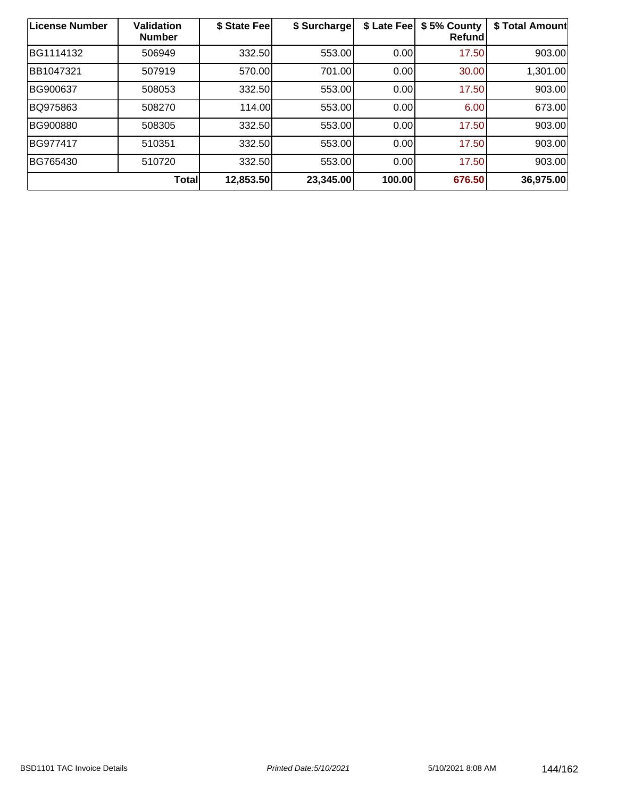| License Number | <b>Validation</b><br><b>Number</b> | \$ State Fee | \$ Surcharge | \$ Late Fee | \$5% County<br>Refund | \$ Total Amount |
|----------------|------------------------------------|--------------|--------------|-------------|-----------------------|-----------------|
| BG1114132      | 506949                             | 332.50       | 553.00       | 0.00        | 17.50                 | 903.00          |
| BB1047321      | 507919                             | 570.00       | 701.00       | 0.00        | 30.00                 | 1,301.00        |
| BG900637       | 508053                             | 332.50       | 553.00       | 0.00        | 17.50                 | 903.00          |
| BQ975863       | 508270                             | 114.00       | 553.00       | 0.00        | 6.00                  | 673.00          |
| BG900880       | 508305                             | 332.50       | 553.00       | 0.00        | 17.50                 | 903.00          |
| BG977417       | 510351                             | 332.50       | 553.00       | 0.00        | 17.50                 | 903.00          |
| BG765430       | 510720                             | 332.50       | 553.00       | 0.00        | 17.50                 | 903.00          |
|                | Total                              | 12,853.50    | 23,345.00    | 100.00      | 676.50                | 36,975.00       |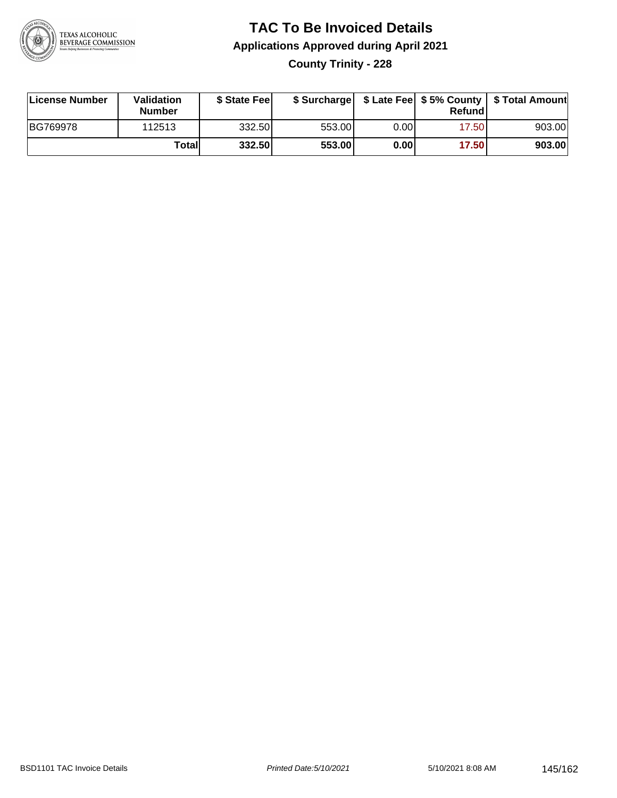

# **TAC To Be Invoiced Details Applications Approved during April 2021 County Trinity - 228**

| License Number | <b>Validation</b><br><b>Number</b> | \$ State Feel |        |      | Refund | \$ Surcharge   \$ Late Fee   \$5% County   \$ Total Amount |
|----------------|------------------------------------|---------------|--------|------|--------|------------------------------------------------------------|
| BG769978       | 112513                             | 332.50        | 553.00 | 0.00 | 17.50  | 903.00                                                     |
|                | Totall                             | 332.50        | 553.00 | 0.00 | 17.50  | 903.00                                                     |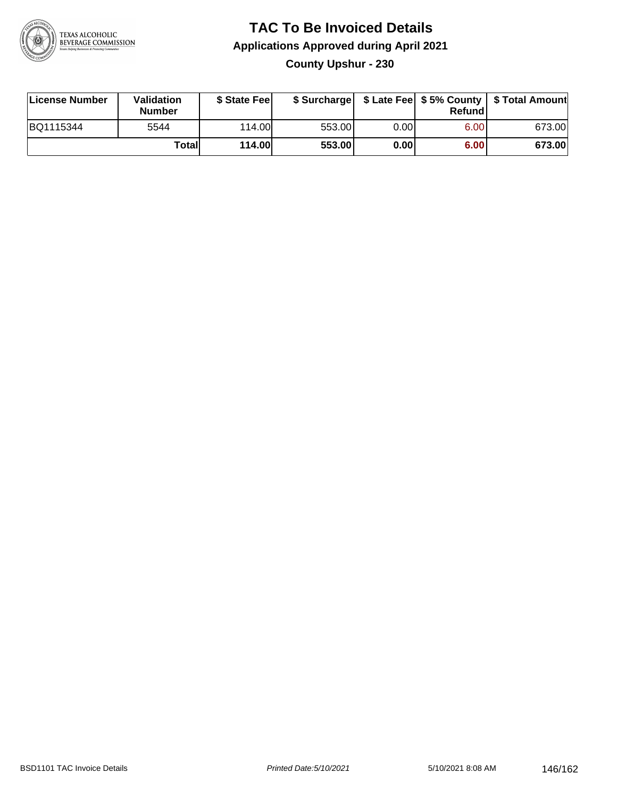

## **TAC To Be Invoiced Details Applications Approved during April 2021 County Upshur - 230**

| License Number | Validation<br><b>Number</b> | \$ State Feel |        |      | Refundl | \$ Surcharge   \$ Late Fee   \$5% County   \$ Total Amount |
|----------------|-----------------------------|---------------|--------|------|---------|------------------------------------------------------------|
| BQ1115344      | 5544                        | 114.00        | 553.00 | 0.00 | 6.00    | 673.00                                                     |
|                | Totall                      | 114.00        | 553.00 | 0.00 | 6.00    | 673.00                                                     |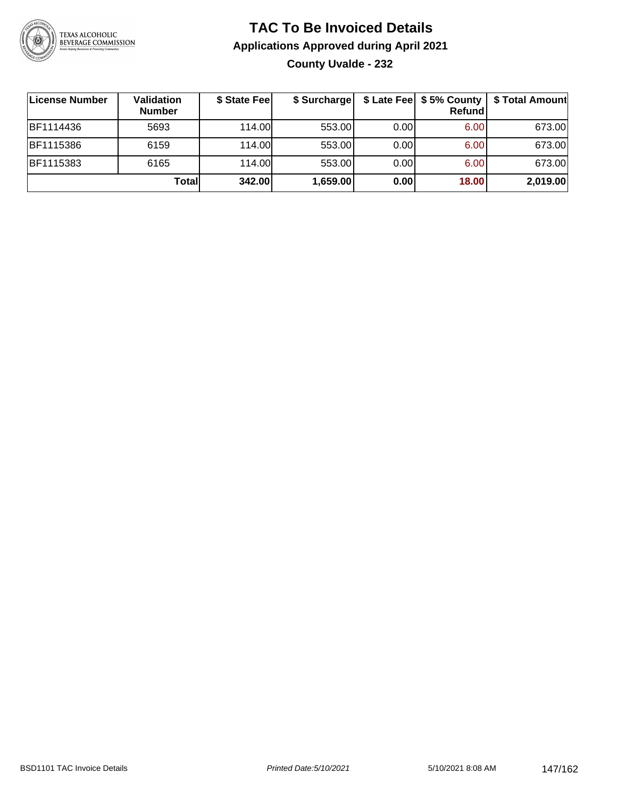

# **TAC To Be Invoiced Details Applications Approved during April 2021 County Uvalde - 232**

| License Number   | Validation<br><b>Number</b> | \$ State Fee | \$ Surcharge |      | Refund | \$ Late Fee   \$5% County   \$ Total Amount |
|------------------|-----------------------------|--------------|--------------|------|--------|---------------------------------------------|
| BF1114436        | 5693                        | 114.00L      | 553.00       | 0.00 | 6.00   | 673.00                                      |
| <b>BF1115386</b> | 6159                        | 114.00L      | 553.00       | 0.00 | 6.00   | 673.00                                      |
| BF1115383        | 6165                        | 114.00L      | 553.00       | 0.00 | 6.00   | 673.00                                      |
|                  | Total                       | 342.00       | 1,659.00     | 0.00 | 18.00  | 2,019.00                                    |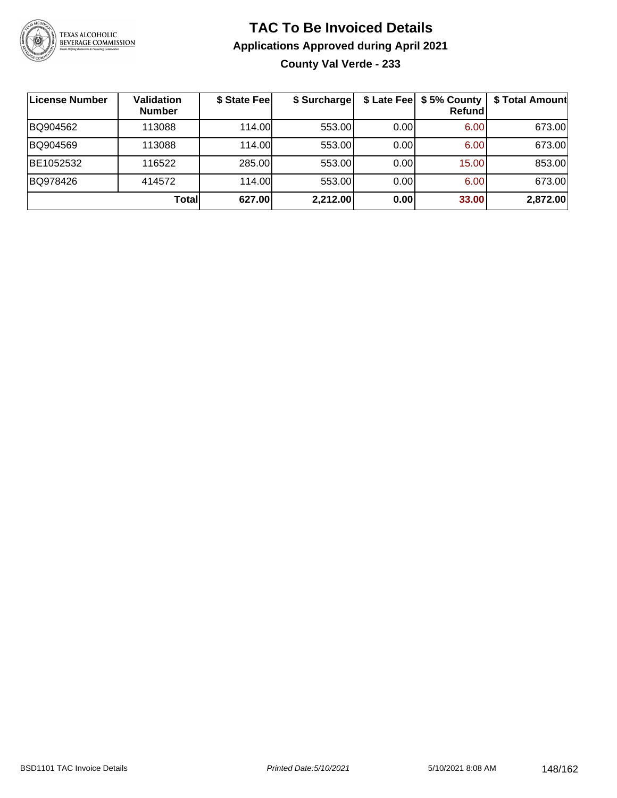

## **TAC To Be Invoiced Details Applications Approved during April 2021 County Val Verde - 233**

| License Number | <b>Validation</b><br><b>Number</b> | \$ State Fee | \$ Surcharge |      | \$ Late Fee   \$5% County<br><b>Refund</b> | \$ Total Amount |
|----------------|------------------------------------|--------------|--------------|------|--------------------------------------------|-----------------|
| BQ904562       | 113088                             | 114.00       | 553.00       | 0.00 | 6.00                                       | 673.00          |
| BQ904569       | 113088                             | 114.00L      | 553.00       | 0.00 | 6.00                                       | 673.00          |
| BE1052532      | 116522                             | 285.00       | 553.00       | 0.00 | 15.00                                      | 853.00          |
| BQ978426       | 414572                             | 114.00L      | 553.00       | 0.00 | 6.00                                       | 673.00          |
|                | Totall                             | 627.00       | 2,212.00     | 0.00 | 33.00                                      | 2,872.00        |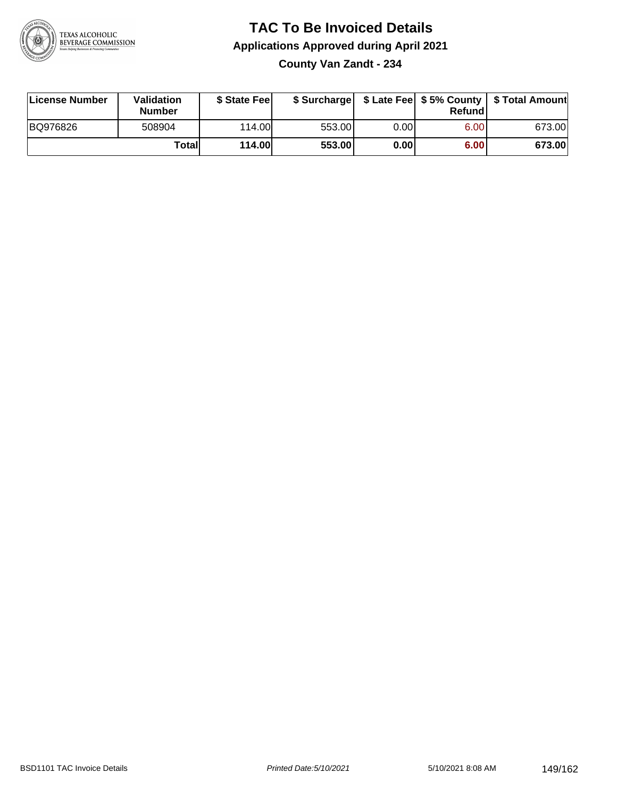

## **TAC To Be Invoiced Details Applications Approved during April 2021 County Van Zandt - 234**

| License Number | Validation<br><b>Number</b> | \$ State Fee  | \$ Surcharge |      | Refund | \$ Late Fee   \$5% County   \$ Total Amount |
|----------------|-----------------------------|---------------|--------------|------|--------|---------------------------------------------|
| BQ976826       | 508904                      | 114.00        | 553.00       | 0.00 | 6.00   | 673.00                                      |
|                | Totall                      | <b>114.00</b> | 553.00       | 0.00 | 6.00   | 673.00                                      |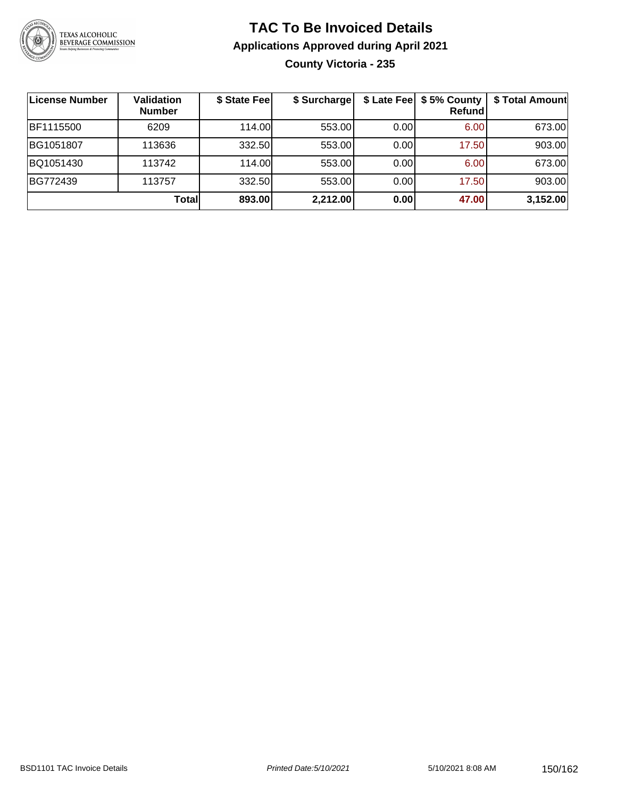

## **TAC To Be Invoiced Details Applications Approved during April 2021 County Victoria - 235**

| License Number | <b>Validation</b><br><b>Number</b> | \$ State Fee | \$ Surcharge |      | \$ Late Fee   \$5% County<br>Refundl | \$ Total Amount |
|----------------|------------------------------------|--------------|--------------|------|--------------------------------------|-----------------|
| BF1115500      | 6209                               | 114.00       | 553.00       | 0.00 | 6.00                                 | 673.00          |
| BG1051807      | 113636                             | 332.50       | 553.00       | 0.00 | 17.50                                | 903.00          |
| BQ1051430      | 113742                             | 114.00       | 553.00       | 0.00 | 6.00                                 | 673.00          |
| BG772439       | 113757                             | 332.50       | 553.00       | 0.00 | 17.50                                | 903.00          |
|                | <b>Total</b>                       | 893.00       | 2,212.00     | 0.00 | 47.00                                | 3,152.00        |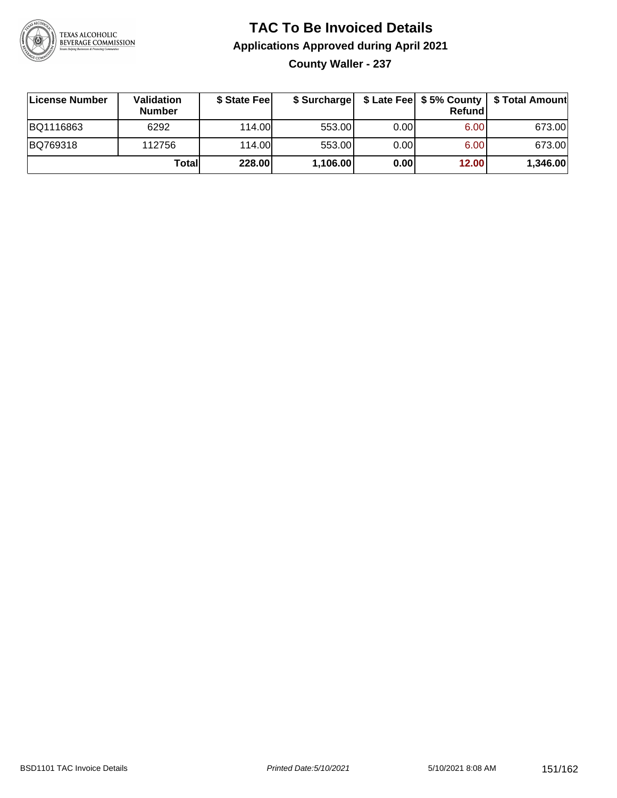

# **TAC To Be Invoiced Details Applications Approved during April 2021**

**County Waller - 237**

| License Number | Validation<br><b>Number</b> | \$ State Fee |          |      | <b>Refund</b> | \$ Surcharge   \$ Late Fee   \$5% County   \$ Total Amount |
|----------------|-----------------------------|--------------|----------|------|---------------|------------------------------------------------------------|
| BQ1116863      | 6292                        | 114.00       | 553.00   | 0.00 | 6.00          | 673.00                                                     |
| BQ769318       | 112756                      | 114.00       | 553.00   | 0.00 | 6.00          | 673.00                                                     |
|                | Totall                      | 228.00       | 1,106.00 | 0.00 | 12.00         | 1,346.00                                                   |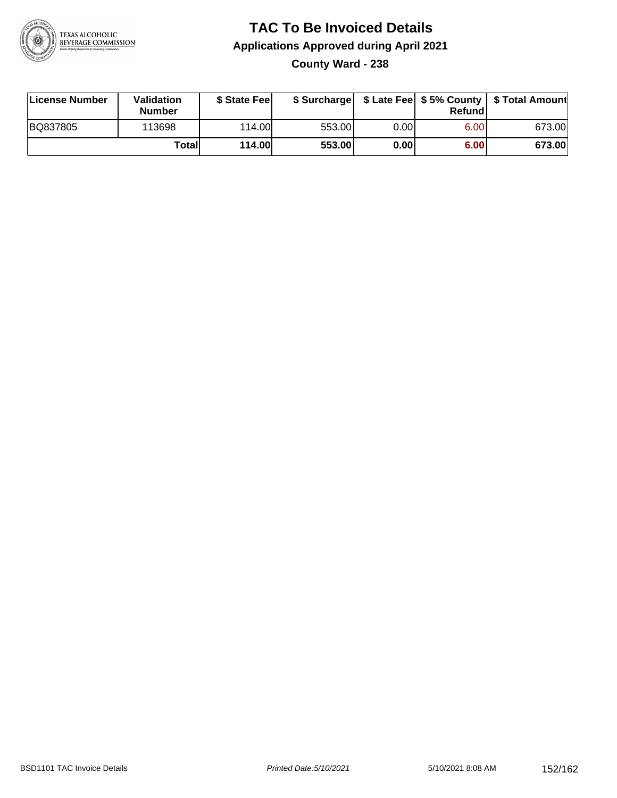

## **TAC To Be Invoiced Details Applications Approved during April 2021 County Ward - 238**

| License Number | <b>Validation</b><br><b>Number</b> | \$ State Feel |        |      | Refund | \$ Surcharge   \$ Late Fee   \$5% County   \$ Total Amount |
|----------------|------------------------------------|---------------|--------|------|--------|------------------------------------------------------------|
| BQ837805       | 113698                             | 114.00L       | 553.00 | 0.00 | 6.00   | 673.00                                                     |
|                | Total                              | <b>114.00</b> | 553.00 | 0.00 | 6.00   | 673.00                                                     |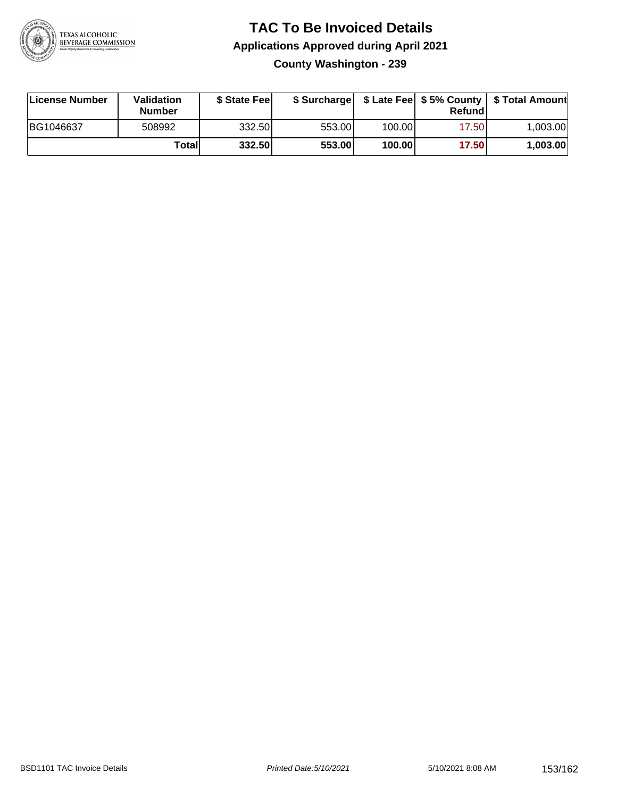

#### **TAC To Be Invoiced Details Applications Approved during April 2021 County Washington - 239**

| License Number | Validation<br><b>Number</b> | \$ State Feel |        |        | Refundl | \$ Surcharge   \$ Late Fee   \$5% County   \$ Total Amount |
|----------------|-----------------------------|---------------|--------|--------|---------|------------------------------------------------------------|
| BG1046637      | 508992                      | 332.50        | 553.00 | 100.00 | 17.50   | 1,003.00                                                   |
|                | Total                       | 332.50        | 553.00 | 100.00 | 17.50   | 1,003.00                                                   |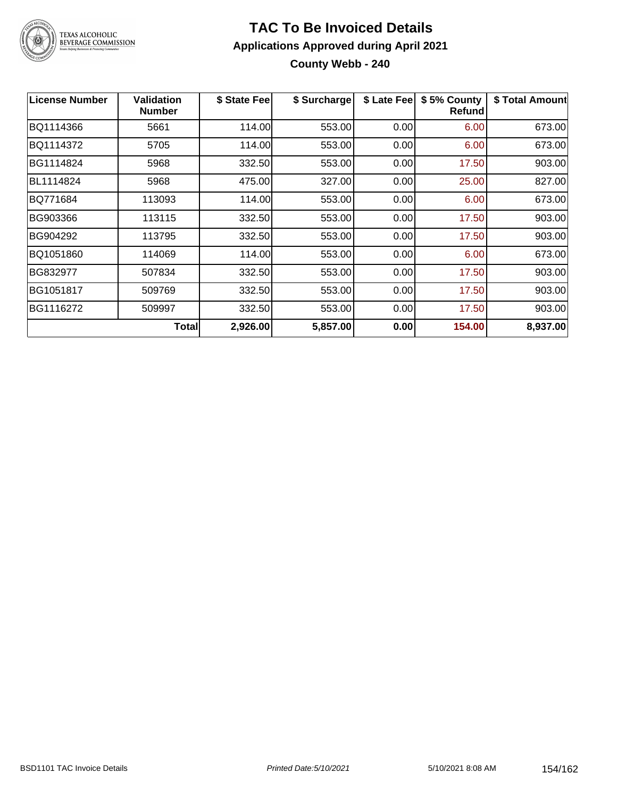

## **TAC To Be Invoiced Details Applications Approved during April 2021 County Webb - 240**

| License Number | <b>Validation</b><br><b>Number</b> | \$ State Fee | \$ Surcharge | \$ Late Fee | \$5% County<br><b>Refund</b> | \$ Total Amount |
|----------------|------------------------------------|--------------|--------------|-------------|------------------------------|-----------------|
| BQ1114366      | 5661                               | 114.00       | 553.00       | 0.00        | 6.00                         | 673.00          |
| BQ1114372      | 5705                               | 114.00       | 553.00       | 0.00        | 6.00                         | 673.00          |
| BG1114824      | 5968                               | 332.50       | 553.00       | 0.00        | 17.50                        | 903.00          |
| BL1114824      | 5968                               | 475.00       | 327.00       | 0.00        | 25.00                        | 827.00          |
| BQ771684       | 113093                             | 114.00       | 553.00       | 0.00        | 6.00                         | 673.00          |
| BG903366       | 113115                             | 332.50       | 553.00       | 0.00        | 17.50                        | 903.00          |
| BG904292       | 113795                             | 332.50       | 553.00       | 0.00        | 17.50                        | 903.00          |
| BQ1051860      | 114069                             | 114.00       | 553.00       | 0.00        | 6.00                         | 673.00          |
| BG832977       | 507834                             | 332.50       | 553.00       | 0.00        | 17.50                        | 903.00          |
| BG1051817      | 509769                             | 332.50       | 553.00       | 0.00        | 17.50                        | 903.00          |
| BG1116272      | 509997                             | 332.50       | 553.00       | 0.00        | 17.50                        | 903.00          |
|                | <b>Total</b>                       | 2,926.00     | 5,857.00     | 0.00        | 154.00                       | 8,937.00        |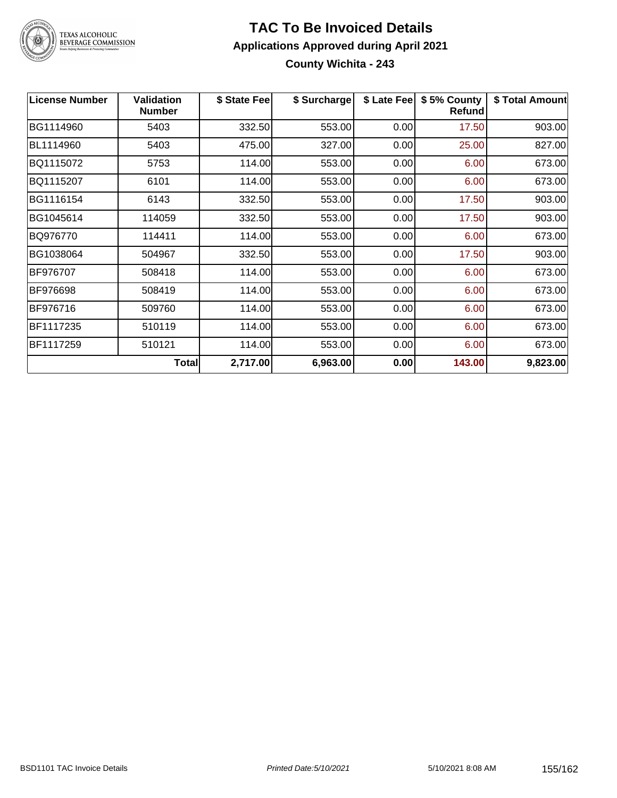

## **TAC To Be Invoiced Details Applications Approved during April 2021 County Wichita - 243**

| <b>License Number</b> | <b>Validation</b><br><b>Number</b> | \$ State Fee | \$ Surcharge | \$ Late Fee | \$5% County<br>Refund | \$ Total Amount |
|-----------------------|------------------------------------|--------------|--------------|-------------|-----------------------|-----------------|
| BG1114960             | 5403                               | 332.50       | 553.00       | 0.00        | 17.50                 | 903.00          |
| BL1114960             | 5403                               | 475.00       | 327.00       | 0.00        | 25.00                 | 827.00          |
| BQ1115072             | 5753                               | 114.00       | 553.00       | 0.00        | 6.00                  | 673.00          |
| BQ1115207             | 6101                               | 114.00       | 553.00       | 0.00        | 6.00                  | 673.00          |
| BG1116154             | 6143                               | 332.50       | 553.00       | 0.00        | 17.50                 | 903.00          |
| BG1045614             | 114059                             | 332.50       | 553.00       | 0.00        | 17.50                 | 903.00          |
| BQ976770              | 114411                             | 114.00       | 553.00       | 0.00        | 6.00                  | 673.00          |
| BG1038064             | 504967                             | 332.50       | 553.00       | 0.00        | 17.50                 | 903.00          |
| BF976707              | 508418                             | 114.00       | 553.00       | 0.00        | 6.00                  | 673.00          |
| BF976698              | 508419                             | 114.00       | 553.00       | 0.00        | 6.00                  | 673.00          |
| BF976716              | 509760                             | 114.00       | 553.00       | 0.00        | 6.00                  | 673.00          |
| BF1117235             | 510119                             | 114.00       | 553.00       | 0.00        | 6.00                  | 673.00          |
| BF1117259             | 510121                             | 114.00       | 553.00       | 0.00        | 6.00                  | 673.00          |
|                       | Total                              | 2,717.00     | 6,963.00     | 0.00        | 143.00                | 9,823.00        |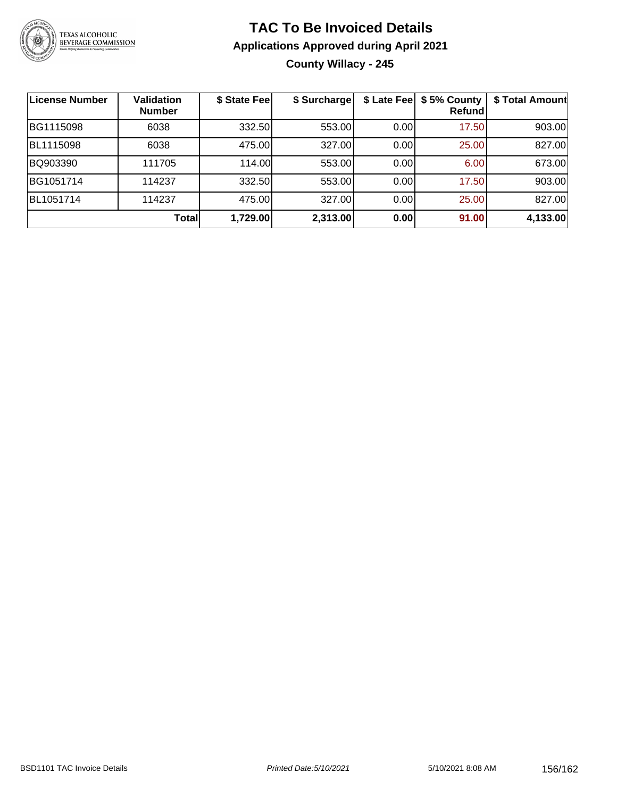

## **TAC To Be Invoiced Details Applications Approved during April 2021 County Willacy - 245**

| <b>License Number</b> | <b>Validation</b><br><b>Number</b> | \$ State Fee | \$ Surcharge |      | \$ Late Fee   \$5% County<br>Refundl | \$ Total Amount |
|-----------------------|------------------------------------|--------------|--------------|------|--------------------------------------|-----------------|
| BG1115098             | 6038                               | 332.50       | 553.00       | 0.00 | 17.50                                | 903.00          |
| BL1115098             | 6038                               | 475.00       | 327.00       | 0.00 | 25.00                                | 827.00          |
| BQ903390              | 111705                             | 114.00       | 553.00       | 0.00 | 6.00                                 | 673.00          |
| BG1051714             | 114237                             | 332.50       | 553.00       | 0.00 | 17.50                                | 903.00          |
| BL1051714             | 114237                             | 475.00       | 327.00       | 0.00 | 25.00                                | 827.00          |
|                       | <b>Total</b>                       | 1,729.00     | 2,313.00     | 0.00 | 91.00                                | 4,133.00        |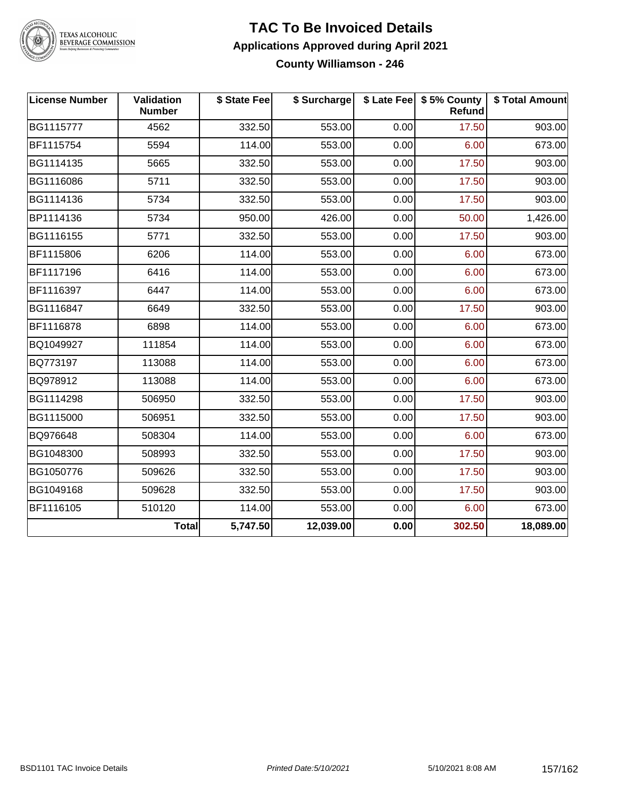

#### **TAC To Be Invoiced Details Applications Approved during April 2021 County Williamson - 246**

| <b>License Number</b> | Validation<br><b>Number</b> | \$ State Fee | \$ Surcharge |      | \$ Late Fee   \$5% County<br><b>Refund</b> | \$ Total Amount |
|-----------------------|-----------------------------|--------------|--------------|------|--------------------------------------------|-----------------|
| BG1115777             | 4562                        | 332.50       | 553.00       | 0.00 | 17.50                                      | 903.00          |
| BF1115754             | 5594                        | 114.00       | 553.00       | 0.00 | 6.00                                       | 673.00          |
| BG1114135             | 5665                        | 332.50       | 553.00       | 0.00 | 17.50                                      | 903.00          |
| BG1116086             | 5711                        | 332.50       | 553.00       | 0.00 | 17.50                                      | 903.00          |
| BG1114136             | 5734                        | 332.50       | 553.00       | 0.00 | 17.50                                      | 903.00          |
| BP1114136             | 5734                        | 950.00       | 426.00       | 0.00 | 50.00                                      | 1,426.00        |
| BG1116155             | 5771                        | 332.50       | 553.00       | 0.00 | 17.50                                      | 903.00          |
| BF1115806             | 6206                        | 114.00       | 553.00       | 0.00 | 6.00                                       | 673.00          |
| BF1117196             | 6416                        | 114.00       | 553.00       | 0.00 | 6.00                                       | 673.00          |
| BF1116397             | 6447                        | 114.00       | 553.00       | 0.00 | 6.00                                       | 673.00          |
| BG1116847             | 6649                        | 332.50       | 553.00       | 0.00 | 17.50                                      | 903.00          |
| BF1116878             | 6898                        | 114.00       | 553.00       | 0.00 | 6.00                                       | 673.00          |
| BQ1049927             | 111854                      | 114.00       | 553.00       | 0.00 | 6.00                                       | 673.00          |
| BQ773197              | 113088                      | 114.00       | 553.00       | 0.00 | 6.00                                       | 673.00          |
| BQ978912              | 113088                      | 114.00       | 553.00       | 0.00 | 6.00                                       | 673.00          |
| BG1114298             | 506950                      | 332.50       | 553.00       | 0.00 | 17.50                                      | 903.00          |
| BG1115000             | 506951                      | 332.50       | 553.00       | 0.00 | 17.50                                      | 903.00          |
| BQ976648              | 508304                      | 114.00       | 553.00       | 0.00 | 6.00                                       | 673.00          |
| BG1048300             | 508993                      | 332.50       | 553.00       | 0.00 | 17.50                                      | 903.00          |
| BG1050776             | 509626                      | 332.50       | 553.00       | 0.00 | 17.50                                      | 903.00          |
| BG1049168             | 509628                      | 332.50       | 553.00       | 0.00 | 17.50                                      | 903.00          |
| BF1116105             | 510120                      | 114.00       | 553.00       | 0.00 | 6.00                                       | 673.00          |
|                       | <b>Total</b>                | 5,747.50     | 12,039.00    | 0.00 | 302.50                                     | 18,089.00       |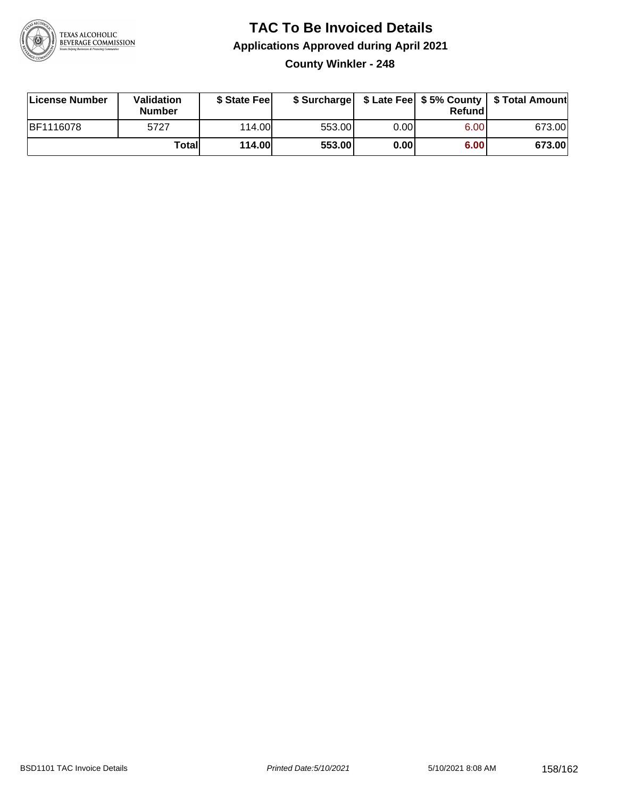

## **TAC To Be Invoiced Details Applications Approved during April 2021 County Winkler - 248**

| License Number   | <b>Validation</b><br><b>Number</b> | \$ State Feel |        |      | Refund | \$ Surcharge   \$ Late Fee   \$5% County   \$ Total Amount |
|------------------|------------------------------------|---------------|--------|------|--------|------------------------------------------------------------|
| <b>BF1116078</b> | 5727                               | 114.00L       | 553.00 | 0.00 | 6.00   | 673.00                                                     |
|                  | Totall                             | <b>114.00</b> | 553.00 | 0.00 | 6.00   | 673.00                                                     |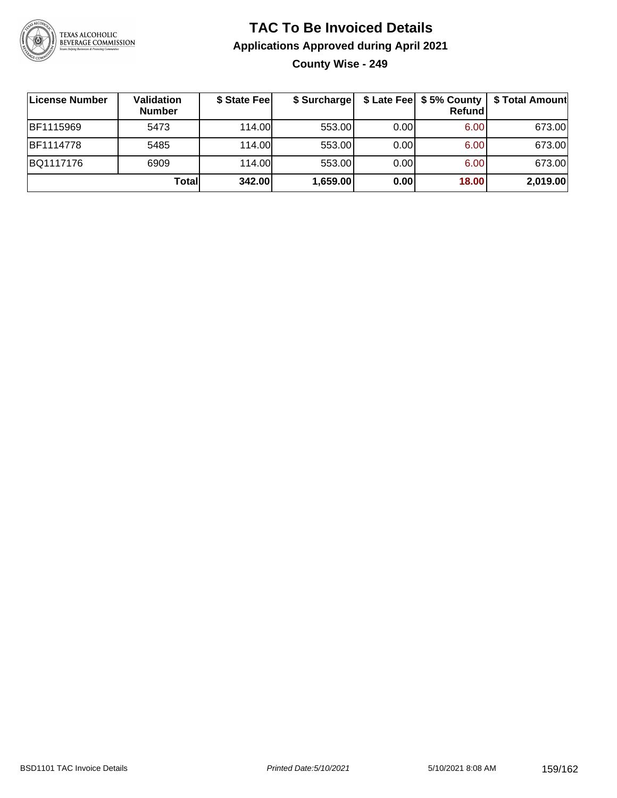

# **TAC To Be Invoiced Details Applications Approved during April 2021 County Wise - 249**

| License Number   | Validation<br><b>Number</b> | \$ State Fee | \$ Surcharge |      | Refundl | \$ Late Fee   \$5% County   \$ Total Amount |
|------------------|-----------------------------|--------------|--------------|------|---------|---------------------------------------------|
| <b>BF1115969</b> | 5473                        | 114.00       | 553.00       | 0.00 | 6.00    | 673.00                                      |
| <b>BF1114778</b> | 5485                        | 114.00       | 553.00       | 0.00 | 6.00    | 673.00                                      |
| BQ1117176        | 6909                        | 114.00       | 553.00       | 0.00 | 6.00    | 673.00                                      |
|                  | Totall                      | 342.00       | 1,659.00     | 0.00 | 18.00   | 2,019.00                                    |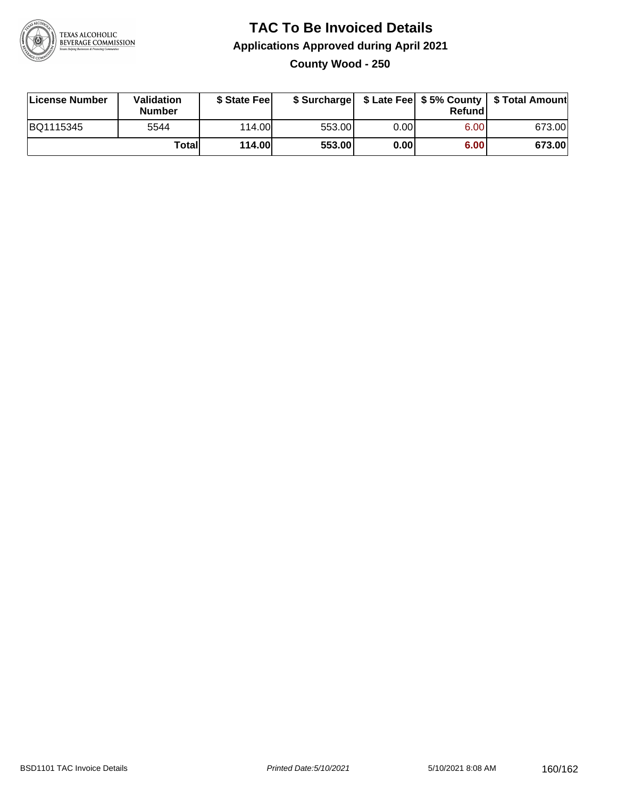

## **TAC To Be Invoiced Details Applications Approved during April 2021 County Wood - 250**

| License Number | Validation<br><b>Number</b> | \$ State Feel |        |      | Refundl | \$ Surcharge   \$ Late Fee   \$5% County   \$ Total Amount |
|----------------|-----------------------------|---------------|--------|------|---------|------------------------------------------------------------|
| BQ1115345      | 5544                        | 114.00        | 553.00 | 0.00 | 6.00    | 673.00                                                     |
|                | Totall                      | 114.00        | 553.00 | 0.00 | 6.00    | 673.00                                                     |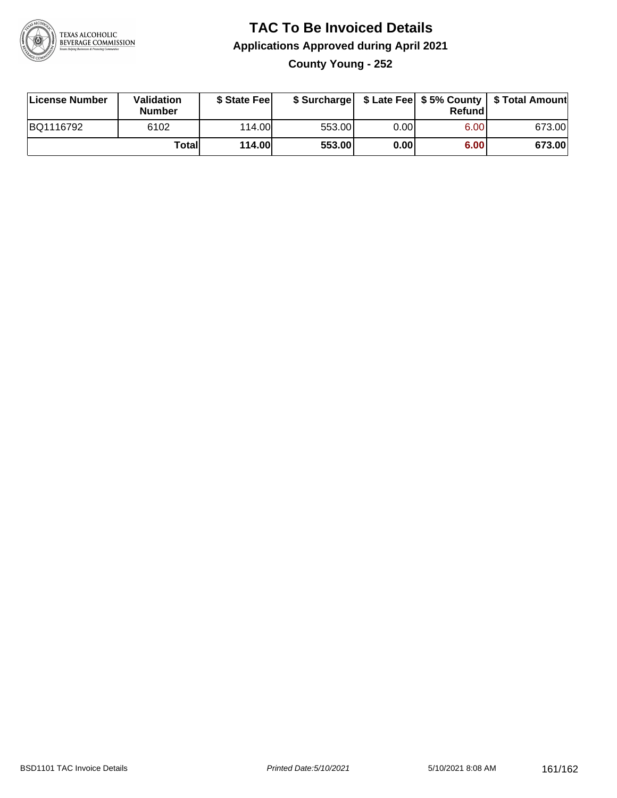

# **TAC To Be Invoiced Details Applications Approved during April 2021 County Young - 252**

| License Number | <b>Validation</b><br><b>Number</b> | \$ State Feel |        |      | Refund | \$ Surcharge   \$ Late Fee   \$5% County   \$ Total Amount |
|----------------|------------------------------------|---------------|--------|------|--------|------------------------------------------------------------|
| BQ1116792      | 6102                               | 114.00L       | 553.00 | 0.00 | 6.00   | 673.00                                                     |
|                | Total                              | <b>114.00</b> | 553.00 | 0.00 | 6.00   | 673.00                                                     |